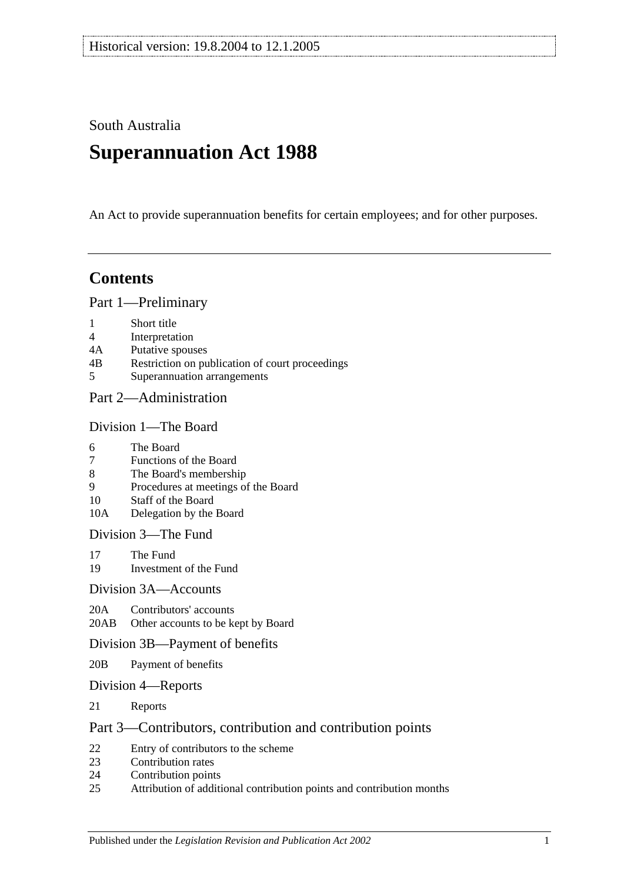South Australia

# **Superannuation Act 1988**

An Act to provide superannuation benefits for certain employees; and for other purposes.

# **Contents**

[Part 1—Preliminary](#page-4-0)

- 1 [Short title](#page-4-1)
- 4 [Interpretation](#page-4-2)
- 4A [Putative spouses](#page-11-0)
- 4B [Restriction on publication of court proceedings](#page-11-1)
- 5 [Superannuation arrangements](#page-12-0)

## [Part 2—Administration](#page-14-0)

#### [Division 1—The Board](#page-14-1)

- 6 [The Board](#page-14-2)
- 7 [Functions of the Board](#page-14-3)
- 8 [The Board's membership](#page-14-4)
- 9 [Procedures at meetings of the Board](#page-15-0)
- 10 [Staff of the Board](#page-15-1)
- 10A [Delegation by the Board](#page-15-2)

[Division 3—The Fund](#page-16-0)

- 17 [The Fund](#page-16-1)<br>19 Investmen
- [Investment of the Fund](#page-17-0)

#### [Division 3A—Accounts](#page-17-1)

20A [Contributors' accounts](#page-17-2)

20AB [Other accounts to be kept by Board](#page-18-0)

#### [Division 3B—Payment of benefits](#page-18-1)

- 20B [Payment of benefits](#page-18-2)
- [Division 4—Reports](#page-18-3)
- 21 [Reports](#page-18-4)

#### [Part 3—Contributors, contribution and contribution points](#page-20-0)

- 22 [Entry of contributors to the scheme](#page-20-1)
- 23 [Contribution rates](#page-22-0)
- 24 [Contribution points](#page-24-0)
- 25 [Attribution of additional contribution points and contribution months](#page-25-0)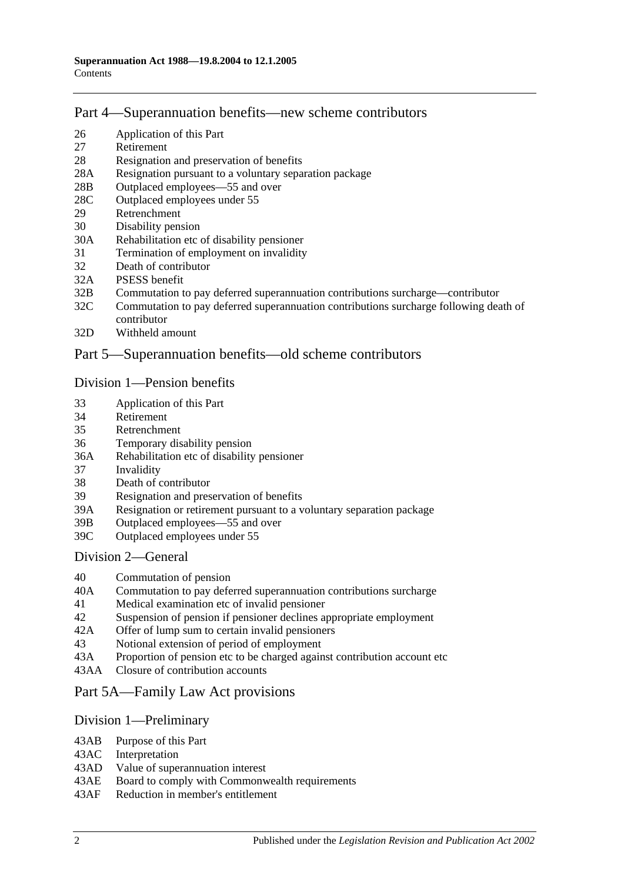## [Part 4—Superannuation benefits—new scheme contributors](#page-26-0)

- 26 [Application of this Part](#page-26-1)
- 27 [Retirement](#page-26-2)
- 28 [Resignation and preservation of benefits](#page-27-0)
- 28A [Resignation pursuant to a voluntary separation package](#page-30-0)
- 28B [Outplaced employees—55 and over](#page-31-0)
- 28C [Outplaced employees under 55](#page-32-0)
- 29 [Retrenchment](#page-32-1)
- 30 [Disability pension](#page-33-0)<br>30A Rehabilitation etc
- [Rehabilitation etc of disability pensioner](#page-34-0)
- 31 [Termination of employment on invalidity](#page-35-0)
- 32 [Death of contributor](#page-38-0)
- 32A [PSESS benefit](#page-43-0)
- 32B [Commutation to pay deferred superannuation contributions surcharge—contributor](#page-44-0)
- 32C [Commutation to pay deferred superannuation contributions surcharge following death of](#page-45-0)  [contributor](#page-45-0)
- 32D [Withheld amount](#page-47-0)

## [Part 5—Superannuation benefits—old scheme contributors](#page-48-0)

#### [Division 1—Pension benefits](#page-48-1)

- 33 [Application of this Part](#page-48-2)
- 34 [Retirement](#page-48-3)
- 35 [Retrenchment](#page-50-0)
- 36 [Temporary disability pension](#page-52-0)
- 36A [Rehabilitation etc of disability pensioner](#page-54-0)
- 37 [Invalidity](#page-54-1)
- 38 [Death of contributor](#page-57-0)
- 39 [Resignation and preservation of benefits](#page-61-0)
- 39A [Resignation or retirement pursuant to a voluntary separation package](#page-67-0)<br>39B Outplaced employees—55 and over
- Outplaced employees— $55$  and over
- 39C [Outplaced employees under 55](#page-70-0)

#### [Division 2—General](#page-70-1)

- 40 [Commutation of pension](#page-70-2)
- 40A [Commutation to pay deferred superannuation contributions surcharge](#page-71-0)
- 41 [Medical examination etc of invalid pensioner](#page-72-0)
- 42 [Suspension of pension if pensioner declines appropriate employment](#page-72-1)
- 42A [Offer of lump sum to certain invalid pensioners](#page-73-0)
- 43 [Notional extension of period of employment](#page-73-1)
- 43A [Proportion of pension etc to be charged against contribution account etc](#page-74-0)
- 43AA [Closure of contribution accounts](#page-74-1)

## [Part 5A—Family Law Act provisions](#page-76-0)

#### [Division 1—Preliminary](#page-76-1)

- 43AB [Purpose of this Part](#page-76-2)
- 43AC [Interpretation](#page-76-3)
- 43AD [Value of superannuation interest](#page-77-0)
- 43AE [Board to comply with Commonwealth requirements](#page-77-1)
- 43AF [Reduction in member's entitlement](#page-77-2)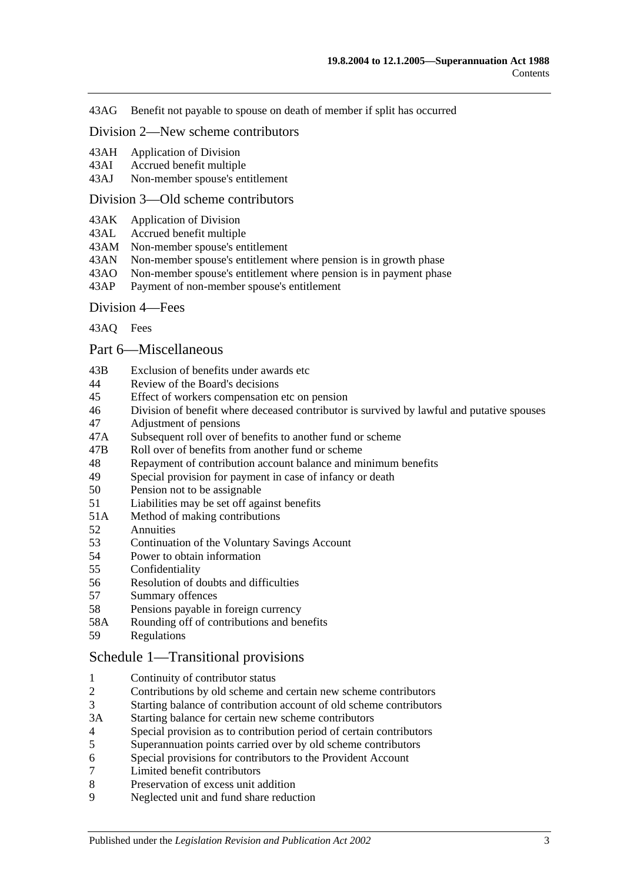43AG [Benefit not payable to spouse on death of member if split has occurred](#page-78-0)

#### [Division 2—New scheme contributors](#page-78-1)

- 43AH [Application of Division](#page-78-2)
- 43AI [Accrued benefit multiple](#page-78-3)<br>43AJ Non-member spouse's en

[Non-member spouse's entitlement](#page-78-4)

#### [Division 3—Old scheme contributors](#page-79-0)

- 43AK [Application of Division](#page-79-1)
- 43AL [Accrued benefit multiple](#page-79-2)
- 43AM [Non-member spouse's entitlement](#page-80-0)
- 43AN [Non-member spouse's entitlement where pension is in growth phase](#page-80-1)
- 43AO [Non-member spouse's entitlement where pension is in payment phase](#page-80-2)
- 43AP [Payment of non-member spouse's entitlement](#page-81-0)

#### [Division 4—Fees](#page-82-0)

[43AQ](#page-82-1) Fees

#### [Part 6—Miscellaneous](#page-84-0)

- 43B [Exclusion of benefits under awards etc](#page-84-1)
- 44 [Review of the Board's decisions](#page-84-2)
- 45 [Effect of workers compensation etc on pension](#page-84-3)
- 46 [Division of benefit where deceased contributor is survived by lawful and putative spouses](#page-86-0)
- 47 [Adjustment of pensions](#page-87-0)
- 47A [Subsequent roll over of benefits to another fund or scheme](#page-88-0)
- 47B [Roll over of benefits from](#page-88-1) another fund or scheme
- 48 [Repayment of contribution account balance and minimum benefits](#page-88-2)
- 49 [Special provision for payment in case of infancy or death](#page-89-0)
- 50 [Pension not to be assignable](#page-89-1)
- 51 [Liabilities may be set off against benefits](#page-90-0)
- 51A [Method of making contributions](#page-90-1)
- 52 [Annuities](#page-90-2)
- 53 Continuation of the [Voluntary Savings Account](#page-90-3)
- 54 [Power to obtain information](#page-90-4)<br>55 Confidentiality
- [Confidentiality](#page-91-0)
- 56 [Resolution of doubts and difficulties](#page-91-1)
- 57 [Summary offences](#page-91-2)
- 58 [Pensions payable in foreign currency](#page-92-0)
- 58A [Rounding off of contributions and benefits](#page-92-1)
- 59 [Regulations](#page-92-2)

#### [Schedule 1—Transitional provisions](#page-94-0)

- 1 [Continuity of contributor status](#page-94-1)
- 2 [Contributions by old scheme and certain new scheme contributors](#page-94-2)<br>3 Starting balance of contribution account of old scheme contributor
- 3 [Starting balance of contribution account of old scheme contributors](#page-95-0)
- 3A [Starting balance for certain new scheme contributors](#page-95-1)
- 4 [Special provision as to contribution period of certain contributors](#page-95-2)
- 5 [Superannuation points carried over by old scheme contributors](#page-96-0)
- 6 [Special provisions for contributors to the Provident Account](#page-97-0)
- 7 [Limited benefit contributors](#page-98-0)
- 8 [Preservation of excess unit addition](#page-99-0)
- 9 [Neglected unit and fund share reduction](#page-99-1)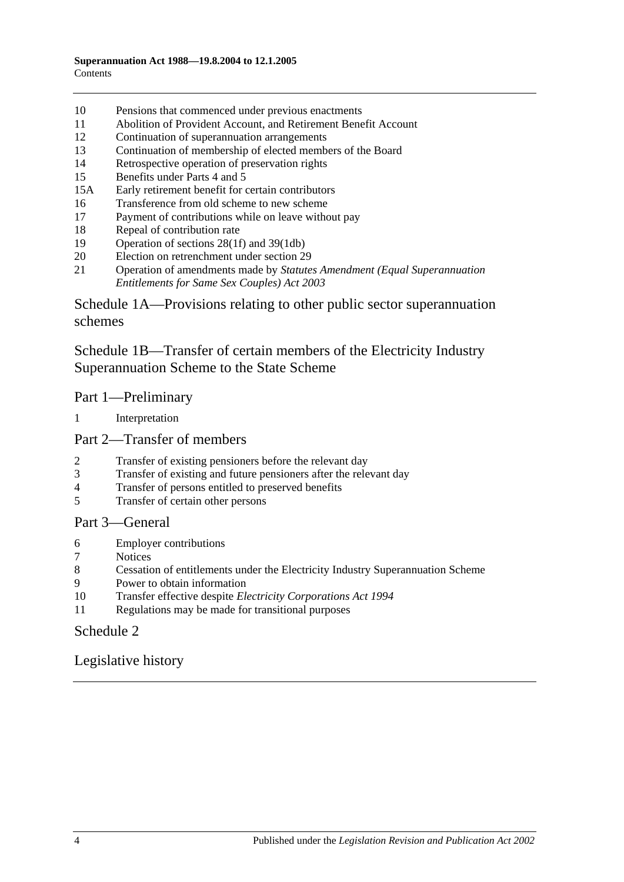- 10 [Pensions that commenced under previous enactments](#page-99-2)
- 11 [Abolition of Provident Account, and Retirement Benefit Account](#page-100-0)
- 12 [Continuation of superannuation arrangements](#page-100-1)
- 13 [Continuation of membership of elected members of the Board](#page-100-2)<br>14 Retrospective operation of preservation rights
- [Retrospective operation of preservation rights](#page-100-3)
- 15 [Benefits under Parts 4](#page-100-4) and [5](#page-100-4)
- 15A [Early retirement benefit for certain contributors](#page-101-0)
- 16 [Transference from old scheme to new scheme](#page-102-0)
- 17 [Payment of contributions while on leave without pay](#page-103-0)
- 18 [Repeal of contribution rate](#page-103-1)
- 19 [Operation of sections](#page-104-0) 28(1f) and [39\(1db\)](#page-104-0)
- 20 [Election on retrenchment under section](#page-104-1) 29
- 21 Operation of amendments made by *[Statutes Amendment \(Equal Superannuation](#page-104-2)  [Entitlements for Same Sex Couples\) Act 2003](#page-104-2)*

[Schedule 1A—Provisions relating to other public sector superannuation](#page-104-3)  [schemes](#page-104-3)

[Schedule 1B—Transfer of certain members of the Electricity Industry](#page-105-0)  [Superannuation Scheme to the State Scheme](#page-105-0)

## Part 1—Preliminary

1 [Interpretation](#page-105-1)

#### Part 2—Transfer of members

- 2 [Transfer of existing pensioners before the relevant day](#page-106-0)
- 3 [Transfer of existing and future pensioners after the relevant day](#page-107-0)<br>4 Transfer of persons entitled to preserved benefits
- [Transfer of persons entitled to preserved benefits](#page-109-0)
- 5 [Transfer of certain other persons](#page-111-0)

## Part 3—General

- 6 [Employer contributions](#page-113-0)
- 7 [Notices](#page-113-1)<br>8 Cessatic
- 8 [Cessation of entitlements under the Electricity Industry Superannuation Scheme](#page-113-2)
- 9 [Power to obtain information](#page-113-3)
- 10 Transfer effective despite *[Electricity Corporations Act](#page-113-4) 1994*
- 11 [Regulations may be made for transitional purposes](#page-113-5)

## [Schedule 2](#page-114-0)

## [Legislative history](#page-118-0)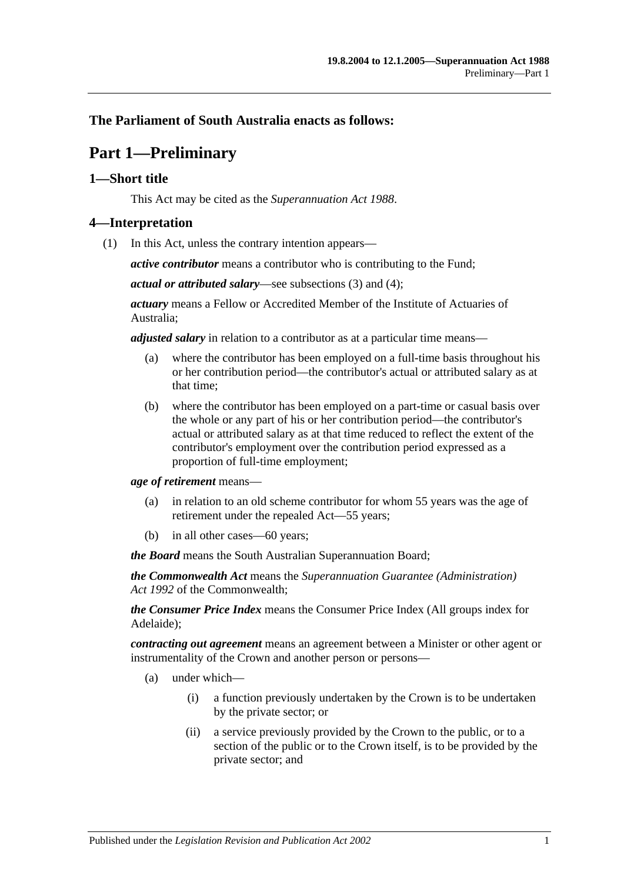## <span id="page-4-0"></span>**The Parliament of South Australia enacts as follows:**

# **Part 1—Preliminary**

## <span id="page-4-1"></span>**1—Short title**

This Act may be cited as the *Superannuation Act 1988*.

## <span id="page-4-3"></span><span id="page-4-2"></span>**4—Interpretation**

(1) In this Act, unless the contrary intention appears—

*active contributor* means a contributor who is contributing to the Fund;

*actual or attributed salary*—see [subsections](#page-9-0) (3) and [\(4\);](#page-9-1)

*actuary* means a Fellow or Accredited Member of the Institute of Actuaries of Australia;

*adjusted salary* in relation to a contributor as at a particular time means—

- (a) where the contributor has been employed on a full-time basis throughout his or her contribution period—the contributor's actual or attributed salary as at that time;
- (b) where the contributor has been employed on a part-time or casual basis over the whole or any part of his or her contribution period—the contributor's actual or attributed salary as at that time reduced to reflect the extent of the contributor's employment over the contribution period expressed as a proportion of full-time employment;

*age of retirement* means—

- (a) in relation to an old scheme contributor for whom 55 years was the age of retirement under the repealed Act—55 years;
- (b) in all other cases—60 years;

*the Board* means the South Australian Superannuation Board;

*the Commonwealth Act* means the *Superannuation Guarantee (Administration) Act 1992* of the Commonwealth;

*the Consumer Price Index* means the Consumer Price Index (All groups index for Adelaide);

*contracting out agreement* means an agreement between a Minister or other agent or instrumentality of the Crown and another person or persons—

- (a) under which—
	- (i) a function previously undertaken by the Crown is to be undertaken by the private sector; or
	- (ii) a service previously provided by the Crown to the public, or to a section of the public or to the Crown itself, is to be provided by the private sector; and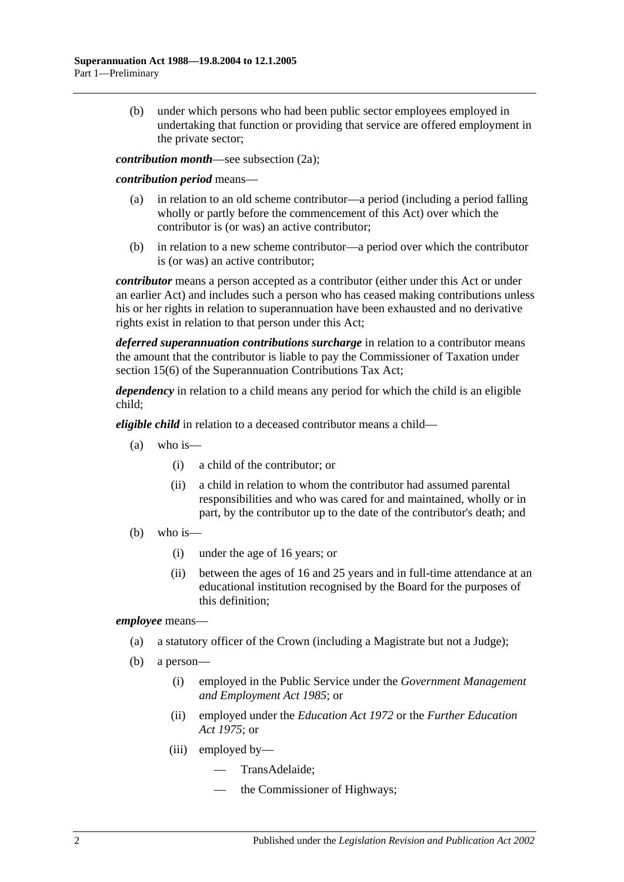(b) under which persons who had been public sector employees employed in undertaking that function or providing that service are offered employment in the private sector;

*contribution month*—see [subsection](#page-8-0) (2a);

#### *contribution period* means—

- (a) in relation to an old scheme contributor—a period (including a period falling wholly or partly before the commencement of this Act) over which the contributor is (or was) an active contributor;
- (b) in relation to a new scheme contributor—a period over which the contributor is (or was) an active contributor;

*contributor* means a person accepted as a contributor (either under this Act or under an earlier Act) and includes such a person who has ceased making contributions unless his or her rights in relation to superannuation have been exhausted and no derivative rights exist in relation to that person under this Act;

*deferred superannuation contributions surcharge* in relation to a contributor means the amount that the contributor is liable to pay the Commissioner of Taxation under section 15(6) of the Superannuation Contributions Tax Act;

*dependency* in relation to a child means any period for which the child is an eligible child;

*eligible child* in relation to a deceased contributor means a child—

- $(a)$  who is—
	- (i) a child of the contributor; or
	- (ii) a child in relation to whom the contributor had assumed parental responsibilities and who was cared for and maintained, wholly or in part, by the contributor up to the date of the contributor's death; and
- (b) who is—
	- (i) under the age of 16 years; or
	- (ii) between the ages of 16 and 25 years and in full-time attendance at an educational institution recognised by the Board for the purposes of this definition;

#### *employee* means—

- (a) a statutory officer of the Crown (including a Magistrate but not a Judge);
- (b) a person—
	- (i) employed in the Public Service under the *[Government Management](http://www.legislation.sa.gov.au/index.aspx?action=legref&type=act&legtitle=Government%20Management%20and%20Employment%20Act%201985)  [and Employment Act](http://www.legislation.sa.gov.au/index.aspx?action=legref&type=act&legtitle=Government%20Management%20and%20Employment%20Act%201985) 1985*; or
	- (ii) employed under the *[Education Act](http://www.legislation.sa.gov.au/index.aspx?action=legref&type=act&legtitle=Education%20Act%201972) 1972* or the *[Further Education](http://www.legislation.sa.gov.au/index.aspx?action=legref&type=act&legtitle=Further%20Education%20Act%201975)  Act [1975](http://www.legislation.sa.gov.au/index.aspx?action=legref&type=act&legtitle=Further%20Education%20Act%201975)*; or
	- (iii) employed by—
		- TransAdelaide;
		- the Commissioner of Highways;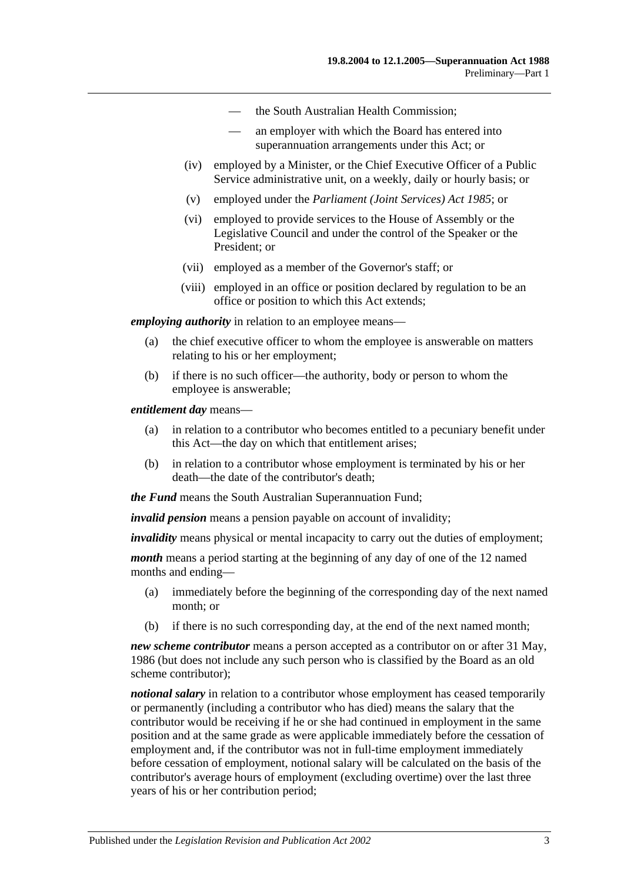- the South Australian Health Commission;
- an employer with which the Board has entered into superannuation arrangements under this Act; or
- (iv) employed by a Minister, or the Chief Executive Officer of a Public Service administrative unit, on a weekly, daily or hourly basis; or
- (v) employed under the *[Parliament \(Joint Services\) Act](http://www.legislation.sa.gov.au/index.aspx?action=legref&type=act&legtitle=Parliament%20(Joint%20Services)%20Act%201985) 1985*; or
- (vi) employed to provide services to the House of Assembly or the Legislative Council and under the control of the Speaker or the President; or
- (vii) employed as a member of the Governor's staff; or
- (viii) employed in an office or position declared by regulation to be an office or position to which this Act extends;

*employing authority* in relation to an employee means—

- (a) the chief executive officer to whom the employee is answerable on matters relating to his or her employment;
- (b) if there is no such officer—the authority, body or person to whom the employee is answerable;

*entitlement day* means—

- (a) in relation to a contributor who becomes entitled to a pecuniary benefit under this Act—the day on which that entitlement arises;
- (b) in relation to a contributor whose employment is terminated by his or her death—the date of the contributor's death;

*the Fund* means the South Australian Superannuation Fund;

*invalid pension* means a pension payable on account of invalidity;

*invalidity* means physical or mental incapacity to carry out the duties of employment;

*month* means a period starting at the beginning of any day of one of the 12 named months and ending—

- (a) immediately before the beginning of the corresponding day of the next named month; or
- (b) if there is no such corresponding day, at the end of the next named month;

*new scheme contributor* means a person accepted as a contributor on or after 31 May, 1986 (but does not include any such person who is classified by the Board as an old scheme contributor);

*notional salary* in relation to a contributor whose employment has ceased temporarily or permanently (including a contributor who has died) means the salary that the contributor would be receiving if he or she had continued in employment in the same position and at the same grade as were applicable immediately before the cessation of employment and, if the contributor was not in full-time employment immediately before cessation of employment, notional salary will be calculated on the basis of the contributor's average hours of employment (excluding overtime) over the last three years of his or her contribution period;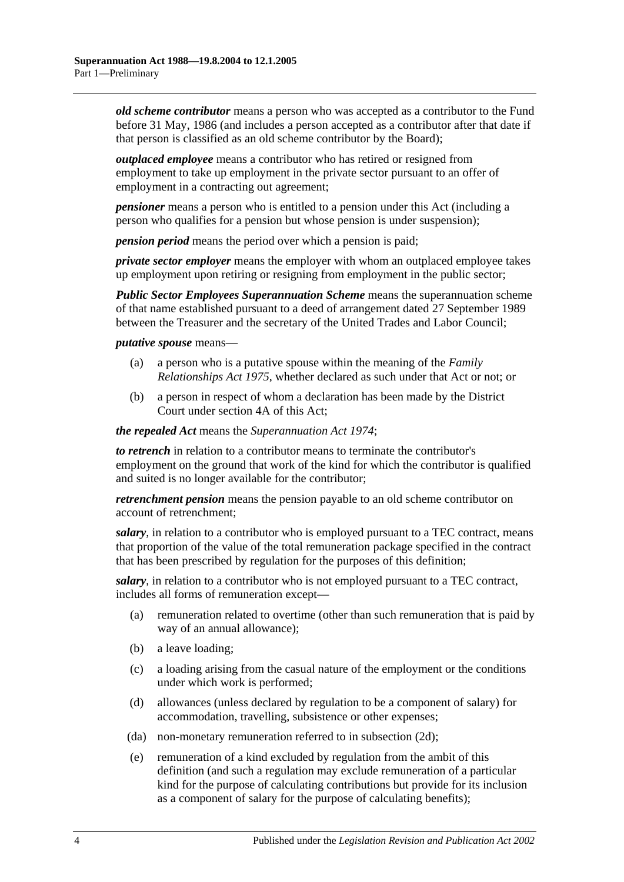*old scheme contributor* means a person who was accepted as a contributor to the Fund before 31 May, 1986 (and includes a person accepted as a contributor after that date if that person is classified as an old scheme contributor by the Board);

*outplaced employee* means a contributor who has retired or resigned from employment to take up employment in the private sector pursuant to an offer of employment in a contracting out agreement;

*pensioner* means a person who is entitled to a pension under this Act (including a person who qualifies for a pension but whose pension is under suspension);

*pension period* means the period over which a pension is paid;

*private sector employer* means the employer with whom an outplaced employee takes up employment upon retiring or resigning from employment in the public sector;

*Public Sector Employees Superannuation Scheme* means the superannuation scheme of that name established pursuant to a deed of arrangement dated 27 September 1989 between the Treasurer and the secretary of the United Trades and Labor Council;

#### *putative spouse* means—

- (a) a person who is a putative spouse within the meaning of the *[Family](http://www.legislation.sa.gov.au/index.aspx?action=legref&type=act&legtitle=Family%20Relationships%20Act%201975)  [Relationships Act](http://www.legislation.sa.gov.au/index.aspx?action=legref&type=act&legtitle=Family%20Relationships%20Act%201975) 1975*, whether declared as such under that Act or not; or
- (b) a person in respect of whom a declaration has been made by the District Court under [section](#page-11-0) 4A of this Act;

*the repealed Act* means the *[Superannuation Act](http://www.legislation.sa.gov.au/index.aspx?action=legref&type=act&legtitle=Superannuation%20Act%201974) 1974*;

*to retrench* in relation to a contributor means to terminate the contributor's employment on the ground that work of the kind for which the contributor is qualified and suited is no longer available for the contributor;

*retrenchment pension* means the pension payable to an old scheme contributor on account of retrenchment;

*salary*, in relation to a contributor who is employed pursuant to a TEC contract, means that proportion of the value of the total remuneration package specified in the contract that has been prescribed by regulation for the purposes of this definition;

*salary*, in relation to a contributor who is not employed pursuant to a TEC contract, includes all forms of remuneration except—

- (a) remuneration related to overtime (other than such remuneration that is paid by way of an annual allowance);
- (b) a leave loading;
- (c) a loading arising from the casual nature of the employment or the conditions under which work is performed;
- (d) allowances (unless declared by regulation to be a component of salary) for accommodation, travelling, subsistence or other expenses;
- (da) non-monetary remuneration referred to in [subsection](#page-9-2) (2d);
- (e) remuneration of a kind excluded by regulation from the ambit of this definition (and such a regulation may exclude remuneration of a particular kind for the purpose of calculating contributions but provide for its inclusion as a component of salary for the purpose of calculating benefits);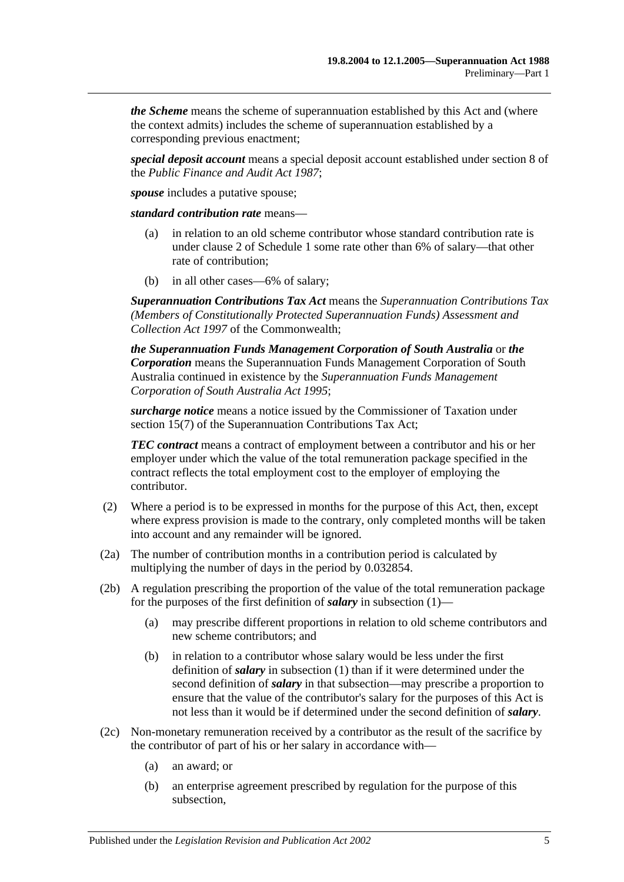*the Scheme* means the scheme of superannuation established by this Act and (where the context admits) includes the scheme of superannuation established by a corresponding previous enactment;

*special deposit account* means a special deposit account established under section 8 of the *[Public Finance and Audit Act](http://www.legislation.sa.gov.au/index.aspx?action=legref&type=act&legtitle=Public%20Finance%20and%20Audit%20Act%201987) 1987*;

*spouse* includes a putative spouse;

*standard contribution rate* means—

- (a) in relation to an old scheme contributor whose standard contribution rate is under [clause](#page-94-2) 2 of [Schedule 1](#page-94-0) some rate other than 6% of salary—that other rate of contribution;
- (b) in all other cases—6% of salary;

*Superannuation Contributions Tax Act* means the *Superannuation Contributions Tax (Members of Constitutionally Protected Superannuation Funds) Assessment and Collection Act 1997* of the Commonwealth;

*the Superannuation Funds Management Corporation of South Australia* or *the Corporation* means the Superannuation Funds Management Corporation of South Australia continued in existence by the *[Superannuation Funds Management](http://www.legislation.sa.gov.au/index.aspx?action=legref&type=act&legtitle=Superannuation%20Funds%20Management%20Corporation%20of%20South%20Australia%20Act%201995)  [Corporation of South Australia Act](http://www.legislation.sa.gov.au/index.aspx?action=legref&type=act&legtitle=Superannuation%20Funds%20Management%20Corporation%20of%20South%20Australia%20Act%201995) 1995*;

*surcharge notice* means a notice issued by the Commissioner of Taxation under section 15(7) of the Superannuation Contributions Tax Act;

*TEC contract* means a contract of employment between a contributor and his or her employer under which the value of the total remuneration package specified in the contract reflects the total employment cost to the employer of employing the contributor.

- (2) Where a period is to be expressed in months for the purpose of this Act, then, except where express provision is made to the contrary, only completed months will be taken into account and any remainder will be ignored.
- <span id="page-8-0"></span>(2a) The number of contribution months in a contribution period is calculated by multiplying the number of days in the period by 0.032854.
- (2b) A regulation prescribing the proportion of the value of the total remuneration package for the purposes of the first definition of *salary* in [subsection](#page-4-3) (1)—
	- (a) may prescribe different proportions in relation to old scheme contributors and new scheme contributors; and
	- (b) in relation to a contributor whose salary would be less under the first definition of *salary* in [subsection](#page-4-3) (1) than if it were determined under the second definition of *salary* in that subsection—may prescribe a proportion to ensure that the value of the contributor's salary for the purposes of this Act is not less than it would be if determined under the second definition of *salary*.
- <span id="page-8-2"></span><span id="page-8-1"></span>(2c) Non-monetary remuneration received by a contributor as the result of the sacrifice by the contributor of part of his or her salary in accordance with—
	- (a) an award; or
	- (b) an enterprise agreement prescribed by regulation for the purpose of this subsection,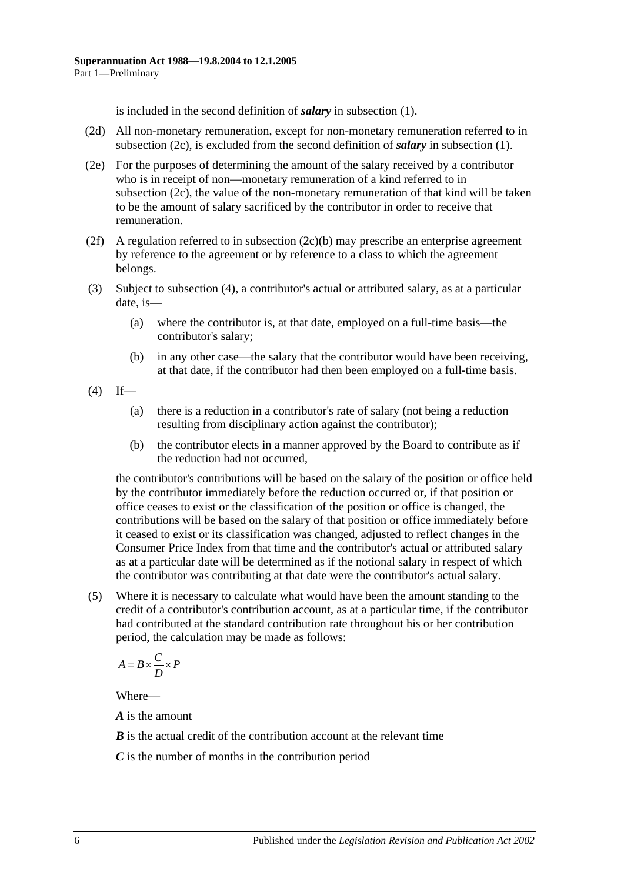is included in the second definition of *salary* in [subsection](#page-4-3) (1).

- <span id="page-9-2"></span>(2d) All non-monetary remuneration, except for non-monetary remuneration referred to in [subsection](#page-8-1) (2c), is excluded from the second definition of *salary* in [subsection](#page-4-3) (1).
- (2e) For the purposes of determining the amount of the salary received by a contributor who is in receipt of non—monetary remuneration of a kind referred to in [subsection](#page-8-1) (2c), the value of the non-monetary remuneration of that kind will be taken to be the amount of salary sacrificed by the contributor in order to receive that remuneration.
- (2f) A regulation referred to in [subsection](#page-8-2) (2c)(b) may prescribe an enterprise agreement by reference to the agreement or by reference to a class to which the agreement belongs.
- <span id="page-9-0"></span>(3) Subject to [subsection](#page-9-1) (4), a contributor's actual or attributed salary, as at a particular date, is—
	- (a) where the contributor is, at that date, employed on a full-time basis—the contributor's salary;
	- (b) in any other case—the salary that the contributor would have been receiving, at that date, if the contributor had then been employed on a full-time basis.
- <span id="page-9-1"></span> $(4)$  If—
	- (a) there is a reduction in a contributor's rate of salary (not being a reduction resulting from disciplinary action against the contributor);
	- (b) the contributor elects in a manner approved by the Board to contribute as if the reduction had not occurred,

the contributor's contributions will be based on the salary of the position or office held by the contributor immediately before the reduction occurred or, if that position or office ceases to exist or the classification of the position or office is changed, the contributions will be based on the salary of that position or office immediately before it ceased to exist or its classification was changed, adjusted to reflect changes in the Consumer Price Index from that time and the contributor's actual or attributed salary as at a particular date will be determined as if the notional salary in respect of which the contributor was contributing at that date were the contributor's actual salary.

(5) Where it is necessary to calculate what would have been the amount standing to the credit of a contributor's contribution account, as at a particular time, if the contributor had contributed at the standard contribution rate throughout his or her contribution period, the calculation may be made as follows:

$$
A = B \times \frac{C}{D} \times P
$$

Where—

*A* is the amount

*B* is the actual credit of the contribution account at the relevant time

*C* is the number of months in the contribution period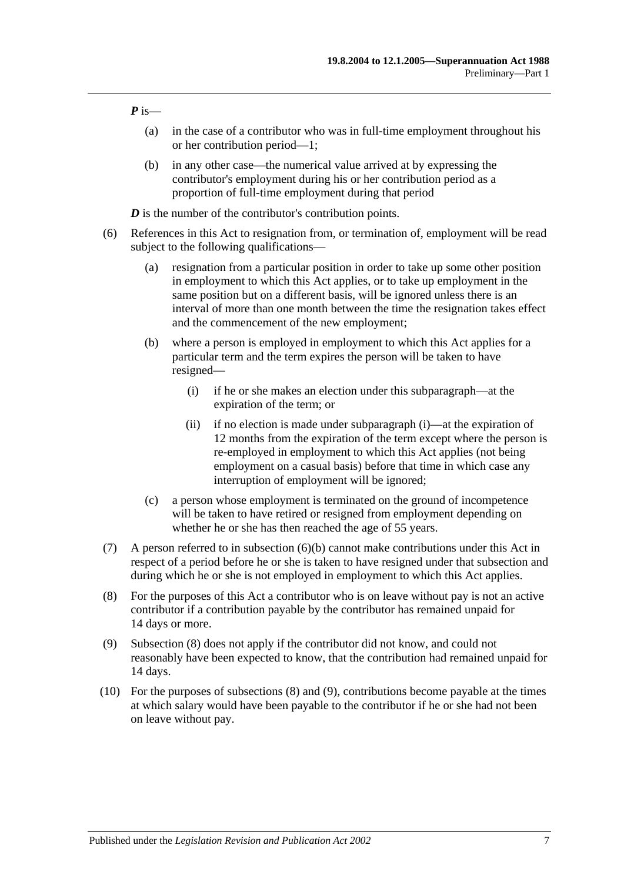*P* is—

- (a) in the case of a contributor who was in full-time employment throughout his or her contribution period—1;
- (b) in any other case—the numerical value arrived at by expressing the contributor's employment during his or her contribution period as a proportion of full-time employment during that period

*D* is the number of the contributor's contribution points.

- <span id="page-10-1"></span><span id="page-10-0"></span>(6) References in this Act to resignation from, or termination of, employment will be read subject to the following qualifications—
	- (a) resignation from a particular position in order to take up some other position in employment to which this Act applies, or to take up employment in the same position but on a different basis, will be ignored unless there is an interval of more than one month between the time the resignation takes effect and the commencement of the new employment;
	- (b) where a person is employed in employment to which this Act applies for a particular term and the term expires the person will be taken to have resigned—
		- (i) if he or she makes an election under this subparagraph—at the expiration of the term; or
		- (ii) if no election is made under [subparagraph](#page-10-0) (i)—at the expiration of 12 months from the expiration of the term except where the person is re-employed in employment to which this Act applies (not being employment on a casual basis) before that time in which case any interruption of employment will be ignored;
	- (c) a person whose employment is terminated on the ground of incompetence will be taken to have retired or resigned from employment depending on whether he or she has then reached the age of 55 years.
- (7) A person referred to in [subsection](#page-10-1) (6)(b) cannot make contributions under this Act in respect of a period before he or she is taken to have resigned under that subsection and during which he or she is not employed in employment to which this Act applies.
- <span id="page-10-2"></span>(8) For the purposes of this Act a contributor who is on leave without pay is not an active contributor if a contribution payable by the contributor has remained unpaid for 14 days or more.
- <span id="page-10-3"></span>(9) [Subsection](#page-10-2) (8) does not apply if the contributor did not know, and could not reasonably have been expected to know, that the contribution had remained unpaid for 14 days.
- (10) For the purposes of [subsections](#page-10-2) (8) and [\(9\),](#page-10-3) contributions become payable at the times at which salary would have been payable to the contributor if he or she had not been on leave without pay.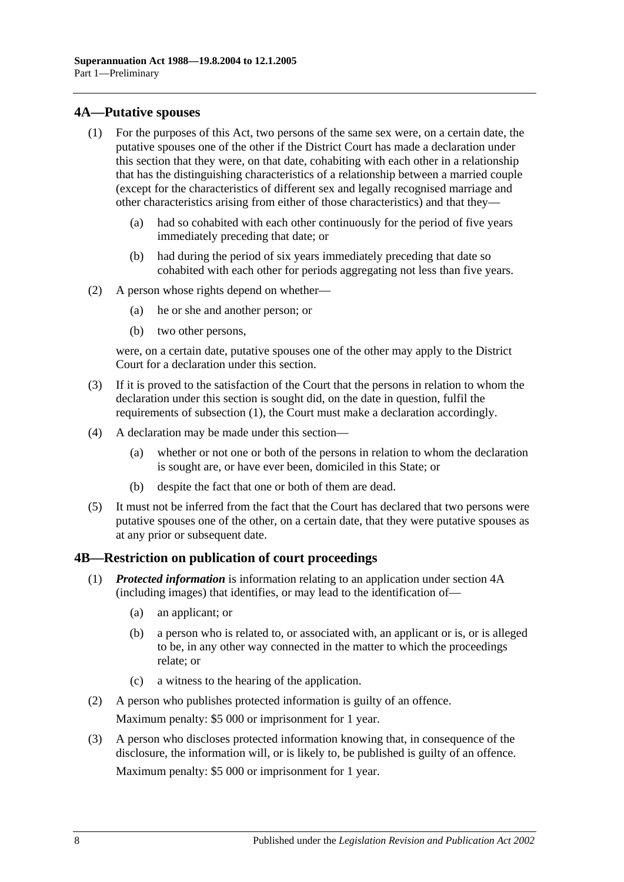#### <span id="page-11-2"></span><span id="page-11-0"></span>**4A—Putative spouses**

- (1) For the purposes of this Act, two persons of the same sex were, on a certain date, the putative spouses one of the other if the District Court has made a declaration under this section that they were, on that date, cohabiting with each other in a relationship that has the distinguishing characteristics of a relationship between a married couple (except for the characteristics of different sex and legally recognised marriage and other characteristics arising from either of those characteristics) and that they—
	- (a) had so cohabited with each other continuously for the period of five years immediately preceding that date; or
	- (b) had during the period of six years immediately preceding that date so cohabited with each other for periods aggregating not less than five years.
- (2) A person whose rights depend on whether—
	- (a) he or she and another person; or
	- (b) two other persons,

were, on a certain date, putative spouses one of the other may apply to the District Court for a declaration under this section.

- (3) If it is proved to the satisfaction of the Court that the persons in relation to whom the declaration under this section is sought did, on the date in question, fulfil the requirements of [subsection](#page-11-2) (1), the Court must make a declaration accordingly.
- (4) A declaration may be made under this section—
	- (a) whether or not one or both of the persons in relation to whom the declaration is sought are, or have ever been, domiciled in this State; or
	- (b) despite the fact that one or both of them are dead.
- (5) It must not be inferred from the fact that the Court has declared that two persons were putative spouses one of the other, on a certain date, that they were putative spouses as at any prior or subsequent date.

## <span id="page-11-1"></span>**4B—Restriction on publication of court proceedings**

- (1) *Protected information* is information relating to an application under [section](#page-11-0) 4A (including images) that identifies, or may lead to the identification of—
	- (a) an applicant; or
	- (b) a person who is related to, or associated with, an applicant or is, or is alleged to be, in any other way connected in the matter to which the proceedings relate; or
	- (c) a witness to the hearing of the application.
- (2) A person who publishes protected information is guilty of an offence. Maximum penalty: \$5 000 or imprisonment for 1 year.
- (3) A person who discloses protected information knowing that, in consequence of the disclosure, the information will, or is likely to, be published is guilty of an offence. Maximum penalty: \$5 000 or imprisonment for 1 year.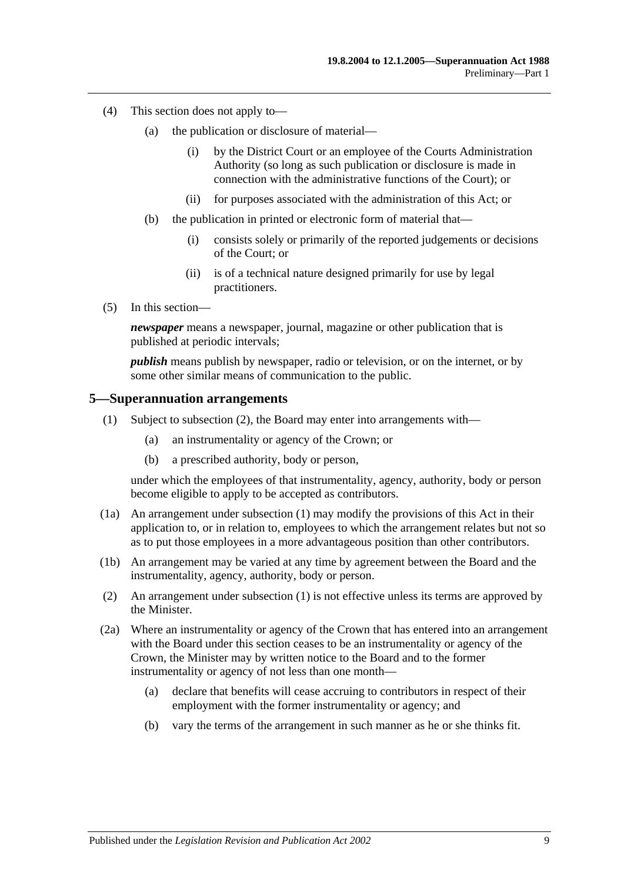- (4) This section does not apply to—
	- (a) the publication or disclosure of material—
		- (i) by the District Court or an employee of the Courts Administration Authority (so long as such publication or disclosure is made in connection with the administrative functions of the Court); or
		- (ii) for purposes associated with the administration of this Act; or
	- (b) the publication in printed or electronic form of material that—
		- (i) consists solely or primarily of the reported judgements or decisions of the Court; or
		- (ii) is of a technical nature designed primarily for use by legal practitioners.
- (5) In this section—

*newspaper* means a newspaper, journal, magazine or other publication that is published at periodic intervals;

*publish* means publish by newspaper, radio or television, or on the internet, or by some other similar means of communication to the public.

#### <span id="page-12-2"></span><span id="page-12-0"></span>**5—Superannuation arrangements**

- (1) Subject to [subsection](#page-12-1) (2), the Board may enter into arrangements with—
	- (a) an instrumentality or agency of the Crown; or
	- (b) a prescribed authority, body or person,

under which the employees of that instrumentality, agency, authority, body or person become eligible to apply to be accepted as contributors.

- (1a) An arrangement under [subsection](#page-12-2) (1) may modify the provisions of this Act in their application to, or in relation to, employees to which the arrangement relates but not so as to put those employees in a more advantageous position than other contributors.
- (1b) An arrangement may be varied at any time by agreement between the Board and the instrumentality, agency, authority, body or person.
- <span id="page-12-1"></span>(2) An arrangement under [subsection](#page-12-2) (1) is not effective unless its terms are approved by the Minister.
- <span id="page-12-3"></span>(2a) Where an instrumentality or agency of the Crown that has entered into an arrangement with the Board under this section ceases to be an instrumentality or agency of the Crown, the Minister may by written notice to the Board and to the former instrumentality or agency of not less than one month—
	- (a) declare that benefits will cease accruing to contributors in respect of their employment with the former instrumentality or agency; and
	- (b) vary the terms of the arrangement in such manner as he or she thinks fit.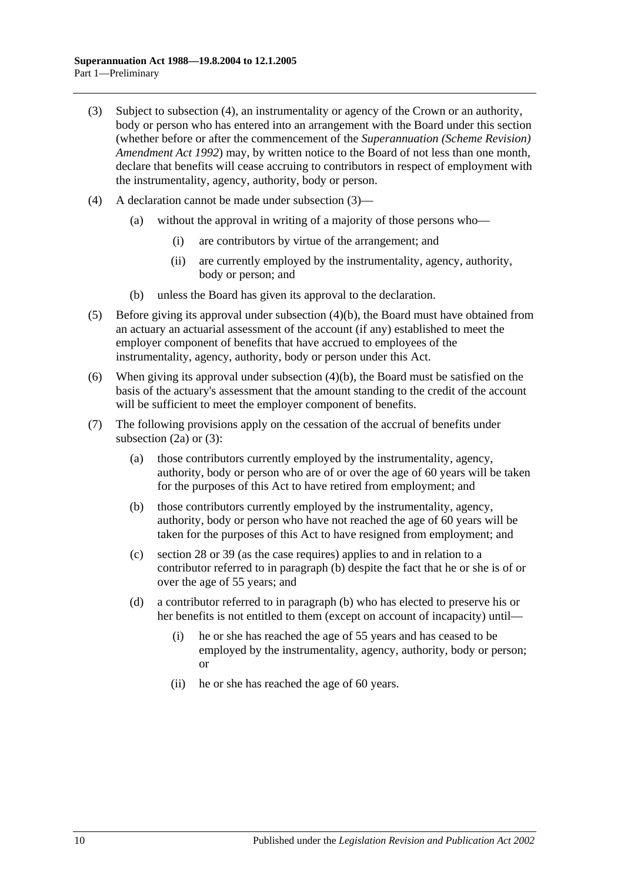- <span id="page-13-1"></span>(3) Subject to [subsection](#page-13-0) (4), an instrumentality or agency of the Crown or an authority, body or person who has entered into an arrangement with the Board under this section (whether before or after the commencement of the *[Superannuation \(Scheme Revision\)](http://www.legislation.sa.gov.au/index.aspx?action=legref&type=act&legtitle=Superannuation%20(Scheme%20Revision)%20Amendment%20Act%201992)  [Amendment Act](http://www.legislation.sa.gov.au/index.aspx?action=legref&type=act&legtitle=Superannuation%20(Scheme%20Revision)%20Amendment%20Act%201992) 1992*) may, by written notice to the Board of not less than one month, declare that benefits will cease accruing to contributors in respect of employment with the instrumentality, agency, authority, body or person.
- <span id="page-13-0"></span>(4) A declaration cannot be made under [subsection](#page-13-1) (3)—
	- (a) without the approval in writing of a majority of those persons who—
		- (i) are contributors by virtue of the arrangement; and
		- (ii) are currently employed by the instrumentality, agency, authority, body or person; and
	- (b) unless the Board has given its approval to the declaration.
- <span id="page-13-2"></span>(5) Before giving its approval under [subsection](#page-13-2) (4)(b), the Board must have obtained from an actuary an actuarial assessment of the account (if any) established to meet the employer component of benefits that have accrued to employees of the instrumentality, agency, authority, body or person under this Act.
- (6) When giving its approval under [subsection](#page-13-2) (4)(b), the Board must be satisfied on the basis of the actuary's assessment that the amount standing to the credit of the account will be sufficient to meet the employer component of benefits.
- <span id="page-13-3"></span>(7) The following provisions apply on the cessation of the accrual of benefits under [subsection](#page-12-3)  $(2a)$  or  $(3)$ :
	- (a) those contributors currently employed by the instrumentality, agency, authority, body or person who are of or over the age of 60 years will be taken for the purposes of this Act to have retired from employment; and
	- (b) those contributors currently employed by the instrumentality, agency, authority, body or person who have not reached the age of 60 years will be taken for the purposes of this Act to have resigned from employment; and
	- (c) [section](#page-27-0) 28 or [39](#page-61-0) (as the case requires) applies to and in relation to a contributor referred to in [paragraph](#page-13-3) (b) despite the fact that he or she is of or over the age of 55 years; and
	- (d) a contributor referred to in [paragraph](#page-13-3) (b) who has elected to preserve his or her benefits is not entitled to them (except on account of incapacity) until—
		- (i) he or she has reached the age of 55 years and has ceased to be employed by the instrumentality, agency, authority, body or person; or
		- (ii) he or she has reached the age of 60 years.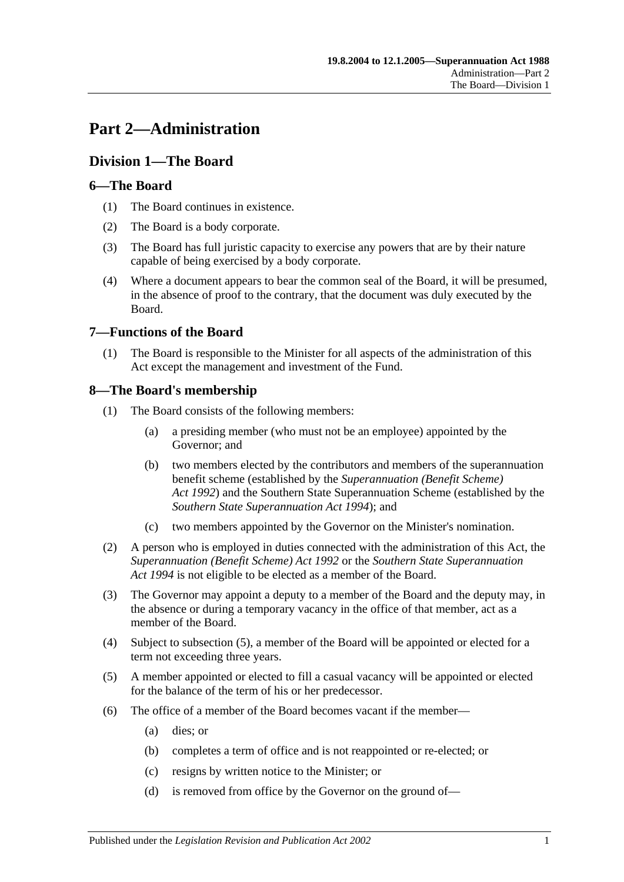# <span id="page-14-0"></span>**Part 2—Administration**

## <span id="page-14-1"></span>**Division 1—The Board**

## <span id="page-14-2"></span>**6—The Board**

- (1) The Board continues in existence.
- (2) The Board is a body corporate.
- (3) The Board has full juristic capacity to exercise any powers that are by their nature capable of being exercised by a body corporate.
- (4) Where a document appears to bear the common seal of the Board, it will be presumed, in the absence of proof to the contrary, that the document was duly executed by the Board.

## <span id="page-14-3"></span>**7—Functions of the Board**

(1) The Board is responsible to the Minister for all aspects of the administration of this Act except the management and investment of the Fund.

## <span id="page-14-4"></span>**8—The Board's membership**

- (1) The Board consists of the following members:
	- (a) a presiding member (who must not be an employee) appointed by the Governor; and
	- (b) two members elected by the contributors and members of the superannuation benefit scheme (established by the *[Superannuation \(Benefit Scheme\)](http://www.legislation.sa.gov.au/index.aspx?action=legref&type=act&legtitle=Superannuation%20(Benefit%20Scheme)%20Act%201992)  Act [1992](http://www.legislation.sa.gov.au/index.aspx?action=legref&type=act&legtitle=Superannuation%20(Benefit%20Scheme)%20Act%201992)*) and the Southern State Superannuation Scheme (established by the *[Southern State Superannuation Act](http://www.legislation.sa.gov.au/index.aspx?action=legref&type=act&legtitle=Southern%20State%20Superannuation%20Act%201994) 1994*); and
	- (c) two members appointed by the Governor on the Minister's nomination.
- (2) A person who is employed in duties connected with the administration of this Act, the *[Superannuation \(Benefit Scheme\) Act](http://www.legislation.sa.gov.au/index.aspx?action=legref&type=act&legtitle=Superannuation%20(Benefit%20Scheme)%20Act%201992) 1992* or the *[Southern State Superannuation](http://www.legislation.sa.gov.au/index.aspx?action=legref&type=act&legtitle=Southern%20State%20Superannuation%20Act%201994)  Act [1994](http://www.legislation.sa.gov.au/index.aspx?action=legref&type=act&legtitle=Southern%20State%20Superannuation%20Act%201994)* is not eligible to be elected as a member of the Board.
- (3) The Governor may appoint a deputy to a member of the Board and the deputy may, in the absence or during a temporary vacancy in the office of that member, act as a member of the Board.
- (4) Subject to [subsection](#page-14-5) (5), a member of the Board will be appointed or elected for a term not exceeding three years.
- <span id="page-14-5"></span>(5) A member appointed or elected to fill a casual vacancy will be appointed or elected for the balance of the term of his or her predecessor.
- (6) The office of a member of the Board becomes vacant if the member—
	- (a) dies; or
	- (b) completes a term of office and is not reappointed or re-elected; or
	- (c) resigns by written notice to the Minister; or
	- (d) is removed from office by the Governor on the ground of—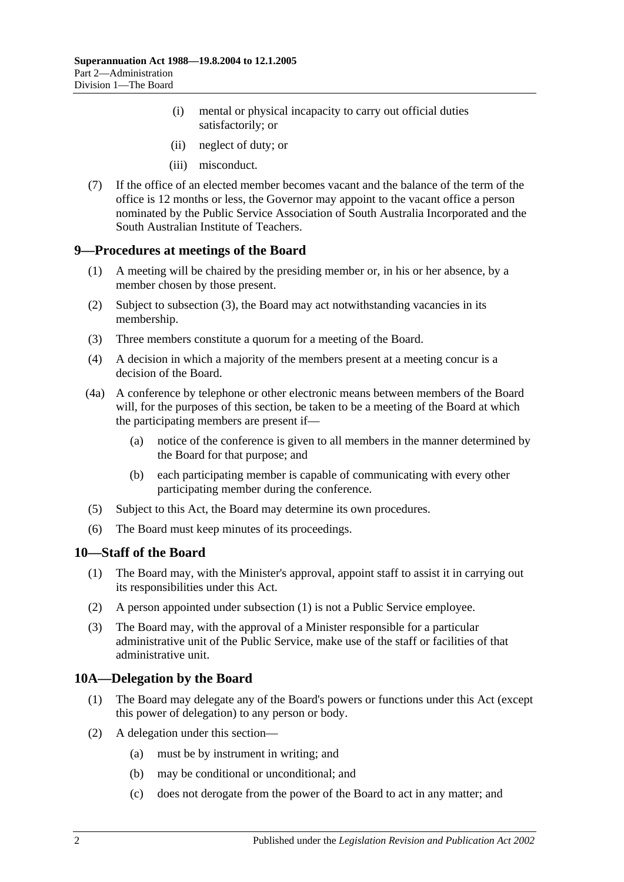- (i) mental or physical incapacity to carry out official duties satisfactorily; or
- (ii) neglect of duty; or
- (iii) misconduct.
- (7) If the office of an elected member becomes vacant and the balance of the term of the office is 12 months or less, the Governor may appoint to the vacant office a person nominated by the Public Service Association of South Australia Incorporated and the South Australian Institute of Teachers.

#### <span id="page-15-0"></span>**9—Procedures at meetings of the Board**

- (1) A meeting will be chaired by the presiding member or, in his or her absence, by a member chosen by those present.
- (2) Subject to [subsection](#page-15-3) (3), the Board may act notwithstanding vacancies in its membership.
- <span id="page-15-3"></span>(3) Three members constitute a quorum for a meeting of the Board.
- (4) A decision in which a majority of the members present at a meeting concur is a decision of the Board.
- (4a) A conference by telephone or other electronic means between members of the Board will, for the purposes of this section, be taken to be a meeting of the Board at which the participating members are present if—
	- (a) notice of the conference is given to all members in the manner determined by the Board for that purpose; and
	- (b) each participating member is capable of communicating with every other participating member during the conference.
- (5) Subject to this Act, the Board may determine its own procedures.
- (6) The Board must keep minutes of its proceedings.

#### <span id="page-15-4"></span><span id="page-15-1"></span>**10—Staff of the Board**

- (1) The Board may, with the Minister's approval, appoint staff to assist it in carrying out its responsibilities under this Act.
- (2) A person appointed under [subsection](#page-15-4) (1) is not a Public Service employee.
- (3) The Board may, with the approval of a Minister responsible for a particular administrative unit of the Public Service, make use of the staff or facilities of that administrative unit.

## <span id="page-15-2"></span>**10A—Delegation by the Board**

- (1) The Board may delegate any of the Board's powers or functions under this Act (except this power of delegation) to any person or body.
- (2) A delegation under this section—
	- (a) must be by instrument in writing; and
	- (b) may be conditional or unconditional; and
	- (c) does not derogate from the power of the Board to act in any matter; and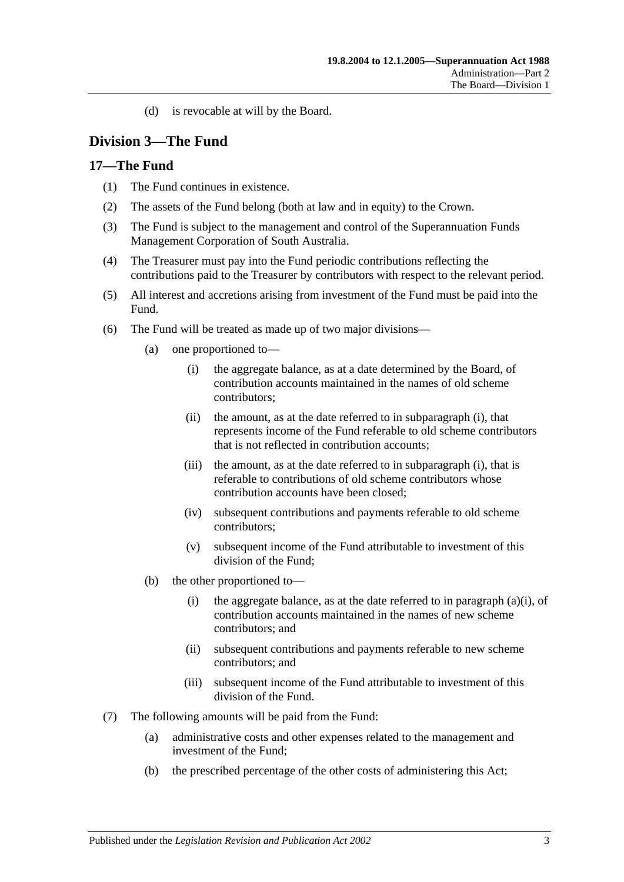(d) is revocable at will by the Board.

## <span id="page-16-0"></span>**Division 3—The Fund**

#### <span id="page-16-1"></span>**17—The Fund**

- (1) The Fund continues in existence.
- (2) The assets of the Fund belong (both at law and in equity) to the Crown.
- (3) The Fund is subject to the management and control of the Superannuation Funds Management Corporation of South Australia.
- (4) The Treasurer must pay into the Fund periodic contributions reflecting the contributions paid to the Treasurer by contributors with respect to the relevant period.
- (5) All interest and accretions arising from investment of the Fund must be paid into the Fund.
- <span id="page-16-2"></span>(6) The Fund will be treated as made up of two major divisions—
	- (a) one proportioned to—
		- (i) the aggregate balance, as at a date determined by the Board, of contribution accounts maintained in the names of old scheme contributors;
		- (ii) the amount, as at the date referred to in [subparagraph](#page-16-2) (i), that represents income of the Fund referable to old scheme contributors that is not reflected in contribution accounts;
		- (iii) the amount, as at the date referred to in [subparagraph](#page-16-2) (i), that is referable to contributions of old scheme contributors whose contribution accounts have been closed;
		- (iv) subsequent contributions and payments referable to old scheme contributors;
		- (v) subsequent income of the Fund attributable to investment of this division of the Fund;
	- (b) the other proportioned to—
		- (i) the aggregate balance, as at the date referred to in [paragraph](#page-16-2) (a)(i), of contribution accounts maintained in the names of new scheme contributors; and
		- (ii) subsequent contributions and payments referable to new scheme contributors; and
		- (iii) subsequent income of the Fund attributable to investment of this division of the Fund.
- (7) The following amounts will be paid from the Fund:
	- (a) administrative costs and other expenses related to the management and investment of the Fund;
	- (b) the prescribed percentage of the other costs of administering this Act;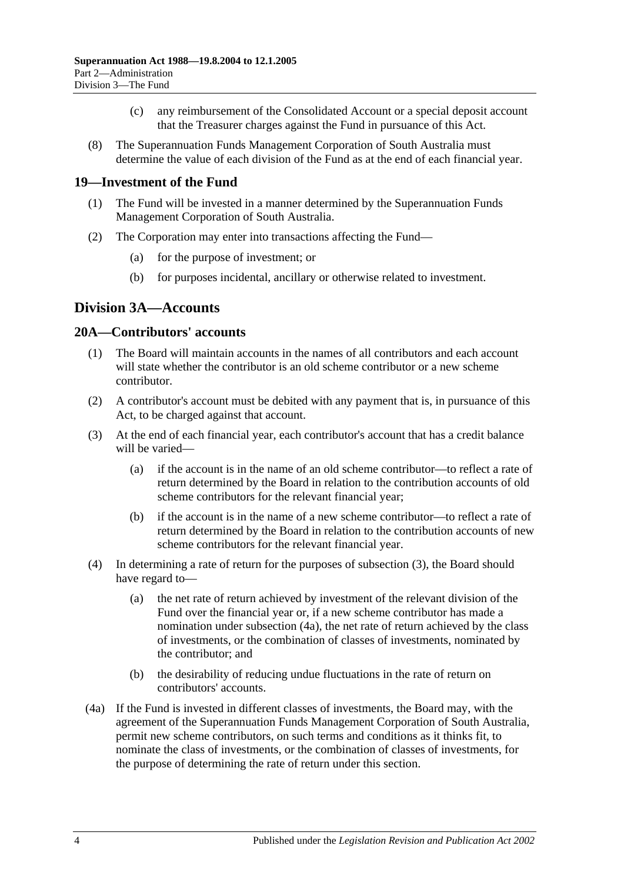- (c) any reimbursement of the Consolidated Account or a special deposit account that the Treasurer charges against the Fund in pursuance of this Act.
- (8) The Superannuation Funds Management Corporation of South Australia must determine the value of each division of the Fund as at the end of each financial year.

## <span id="page-17-0"></span>**19—Investment of the Fund**

- (1) The Fund will be invested in a manner determined by the Superannuation Funds Management Corporation of South Australia.
- (2) The Corporation may enter into transactions affecting the Fund—
	- (a) for the purpose of investment; or
	- (b) for purposes incidental, ancillary or otherwise related to investment.

## <span id="page-17-1"></span>**Division 3A—Accounts**

#### <span id="page-17-2"></span>**20A—Contributors' accounts**

- (1) The Board will maintain accounts in the names of all contributors and each account will state whether the contributor is an old scheme contributor or a new scheme contributor.
- (2) A contributor's account must be debited with any payment that is, in pursuance of this Act, to be charged against that account.
- <span id="page-17-3"></span>(3) At the end of each financial year, each contributor's account that has a credit balance will be varied—
	- (a) if the account is in the name of an old scheme contributor—to reflect a rate of return determined by the Board in relation to the contribution accounts of old scheme contributors for the relevant financial year;
	- (b) if the account is in the name of a new scheme contributor—to reflect a rate of return determined by the Board in relation to the contribution accounts of new scheme contributors for the relevant financial year.
- (4) In determining a rate of return for the purposes of [subsection](#page-17-3) (3), the Board should have regard to—
	- (a) the net rate of return achieved by investment of the relevant division of the Fund over the financial year or, if a new scheme contributor has made a nomination under [subsection](#page-17-4) (4a), the net rate of return achieved by the class of investments, or the combination of classes of investments, nominated by the contributor; and
	- (b) the desirability of reducing undue fluctuations in the rate of return on contributors' accounts.
- <span id="page-17-5"></span><span id="page-17-4"></span>(4a) If the Fund is invested in different classes of investments, the Board may, with the agreement of the Superannuation Funds Management Corporation of South Australia, permit new scheme contributors, on such terms and conditions as it thinks fit, to nominate the class of investments, or the combination of classes of investments, for the purpose of determining the rate of return under this section.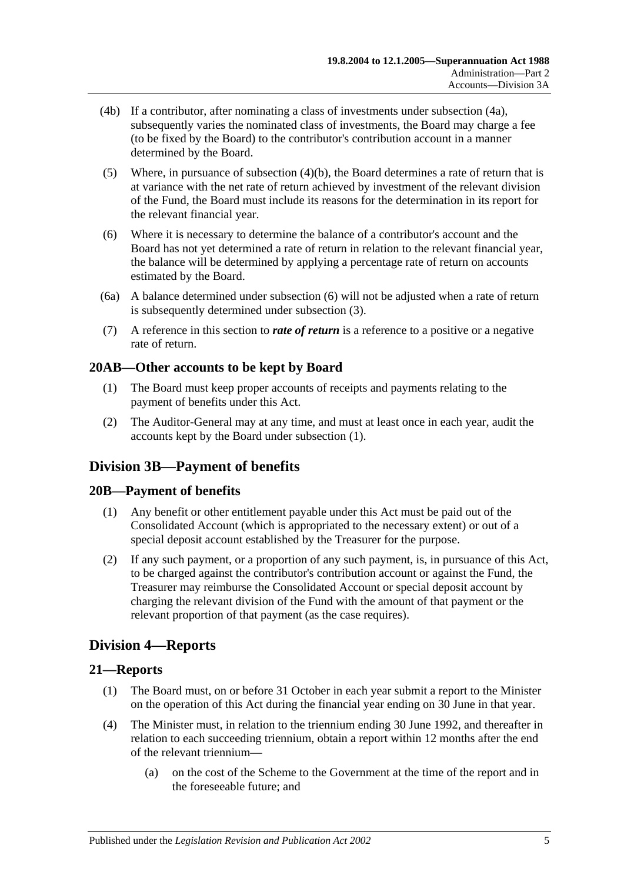- (4b) If a contributor, after nominating a class of investments under [subsection](#page-17-4) (4a), subsequently varies the nominated class of investments, the Board may charge a fee (to be fixed by the Board) to the contributor's contribution account in a manner determined by the Board.
- (5) Where, in pursuance of [subsection](#page-17-5) (4)(b), the Board determines a rate of return that is at variance with the net rate of return achieved by investment of the relevant division of the Fund, the Board must include its reasons for the determination in its report for the relevant financial year.
- <span id="page-18-5"></span>(6) Where it is necessary to determine the balance of a contributor's account and the Board has not yet determined a rate of return in relation to the relevant financial year, the balance will be determined by applying a percentage rate of return on accounts estimated by the Board.
- (6a) A balance determined under [subsection](#page-18-5) (6) will not be adjusted when a rate of return is subsequently determined under [subsection](#page-17-3) (3).
- (7) A reference in this section to *rate of return* is a reference to a positive or a negative rate of return.

## <span id="page-18-6"></span><span id="page-18-0"></span>**20AB—Other accounts to be kept by Board**

- (1) The Board must keep proper accounts of receipts and payments relating to the payment of benefits under this Act.
- (2) The Auditor-General may at any time, and must at least once in each year, audit the accounts kept by the Board under [subsection](#page-18-6) (1).

## <span id="page-18-1"></span>**Division 3B—Payment of benefits**

## <span id="page-18-2"></span>**20B—Payment of benefits**

- (1) Any benefit or other entitlement payable under this Act must be paid out of the Consolidated Account (which is appropriated to the necessary extent) or out of a special deposit account established by the Treasurer for the purpose.
- (2) If any such payment, or a proportion of any such payment, is, in pursuance of this Act, to be charged against the contributor's contribution account or against the Fund, the Treasurer may reimburse the Consolidated Account or special deposit account by charging the relevant division of the Fund with the amount of that payment or the relevant proportion of that payment (as the case requires).

## <span id="page-18-3"></span>**Division 4—Reports**

## <span id="page-18-4"></span>**21—Reports**

- (1) The Board must, on or before 31 October in each year submit a report to the Minister on the operation of this Act during the financial year ending on 30 June in that year.
- <span id="page-18-7"></span>(4) The Minister must, in relation to the triennium ending 30 June 1992, and thereafter in relation to each succeeding triennium, obtain a report within 12 months after the end of the relevant triennium—
	- (a) on the cost of the Scheme to the Government at the time of the report and in the foreseeable future; and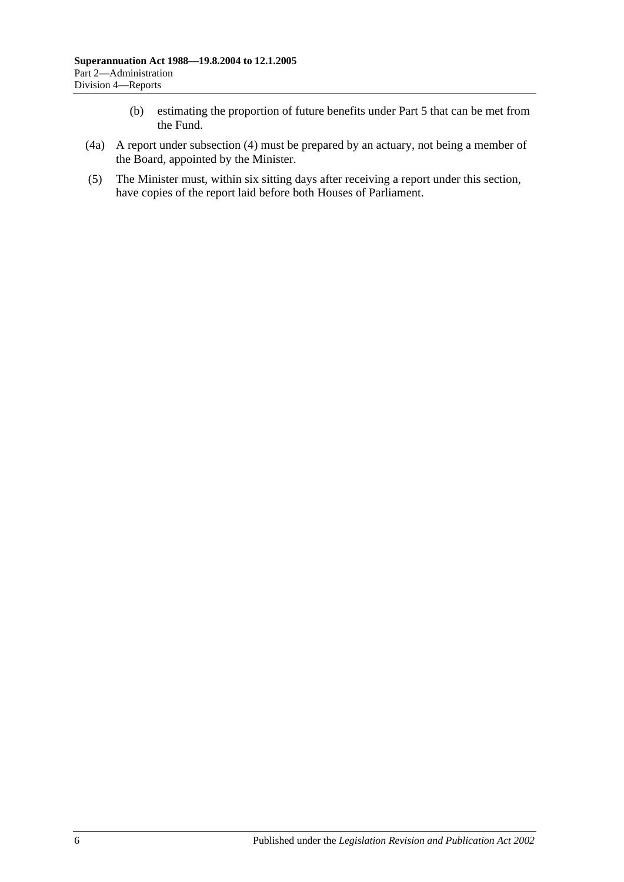- (b) estimating the proportion of future benefits under [Part 5](#page-48-0) that can be met from the Fund.
- (4a) A report under [subsection](#page-18-7) (4) must be prepared by an actuary, not being a member of the Board, appointed by the Minister.
- (5) The Minister must, within six sitting days after receiving a report under this section, have copies of the report laid before both Houses of Parliament.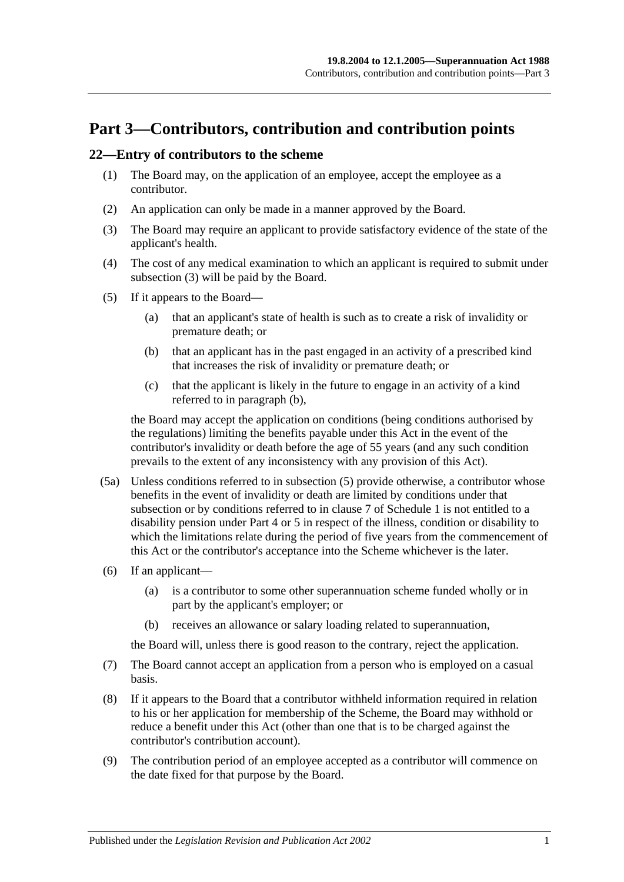# <span id="page-20-0"></span>**Part 3—Contributors, contribution and contribution points**

#### <span id="page-20-5"></span><span id="page-20-1"></span>**22—Entry of contributors to the scheme**

- (1) The Board may, on the application of an employee, accept the employee as a contributor.
- (2) An application can only be made in a manner approved by the Board.
- <span id="page-20-2"></span>(3) The Board may require an applicant to provide satisfactory evidence of the state of the applicant's health.
- (4) The cost of any medical examination to which an applicant is required to submit under [subsection](#page-20-2) (3) will be paid by the Board.
- <span id="page-20-4"></span><span id="page-20-3"></span>(5) If it appears to the Board—
	- (a) that an applicant's state of health is such as to create a risk of invalidity or premature death; or
	- (b) that an applicant has in the past engaged in an activity of a prescribed kind that increases the risk of invalidity or premature death; or
	- (c) that the applicant is likely in the future to engage in an activity of a kind referred to in [paragraph](#page-20-3) (b),

the Board may accept the application on conditions (being conditions authorised by the regulations) limiting the benefits payable under this Act in the event of the contributor's invalidity or death before the age of 55 years (and any such condition prevails to the extent of any inconsistency with any provision of this Act).

- (5a) Unless conditions referred to in [subsection](#page-20-4) (5) provide otherwise, a contributor whose benefits in the event of invalidity or death are limited by conditions under that subsection or by conditions referred to in [clause](#page-98-0) 7 of [Schedule 1](#page-94-0) is not entitled to a disability pension under [Part 4](#page-26-0) or [5](#page-48-0) in respect of the illness, condition or disability to which the limitations relate during the period of five years from the commencement of this Act or the contributor's acceptance into the Scheme whichever is the later.
- (6) If an applicant—
	- (a) is a contributor to some other superannuation scheme funded wholly or in part by the applicant's employer; or
	- (b) receives an allowance or salary loading related to superannuation,

the Board will, unless there is good reason to the contrary, reject the application.

- (7) The Board cannot accept an application from a person who is employed on a casual basis.
- (8) If it appears to the Board that a contributor withheld information required in relation to his or her application for membership of the Scheme, the Board may withhold or reduce a benefit under this Act (other than one that is to be charged against the contributor's contribution account).
- (9) The contribution period of an employee accepted as a contributor will commence on the date fixed for that purpose by the Board.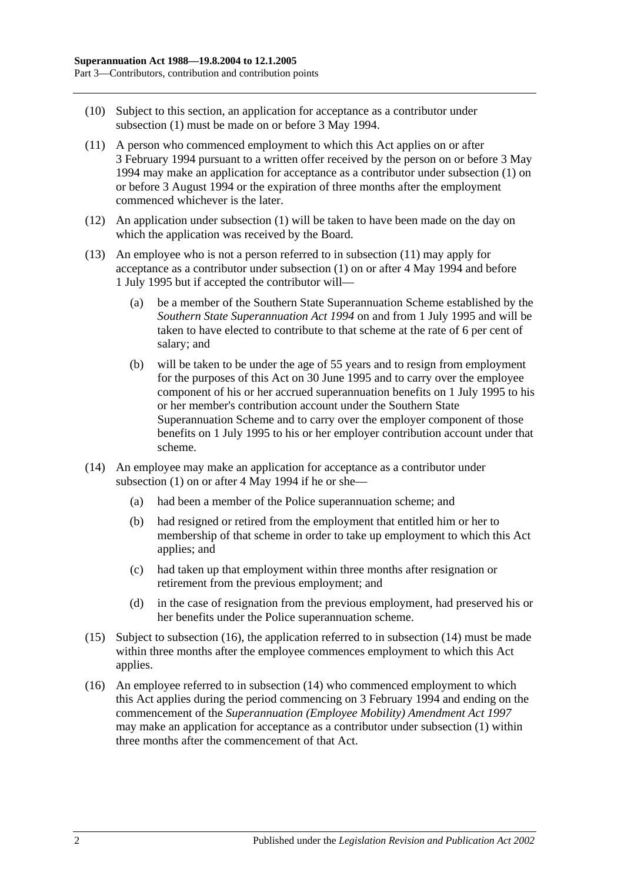- (10) Subject to this section, an application for acceptance as a contributor under [subsection](#page-20-5) (1) must be made on or before 3 May 1994.
- <span id="page-21-0"></span>(11) A person who commenced employment to which this Act applies on or after 3 February 1994 pursuant to a written offer received by the person on or before 3 May 1994 may make an application for acceptance as a contributor under [subsection](#page-20-5) (1) on or before 3 August 1994 or the expiration of three months after the employment commenced whichever is the later.
- (12) An application under [subsection](#page-20-5) (1) will be taken to have been made on the day on which the application was received by the Board.
- (13) An employee who is not a person referred to in [subsection](#page-21-0) (11) may apply for acceptance as a contributor under [subsection](#page-20-5) (1) on or after 4 May 1994 and before 1 July 1995 but if accepted the contributor will—
	- (a) be a member of the Southern State Superannuation Scheme established by the *[Southern State Superannuation Act](http://www.legislation.sa.gov.au/index.aspx?action=legref&type=act&legtitle=Southern%20State%20Superannuation%20Act%201994) 1994* on and from 1 July 1995 and will be taken to have elected to contribute to that scheme at the rate of 6 per cent of salary; and
	- (b) will be taken to be under the age of 55 years and to resign from employment for the purposes of this Act on 30 June 1995 and to carry over the employee component of his or her accrued superannuation benefits on 1 July 1995 to his or her member's contribution account under the Southern State Superannuation Scheme and to carry over the employer component of those benefits on 1 July 1995 to his or her employer contribution account under that scheme.
- <span id="page-21-2"></span>(14) An employee may make an application for acceptance as a contributor under [subsection](#page-20-5)  $(1)$  on or after 4 May 1994 if he or she-
	- (a) had been a member of the Police superannuation scheme; and
	- (b) had resigned or retired from the employment that entitled him or her to membership of that scheme in order to take up employment to which this Act applies; and
	- (c) had taken up that employment within three months after resignation or retirement from the previous employment; and
	- (d) in the case of resignation from the previous employment, had preserved his or her benefits under the Police superannuation scheme.
- (15) Subject to [subsection](#page-21-1) (16), the application referred to in [subsection](#page-21-2) (14) must be made within three months after the employee commences employment to which this Act applies.
- <span id="page-21-1"></span>(16) An employee referred to in [subsection](#page-21-2) (14) who commenced employment to which this Act applies during the period commencing on 3 February 1994 and ending on the commencement of the *[Superannuation \(Employee Mobility\) Amendment Act](http://www.legislation.sa.gov.au/index.aspx?action=legref&type=act&legtitle=Superannuation%20(Employee%20Mobility)%20Amendment%20Act%201997) 1997* may make an application for acceptance as a contributor under [subsection](#page-20-5) (1) within three months after the commencement of that Act.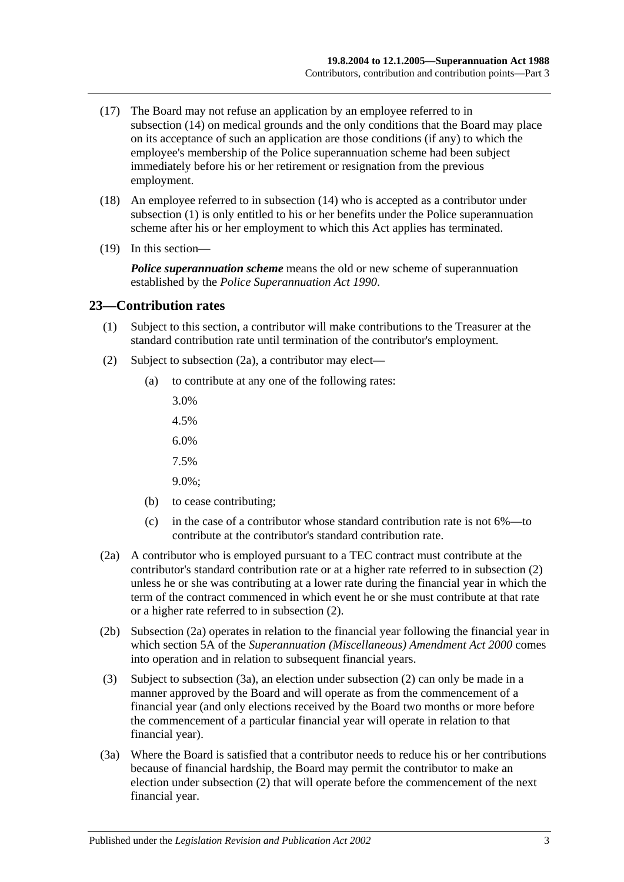- (17) The Board may not refuse an application by an employee referred to in [subsection](#page-21-2) (14) on medical grounds and the only conditions that the Board may place on its acceptance of such an application are those conditions (if any) to which the employee's membership of the Police superannuation scheme had been subject immediately before his or her retirement or resignation from the previous employment.
- (18) An employee referred to in [subsection](#page-21-2) (14) who is accepted as a contributor under [subsection](#page-20-5) (1) is only entitled to his or her benefits under the Police superannuation scheme after his or her employment to which this Act applies has terminated.
- (19) In this section—

*Police superannuation scheme* means the old or new scheme of superannuation established by the *[Police Superannuation Act](http://www.legislation.sa.gov.au/index.aspx?action=legref&type=act&legtitle=Police%20Superannuation%20Act%201990) 1990*.

#### <span id="page-22-0"></span>**23—Contribution rates**

- (1) Subject to this section, a contributor will make contributions to the Treasurer at the standard contribution rate until termination of the contributor's employment.
- <span id="page-22-2"></span>(2) Subject to [subsection](#page-22-1) (2a), a contributor may elect—
	- (a) to contribute at any one of the following rates:
		- 3.0%
		- 4.5%
		- 6.0%
		- 7.5%
		- 9.0%;
	- (b) to cease contributing;
	- (c) in the case of a contributor whose standard contribution rate is not 6%—to contribute at the contributor's standard contribution rate.
- <span id="page-22-1"></span>(2a) A contributor who is employed pursuant to a TEC contract must contribute at the contributor's standard contribution rate or at a higher rate referred to in [subsection](#page-22-2) (2) unless he or she was contributing at a lower rate during the financial year in which the term of the contract commenced in which event he or she must contribute at that rate or a higher rate referred to in [subsection](#page-22-2) (2).
- (2b) [Subsection](#page-22-1) (2a) operates in relation to the financial year following the financial year in which section 5A of the *[Superannuation \(Miscellaneous\) Amendment Act](http://www.legislation.sa.gov.au/index.aspx?action=legref&type=act&legtitle=Superannuation%20(Miscellaneous)%20Amendment%20Act%202000) 2000* comes into operation and in relation to subsequent financial years.
- (3) Subject to [subsection](#page-22-3) (3a), an election under [subsection](#page-22-2) (2) can only be made in a manner approved by the Board and will operate as from the commencement of a financial year (and only elections received by the Board two months or more before the commencement of a particular financial year will operate in relation to that financial year).
- <span id="page-22-3"></span>(3a) Where the Board is satisfied that a contributor needs to reduce his or her contributions because of financial hardship, the Board may permit the contributor to make an election under [subsection](#page-22-2) (2) that will operate before the commencement of the next financial year.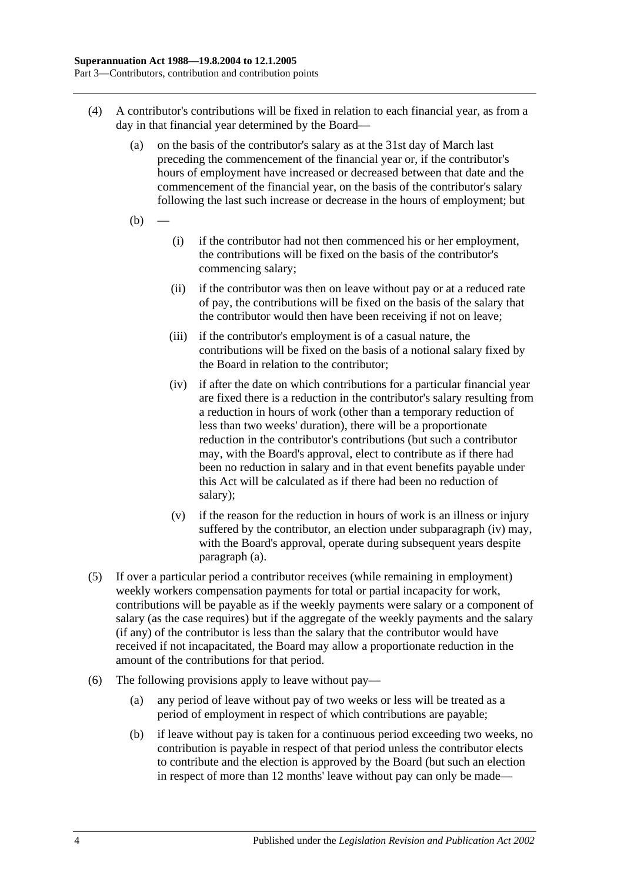- <span id="page-23-1"></span>(4) A contributor's contributions will be fixed in relation to each financial year, as from a day in that financial year determined by the Board—
	- (a) on the basis of the contributor's salary as at the 31st day of March last preceding the commencement of the financial year or, if the contributor's hours of employment have increased or decreased between that date and the commencement of the financial year, on the basis of the contributor's salary following the last such increase or decrease in the hours of employment; but
	- $(b)$
- (i) if the contributor had not then commenced his or her employment, the contributions will be fixed on the basis of the contributor's commencing salary;
- (ii) if the contributor was then on leave without pay or at a reduced rate of pay, the contributions will be fixed on the basis of the salary that the contributor would then have been receiving if not on leave;
- (iii) if the contributor's employment is of a casual nature, the contributions will be fixed on the basis of a notional salary fixed by the Board in relation to the contributor;
- <span id="page-23-0"></span>(iv) if after the date on which contributions for a particular financial year are fixed there is a reduction in the contributor's salary resulting from a reduction in hours of work (other than a temporary reduction of less than two weeks' duration), there will be a proportionate reduction in the contributor's contributions (but such a contributor may, with the Board's approval, elect to contribute as if there had been no reduction in salary and in that event benefits payable under this Act will be calculated as if there had been no reduction of salary);
- (v) if the reason for the reduction in hours of work is an illness or injury suffered by the contributor, an election under [subparagraph](#page-23-0) (iv) may, with the Board's approval, operate during subsequent years despite [paragraph](#page-23-1) (a).
- (5) If over a particular period a contributor receives (while remaining in employment) weekly workers compensation payments for total or partial incapacity for work, contributions will be payable as if the weekly payments were salary or a component of salary (as the case requires) but if the aggregate of the weekly payments and the salary (if any) of the contributor is less than the salary that the contributor would have received if not incapacitated, the Board may allow a proportionate reduction in the amount of the contributions for that period.
- <span id="page-23-2"></span>(6) The following provisions apply to leave without pay—
	- (a) any period of leave without pay of two weeks or less will be treated as a period of employment in respect of which contributions are payable;
	- (b) if leave without pay is taken for a continuous period exceeding two weeks, no contribution is payable in respect of that period unless the contributor elects to contribute and the election is approved by the Board (but such an election in respect of more than 12 months' leave without pay can only be made—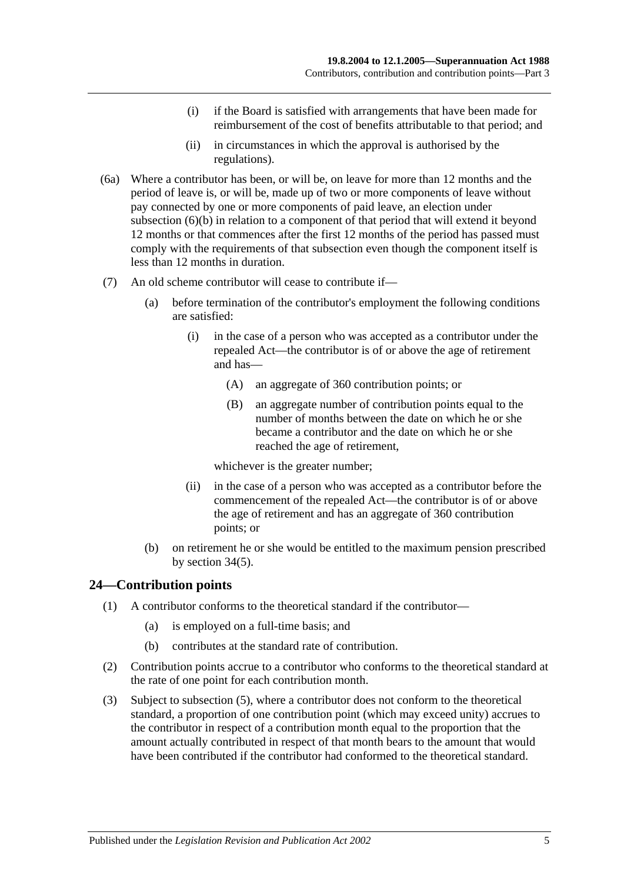- (i) if the Board is satisfied with arrangements that have been made for reimbursement of the cost of benefits attributable to that period; and
- (ii) in circumstances in which the approval is authorised by the regulations).
- (6a) Where a contributor has been, or will be, on leave for more than 12 months and the period of leave is, or will be, made up of two or more components of leave without pay connected by one or more components of paid leave, an election under [subsection](#page-23-2) (6)(b) in relation to a component of that period that will extend it beyond 12 months or that commences after the first 12 months of the period has passed must comply with the requirements of that subsection even though the component itself is less than 12 months in duration.
- (7) An old scheme contributor will cease to contribute if—
	- (a) before termination of the contributor's employment the following conditions are satisfied:
		- (i) in the case of a person who was accepted as a contributor under the repealed Act—the contributor is of or above the age of retirement and has—
			- (A) an aggregate of 360 contribution points; or
			- (B) an aggregate number of contribution points equal to the number of months between the date on which he or she became a contributor and the date on which he or she reached the age of retirement,

whichever is the greater number;

- (ii) in the case of a person who was accepted as a contributor before the commencement of the repealed Act—the contributor is of or above the age of retirement and has an aggregate of 360 contribution points; or
- (b) on retirement he or she would be entitled to the maximum pension prescribed by [section](#page-50-1) 34(5).

## <span id="page-24-0"></span>**24—Contribution points**

- (1) A contributor conforms to the theoretical standard if the contributor—
	- (a) is employed on a full-time basis; and
	- (b) contributes at the standard rate of contribution.
- (2) Contribution points accrue to a contributor who conforms to the theoretical standard at the rate of one point for each contribution month.
- (3) Subject to [subsection](#page-25-1) (5), where a contributor does not conform to the theoretical standard, a proportion of one contribution point (which may exceed unity) accrues to the contributor in respect of a contribution month equal to the proportion that the amount actually contributed in respect of that month bears to the amount that would have been contributed if the contributor had conformed to the theoretical standard.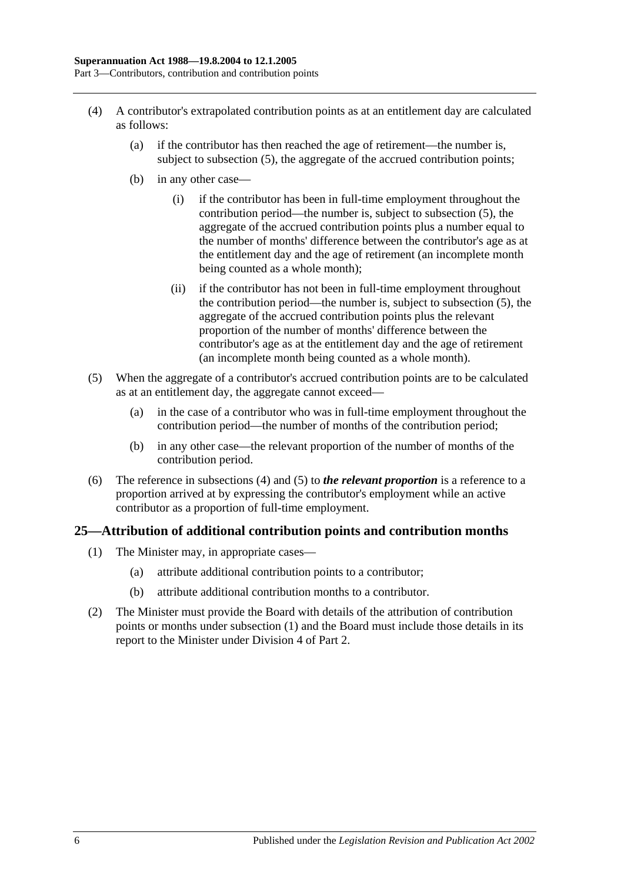- <span id="page-25-2"></span>(4) A contributor's extrapolated contribution points as at an entitlement day are calculated as follows:
	- (a) if the contributor has then reached the age of retirement—the number is, subject to [subsection](#page-25-1) (5), the aggregate of the accrued contribution points;
	- (b) in any other case—
		- (i) if the contributor has been in full-time employment throughout the contribution period—the number is, subject to [subsection](#page-25-1) (5), the aggregate of the accrued contribution points plus a number equal to the number of months' difference between the contributor's age as at the entitlement day and the age of retirement (an incomplete month being counted as a whole month);
		- (ii) if the contributor has not been in full-time employment throughout the contribution period—the number is, subject to [subsection](#page-25-1) (5), the aggregate of the accrued contribution points plus the relevant proportion of the number of months' difference between the contributor's age as at the entitlement day and the age of retirement (an incomplete month being counted as a whole month).
- <span id="page-25-1"></span>(5) When the aggregate of a contributor's accrued contribution points are to be calculated as at an entitlement day, the aggregate cannot exceed—
	- (a) in the case of a contributor who was in full-time employment throughout the contribution period—the number of months of the contribution period;
	- (b) in any other case—the relevant proportion of the number of months of the contribution period.
- (6) The reference in [subsections](#page-25-2) (4) and [\(5\)](#page-25-1) to *the relevant proportion* is a reference to a proportion arrived at by expressing the contributor's employment while an active contributor as a proportion of full-time employment.

## <span id="page-25-3"></span><span id="page-25-0"></span>**25—Attribution of additional contribution points and contribution months**

- (1) The Minister may, in appropriate cases—
	- (a) attribute additional contribution points to a contributor;
	- (b) attribute additional contribution months to a contributor.
- (2) The Minister must provide the Board with details of the attribution of contribution points or months under [subsection](#page-25-3) (1) and the Board must include those details in its report to the Minister under [Division 4](#page-18-3) of [Part 2.](#page-14-0)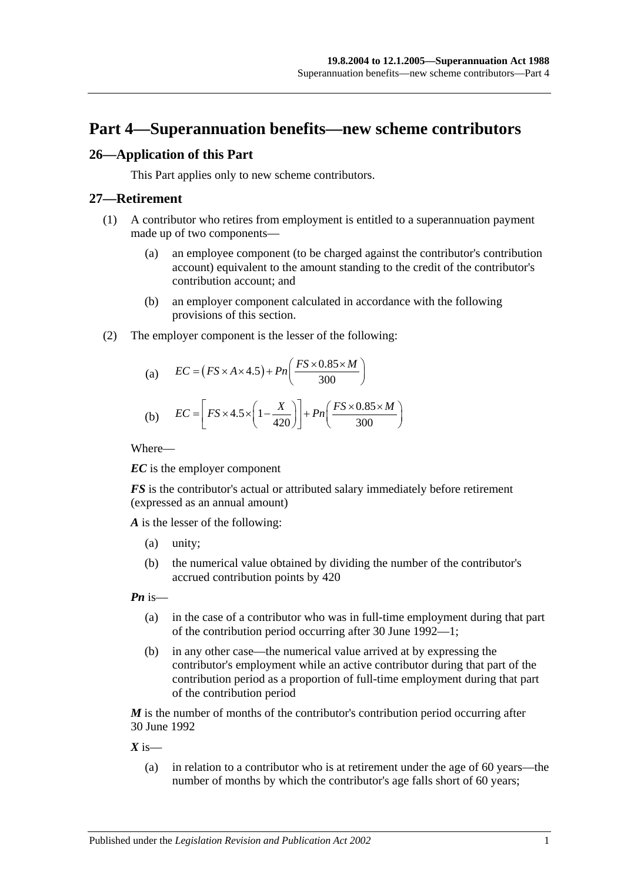# <span id="page-26-0"></span>**Part 4—Superannuation benefits—new scheme contributors**

## <span id="page-26-1"></span>**26—Application of this Part**

This Part applies only to new scheme contributors.

#### <span id="page-26-2"></span>**27—Retirement**

- (1) A contributor who retires from employment is entitled to a superannuation payment made up of two components—
	- (a) an employee component (to be charged against the contributor's contribution account) equivalent to the amount standing to the credit of the contributor's contribution account; and
	- (b) an employer component calculated in accordance with the following provisions of this section.
- (2) The employer component is the lesser of the following:

(a) 
$$
EC = (FS \times A \times 4.5) + Pn\left(\frac{FS \times 0.85 \times M}{300}\right)
$$

(b) 
$$
EC = \left[ FS \times 4.5 \times \left( 1 - \frac{X}{420} \right) \right] + Pn \left( \frac{FS \times 0.85 \times M}{300} \right)
$$

Where—

*EC* is the employer component

*FS* is the contributor's actual or attributed salary immediately before retirement (expressed as an annual amount)

*A* is the lesser of the following:

- (a) unity;
- (b) the numerical value obtained by dividing the number of the contributor's accrued contribution points by 420

*Pn* is—

- (a) in the case of a contributor who was in full-time employment during that part of the contribution period occurring after 30 June 1992—1;
- (b) in any other case—the numerical value arrived at by expressing the contributor's employment while an active contributor during that part of the contribution period as a proportion of full-time employment during that part of the contribution period

*M* is the number of months of the contributor's contribution period occurring after 30 June 1992

 $X$  is—

(a) in relation to a contributor who is at retirement under the age of 60 years—the number of months by which the contributor's age falls short of 60 years;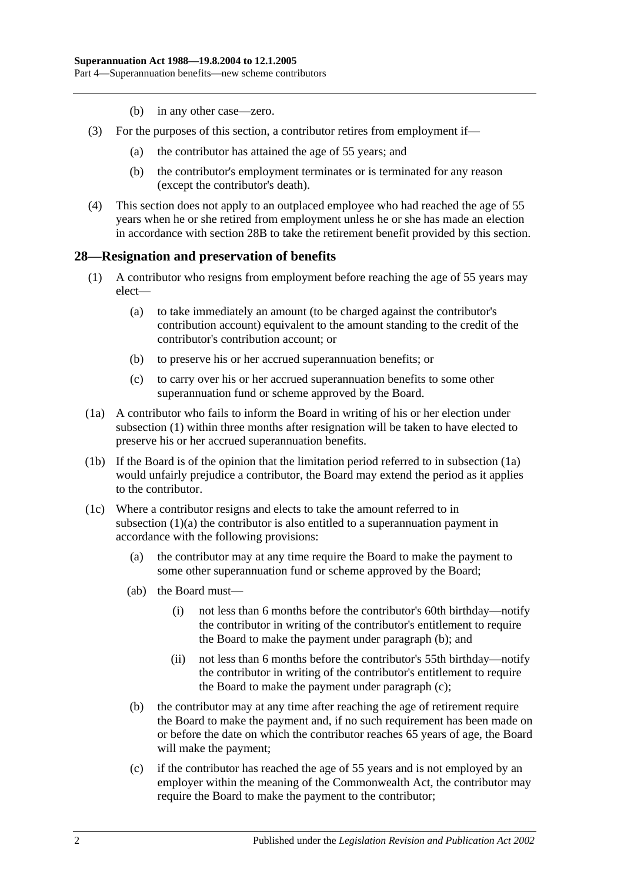- (b) in any other case—zero.
- (3) For the purposes of this section, a contributor retires from employment if—
	- (a) the contributor has attained the age of 55 years; and
	- (b) the contributor's employment terminates or is terminated for any reason (except the contributor's death).
- (4) This section does not apply to an outplaced employee who had reached the age of 55 years when he or she retired from employment unless he or she has made an election in accordance with [section](#page-31-0) 28B to take the retirement benefit provided by this section.

#### <span id="page-27-1"></span><span id="page-27-0"></span>**28—Resignation and preservation of benefits**

- <span id="page-27-3"></span>(1) A contributor who resigns from employment before reaching the age of 55 years may elect—
	- (a) to take immediately an amount (to be charged against the contributor's contribution account) equivalent to the amount standing to the credit of the contributor's contribution account; or
	- (b) to preserve his or her accrued superannuation benefits; or
	- (c) to carry over his or her accrued superannuation benefits to some other superannuation fund or scheme approved by the Board.
- <span id="page-27-2"></span>(1a) A contributor who fails to inform the Board in writing of his or her election under [subsection](#page-27-1) (1) within three months after resignation will be taken to have elected to preserve his or her accrued superannuation benefits.
- (1b) If the Board is of the opinion that the limitation period referred to in [subsection](#page-27-2) (1a) would unfairly prejudice a contributor, the Board may extend the period as it applies to the contributor.
- <span id="page-27-6"></span><span id="page-27-5"></span><span id="page-27-4"></span>(1c) Where a contributor resigns and elects to take the amount referred to in [subsection](#page-27-3) (1)(a) the contributor is also entitled to a superannuation payment in accordance with the following provisions:
	- (a) the contributor may at any time require the Board to make the payment to some other superannuation fund or scheme approved by the Board;
	- (ab) the Board must—
		- (i) not less than 6 months before the contributor's 60th birthday—notify the contributor in writing of the contributor's entitlement to require the Board to make the payment under [paragraph](#page-27-4) (b); and
		- (ii) not less than 6 months before the contributor's 55th birthday—notify the contributor in writing of the contributor's entitlement to require the Board to make the payment under [paragraph](#page-27-5) (c);
	- (b) the contributor may at any time after reaching the age of retirement require the Board to make the payment and, if no such requirement has been made on or before the date on which the contributor reaches 65 years of age, the Board will make the payment;
	- (c) if the contributor has reached the age of 55 years and is not employed by an employer within the meaning of the Commonwealth Act, the contributor may require the Board to make the payment to the contributor;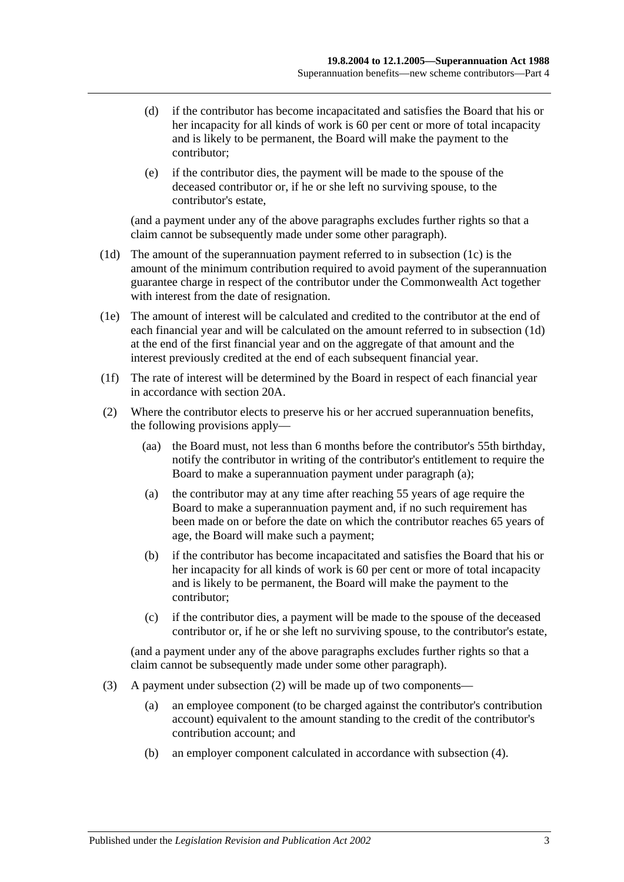- (d) if the contributor has become incapacitated and satisfies the Board that his or her incapacity for all kinds of work is 60 per cent or more of total incapacity and is likely to be permanent, the Board will make the payment to the contributor;
- (e) if the contributor dies, the payment will be made to the spouse of the deceased contributor or, if he or she left no surviving spouse, to the contributor's estate,

(and a payment under any of the above paragraphs excludes further rights so that a claim cannot be subsequently made under some other paragraph).

- <span id="page-28-0"></span>(1d) The amount of the superannuation payment referred to in [subsection](#page-27-6) (1c) is the amount of the minimum contribution required to avoid payment of the superannuation guarantee charge in respect of the contributor under the Commonwealth Act together with interest from the date of resignation.
- (1e) The amount of interest will be calculated and credited to the contributor at the end of each financial year and will be calculated on the amount referred to in [subsection](#page-28-0) (1d) at the end of the first financial year and on the aggregate of that amount and the interest previously credited at the end of each subsequent financial year.
- (1f) The rate of interest will be determined by the Board in respect of each financial year in accordance with [section](#page-17-2) 20A.
- <span id="page-28-2"></span><span id="page-28-1"></span>(2) Where the contributor elects to preserve his or her accrued superannuation benefits, the following provisions apply—
	- (aa) the Board must, not less than 6 months before the contributor's 55th birthday, notify the contributor in writing of the contributor's entitlement to require the Board to make a superannuation payment under [paragraph](#page-28-1) (a);
	- (a) the contributor may at any time after reaching 55 years of age require the Board to make a superannuation payment and, if no such requirement has been made on or before the date on which the contributor reaches 65 years of age, the Board will make such a payment;
	- (b) if the contributor has become incapacitated and satisfies the Board that his or her incapacity for all kinds of work is 60 per cent or more of total incapacity and is likely to be permanent, the Board will make the payment to the contributor;
	- (c) if the contributor dies, a payment will be made to the spouse of the deceased contributor or, if he or she left no surviving spouse, to the contributor's estate,

(and a payment under any of the above paragraphs excludes further rights so that a claim cannot be subsequently made under some other paragraph).

- (3) A payment under [subsection](#page-28-2) (2) will be made up of two components—
	- (a) an employee component (to be charged against the contributor's contribution account) equivalent to the amount standing to the credit of the contributor's contribution account; and
	- (b) an employer component calculated in accordance with [subsection](#page-29-0) (4).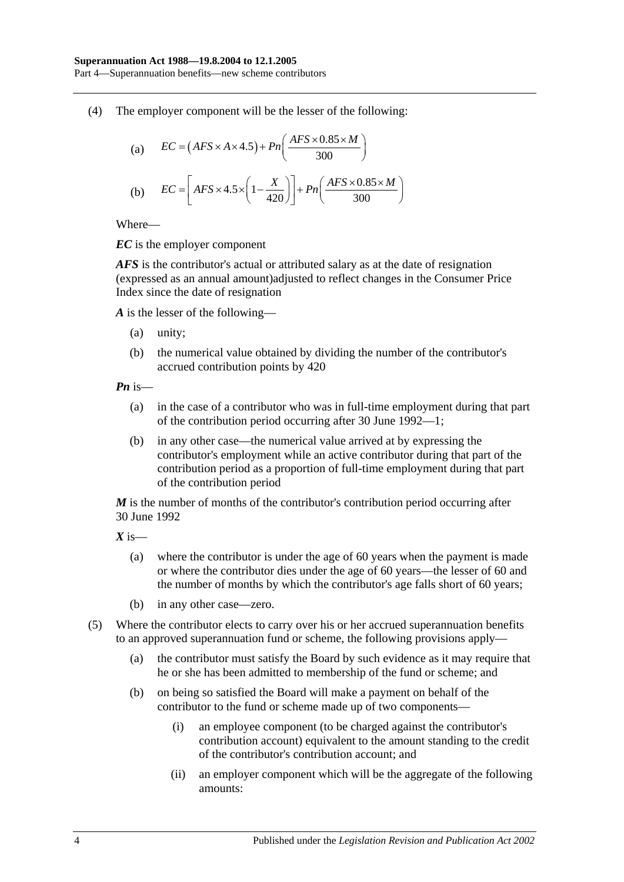Part 4—Superannuation benefits—new scheme contributors

<span id="page-29-0"></span>(4) The employer component will be the lesser of the following:

(a) 
$$
EC = (AFS \times A \times 4.5) + Pn\left(\frac{AFS \times 0.85 \times M}{300}\right)
$$
  
(b) 
$$
EC = \left[ AFS \times 4.5 \times \left(1 - \frac{X}{420}\right)\right] + Pn\left(\frac{AFS \times 0.85 \times M}{300}\right)
$$

Where—

*EC* is the employer component

*AFS* is the contributor's actual or attributed salary as at the date of resignation (expressed as an annual amount)adjusted to reflect changes in the Consumer Price Index since the date of resignation

*A* is the lesser of the following—

- (a) unity;
- (b) the numerical value obtained by dividing the number of the contributor's accrued contribution points by 420

*Pn* is—

- (a) in the case of a contributor who was in full-time employment during that part of the contribution period occurring after 30 June 1992—1;
- (b) in any other case—the numerical value arrived at by expressing the contributor's employment while an active contributor during that part of the contribution period as a proportion of full-time employment during that part of the contribution period

*M* is the number of months of the contributor's contribution period occurring after 30 June 1992

*X* is—

- (a) where the contributor is under the age of 60 years when the payment is made or where the contributor dies under the age of 60 years—the lesser of 60 and the number of months by which the contributor's age falls short of 60 years;
- (b) in any other case—zero.
- (5) Where the contributor elects to carry over his or her accrued superannuation benefits to an approved superannuation fund or scheme, the following provisions apply—
	- (a) the contributor must satisfy the Board by such evidence as it may require that he or she has been admitted to membership of the fund or scheme; and
	- (b) on being so satisfied the Board will make a payment on behalf of the contributor to the fund or scheme made up of two components—
		- (i) an employee component (to be charged against the contributor's contribution account) equivalent to the amount standing to the credit of the contributor's contribution account; and
		- (ii) an employer component which will be the aggregate of the following amounts: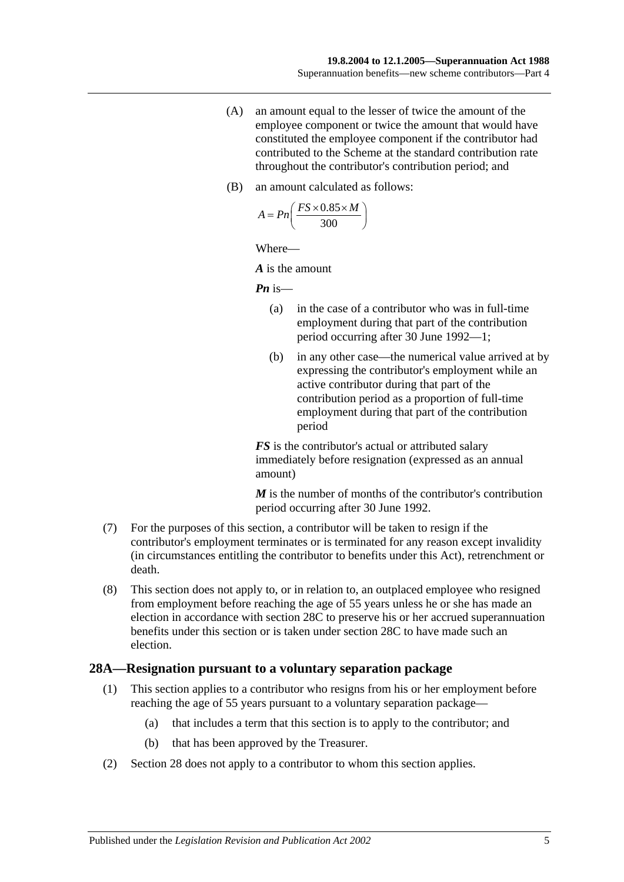- (A) an amount equal to the lesser of twice the amount of the employee component or twice the amount that would have constituted the employee component if the contributor had contributed to the Scheme at the standard contribution rate throughout the contributor's contribution period; and
- (B) an amount calculated as follows:

$$
A = P n \left( \frac{FS \times 0.85 \times M}{300} \right)
$$

Where—

*A* is the amount

*Pn* is—

- (a) in the case of a contributor who was in full-time employment during that part of the contribution period occurring after 30 June 1992—1;
- (b) in any other case—the numerical value arrived at by expressing the contributor's employment while an active contributor during that part of the contribution period as a proportion of full-time employment during that part of the contribution period

*FS* is the contributor's actual or attributed salary immediately before resignation (expressed as an annual amount)

*M* is the number of months of the contributor's contribution period occurring after 30 June 1992.

- (7) For the purposes of this section, a contributor will be taken to resign if the contributor's employment terminates or is terminated for any reason except invalidity (in circumstances entitling the contributor to benefits under this Act), retrenchment or death.
- (8) This section does not apply to, or in relation to, an outplaced employee who resigned from employment before reaching the age of 55 years unless he or she has made an election in accordance with [section](#page-32-0) 28C to preserve his or her accrued superannuation benefits under this section or is taken under [section](#page-32-0) 28C to have made such an election.

#### <span id="page-30-1"></span><span id="page-30-0"></span>**28A—Resignation pursuant to a voluntary separation package**

- (1) This section applies to a contributor who resigns from his or her employment before reaching the age of 55 years pursuant to a voluntary separation package—
	- (a) that includes a term that this section is to apply to the contributor; and
	- (b) that has been approved by the Treasurer.
- (2) [Section](#page-27-0) 28 does not apply to a contributor to whom this section applies.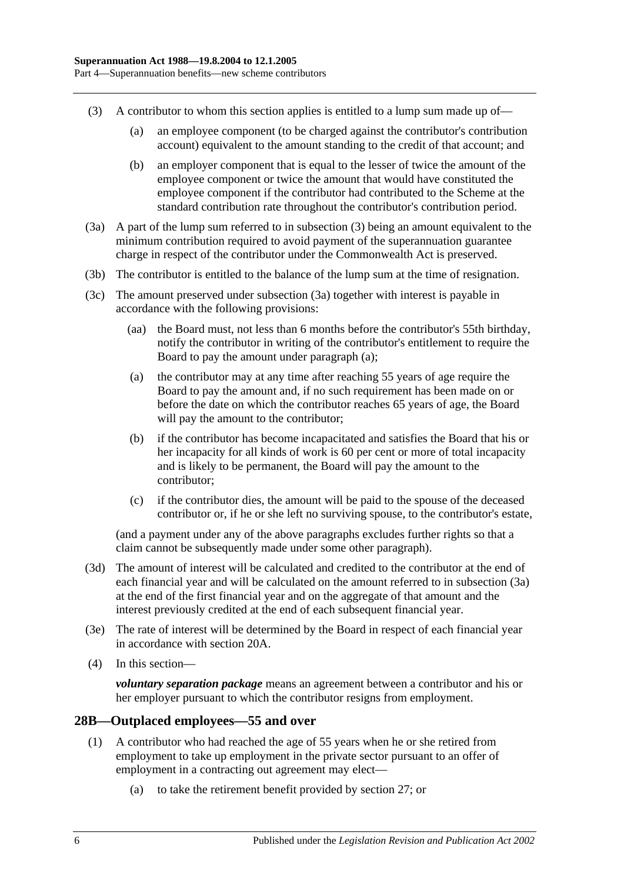- <span id="page-31-1"></span>(3) A contributor to whom this section applies is entitled to a lump sum made up of—
	- (a) an employee component (to be charged against the contributor's contribution account) equivalent to the amount standing to the credit of that account; and
	- (b) an employer component that is equal to the lesser of twice the amount of the employee component or twice the amount that would have constituted the employee component if the contributor had contributed to the Scheme at the standard contribution rate throughout the contributor's contribution period.
- <span id="page-31-2"></span>(3a) A part of the lump sum referred to in [subsection](#page-31-1) (3) being an amount equivalent to the minimum contribution required to avoid payment of the superannuation guarantee charge in respect of the contributor under the Commonwealth Act is preserved.
- (3b) The contributor is entitled to the balance of the lump sum at the time of resignation.
- <span id="page-31-3"></span>(3c) The amount preserved under [subsection](#page-31-2) (3a) together with interest is payable in accordance with the following provisions:
	- (aa) the Board must, not less than 6 months before the contributor's 55th birthday, notify the contributor in writing of the contributor's entitlement to require the Board to pay the amount under [paragraph](#page-31-3) (a);
	- (a) the contributor may at any time after reaching 55 years of age require the Board to pay the amount and, if no such requirement has been made on or before the date on which the contributor reaches 65 years of age, the Board will pay the amount to the contributor;
	- (b) if the contributor has become incapacitated and satisfies the Board that his or her incapacity for all kinds of work is 60 per cent or more of total incapacity and is likely to be permanent, the Board will pay the amount to the contributor;
	- (c) if the contributor dies, the amount will be paid to the spouse of the deceased contributor or, if he or she left no surviving spouse, to the contributor's estate,

(and a payment under any of the above paragraphs excludes further rights so that a claim cannot be subsequently made under some other paragraph).

- (3d) The amount of interest will be calculated and credited to the contributor at the end of each financial year and will be calculated on the amount referred to in [subsection](#page-31-2) (3a) at the end of the first financial year and on the aggregate of that amount and the interest previously credited at the end of each subsequent financial year.
- (3e) The rate of interest will be determined by the Board in respect of each financial year in accordance with [section](#page-17-2) 20A.
- (4) In this section—

*voluntary separation package* means an agreement between a contributor and his or her employer pursuant to which the contributor resigns from employment.

## <span id="page-31-4"></span><span id="page-31-0"></span>**28B—Outplaced employees—55 and over**

- (1) A contributor who had reached the age of 55 years when he or she retired from employment to take up employment in the private sector pursuant to an offer of employment in a contracting out agreement may elect—
	- (a) to take the retirement benefit provided by [section](#page-26-2) 27; or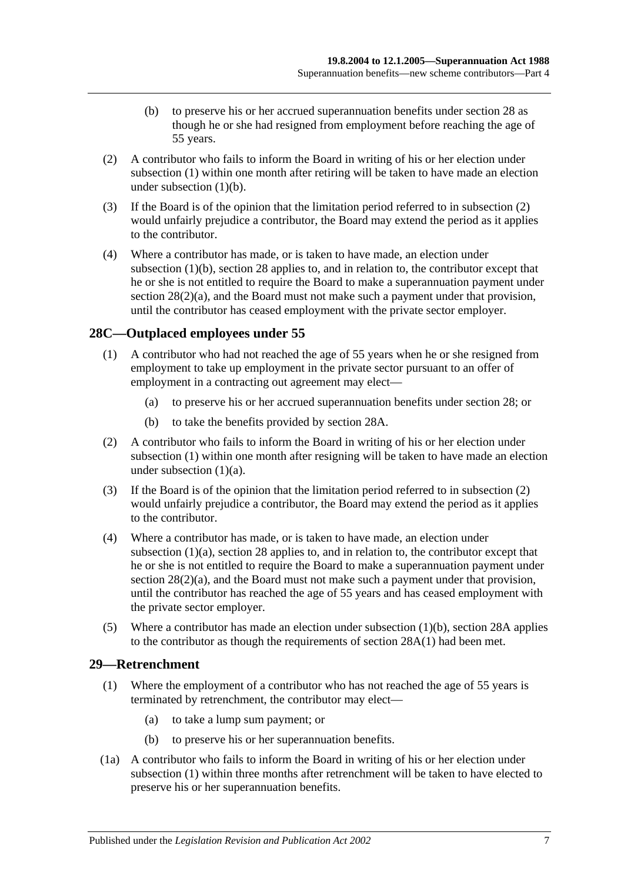- (b) to preserve his or her accrued superannuation benefits under [section](#page-27-0) 28 as though he or she had resigned from employment before reaching the age of 55 years.
- <span id="page-32-3"></span><span id="page-32-2"></span>(2) A contributor who fails to inform the Board in writing of his or her election under [subsection](#page-31-4) (1) within one month after retiring will be taken to have made an election under [subsection](#page-32-2)  $(1)(b)$ .
- (3) If the Board is of the opinion that the limitation period referred to in [subsection](#page-32-3) (2) would unfairly prejudice a contributor, the Board may extend the period as it applies to the contributor.
- (4) Where a contributor has made, or is taken to have made, an election under [subsection](#page-32-2) (1)(b), [section](#page-27-0) 28 applies to, and in relation to, the contributor except that he or she is not entitled to require the Board to make a superannuation payment under section  $28(2)(a)$ , and the Board must not make such a payment under that provision, until the contributor has ceased employment with the private sector employer.

## <span id="page-32-4"></span><span id="page-32-0"></span>**28C—Outplaced employees under 55**

- <span id="page-32-5"></span>(1) A contributor who had not reached the age of 55 years when he or she resigned from employment to take up employment in the private sector pursuant to an offer of employment in a contracting out agreement may elect—
	- (a) to preserve his or her accrued superannuation benefits under [section](#page-27-0) 28; or
	- (b) to take the benefits provided by [section](#page-30-0) 28A.
- <span id="page-32-7"></span><span id="page-32-6"></span>(2) A contributor who fails to inform the Board in writing of his or her election under [subsection](#page-32-4) (1) within one month after resigning will be taken to have made an election under [subsection](#page-32-5) (1)(a).
- (3) If the Board is of the opinion that the limitation period referred to in [subsection](#page-32-6) (2) would unfairly prejudice a contributor, the Board may extend the period as it applies to the contributor.
- (4) Where a contributor has made, or is taken to have made, an election under [subsection](#page-32-5) (1)(a), [section](#page-27-0) 28 applies to, and in relation to, the contributor except that he or she is not entitled to require the Board to make a superannuation payment under section  $28(2)(a)$ , and the Board must not make such a payment under that provision, until the contributor has reached the age of 55 years and has ceased employment with the private sector employer.
- (5) Where a contributor has made an election under [subsection](#page-32-7) (1)(b), [section](#page-30-0) 28A applies to the contributor as though the requirements of [section](#page-30-1) 28A(1) had been met.

## <span id="page-32-8"></span><span id="page-32-1"></span>**29—Retrenchment**

- (1) Where the employment of a contributor who has not reached the age of 55 years is terminated by retrenchment, the contributor may elect—
	- (a) to take a lump sum payment; or
	- (b) to preserve his or her superannuation benefits.
- <span id="page-32-9"></span>(1a) A contributor who fails to inform the Board in writing of his or her election under [subsection](#page-32-8) (1) within three months after retrenchment will be taken to have elected to preserve his or her superannuation benefits.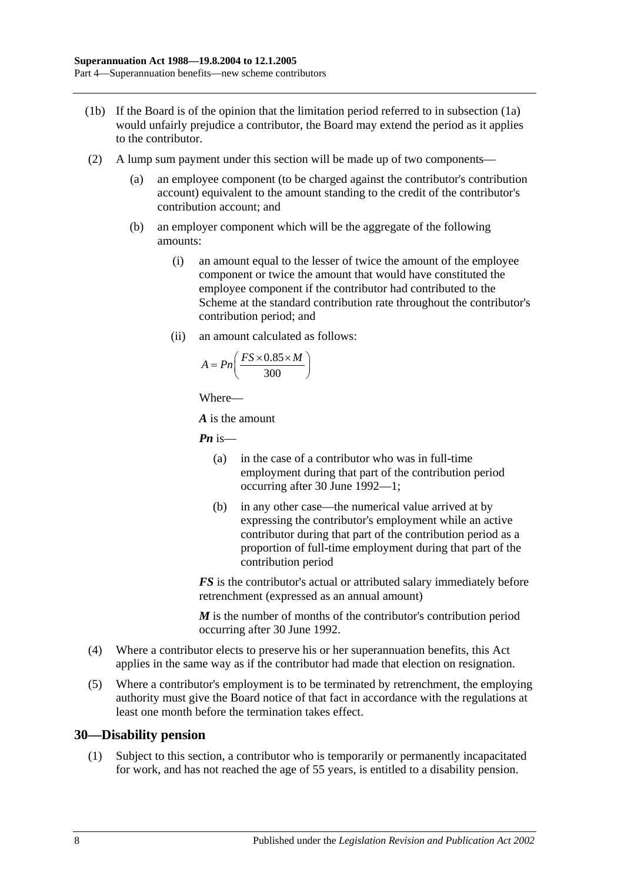- (1b) If the Board is of the opinion that the limitation period referred to in [subsection](#page-32-9) (1a) would unfairly prejudice a contributor, the Board may extend the period as it applies to the contributor.
- (2) A lump sum payment under this section will be made up of two components—
	- (a) an employee component (to be charged against the contributor's contribution account) equivalent to the amount standing to the credit of the contributor's contribution account; and
	- (b) an employer component which will be the aggregate of the following amounts:
		- (i) an amount equal to the lesser of twice the amount of the employee component or twice the amount that would have constituted the employee component if the contributor had contributed to the Scheme at the standard contribution rate throughout the contributor's contribution period; and
		- (ii) an amount calculated as follows:

$$
A = P n \left( \frac{FS \times 0.85 \times M}{300} \right)
$$

Where—

*A* is the amount

*Pn* is—

- (a) in the case of a contributor who was in full-time employment during that part of the contribution period occurring after 30 June 1992—1;
- (b) in any other case—the numerical value arrived at by expressing the contributor's employment while an active contributor during that part of the contribution period as a proportion of full-time employment during that part of the contribution period

*FS* is the contributor's actual or attributed salary immediately before retrenchment (expressed as an annual amount)

*M* is the number of months of the contributor's contribution period occurring after 30 June 1992.

- (4) Where a contributor elects to preserve his or her superannuation benefits, this Act applies in the same way as if the contributor had made that election on resignation.
- (5) Where a contributor's employment is to be terminated by retrenchment, the employing authority must give the Board notice of that fact in accordance with the regulations at least one month before the termination takes effect.

#### <span id="page-33-0"></span>**30—Disability pension**

(1) Subject to this section, a contributor who is temporarily or permanently incapacitated for work, and has not reached the age of 55 years, is entitled to a disability pension.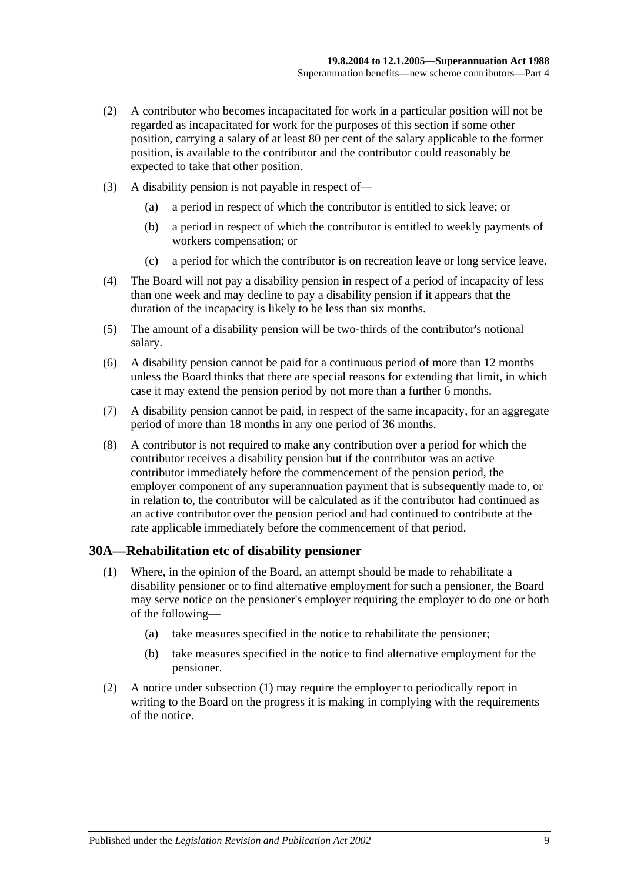- (2) A contributor who becomes incapacitated for work in a particular position will not be regarded as incapacitated for work for the purposes of this section if some other position, carrying a salary of at least 80 per cent of the salary applicable to the former position, is available to the contributor and the contributor could reasonably be expected to take that other position.
- (3) A disability pension is not payable in respect of—
	- (a) a period in respect of which the contributor is entitled to sick leave; or
	- (b) a period in respect of which the contributor is entitled to weekly payments of workers compensation; or
	- (c) a period for which the contributor is on recreation leave or long service leave.
- (4) The Board will not pay a disability pension in respect of a period of incapacity of less than one week and may decline to pay a disability pension if it appears that the duration of the incapacity is likely to be less than six months.
- (5) The amount of a disability pension will be two-thirds of the contributor's notional salary.
- (6) A disability pension cannot be paid for a continuous period of more than 12 months unless the Board thinks that there are special reasons for extending that limit, in which case it may extend the pension period by not more than a further 6 months.
- (7) A disability pension cannot be paid, in respect of the same incapacity, for an aggregate period of more than 18 months in any one period of 36 months.
- (8) A contributor is not required to make any contribution over a period for which the contributor receives a disability pension but if the contributor was an active contributor immediately before the commencement of the pension period, the employer component of any superannuation payment that is subsequently made to, or in relation to, the contributor will be calculated as if the contributor had continued as an active contributor over the pension period and had continued to contribute at the rate applicable immediately before the commencement of that period.

#### <span id="page-34-1"></span><span id="page-34-0"></span>**30A—Rehabilitation etc of disability pensioner**

- (1) Where, in the opinion of the Board, an attempt should be made to rehabilitate a disability pensioner or to find alternative employment for such a pensioner, the Board may serve notice on the pensioner's employer requiring the employer to do one or both of the following—
	- (a) take measures specified in the notice to rehabilitate the pensioner;
	- (b) take measures specified in the notice to find alternative employment for the pensioner.
- (2) A notice under [subsection](#page-34-1) (1) may require the employer to periodically report in writing to the Board on the progress it is making in complying with the requirements of the notice.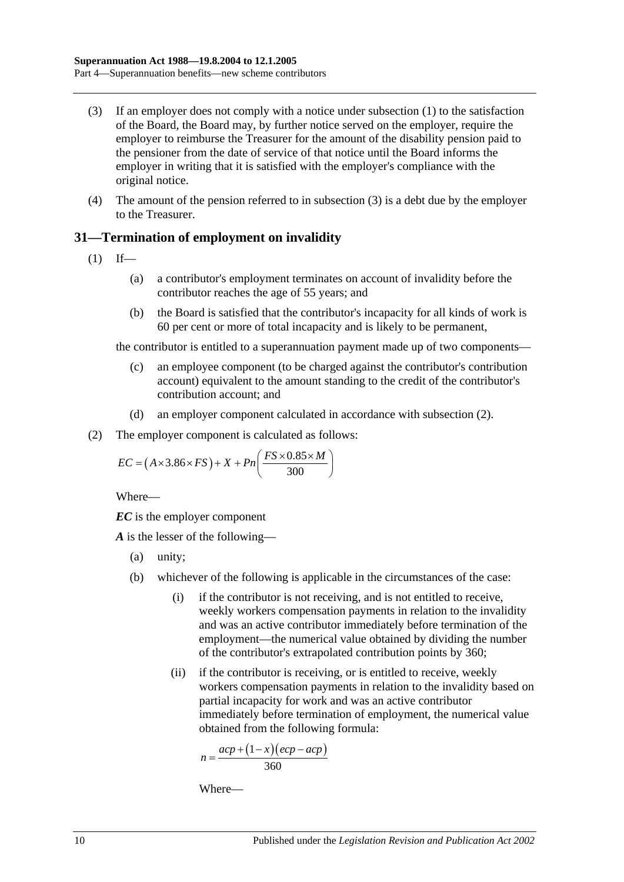- <span id="page-35-1"></span>(3) If an employer does not comply with a notice under [subsection](#page-34-1) (1) to the satisfaction of the Board, the Board may, by further notice served on the employer, require the employer to reimburse the Treasurer for the amount of the disability pension paid to the pensioner from the date of service of that notice until the Board informs the employer in writing that it is satisfied with the employer's compliance with the original notice.
- (4) The amount of the pension referred to in [subsection](#page-35-1) (3) is a debt due by the employer to the Treasurer.

## <span id="page-35-0"></span>**31—Termination of employment on invalidity**

- $(1)$  If—
	- (a) a contributor's employment terminates on account of invalidity before the contributor reaches the age of 55 years; and
	- (b) the Board is satisfied that the contributor's incapacity for all kinds of work is 60 per cent or more of total incapacity and is likely to be permanent,

the contributor is entitled to a superannuation payment made up of two components—

- (c) an employee component (to be charged against the contributor's contribution account) equivalent to the amount standing to the credit of the contributor's contribution account; and
- (d) an employer component calculated in accordance with [subsection](#page-35-2) (2).
- <span id="page-35-2"></span>(2) The employer component is calculated as follows:

$$
EC = (A \times 3.86 \times FS) + X + Pn\left(\frac{FS \times 0.85 \times M}{300}\right)
$$

Where—

*EC* is the employer component

*A* is the lesser of the following—

- (a) unity;
- (b) whichever of the following is applicable in the circumstances of the case:
	- (i) if the contributor is not receiving, and is not entitled to receive, weekly workers compensation payments in relation to the invalidity and was an active contributor immediately before termination of the employment—the numerical value obtained by dividing the number of the contributor's extrapolated contribution points by 360;
	- (ii) if the contributor is receiving, or is entitled to receive, weekly workers compensation payments in relation to the invalidity based on partial incapacity for work and was an active contributor immediately before termination of employment, the numerical value obtained from the following formula:

$$
n = \frac{acp + (1 - x)(ecp - acp)}{360}
$$

Where—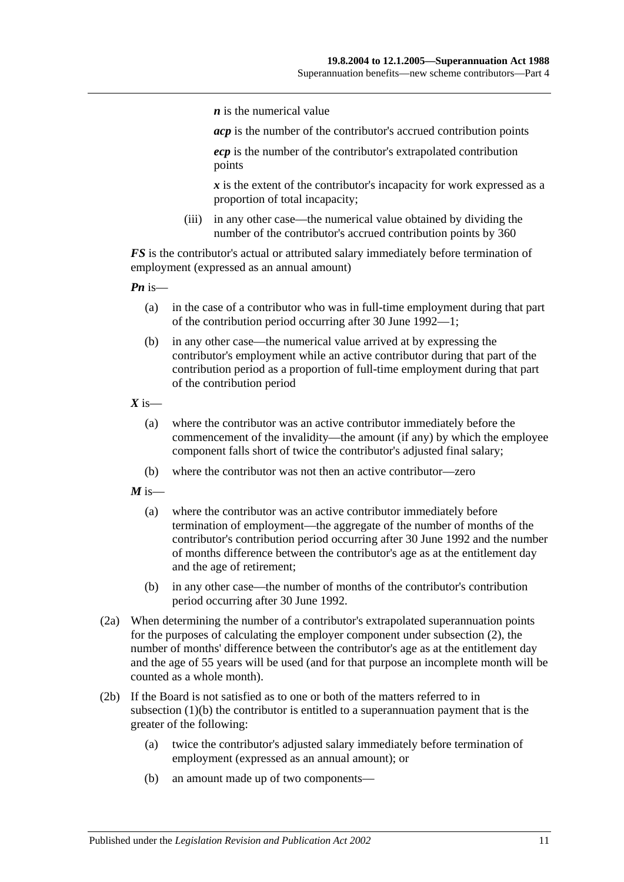*n* is the numerical value

*acp* is the number of the contributor's accrued contribution points

*ecp* is the number of the contributor's extrapolated contribution points

*x* is the extent of the contributor's incapacity for work expressed as a proportion of total incapacity;

(iii) in any other case—the numerical value obtained by dividing the number of the contributor's accrued contribution points by 360

*FS* is the contributor's actual or attributed salary immediately before termination of employment (expressed as an annual amount)

*Pn* is—

- (a) in the case of a contributor who was in full-time employment during that part of the contribution period occurring after 30 June 1992—1;
- (b) in any other case—the numerical value arrived at by expressing the contributor's employment while an active contributor during that part of the contribution period as a proportion of full-time employment during that part of the contribution period

 $X$  is—

- (a) where the contributor was an active contributor immediately before the commencement of the invalidity—the amount (if any) by which the employee component falls short of twice the contributor's adjusted final salary;
- (b) where the contributor was not then an active contributor—zero

 $M$  is—

- (a) where the contributor was an active contributor immediately before termination of employment—the aggregate of the number of months of the contributor's contribution period occurring after 30 June 1992 and the number of months difference between the contributor's age as at the entitlement day and the age of retirement;
- (b) in any other case—the number of months of the contributor's contribution period occurring after 30 June 1992.
- (2a) When determining the number of a contributor's extrapolated superannuation points for the purposes of calculating the employer component under [subsection](#page-35-0) (2), the number of months' difference between the contributor's age as at the entitlement day and the age of 55 years will be used (and for that purpose an incomplete month will be counted as a whole month).
- <span id="page-36-0"></span>(2b) If the Board is not satisfied as to one or both of the matters referred to in [subsection](#page-35-1) (1)(b) the contributor is entitled to a superannuation payment that is the greater of the following:
	- (a) twice the contributor's adjusted salary immediately before termination of employment (expressed as an annual amount); or
	- (b) an amount made up of two components—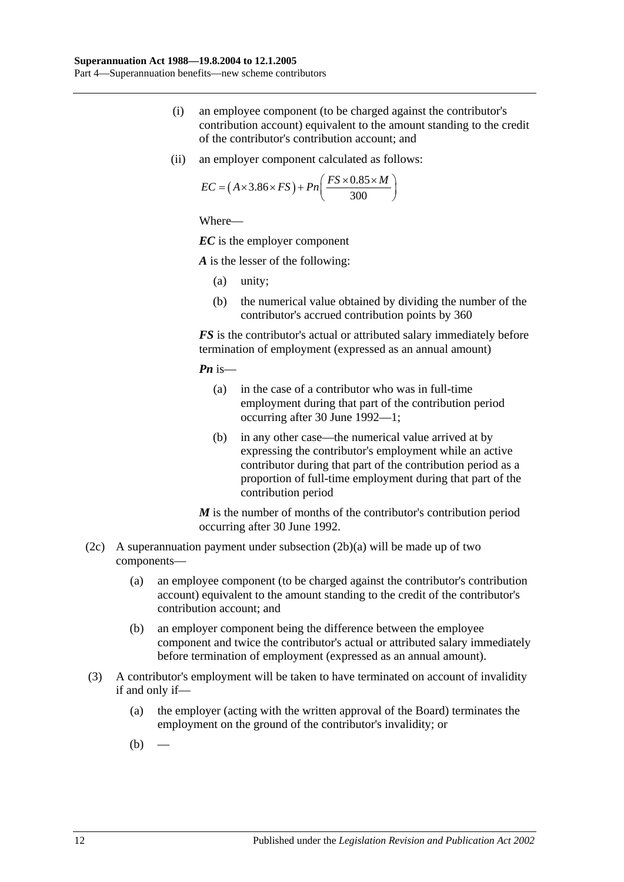- (i) an employee component (to be charged against the contributor's contribution account) equivalent to the amount standing to the credit of the contributor's contribution account; and
- (ii) an employer component calculated as follows:

$$
EC = (A \times 3.86 \times FS) + Pn\left(\frac{FS \times 0.85 \times M}{300}\right)
$$

*EC* is the employer component

*A* is the lesser of the following:

- (a) unity;
- (b) the numerical value obtained by dividing the number of the contributor's accrued contribution points by 360

*FS* is the contributor's actual or attributed salary immediately before termination of employment (expressed as an annual amount)

*Pn* is—

- (a) in the case of a contributor who was in full-time employment during that part of the contribution period occurring after 30 June 1992—1;
- (b) in any other case—the numerical value arrived at by expressing the contributor's employment while an active contributor during that part of the contribution period as a proportion of full-time employment during that part of the contribution period

*M* is the number of months of the contributor's contribution period occurring after 30 June 1992.

- (2c) A superannuation payment under [subsection](#page-36-0)  $(2b)(a)$  will be made up of two components—
	- (a) an employee component (to be charged against the contributor's contribution account) equivalent to the amount standing to the credit of the contributor's contribution account; and
	- (b) an employer component being the difference between the employee component and twice the contributor's actual or attributed salary immediately before termination of employment (expressed as an annual amount).
- <span id="page-37-1"></span><span id="page-37-0"></span>(3) A contributor's employment will be taken to have terminated on account of invalidity if and only if—
	- (a) the employer (acting with the written approval of the Board) terminates the employment on the ground of the contributor's invalidity; or
	- $(b)$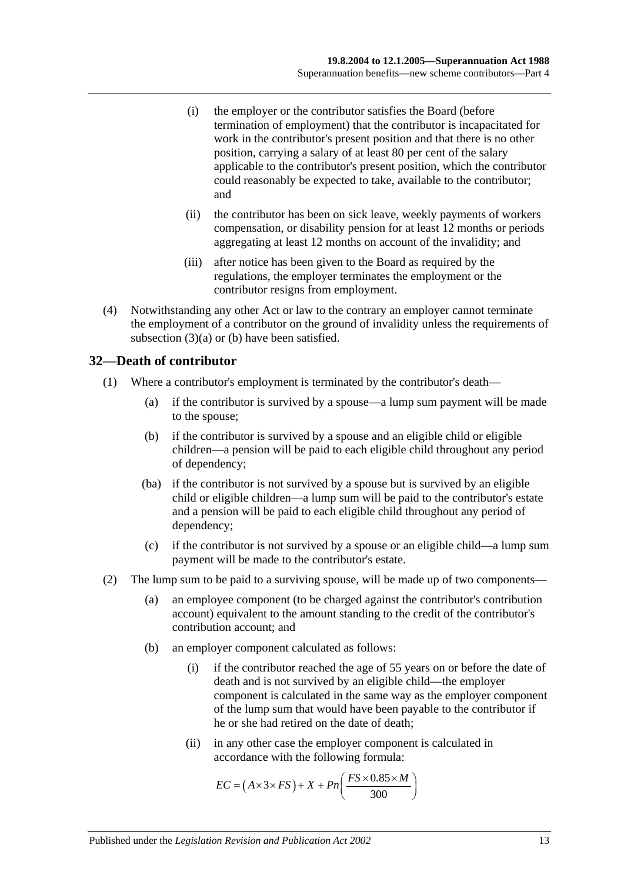- (i) the employer or the contributor satisfies the Board (before termination of employment) that the contributor is incapacitated for work in the contributor's present position and that there is no other position, carrying a salary of at least 80 per cent of the salary applicable to the contributor's present position, which the contributor could reasonably be expected to take, available to the contributor; and
- (ii) the contributor has been on sick leave, weekly payments of workers compensation, or disability pension for at least 12 months or periods aggregating at least 12 months on account of the invalidity; and
- (iii) after notice has been given to the Board as required by the regulations, the employer terminates the employment or the contributor resigns from employment.
- (4) Notwithstanding any other Act or law to the contrary an employer cannot terminate the employment of a contributor on the ground of invalidity unless the requirements of [subsection](#page-37-0) (3)(a) or [\(b\)](#page-37-1) have been satisfied.

## **32—Death of contributor**

- (1) Where a contributor's employment is terminated by the contributor's death—
	- (a) if the contributor is survived by a spouse—a lump sum payment will be made to the spouse;
	- (b) if the contributor is survived by a spouse and an eligible child or eligible children—a pension will be paid to each eligible child throughout any period of dependency;
	- (ba) if the contributor is not survived by a spouse but is survived by an eligible child or eligible children—a lump sum will be paid to the contributor's estate and a pension will be paid to each eligible child throughout any period of dependency;
	- (c) if the contributor is not survived by a spouse or an eligible child—a lump sum payment will be made to the contributor's estate.
- (2) The lump sum to be paid to a surviving spouse, will be made up of two components—
	- (a) an employee component (to be charged against the contributor's contribution account) equivalent to the amount standing to the credit of the contributor's contribution account; and
	- (b) an employer component calculated as follows:
		- (i) if the contributor reached the age of 55 years on or before the date of death and is not survived by an eligible child—the employer component is calculated in the same way as the employer component of the lump sum that would have been payable to the contributor if he or she had retired on the date of death;
		- (ii) in any other case the employer component is calculated in accordance with the following formula:

$$
EC = (A \times 3 \times FS) + X + Pn\left(\frac{FS \times 0.85 \times M}{300}\right)
$$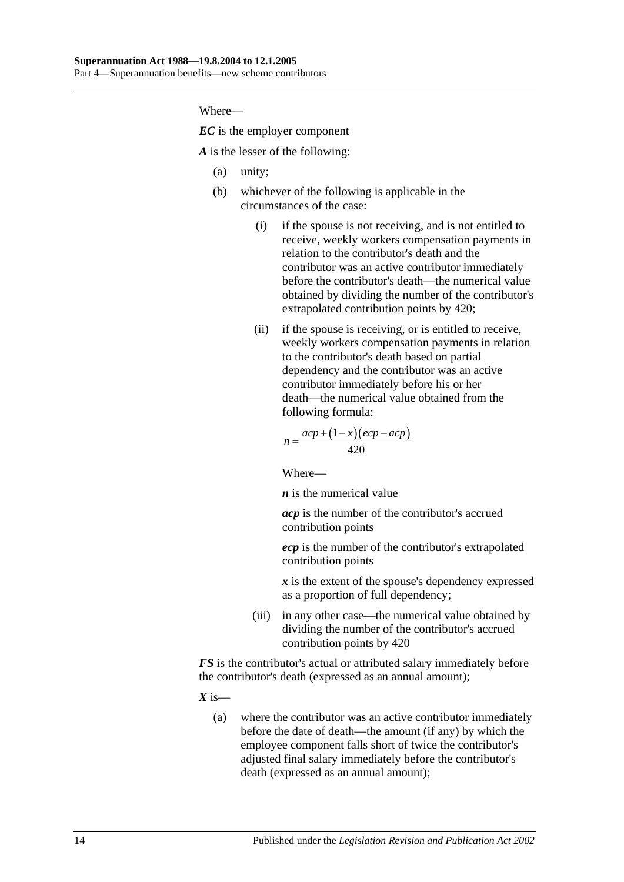*EC* is the employer component

*A* is the lesser of the following:

- (a) unity;
- (b) whichever of the following is applicable in the circumstances of the case:
	- (i) if the spouse is not receiving, and is not entitled to receive, weekly workers compensation payments in relation to the contributor's death and the contributor was an active contributor immediately before the contributor's death—the numerical value obtained by dividing the number of the contributor's extrapolated contribution points by 420;
	- (ii) if the spouse is receiving, or is entitled to receive, weekly workers compensation payments in relation to the contributor's death based on partial dependency and the contributor was an active contributor immediately before his or her death—the numerical value obtained from the following formula:

$$
n = \frac{acp + (1 - x)(ecp - acp)}{420}
$$

Where—

*n* is the numerical value

*acp* is the number of the contributor's accrued contribution points

*ecp* is the number of the contributor's extrapolated contribution points

*x* is the extent of the spouse's dependency expressed as a proportion of full dependency;

(iii) in any other case—the numerical value obtained by dividing the number of the contributor's accrued contribution points by 420

*FS* is the contributor's actual or attributed salary immediately before the contributor's death (expressed as an annual amount);

 $X$  is—

(a) where the contributor was an active contributor immediately before the date of death—the amount (if any) by which the employee component falls short of twice the contributor's adjusted final salary immediately before the contributor's death (expressed as an annual amount);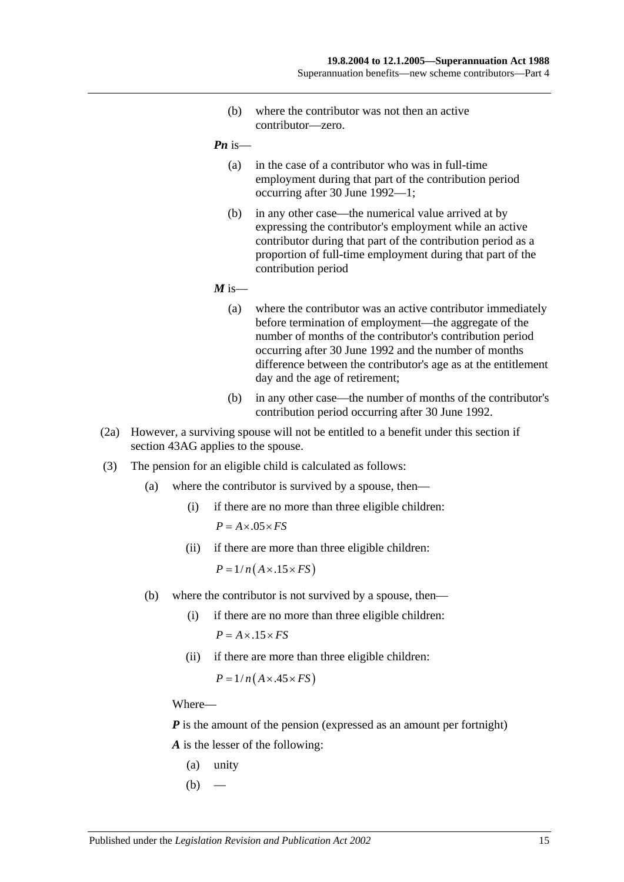(b) where the contributor was not then an active contributor—zero.

*Pn* is—

- (a) in the case of a contributor who was in full-time employment during that part of the contribution period occurring after 30 June 1992—1;
- (b) in any other case—the numerical value arrived at by expressing the contributor's employment while an active contributor during that part of the contribution period as a proportion of full-time employment during that part of the contribution period

 $M$  is—

- (a) where the contributor was an active contributor immediately before termination of employment—the aggregate of the number of months of the contributor's contribution period occurring after 30 June 1992 and the number of months difference between the contributor's age as at the entitlement day and the age of retirement;
- (b) in any other case—the number of months of the contributor's contribution period occurring after 30 June 1992.
- (2a) However, a surviving spouse will not be entitled to a benefit under this section if [section](#page-78-0) 43AG applies to the spouse.
- (3) The pension for an eligible child is calculated as follows:
	- (a) where the contributor is survived by a spouse, then—
		- (i) if there are no more than three eligible children:  $P = A \times .05 \times FS$
		- (ii) if there are more than three eligible children:

 $P = 1/n(A \times .15 \times FS)$ 

- (b) where the contributor is not survived by a spouse, then—
	- (i) if there are no more than three eligible children:  $P = A \times 0.15 \times FS$
	- (ii) if there are more than three eligible children:

 $P = 1/n(A \times .45 \times FS)$ 

Where—

*P* is the amount of the pension (expressed as an amount per fortnight) *A* is the lesser of the following:

- (a) unity
- $(b)$  —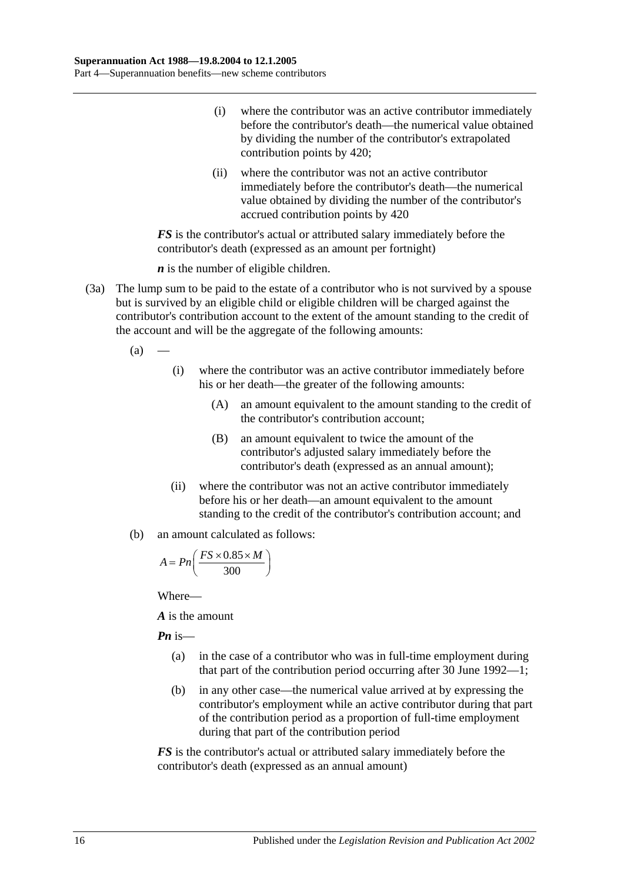- (i) where the contributor was an active contributor immediately before the contributor's death—the numerical value obtained by dividing the number of the contributor's extrapolated contribution points by 420;
- (ii) where the contributor was not an active contributor immediately before the contributor's death—the numerical value obtained by dividing the number of the contributor's accrued contribution points by 420

*FS* is the contributor's actual or attributed salary immediately before the contributor's death (expressed as an amount per fortnight)

*n* is the number of eligible children.

- (3a) The lump sum to be paid to the estate of a contributor who is not survived by a spouse but is survived by an eligible child or eligible children will be charged against the contributor's contribution account to the extent of the amount standing to the credit of the account and will be the aggregate of the following amounts:
	- $(a)$ 
		- (i) where the contributor was an active contributor immediately before his or her death—the greater of the following amounts:
			- (A) an amount equivalent to the amount standing to the credit of the contributor's contribution account;
			- (B) an amount equivalent to twice the amount of the contributor's adjusted salary immediately before the contributor's death (expressed as an annual amount);
		- (ii) where the contributor was not an active contributor immediately before his or her death—an amount equivalent to the amount standing to the credit of the contributor's contribution account; and
	- (b) an amount calculated as follows:

$$
A = P n \left( \frac{FS \times 0.85 \times M}{300} \right)
$$

Where—

*A* is the amount

*Pn* is—

- (a) in the case of a contributor who was in full-time employment during that part of the contribution period occurring after 30 June 1992—1;
- (b) in any other case—the numerical value arrived at by expressing the contributor's employment while an active contributor during that part of the contribution period as a proportion of full-time employment during that part of the contribution period

*FS* is the contributor's actual or attributed salary immediately before the contributor's death (expressed as an annual amount)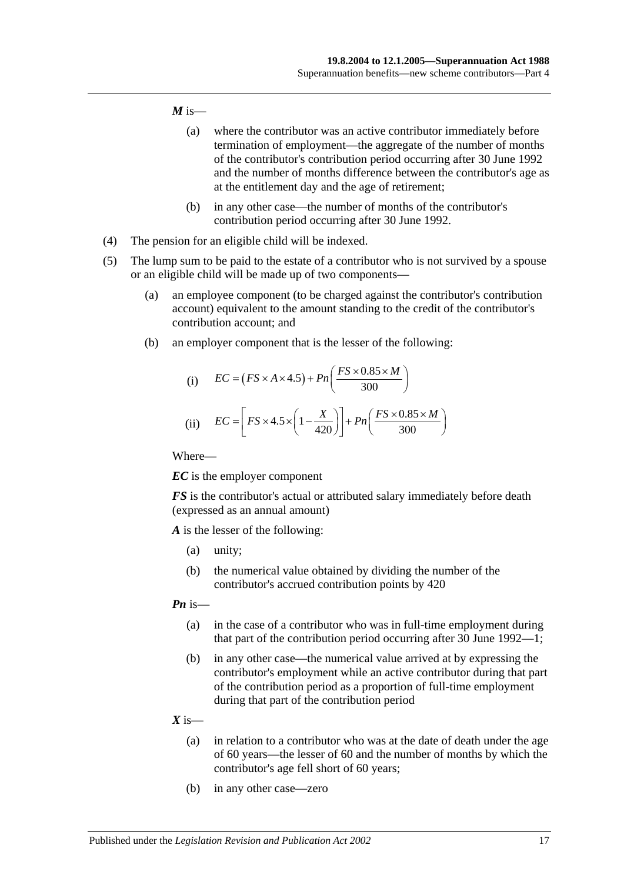#### $M$  is—

- (a) where the contributor was an active contributor immediately before termination of employment—the aggregate of the number of months of the contributor's contribution period occurring after 30 June 1992 and the number of months difference between the contributor's age as at the entitlement day and the age of retirement;
- (b) in any other case—the number of months of the contributor's contribution period occurring after 30 June 1992.
- (4) The pension for an eligible child will be indexed.
- (5) The lump sum to be paid to the estate of a contributor who is not survived by a spouse or an eligible child will be made up of two components—
	- (a) an employee component (to be charged against the contributor's contribution account) equivalent to the amount standing to the credit of the contributor's contribution account; and
	- (b) an employer component that is the lesser of the following:

(i) 
$$
EC = (FS \times A \times 4.5) + Pn\left(\frac{FS \times 0.85 \times M}{300}\right)
$$
  
(ii) 
$$
EC = \left[FS \times 4.5 \times \left(1 - \frac{X}{420}\right)\right] + Pn\left(\frac{FS \times 0.85 \times M}{300}\right)
$$

Where—

*EC* is the employer component

*FS* is the contributor's actual or attributed salary immediately before death (expressed as an annual amount)

*A* is the lesser of the following:

- (a) unity;
- (b) the numerical value obtained by dividing the number of the contributor's accrued contribution points by 420

#### *Pn* is—

- (a) in the case of a contributor who was in full-time employment during that part of the contribution period occurring after 30 June 1992—1;
- (b) in any other case—the numerical value arrived at by expressing the contributor's employment while an active contributor during that part of the contribution period as a proportion of full-time employment during that part of the contribution period

#### $X$  is—

- (a) in relation to a contributor who was at the date of death under the age of 60 years—the lesser of 60 and the number of months by which the contributor's age fell short of 60 years;
- (b) in any other case—zero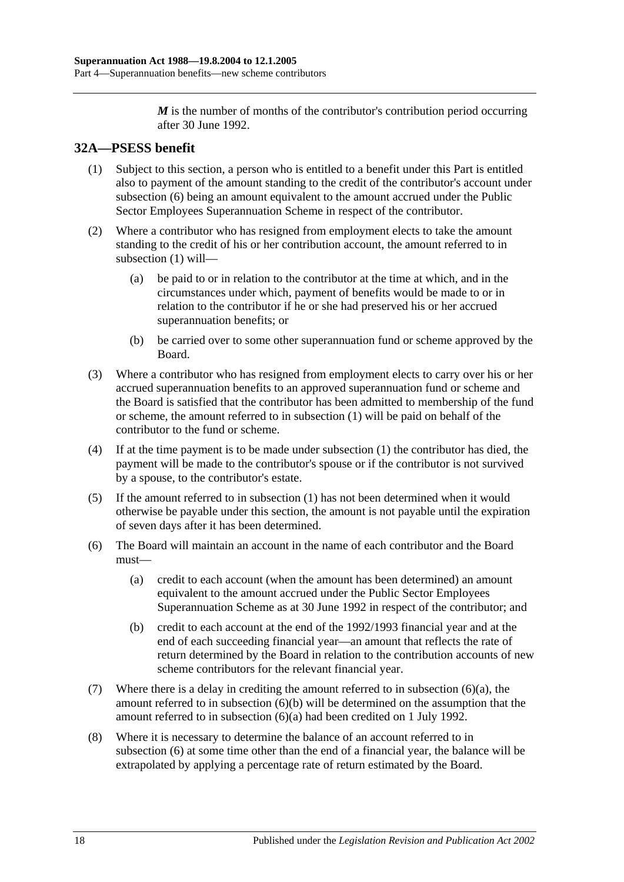*M* is the number of months of the contributor's contribution period occurring after 30 June 1992.

# <span id="page-43-1"></span>**32A—PSESS benefit**

- (1) Subject to this section, a person who is entitled to a benefit under this Part is entitled also to payment of the amount standing to the credit of the contributor's account under [subsection](#page-43-0) (6) being an amount equivalent to the amount accrued under the Public Sector Employees Superannuation Scheme in respect of the contributor.
- (2) Where a contributor who has resigned from employment elects to take the amount standing to the credit of his or her contribution account, the amount referred to in [subsection](#page-43-1) (1) will—
	- (a) be paid to or in relation to the contributor at the time at which, and in the circumstances under which, payment of benefits would be made to or in relation to the contributor if he or she had preserved his or her accrued superannuation benefits; or
	- (b) be carried over to some other superannuation fund or scheme approved by the Board.
- (3) Where a contributor who has resigned from employment elects to carry over his or her accrued superannuation benefits to an approved superannuation fund or scheme and the Board is satisfied that the contributor has been admitted to membership of the fund or scheme, the amount referred to in [subsection](#page-43-1) (1) will be paid on behalf of the contributor to the fund or scheme.
- (4) If at the time payment is to be made under [subsection](#page-43-1) (1) the contributor has died, the payment will be made to the contributor's spouse or if the contributor is not survived by a spouse, to the contributor's estate.
- (5) If the amount referred to in [subsection](#page-43-1) (1) has not been determined when it would otherwise be payable under this section, the amount is not payable until the expiration of seven days after it has been determined.
- <span id="page-43-2"></span><span id="page-43-0"></span>(6) The Board will maintain an account in the name of each contributor and the Board must—
	- (a) credit to each account (when the amount has been determined) an amount equivalent to the amount accrued under the Public Sector Employees Superannuation Scheme as at 30 June 1992 in respect of the contributor; and
	- (b) credit to each account at the end of the 1992/1993 financial year and at the end of each succeeding financial year—an amount that reflects the rate of return determined by the Board in relation to the contribution accounts of new scheme contributors for the relevant financial year.
- <span id="page-43-3"></span>(7) Where there is a delay in crediting the amount referred to in [subsection](#page-43-2) (6)(a), the amount referred to in [subsection](#page-43-3) (6)(b) will be determined on the assumption that the amount referred to in [subsection](#page-43-2) (6)(a) had been credited on 1 July 1992.
- (8) Where it is necessary to determine the balance of an account referred to in [subsection](#page-43-0) (6) at some time other than the end of a financial year, the balance will be extrapolated by applying a percentage rate of return estimated by the Board.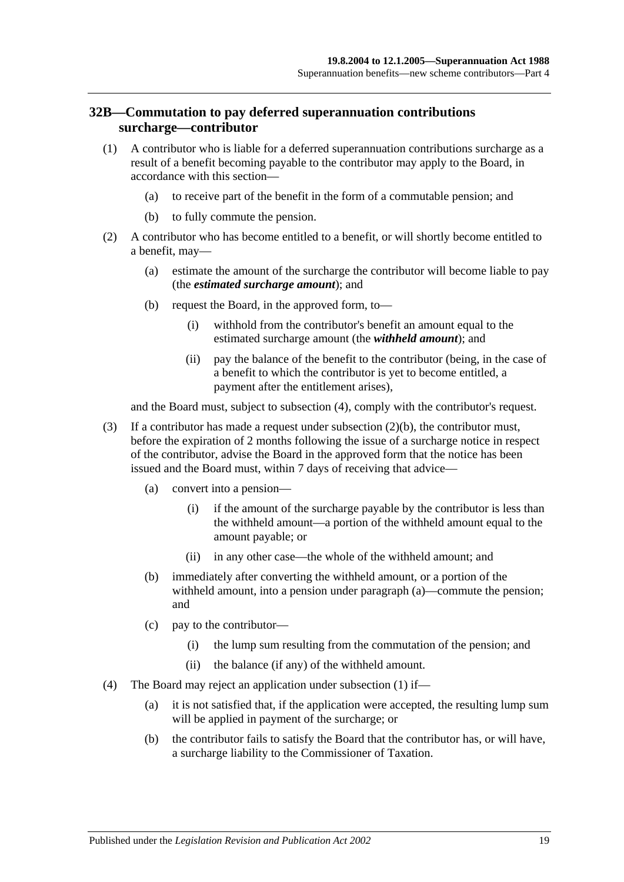#### <span id="page-44-3"></span>**32B—Commutation to pay deferred superannuation contributions surcharge—contributor**

- <span id="page-44-2"></span>(1) A contributor who is liable for a deferred superannuation contributions surcharge as a result of a benefit becoming payable to the contributor may apply to the Board, in accordance with this section—
	- (a) to receive part of the benefit in the form of a commutable pension; and
	- (b) to fully commute the pension.
- <span id="page-44-1"></span>(2) A contributor who has become entitled to a benefit, or will shortly become entitled to a benefit, may—
	- (a) estimate the amount of the surcharge the contributor will become liable to pay (the *estimated surcharge amount*); and
	- (b) request the Board, in the approved form, to—
		- (i) withhold from the contributor's benefit an amount equal to the estimated surcharge amount (the *withheld amount*); and
		- (ii) pay the balance of the benefit to the contributor (being, in the case of a benefit to which the contributor is yet to become entitled, a payment after the entitlement arises),

and the Board must, subject to [subsection](#page-44-0) (4), comply with the contributor's request.

- (3) If a contributor has made a request under [subsection](#page-44-1) (2)(b), the contributor must, before the expiration of 2 months following the issue of a surcharge notice in respect of the contributor, advise the Board in the approved form that the notice has been issued and the Board must, within 7 days of receiving that advice—
	- (a) convert into a pension—
		- (i) if the amount of the surcharge payable by the contributor is less than the withheld amount—a portion of the withheld amount equal to the amount payable; or
		- (ii) in any other case—the whole of the withheld amount; and
	- (b) immediately after converting the withheld amount, or a portion of the withheld amount, into a pension under paragraph (a)—commute the pension; and
	- (c) pay to the contributor—
		- (i) the lump sum resulting from the commutation of the pension; and
		- (ii) the balance (if any) of the withheld amount.
- <span id="page-44-0"></span>(4) The Board may reject an application under [subsection](#page-44-2) (1) if—
	- (a) it is not satisfied that, if the application were accepted, the resulting lump sum will be applied in payment of the surcharge; or
	- (b) the contributor fails to satisfy the Board that the contributor has, or will have, a surcharge liability to the Commissioner of Taxation.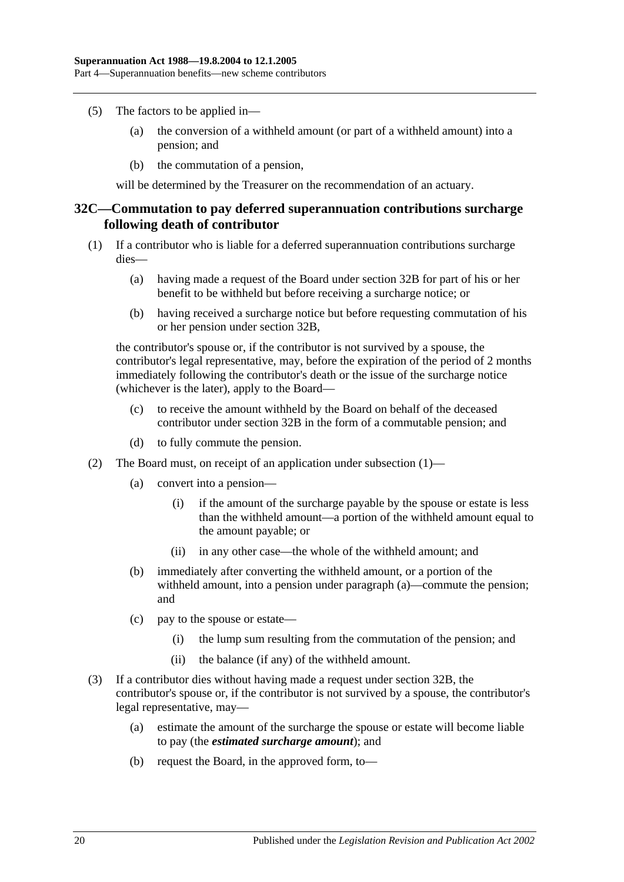- (5) The factors to be applied in—
	- (a) the conversion of a withheld amount (or part of a withheld amount) into a pension; and
	- (b) the commutation of a pension,

will be determined by the Treasurer on the recommendation of an actuary.

#### <span id="page-45-2"></span>**32C—Commutation to pay deferred superannuation contributions surcharge following death of contributor**

- <span id="page-45-0"></span>(1) If a contributor who is liable for a deferred superannuation contributions surcharge dies—
	- (a) having made a request of the Board under [section](#page-44-3) 32B for part of his or her benefit to be withheld but before receiving a surcharge notice; or
	- (b) having received a surcharge notice but before requesting commutation of his or her pension under [section](#page-44-3) 32B,

the contributor's spouse or, if the contributor is not survived by a spouse, the contributor's legal representative, may, before the expiration of the period of 2 months immediately following the contributor's death or the issue of the surcharge notice (whichever is the later), apply to the Board—

- (c) to receive the amount withheld by the Board on behalf of the deceased contributor under [section](#page-44-3) 32B in the form of a commutable pension; and
- (d) to fully commute the pension.
- (2) The Board must, on receipt of an application under [subsection](#page-45-0) (1)—
	- (a) convert into a pension—
		- (i) if the amount of the surcharge payable by the spouse or estate is less than the withheld amount—a portion of the withheld amount equal to the amount payable; or
		- (ii) in any other case—the whole of the withheld amount; and
	- (b) immediately after converting the withheld amount, or a portion of the withheld amount, into a pension under paragraph (a)—commute the pension; and
	- (c) pay to the spouse or estate—
		- (i) the lump sum resulting from the commutation of the pension; and
		- (ii) the balance (if any) of the withheld amount.
- <span id="page-45-1"></span>(3) If a contributor dies without having made a request under [section](#page-44-3) 32B, the contributor's spouse or, if the contributor is not survived by a spouse, the contributor's legal representative, may—
	- (a) estimate the amount of the surcharge the spouse or estate will become liable to pay (the *estimated surcharge amount*); and
	- (b) request the Board, in the approved form, to—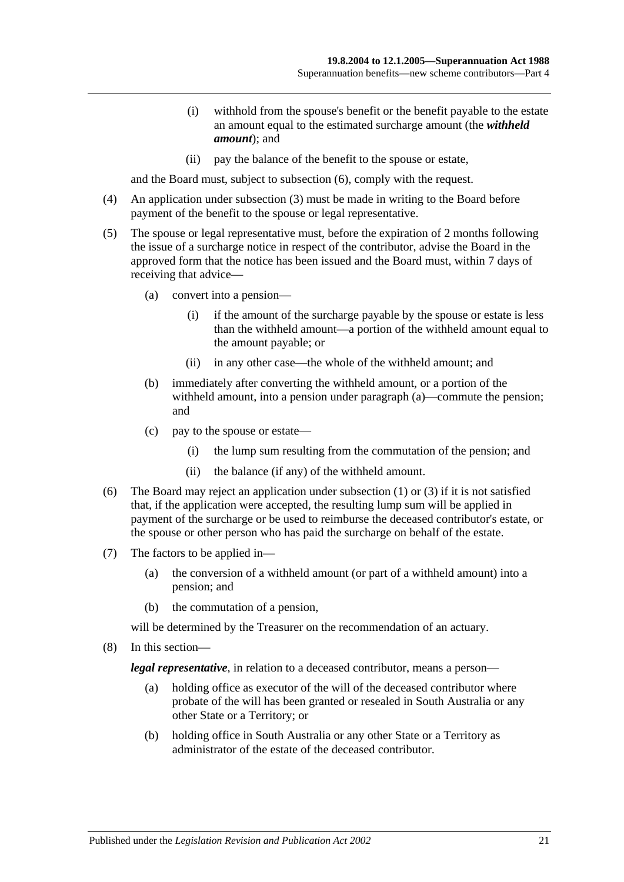- (i) withhold from the spouse's benefit or the benefit payable to the estate an amount equal to the estimated surcharge amount (the *withheld amount*); and
- (ii) pay the balance of the benefit to the spouse or estate,

and the Board must, subject to [subsection](#page-46-0) (6), comply with the request.

- (4) An application under [subsection](#page-45-1) (3) must be made in writing to the Board before payment of the benefit to the spouse or legal representative.
- (5) The spouse or legal representative must, before the expiration of 2 months following the issue of a surcharge notice in respect of the contributor, advise the Board in the approved form that the notice has been issued and the Board must, within 7 days of receiving that advice—
	- (a) convert into a pension—
		- (i) if the amount of the surcharge payable by the spouse or estate is less than the withheld amount—a portion of the withheld amount equal to the amount payable; or
		- (ii) in any other case—the whole of the withheld amount; and
	- (b) immediately after converting the withheld amount, or a portion of the withheld amount, into a pension under paragraph (a)—commute the pension; and
	- (c) pay to the spouse or estate—
		- (i) the lump sum resulting from the commutation of the pension; and
		- (ii) the balance (if any) of the withheld amount.
- <span id="page-46-0"></span>(6) The Board may reject an application under [subsection](#page-45-0) (1) or [\(3\)](#page-45-1) if it is not satisfied that, if the application were accepted, the resulting lump sum will be applied in payment of the surcharge or be used to reimburse the deceased contributor's estate, or the spouse or other person who has paid the surcharge on behalf of the estate.
- (7) The factors to be applied in—
	- (a) the conversion of a withheld amount (or part of a withheld amount) into a pension; and
	- (b) the commutation of a pension,

will be determined by the Treasurer on the recommendation of an actuary.

(8) In this section—

*legal representative*, in relation to a deceased contributor, means a person—

- (a) holding office as executor of the will of the deceased contributor where probate of the will has been granted or resealed in South Australia or any other State or a Territory; or
- (b) holding office in South Australia or any other State or a Territory as administrator of the estate of the deceased contributor.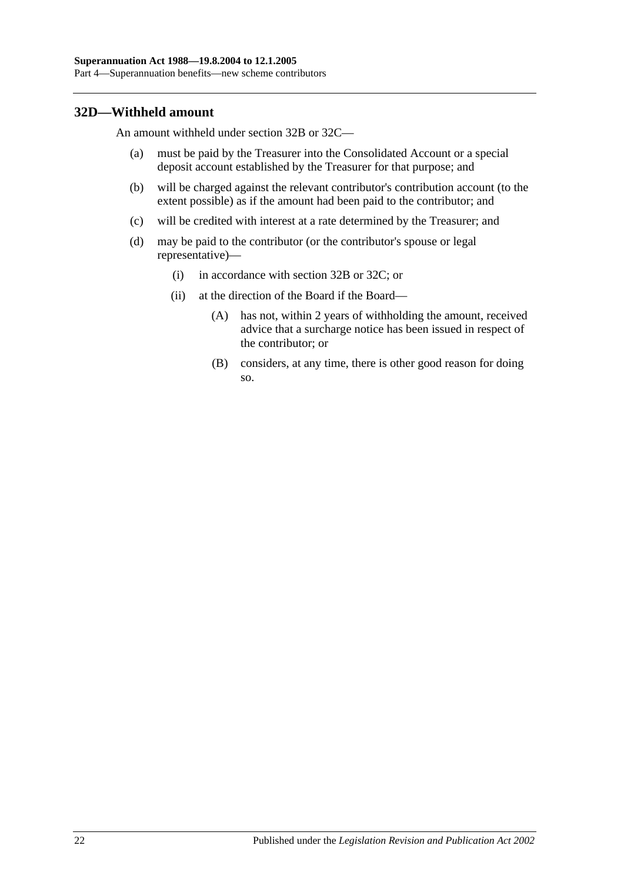#### **32D—Withheld amount**

An amount withheld under [section](#page-44-3) 32B or [32C—](#page-45-2)

- (a) must be paid by the Treasurer into the Consolidated Account or a special deposit account established by the Treasurer for that purpose; and
- (b) will be charged against the relevant contributor's contribution account (to the extent possible) as if the amount had been paid to the contributor; and
- (c) will be credited with interest at a rate determined by the Treasurer; and
- (d) may be paid to the contributor (or the contributor's spouse or legal representative)—
	- (i) in accordance with [section](#page-44-3) 32B or [32C;](#page-45-2) or
	- (ii) at the direction of the Board if the Board—
		- (A) has not, within 2 years of withholding the amount, received advice that a surcharge notice has been issued in respect of the contributor; or
		- (B) considers, at any time, there is other good reason for doing so.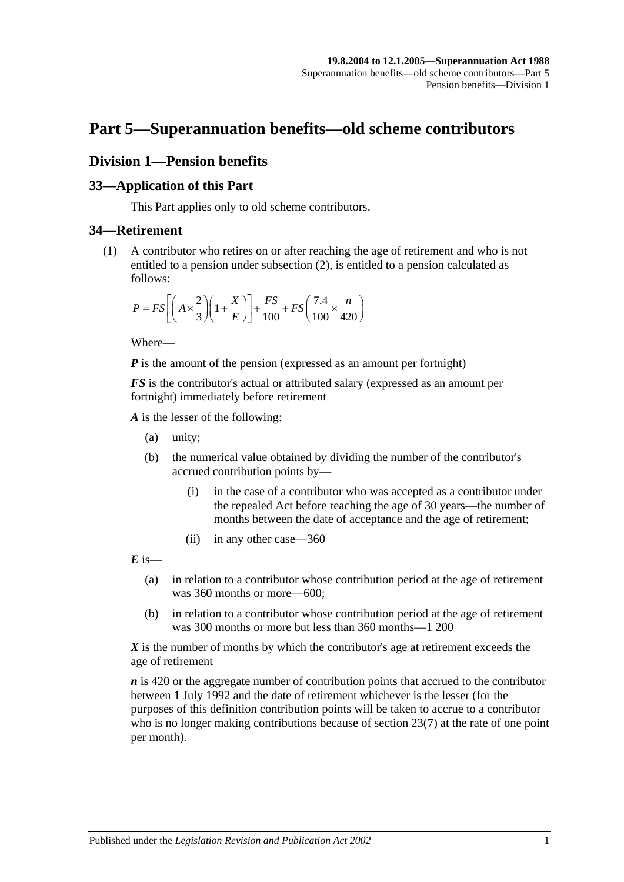# **Part 5—Superannuation benefits—old scheme contributors**

# **Division 1—Pension benefits**

## **33—Application of this Part**

This Part applies only to old scheme contributors.

## <span id="page-48-0"></span>**34—Retirement**

(1) A contributor who retires on or after reaching the age of retirement and who is not entitled to a pension under [subsection](#page-49-0) (2), is entitled to a pension calculated as follows:

$$
P = FS \left[ \left( A \times \frac{2}{3} \right) \left( 1 + \frac{X}{E} \right) \right] + \frac{FS}{100} + FS \left( \frac{7.4}{100} \times \frac{n}{420} \right)
$$

Where—

*P* is the amount of the pension (expressed as an amount per fortnight)

*FS* is the contributor's actual or attributed salary (expressed as an amount per fortnight) immediately before retirement

*A* is the lesser of the following:

- (a) unity;
- (b) the numerical value obtained by dividing the number of the contributor's accrued contribution points by—
	- (i) in the case of a contributor who was accepted as a contributor under the repealed Act before reaching the age of 30 years—the number of months between the date of acceptance and the age of retirement;
	- (ii) in any other case—360

 $\vec{E}$  is—

- (a) in relation to a contributor whose contribution period at the age of retirement was 360 months or more—600;
- (b) in relation to a contributor whose contribution period at the age of retirement was 300 months or more but less than 360 months—1 200

*X* is the number of months by which the contributor's age at retirement exceeds the age of retirement

*n* is 420 or the aggregate number of contribution points that accrued to the contributor between 1 July 1992 and the date of retirement whichever is the lesser (for the purposes of this definition contribution points will be taken to accrue to a contributor who is no longer making contributions because of [section](#page-24-0) 23(7) at the rate of one point per month).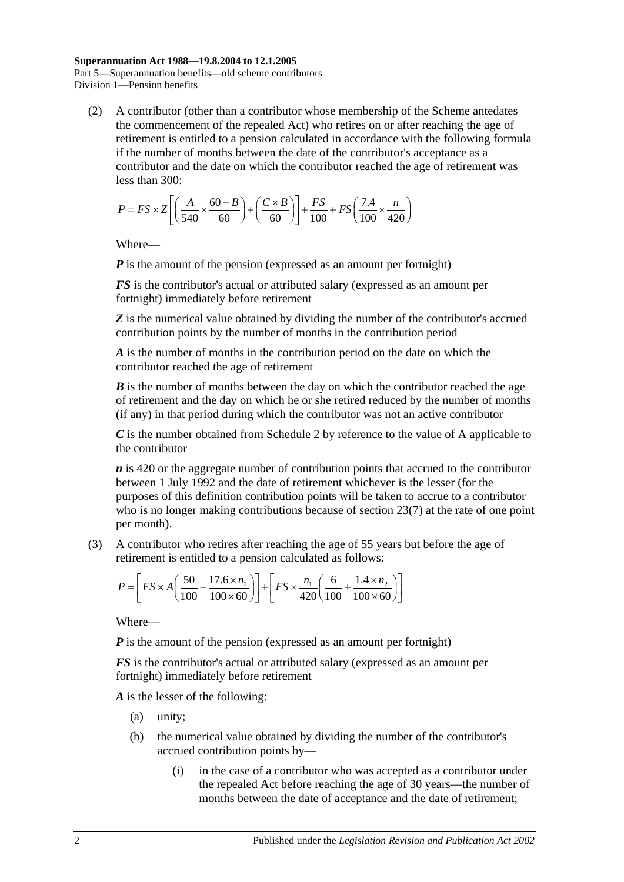<span id="page-49-0"></span>(2) A contributor (other than a contributor whose membership of the Scheme antedates the commencement of the repealed Act) who retires on or after reaching the age of retirement is entitled to a pension calculated in accordance with the following formula if the number of months between the date of the contributor's acceptance as a contributor and the date on which the contributor reached the age of retirement was less than 300:

$$
P = FS \times Z \left[ \left( \frac{A}{540} \times \frac{60 - B}{60} \right) + \left( \frac{C \times B}{60} \right) \right] + \frac{FS}{100} + FS \left( \frac{7.4}{100} \times \frac{n}{420} \right)
$$

Where—

*P* is the amount of the pension (expressed as an amount per fortnight)

*FS* is the contributor's actual or attributed salary (expressed as an amount per fortnight) immediately before retirement

**Z** is the numerical value obtained by dividing the number of the contributor's accrued contribution points by the number of months in the contribution period

*A* is the number of months in the contribution period on the date on which the contributor reached the age of retirement

*B* is the number of months between the day on which the contributor reached the age of retirement and the day on which he or she retired reduced by the number of months (if any) in that period during which the contributor was not an active contributor

*C* is the number obtained from [Schedule 2](#page-114-0) by reference to the value of A applicable to the contributor

*n* is 420 or the aggregate number of contribution points that accrued to the contributor between 1 July 1992 and the date of retirement whichever is the lesser (for the purposes of this definition contribution points will be taken to accrue to a contributor who is no longer making contributions because of [section](#page-24-0) 23(7) at the rate of one point per month).

(3) A contributor who retires after reaching the age of 55 years but before the age of retirement is entitled to a pension calculated as follows:

$$
P = \left[ FS \times A \left( \frac{50}{100} + \frac{17.6 \times n_2}{100 \times 60} \right) \right] + \left[ FS \times \frac{n_1}{420} \left( \frac{6}{100} + \frac{1.4 \times n_2}{100 \times 60} \right) \right]
$$

Where—

*P* is the amount of the pension (expressed as an amount per fortnight)

*FS* is the contributor's actual or attributed salary (expressed as an amount per fortnight) immediately before retirement

*A* is the lesser of the following:

- (a) unity;
- (b) the numerical value obtained by dividing the number of the contributor's accrued contribution points by—
	- (i) in the case of a contributor who was accepted as a contributor under the repealed Act before reaching the age of 30 years—the number of months between the date of acceptance and the date of retirement;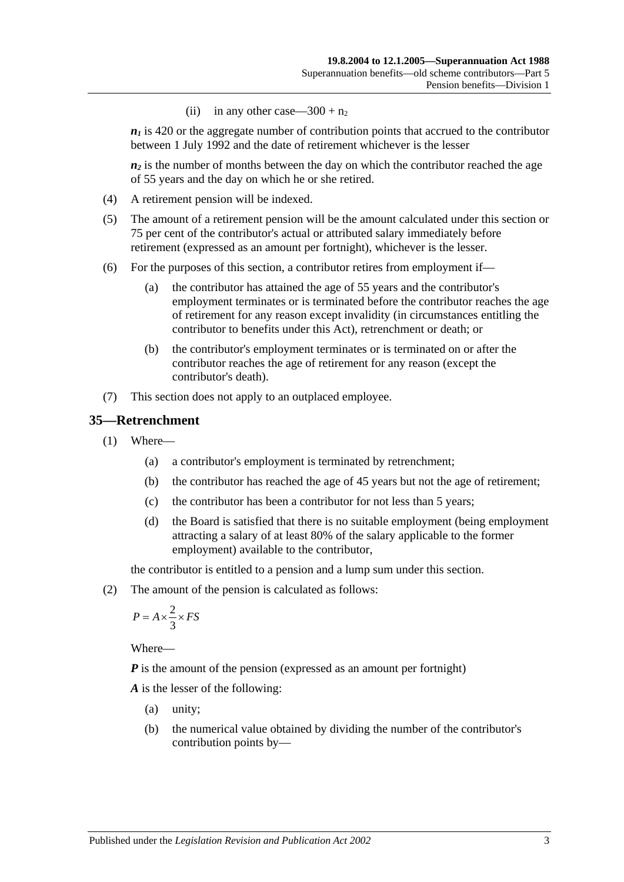(ii) in any other case— $300 + n_2$ 

 $n_1$  is 420 or the aggregate number of contribution points that accrued to the contributor between 1 July 1992 and the date of retirement whichever is the lesser

 $n_2$  is the number of months between the day on which the contributor reached the age of 55 years and the day on which he or she retired.

- (4) A retirement pension will be indexed.
- (5) The amount of a retirement pension will be the amount calculated under this section or 75 per cent of the contributor's actual or attributed salary immediately before retirement (expressed as an amount per fortnight), whichever is the lesser.
- (6) For the purposes of this section, a contributor retires from employment if—
	- (a) the contributor has attained the age of 55 years and the contributor's employment terminates or is terminated before the contributor reaches the age of retirement for any reason except invalidity (in circumstances entitling the contributor to benefits under this Act), retrenchment or death; or
	- (b) the contributor's employment terminates or is terminated on or after the contributor reaches the age of retirement for any reason (except the contributor's death).
- (7) This section does not apply to an outplaced employee.

#### <span id="page-50-1"></span>**35—Retrenchment**

- (1) Where—
	- (a) a contributor's employment is terminated by retrenchment;
	- (b) the contributor has reached the age of 45 years but not the age of retirement;
	- (c) the contributor has been a contributor for not less than 5 years;
	- (d) the Board is satisfied that there is no suitable employment (being employment attracting a salary of at least 80% of the salary applicable to the former employment) available to the contributor,

the contributor is entitled to a pension and a lump sum under this section.

<span id="page-50-0"></span>(2) The amount of the pension is calculated as follows:

$$
P = A \times \frac{2}{3} \times FS
$$

Where—

*P* is the amount of the pension (expressed as an amount per fortnight)

*A* is the lesser of the following:

- (a) unity;
- (b) the numerical value obtained by dividing the number of the contributor's contribution points by—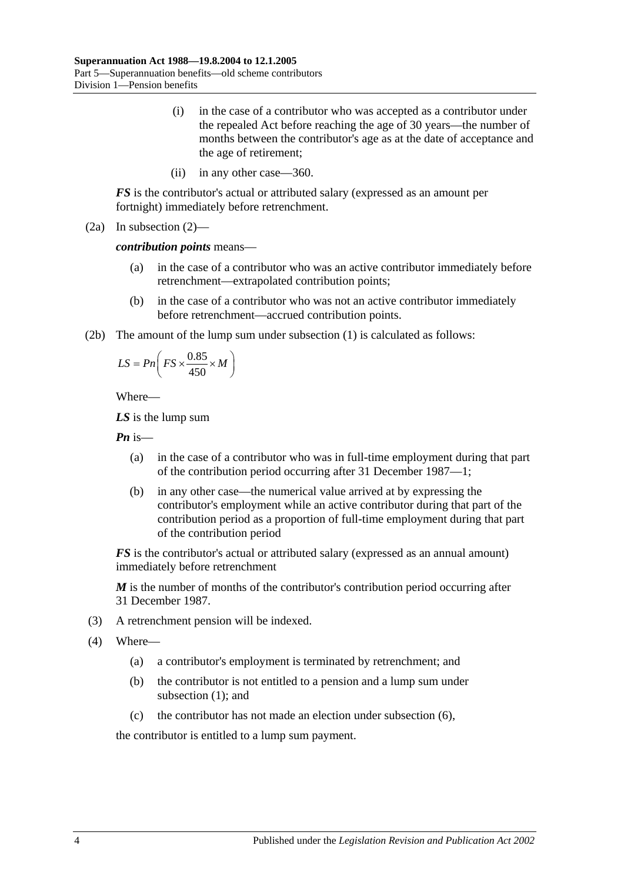- (i) in the case of a contributor who was accepted as a contributor under the repealed Act before reaching the age of 30 years—the number of months between the contributor's age as at the date of acceptance and the age of retirement;
- (ii) in any other case—360.

*FS* is the contributor's actual or attributed salary (expressed as an amount per fortnight) immediately before retrenchment.

(2a) In [subsection](#page-50-0) (2)—

*contribution points* means—

- (a) in the case of a contributor who was an active contributor immediately before retrenchment—extrapolated contribution points;
- (b) in the case of a contributor who was not an active contributor immediately before retrenchment—accrued contribution points.
- (2b) The amount of the lump sum under [subsection](#page-50-1) (1) is calculated as follows:

$$
LS = P n \left( FS \times \frac{0.85}{450} \times M \right)
$$

Where—

*LS* is the lump sum

*Pn* is—

- (a) in the case of a contributor who was in full-time employment during that part of the contribution period occurring after 31 December 1987—1;
- (b) in any other case—the numerical value arrived at by expressing the contributor's employment while an active contributor during that part of the contribution period as a proportion of full-time employment during that part of the contribution period

*FS* is the contributor's actual or attributed salary (expressed as an annual amount) immediately before retrenchment

*M* is the number of months of the contributor's contribution period occurring after 31 December 1987.

- (3) A retrenchment pension will be indexed.
- (4) Where—
	- (a) a contributor's employment is terminated by retrenchment; and
	- (b) the contributor is not entitled to a pension and a lump sum under [subsection](#page-50-1) (1); and
	- (c) the contributor has not made an election under [subsection](#page-52-0) (6),

the contributor is entitled to a lump sum payment.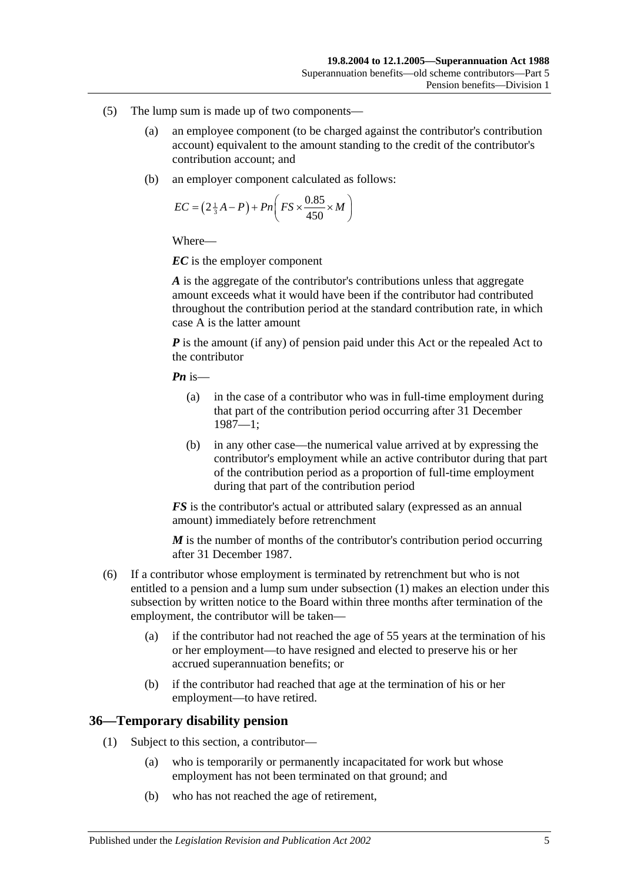- (5) The lump sum is made up of two components—
	- (a) an employee component (to be charged against the contributor's contribution account) equivalent to the amount standing to the credit of the contributor's contribution account; and
	- (b) an employer component calculated as follows:

$$
EC = \left(2\frac{1}{3}A - P\right) + Pn\left(FS \times \frac{0.85}{450} \times M\right)
$$

*EC* is the employer component

*A* is the aggregate of the contributor's contributions unless that aggregate amount exceeds what it would have been if the contributor had contributed throughout the contribution period at the standard contribution rate, in which case A is the latter amount

*P* is the amount (if any) of pension paid under this Act or the repealed Act to the contributor

*Pn* is—

- (a) in the case of a contributor who was in full-time employment during that part of the contribution period occurring after 31 December 1987—1;
- (b) in any other case—the numerical value arrived at by expressing the contributor's employment while an active contributor during that part of the contribution period as a proportion of full-time employment during that part of the contribution period

*FS* is the contributor's actual or attributed salary (expressed as an annual amount) immediately before retrenchment

*M* is the number of months of the contributor's contribution period occurring after 31 December 1987.

- <span id="page-52-0"></span>(6) If a contributor whose employment is terminated by retrenchment but who is not entitled to a pension and a lump sum under [subsection](#page-50-1) (1) makes an election under this subsection by written notice to the Board within three months after termination of the employment, the contributor will be taken—
	- (a) if the contributor had not reached the age of 55 years at the termination of his or her employment—to have resigned and elected to preserve his or her accrued superannuation benefits; or
	- (b) if the contributor had reached that age at the termination of his or her employment—to have retired.

#### **36—Temporary disability pension**

- (1) Subject to this section, a contributor—
	- (a) who is temporarily or permanently incapacitated for work but whose employment has not been terminated on that ground; and
	- (b) who has not reached the age of retirement,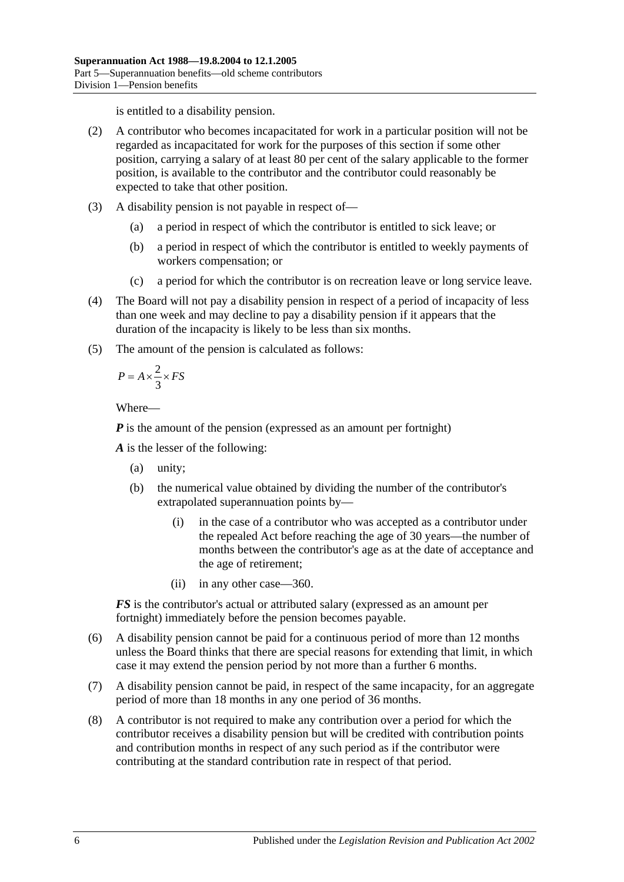is entitled to a disability pension.

- (2) A contributor who becomes incapacitated for work in a particular position will not be regarded as incapacitated for work for the purposes of this section if some other position, carrying a salary of at least 80 per cent of the salary applicable to the former position, is available to the contributor and the contributor could reasonably be expected to take that other position.
- (3) A disability pension is not payable in respect of—
	- (a) a period in respect of which the contributor is entitled to sick leave; or
	- (b) a period in respect of which the contributor is entitled to weekly payments of workers compensation; or
	- (c) a period for which the contributor is on recreation leave or long service leave.
- (4) The Board will not pay a disability pension in respect of a period of incapacity of less than one week and may decline to pay a disability pension if it appears that the duration of the incapacity is likely to be less than six months.
- (5) The amount of the pension is calculated as follows:

$$
P = A \times \frac{2}{3} \times FS
$$

Where—

*P* is the amount of the pension (expressed as an amount per fortnight)

*A* is the lesser of the following:

- (a) unity;
- (b) the numerical value obtained by dividing the number of the contributor's extrapolated superannuation points by—
	- (i) in the case of a contributor who was accepted as a contributor under the repealed Act before reaching the age of 30 years—the number of months between the contributor's age as at the date of acceptance and the age of retirement;
	- (ii) in any other case—360.

*FS* is the contributor's actual or attributed salary (expressed as an amount per fortnight) immediately before the pension becomes payable.

- (6) A disability pension cannot be paid for a continuous period of more than 12 months unless the Board thinks that there are special reasons for extending that limit, in which case it may extend the pension period by not more than a further 6 months.
- (7) A disability pension cannot be paid, in respect of the same incapacity, for an aggregate period of more than 18 months in any one period of 36 months.
- (8) A contributor is not required to make any contribution over a period for which the contributor receives a disability pension but will be credited with contribution points and contribution months in respect of any such period as if the contributor were contributing at the standard contribution rate in respect of that period.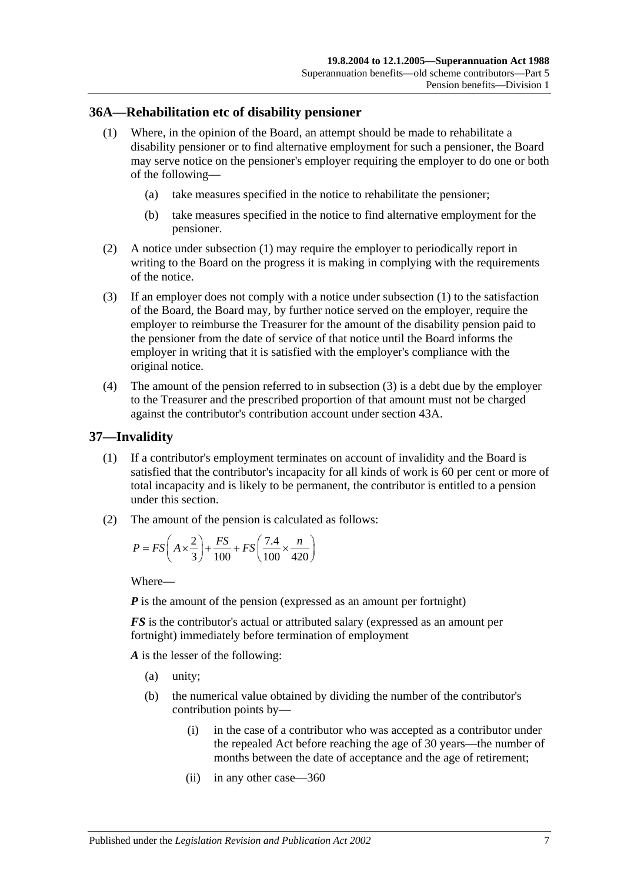#### <span id="page-54-0"></span>**36A—Rehabilitation etc of disability pensioner**

- (1) Where, in the opinion of the Board, an attempt should be made to rehabilitate a disability pensioner or to find alternative employment for such a pensioner, the Board may serve notice on the pensioner's employer requiring the employer to do one or both of the following—
	- (a) take measures specified in the notice to rehabilitate the pensioner;
	- (b) take measures specified in the notice to find alternative employment for the pensioner.
- (2) A notice under [subsection](#page-54-0) (1) may require the employer to periodically report in writing to the Board on the progress it is making in complying with the requirements of the notice.
- <span id="page-54-1"></span>(3) If an employer does not comply with a notice under [subsection](#page-54-0) (1) to the satisfaction of the Board, the Board may, by further notice served on the employer, require the employer to reimburse the Treasurer for the amount of the disability pension paid to the pensioner from the date of service of that notice until the Board informs the employer in writing that it is satisfied with the employer's compliance with the original notice.
- (4) The amount of the pension referred to in [subsection](#page-54-1) (3) is a debt due by the employer to the Treasurer and the prescribed proportion of that amount must not be charged against the contributor's contribution account under [section](#page-74-0) 43A.

#### <span id="page-54-3"></span>**37—Invalidity**

- (1) If a contributor's employment terminates on account of invalidity and the Board is satisfied that the contributor's incapacity for all kinds of work is 60 per cent or more of total incapacity and is likely to be permanent, the contributor is entitled to a pension under this section.
- <span id="page-54-2"></span>(2) The amount of the pension is calculated as follows:

$$
P = FS\left(A \times \frac{2}{3}\right) + \frac{FS}{100} + FS\left(\frac{7.4}{100} \times \frac{n}{420}\right)
$$

Where—

*P* is the amount of the pension (expressed as an amount per fortnight)

*FS* is the contributor's actual or attributed salary (expressed as an amount per fortnight) immediately before termination of employment

*A* is the lesser of the following:

- (a) unity;
- (b) the numerical value obtained by dividing the number of the contributor's contribution points by—
	- (i) in the case of a contributor who was accepted as a contributor under the repealed Act before reaching the age of 30 years—the number of months between the date of acceptance and the age of retirement;
	- (ii) in any other case—360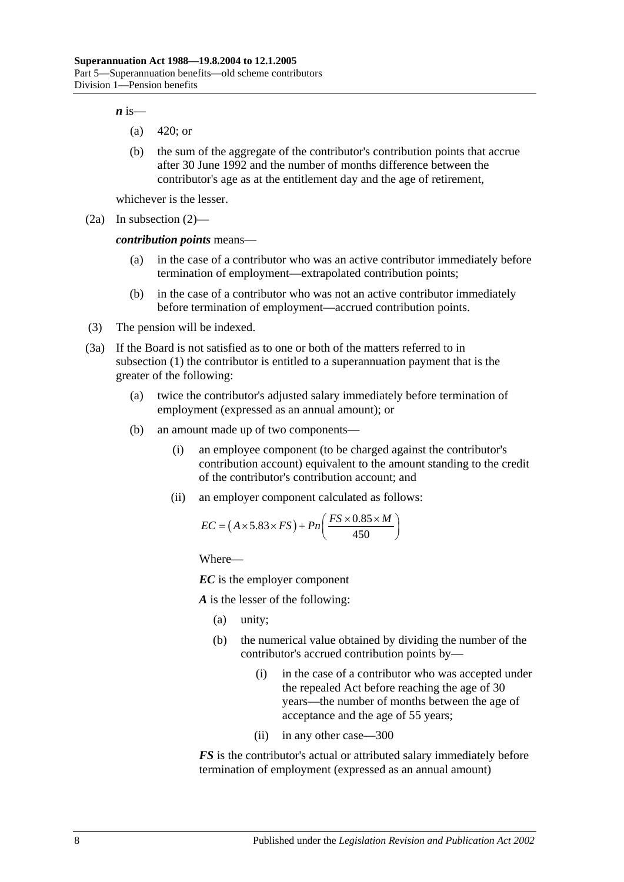$\boldsymbol{n}$  is—

- (a) 420; or
- (b) the sum of the aggregate of the contributor's contribution points that accrue after 30 June 1992 and the number of months difference between the contributor's age as at the entitlement day and the age of retirement,

whichever is the lesser.

(2a) In [subsection](#page-54-2) (2)—

*contribution points* means—

- (a) in the case of a contributor who was an active contributor immediately before termination of employment—extrapolated contribution points;
- (b) in the case of a contributor who was not an active contributor immediately before termination of employment—accrued contribution points.
- (3) The pension will be indexed.
- <span id="page-55-0"></span>(3a) If the Board is not satisfied as to one or both of the matters referred to in [subsection](#page-54-3) (1) the contributor is entitled to a superannuation payment that is the greater of the following:
	- (a) twice the contributor's adjusted salary immediately before termination of employment (expressed as an annual amount); or
	- (b) an amount made up of two components—
		- (i) an employee component (to be charged against the contributor's contribution account) equivalent to the amount standing to the credit of the contributor's contribution account; and
		- (ii) an employer component calculated as follows:

$$
EC = (A \times 5.83 \times FS) + Pn\left(\frac{FS \times 0.85 \times M}{450}\right)
$$

Where—

*EC* is the employer component

*A* is the lesser of the following:

- (a) unity;
- (b) the numerical value obtained by dividing the number of the contributor's accrued contribution points by—
	- (i) in the case of a contributor who was accepted under the repealed Act before reaching the age of 30 years—the number of months between the age of acceptance and the age of 55 years;
	- (ii) in any other case—300

*FS* is the contributor's actual or attributed salary immediately before termination of employment (expressed as an annual amount)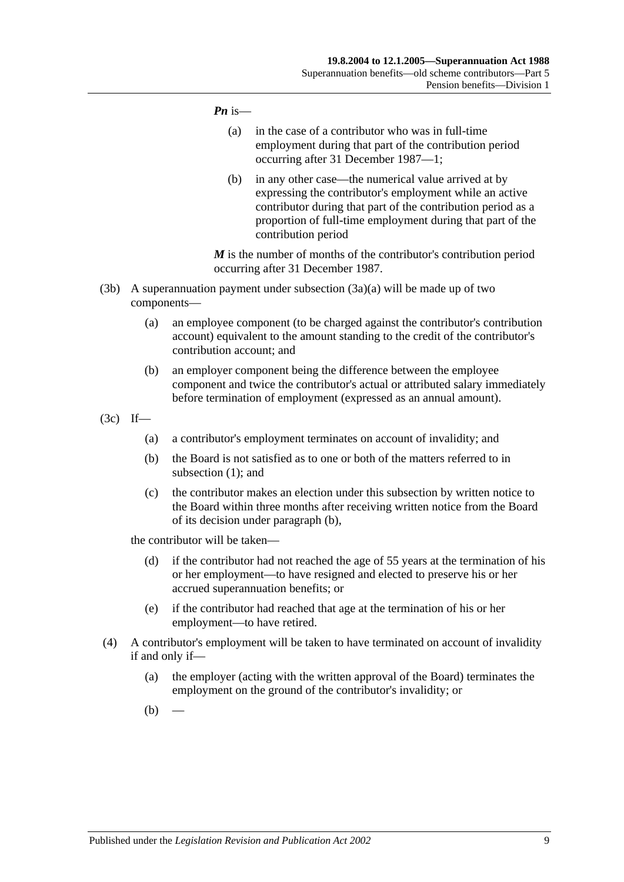#### *Pn* is—

- (a) in the case of a contributor who was in full-time employment during that part of the contribution period occurring after 31 December 1987—1;
- (b) in any other case—the numerical value arrived at by expressing the contributor's employment while an active contributor during that part of the contribution period as a proportion of full-time employment during that part of the contribution period

*M* is the number of months of the contributor's contribution period occurring after 31 December 1987.

- (3b) A superannuation payment under [subsection](#page-55-0)  $(3a)(a)$  will be made up of two components—
	- (a) an employee component (to be charged against the contributor's contribution account) equivalent to the amount standing to the credit of the contributor's contribution account; and
	- (b) an employer component being the difference between the employee component and twice the contributor's actual or attributed salary immediately before termination of employment (expressed as an annual amount).
- <span id="page-56-0"></span>(3c) If—
	- (a) a contributor's employment terminates on account of invalidity; and
	- (b) the Board is not satisfied as to one or both of the matters referred to in [subsection](#page-54-3) (1); and
	- (c) the contributor makes an election under this subsection by written notice to the Board within three months after receiving written notice from the Board of its decision under [paragraph](#page-56-0) (b),

the contributor will be taken—

- (d) if the contributor had not reached the age of 55 years at the termination of his or her employment—to have resigned and elected to preserve his or her accrued superannuation benefits; or
- (e) if the contributor had reached that age at the termination of his or her employment—to have retired.
- <span id="page-56-2"></span><span id="page-56-1"></span>(4) A contributor's employment will be taken to have terminated on account of invalidity if and only if—
	- (a) the employer (acting with the written approval of the Board) terminates the employment on the ground of the contributor's invalidity; or
	- $(b)$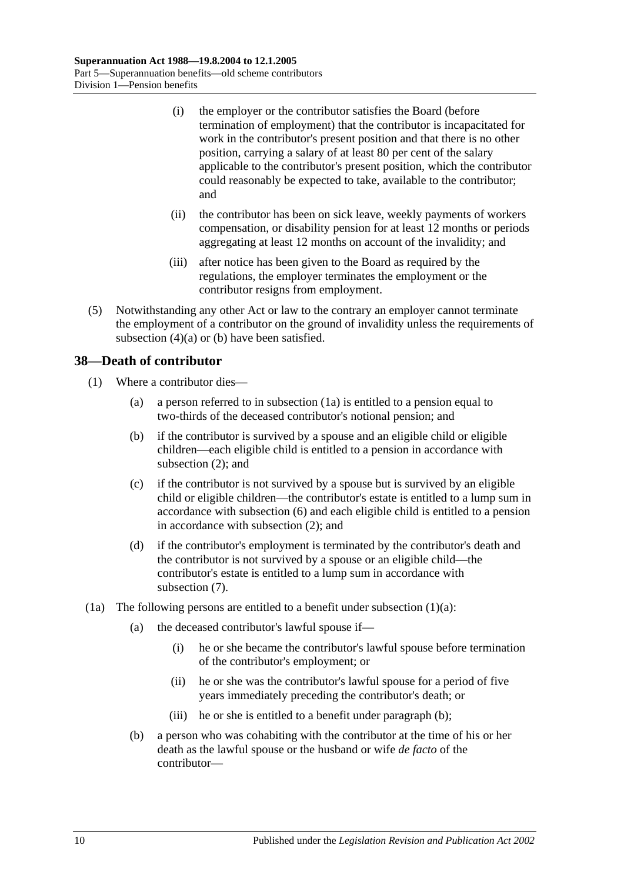- (i) the employer or the contributor satisfies the Board (before termination of employment) that the contributor is incapacitated for work in the contributor's present position and that there is no other position, carrying a salary of at least 80 per cent of the salary applicable to the contributor's present position, which the contributor could reasonably be expected to take, available to the contributor; and
- (ii) the contributor has been on sick leave, weekly payments of workers compensation, or disability pension for at least 12 months or periods aggregating at least 12 months on account of the invalidity; and
- (iii) after notice has been given to the Board as required by the regulations, the employer terminates the employment or the contributor resigns from employment.
- (5) Notwithstanding any other Act or law to the contrary an employer cannot terminate the employment of a contributor on the ground of invalidity unless the requirements of [subsection](#page-56-1)  $(4)(a)$  or  $(b)$  have been satisfied.

## **38—Death of contributor**

- <span id="page-57-1"></span>(1) Where a contributor dies—
	- (a) a person referred to in [subsection](#page-57-0) (1a) is entitled to a pension equal to two-thirds of the deceased contributor's notional pension; and
	- (b) if the contributor is survived by a spouse and an eligible child or eligible children—each eligible child is entitled to a pension in accordance with [subsection](#page-58-0) (2); and
	- (c) if the contributor is not survived by a spouse but is survived by an eligible child or eligible children—the contributor's estate is entitled to a lump sum in accordance with [subsection](#page-59-0) (6) and each eligible child is entitled to a pension in accordance with [subsection](#page-58-0) (2); and
	- (d) if the contributor's employment is terminated by the contributor's death and the contributor is not survived by a spouse or an eligible child—the contributor's estate is entitled to a lump sum in accordance with [subsection](#page-60-0) (7).
- <span id="page-57-2"></span><span id="page-57-0"></span>(1a) The following persons are entitled to a benefit under [subsection](#page-57-1)  $(1)(a)$ :
	- (a) the deceased contributor's lawful spouse if—
		- (i) he or she became the contributor's lawful spouse before termination of the contributor's employment; or
		- (ii) he or she was the contributor's lawful spouse for a period of five years immediately preceding the contributor's death; or
		- (iii) he or she is entitled to a benefit under [paragraph](#page-57-2) (b);
	- (b) a person who was cohabiting with the contributor at the time of his or her death as the lawful spouse or the husband or wife *de facto* of the contributor—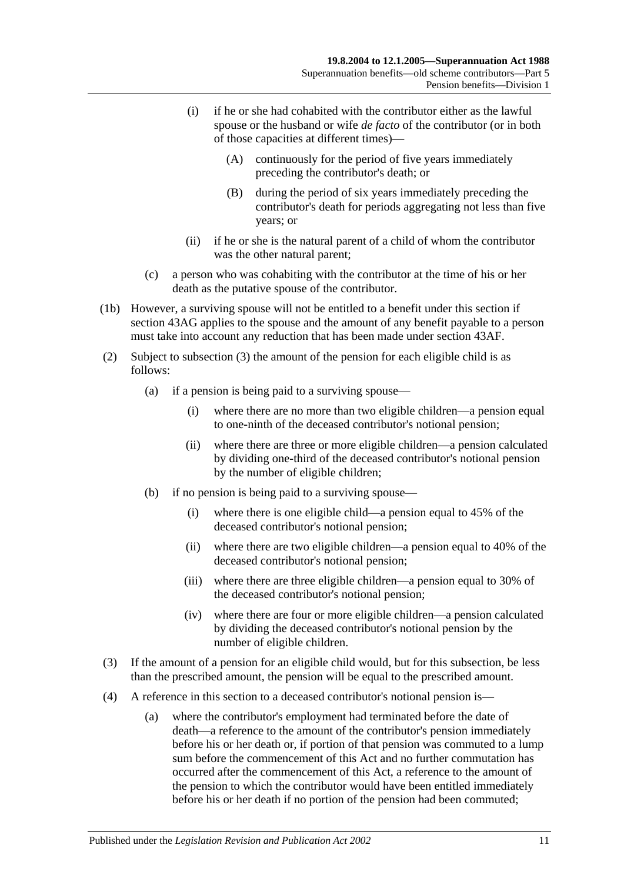- (i) if he or she had cohabited with the contributor either as the lawful spouse or the husband or wife *de facto* of the contributor (or in both of those capacities at different times)—
	- (A) continuously for the period of five years immediately preceding the contributor's death; or
	- (B) during the period of six years immediately preceding the contributor's death for periods aggregating not less than five years; or
- (ii) if he or she is the natural parent of a child of whom the contributor was the other natural parent;
- (c) a person who was cohabiting with the contributor at the time of his or her death as the putative spouse of the contributor.
- (1b) However, a surviving spouse will not be entitled to a benefit under this section if [section](#page-78-0) 43AG applies to the spouse and the amount of any benefit payable to a person must take into account any reduction that has been made under [section](#page-77-0) 43AF.
- <span id="page-58-0"></span>(2) Subject to [subsection](#page-58-1) (3) the amount of the pension for each eligible child is as follows:
	- (a) if a pension is being paid to a surviving spouse—
		- (i) where there are no more than two eligible children—a pension equal to one-ninth of the deceased contributor's notional pension;
		- (ii) where there are three or more eligible children—a pension calculated by dividing one-third of the deceased contributor's notional pension by the number of eligible children;
	- (b) if no pension is being paid to a surviving spouse—
		- (i) where there is one eligible child—a pension equal to 45% of the deceased contributor's notional pension;
		- (ii) where there are two eligible children—a pension equal to 40% of the deceased contributor's notional pension;
		- (iii) where there are three eligible children—a pension equal to 30% of the deceased contributor's notional pension;
		- (iv) where there are four or more eligible children—a pension calculated by dividing the deceased contributor's notional pension by the number of eligible children.
- <span id="page-58-1"></span>(3) If the amount of a pension for an eligible child would, but for this subsection, be less than the prescribed amount, the pension will be equal to the prescribed amount.
- <span id="page-58-2"></span>(4) A reference in this section to a deceased contributor's notional pension is—
	- (a) where the contributor's employment had terminated before the date of death—a reference to the amount of the contributor's pension immediately before his or her death or, if portion of that pension was commuted to a lump sum before the commencement of this Act and no further commutation has occurred after the commencement of this Act, a reference to the amount of the pension to which the contributor would have been entitled immediately before his or her death if no portion of the pension had been commuted;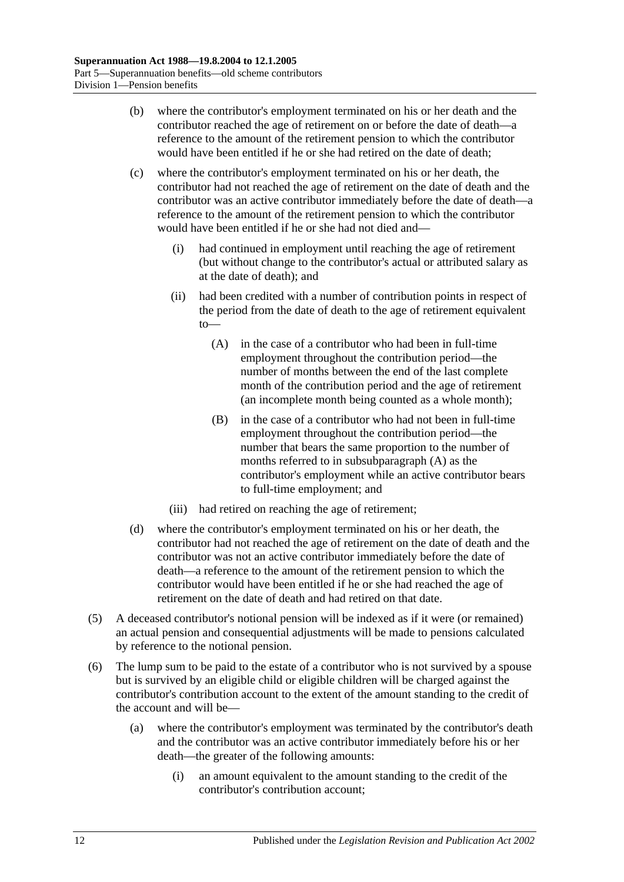- (b) where the contributor's employment terminated on his or her death and the contributor reached the age of retirement on or before the date of death—a reference to the amount of the retirement pension to which the contributor would have been entitled if he or she had retired on the date of death;
- <span id="page-59-1"></span>(c) where the contributor's employment terminated on his or her death, the contributor had not reached the age of retirement on the date of death and the contributor was an active contributor immediately before the date of death—a reference to the amount of the retirement pension to which the contributor would have been entitled if he or she had not died and—
	- (i) had continued in employment until reaching the age of retirement (but without change to the contributor's actual or attributed salary as at the date of death); and
	- (ii) had been credited with a number of contribution points in respect of the period from the date of death to the age of retirement equivalent to—
		- (A) in the case of a contributor who had been in full-time employment throughout the contribution period—the number of months between the end of the last complete month of the contribution period and the age of retirement (an incomplete month being counted as a whole month);
		- (B) in the case of a contributor who had not been in full-time employment throughout the contribution period—the number that bears the same proportion to the number of months referred to in [subsubparagraph](#page-59-1) (A) as the contributor's employment while an active contributor bears to full-time employment; and
	- (iii) had retired on reaching the age of retirement;
- (d) where the contributor's employment terminated on his or her death, the contributor had not reached the age of retirement on the date of death and the contributor was not an active contributor immediately before the date of death—a reference to the amount of the retirement pension to which the contributor would have been entitled if he or she had reached the age of retirement on the date of death and had retired on that date.
- (5) A deceased contributor's notional pension will be indexed as if it were (or remained) an actual pension and consequential adjustments will be made to pensions calculated by reference to the notional pension.
- <span id="page-59-0"></span>(6) The lump sum to be paid to the estate of a contributor who is not survived by a spouse but is survived by an eligible child or eligible children will be charged against the contributor's contribution account to the extent of the amount standing to the credit of the account and will be—
	- (a) where the contributor's employment was terminated by the contributor's death and the contributor was an active contributor immediately before his or her death—the greater of the following amounts:
		- (i) an amount equivalent to the amount standing to the credit of the contributor's contribution account;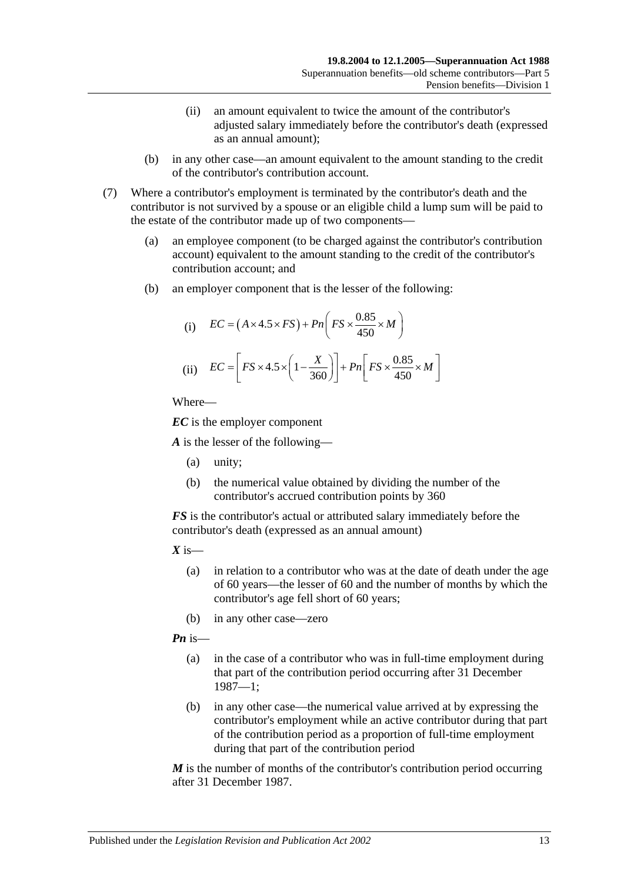- (ii) an amount equivalent to twice the amount of the contributor's adjusted salary immediately before the contributor's death (expressed as an annual amount);
- (b) in any other case—an amount equivalent to the amount standing to the credit of the contributor's contribution account.
- <span id="page-60-0"></span>(7) Where a contributor's employment is terminated by the contributor's death and the contributor is not survived by a spouse or an eligible child a lump sum will be paid to the estate of the contributor made up of two components—
	- (a) an employee component (to be charged against the contributor's contribution account) equivalent to the amount standing to the credit of the contributor's contribution account; and
	- (b) an employer component that is the lesser of the following:

(i) 
$$
EC = (A \times 4.5 \times FS) + Pn\left(FS \times \frac{0.85}{450} \times M\right)
$$
  
(ii) 
$$
EC = \left[FS \times 4.5 \times \left(1 - \frac{X}{360}\right)\right] + Pn\left[FS \times \frac{0.85}{450} \times M\right]
$$

*EC* is the employer component

*A* is the lesser of the following—

- (a) unity;
- (b) the numerical value obtained by dividing the number of the contributor's accrued contribution points by 360

*FS* is the contributor's actual or attributed salary immediately before the contributor's death (expressed as an annual amount)

 $X$  is—

- (a) in relation to a contributor who was at the date of death under the age of 60 years—the lesser of 60 and the number of months by which the contributor's age fell short of 60 years;
- (b) in any other case—zero

*Pn* is—

- (a) in the case of a contributor who was in full-time employment during that part of the contribution period occurring after 31 December 1987—1;
- (b) in any other case—the numerical value arrived at by expressing the contributor's employment while an active contributor during that part of the contribution period as a proportion of full-time employment during that part of the contribution period

*M* is the number of months of the contributor's contribution period occurring after 31 December 1987.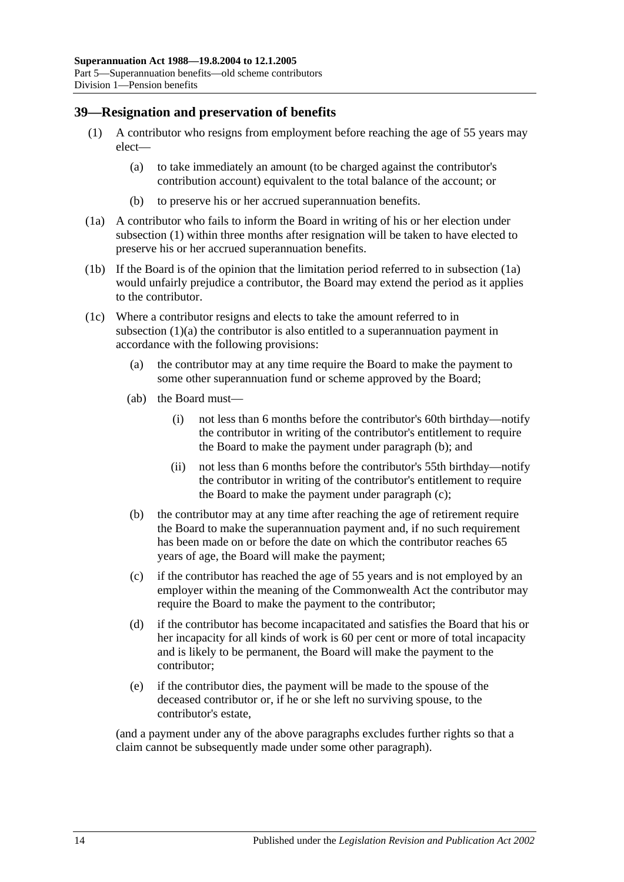#### <span id="page-61-6"></span><span id="page-61-0"></span>**39—Resignation and preservation of benefits**

- <span id="page-61-2"></span>(1) A contributor who resigns from employment before reaching the age of 55 years may elect—
	- (a) to take immediately an amount (to be charged against the contributor's contribution account) equivalent to the total balance of the account; or
	- (b) to preserve his or her accrued superannuation benefits.
- <span id="page-61-1"></span>(1a) A contributor who fails to inform the Board in writing of his or her election under [subsection](#page-61-0) (1) within three months after resignation will be taken to have elected to preserve his or her accrued superannuation benefits.
- (1b) If the Board is of the opinion that the limitation period referred to in [subsection](#page-61-1) (1a) would unfairly prejudice a contributor, the Board may extend the period as it applies to the contributor.
- <span id="page-61-5"></span><span id="page-61-3"></span>(1c) Where a contributor resigns and elects to take the amount referred to in [subsection](#page-61-2) (1)(a) the contributor is also entitled to a superannuation payment in accordance with the following provisions:
	- (a) the contributor may at any time require the Board to make the payment to some other superannuation fund or scheme approved by the Board;
	- (ab) the Board must—
		- (i) not less than 6 months before the contributor's 60th birthday—notify the contributor in writing of the contributor's entitlement to require the Board to make the payment under [paragraph](#page-61-3) (b); and
		- (ii) not less than 6 months before the contributor's 55th birthday—notify the contributor in writing of the contributor's entitlement to require the Board to make the payment under [paragraph](#page-61-4) (c);
	- (b) the contributor may at any time after reaching the age of retirement require the Board to make the superannuation payment and, if no such requirement has been made on or before the date on which the contributor reaches 65 years of age, the Board will make the payment;
	- (c) if the contributor has reached the age of 55 years and is not employed by an employer within the meaning of the Commonwealth Act the contributor may require the Board to make the payment to the contributor;
	- (d) if the contributor has become incapacitated and satisfies the Board that his or her incapacity for all kinds of work is 60 per cent or more of total incapacity and is likely to be permanent, the Board will make the payment to the contributor;
	- (e) if the contributor dies, the payment will be made to the spouse of the deceased contributor or, if he or she left no surviving spouse, to the contributor's estate,

<span id="page-61-4"></span>(and a payment under any of the above paragraphs excludes further rights so that a claim cannot be subsequently made under some other paragraph).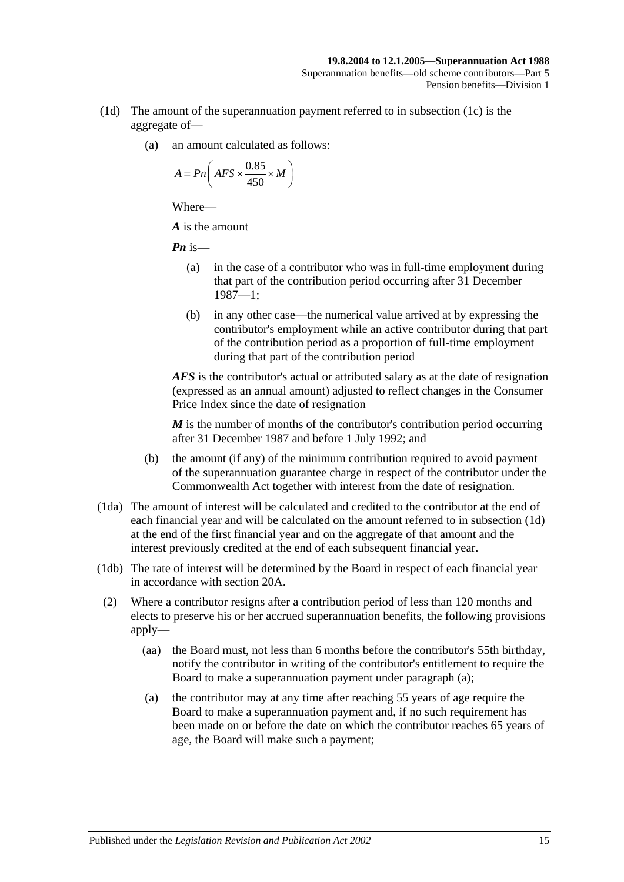- <span id="page-62-0"></span>(1d) The amount of the superannuation payment referred to in [subsection](#page-61-5) (1c) is the aggregate of—
	- (a) an amount calculated as follows:

$$
A = P n \bigg( AFS \times \frac{0.85}{450} \times M \bigg)
$$

*A* is the amount

*Pn* is—

- (a) in the case of a contributor who was in full-time employment during that part of the contribution period occurring after 31 December 1987—1;
- (b) in any other case—the numerical value arrived at by expressing the contributor's employment while an active contributor during that part of the contribution period as a proportion of full-time employment during that part of the contribution period

*AFS* is the contributor's actual or attributed salary as at the date of resignation (expressed as an annual amount) adjusted to reflect changes in the Consumer Price Index since the date of resignation

*M* is the number of months of the contributor's contribution period occurring after 31 December 1987 and before 1 July 1992; and

- (b) the amount (if any) of the minimum contribution required to avoid payment of the superannuation guarantee charge in respect of the contributor under the Commonwealth Act together with interest from the date of resignation.
- (1da) The amount of interest will be calculated and credited to the contributor at the end of each financial year and will be calculated on the amount referred to in [subsection](#page-62-0) (1d) at the end of the first financial year and on the aggregate of that amount and the interest previously credited at the end of each subsequent financial year.
- (1db) The rate of interest will be determined by the Board in respect of each financial year in accordance with [section](#page-17-0) 20A.
- <span id="page-62-2"></span><span id="page-62-1"></span>(2) Where a contributor resigns after a contribution period of less than 120 months and elects to preserve his or her accrued superannuation benefits, the following provisions apply—
	- (aa) the Board must, not less than 6 months before the contributor's 55th birthday, notify the contributor in writing of the contributor's entitlement to require the Board to make a superannuation payment under [paragraph](#page-62-1) (a);
	- (a) the contributor may at any time after reaching 55 years of age require the Board to make a superannuation payment and, if no such requirement has been made on or before the date on which the contributor reaches 65 years of age, the Board will make such a payment;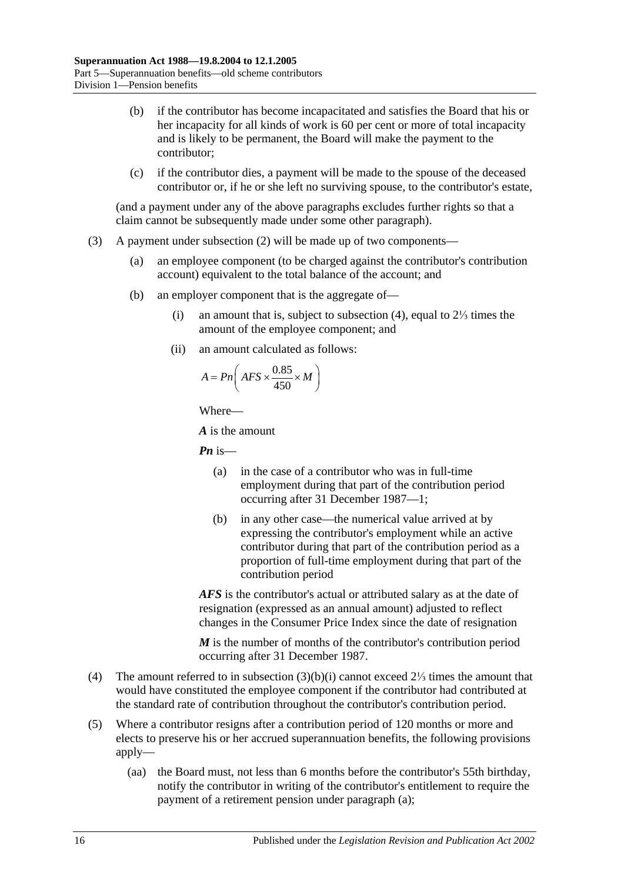- (b) if the contributor has become incapacitated and satisfies the Board that his or her incapacity for all kinds of work is 60 per cent or more of total incapacity and is likely to be permanent, the Board will make the payment to the contributor;
- (c) if the contributor dies, a payment will be made to the spouse of the deceased contributor or, if he or she left no surviving spouse, to the contributor's estate,

(and a payment under any of the above paragraphs excludes further rights so that a claim cannot be subsequently made under some other paragraph).

- <span id="page-63-1"></span>(3) A payment under [subsection](#page-62-2) (2) will be made up of two components—
	- (a) an employee component (to be charged against the contributor's contribution account) equivalent to the total balance of the account; and
	- (b) an employer component that is the aggregate of—
		- (i) an amount that is, subject to [subsection](#page-63-0) (4), equal to 2⅓ times the amount of the employee component; and
		- (ii) an amount calculated as follows:

$$
A = P n \left( AFS \times \frac{0.85}{450} \times M \right)
$$

Where—

*A* is the amount

*Pn* is—

- (a) in the case of a contributor who was in full-time employment during that part of the contribution period occurring after 31 December 1987—1;
- (b) in any other case—the numerical value arrived at by expressing the contributor's employment while an active contributor during that part of the contribution period as a proportion of full-time employment during that part of the contribution period

*AFS* is the contributor's actual or attributed salary as at the date of resignation (expressed as an annual amount) adjusted to reflect changes in the Consumer Price Index since the date of resignation

*M* is the number of months of the contributor's contribution period occurring after 31 December 1987.

- <span id="page-63-0"></span>(4) The amount referred to in [subsection](#page-63-1) (3)(b)(i) cannot exceed 2⅓ times the amount that would have constituted the employee component if the contributor had contributed at the standard rate of contribution throughout the contributor's contribution period.
- <span id="page-63-2"></span>(5) Where a contributor resigns after a contribution period of 120 months or more and elects to preserve his or her accrued superannuation benefits, the following provisions apply—
	- (aa) the Board must, not less than 6 months before the contributor's 55th birthday, notify the contributor in writing of the contributor's entitlement to require the payment of a retirement pension under [paragraph](#page-64-0) (a);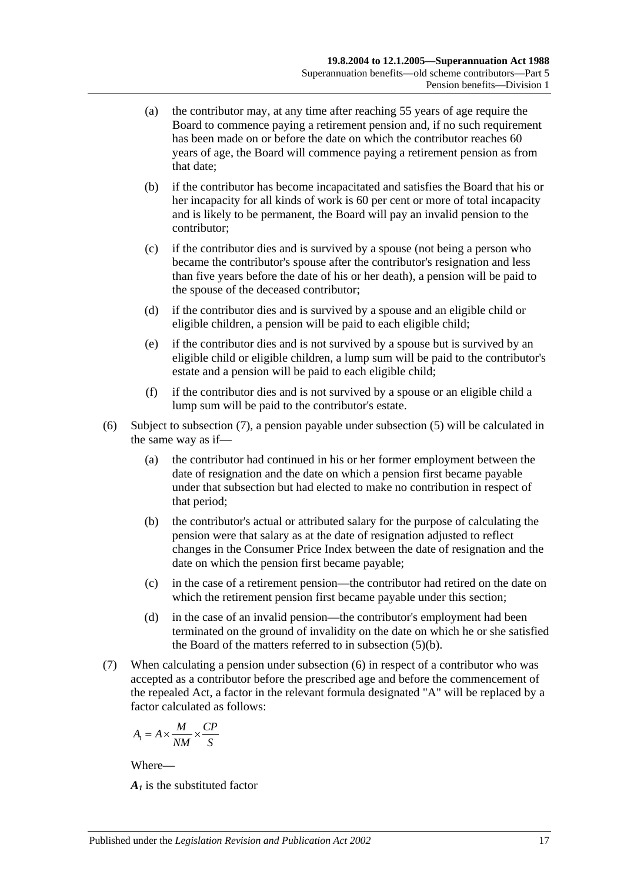- <span id="page-64-0"></span>(a) the contributor may, at any time after reaching 55 years of age require the Board to commence paying a retirement pension and, if no such requirement has been made on or before the date on which the contributor reaches 60 years of age, the Board will commence paying a retirement pension as from that date;
- <span id="page-64-2"></span>(b) if the contributor has become incapacitated and satisfies the Board that his or her incapacity for all kinds of work is 60 per cent or more of total incapacity and is likely to be permanent, the Board will pay an invalid pension to the contributor;
- (c) if the contributor dies and is survived by a spouse (not being a person who became the contributor's spouse after the contributor's resignation and less than five years before the date of his or her death), a pension will be paid to the spouse of the deceased contributor;
- (d) if the contributor dies and is survived by a spouse and an eligible child or eligible children, a pension will be paid to each eligible child;
- (e) if the contributor dies and is not survived by a spouse but is survived by an eligible child or eligible children, a lump sum will be paid to the contributor's estate and a pension will be paid to each eligible child;
- (f) if the contributor dies and is not survived by a spouse or an eligible child a lump sum will be paid to the contributor's estate.
- <span id="page-64-3"></span>(6) Subject to [subsection](#page-64-1) (7), a pension payable under [subsection](#page-63-2) (5) will be calculated in the same way as if—
	- (a) the contributor had continued in his or her former employment between the date of resignation and the date on which a pension first became payable under that subsection but had elected to make no contribution in respect of that period;
	- (b) the contributor's actual or attributed salary for the purpose of calculating the pension were that salary as at the date of resignation adjusted to reflect changes in the Consumer Price Index between the date of resignation and the date on which the pension first became payable;
	- (c) in the case of a retirement pension—the contributor had retired on the date on which the retirement pension first became payable under this section;
	- (d) in the case of an invalid pension—the contributor's employment had been terminated on the ground of invalidity on the date on which he or she satisfied the Board of the matters referred to in [subsection](#page-64-2) (5)(b).
- <span id="page-64-1"></span>(7) When calculating a pension under [subsection](#page-64-3) (6) in respect of a contributor who was accepted as a contributor before the prescribed age and before the commencement of the repealed Act, a factor in the relevant formula designated "A" will be replaced by a factor calculated as follows:

$$
A_1 = A \times \frac{M}{NM} \times \frac{CP}{S}
$$

*A1* is the substituted factor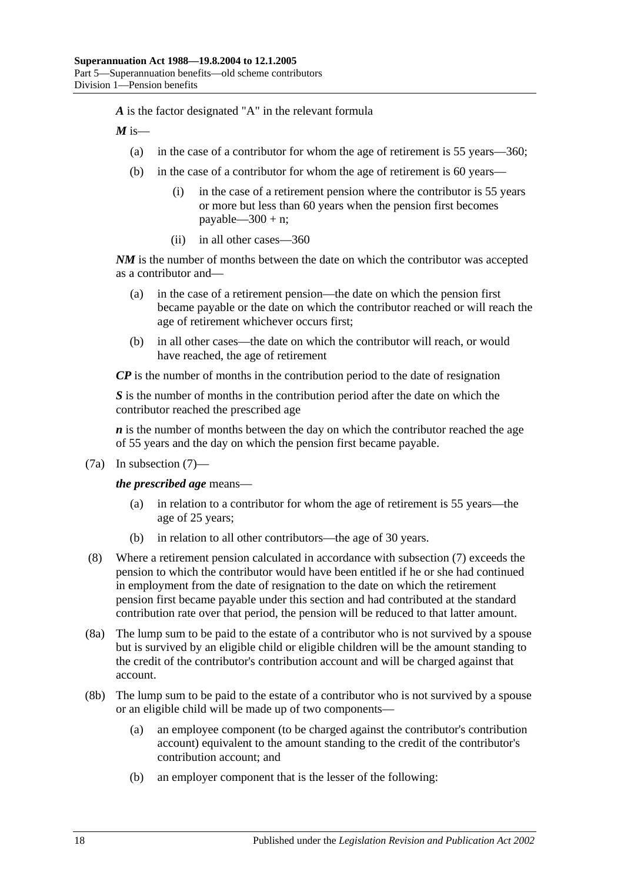*A* is the factor designated "A" in the relevant formula

 $M$  is—

- (a) in the case of a contributor for whom the age of retirement is 55 years—360;
- (b) in the case of a contributor for whom the age of retirement is 60 years—
	- (i) in the case of a retirement pension where the contributor is 55 years or more but less than 60 years when the pension first becomes payable— $300 + n$ ;
	- (ii) in all other cases—360

*NM* is the number of months between the date on which the contributor was accepted as a contributor and—

- (a) in the case of a retirement pension—the date on which the pension first became payable or the date on which the contributor reached or will reach the age of retirement whichever occurs first;
- (b) in all other cases—the date on which the contributor will reach, or would have reached, the age of retirement

*CP* is the number of months in the contribution period to the date of resignation

*S* is the number of months in the contribution period after the date on which the contributor reached the prescribed age

*n* is the number of months between the day on which the contributor reached the age of 55 years and the day on which the pension first became payable.

(7a) In [subsection](#page-64-1) (7)—

*the prescribed age* means—

- (a) in relation to a contributor for whom the age of retirement is 55 years—the age of 25 years;
- (b) in relation to all other contributors—the age of 30 years.
- (8) Where a retirement pension calculated in accordance with [subsection](#page-64-1) (7) exceeds the pension to which the contributor would have been entitled if he or she had continued in employment from the date of resignation to the date on which the retirement pension first became payable under this section and had contributed at the standard contribution rate over that period, the pension will be reduced to that latter amount.
- (8a) The lump sum to be paid to the estate of a contributor who is not survived by a spouse but is survived by an eligible child or eligible children will be the amount standing to the credit of the contributor's contribution account and will be charged against that account.
- (8b) The lump sum to be paid to the estate of a contributor who is not survived by a spouse or an eligible child will be made up of two components—
	- (a) an employee component (to be charged against the contributor's contribution account) equivalent to the amount standing to the credit of the contributor's contribution account; and
	- (b) an employer component that is the lesser of the following: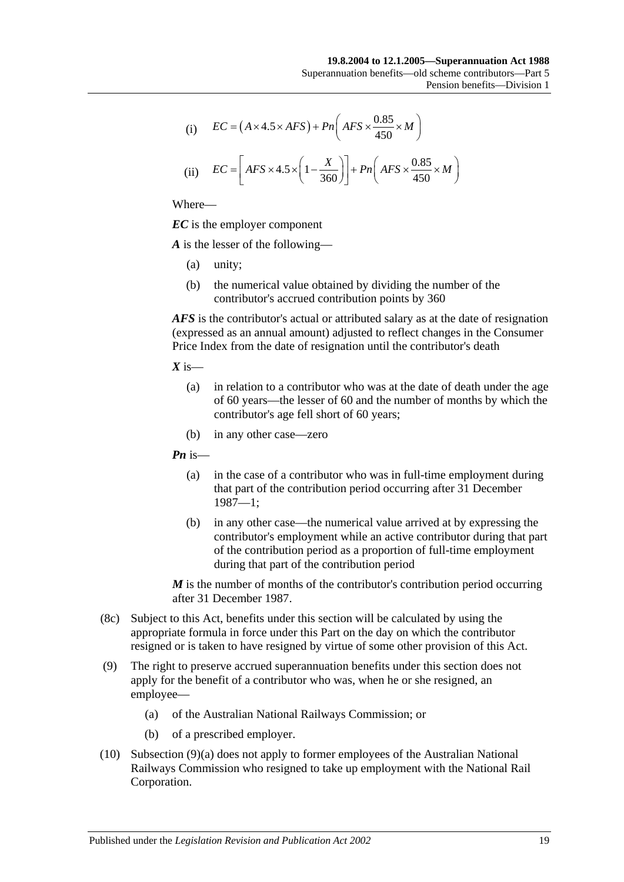(i) 
$$
EC = (A \times 4.5 \times AFS) + Pn\left(AFS \times \frac{0.85}{450} \times M\right)
$$

(ii) 
$$
EC = \left[ AFS \times 4.5 \times \left(1 - \frac{X}{360}\right) \right] + Pn\left( AFS \times \frac{0.85}{450} \times M\right)
$$

*EC* is the employer component

*A* is the lesser of the following—

- (a) unity;
- (b) the numerical value obtained by dividing the number of the contributor's accrued contribution points by 360

*AFS* is the contributor's actual or attributed salary as at the date of resignation (expressed as an annual amount) adjusted to reflect changes in the Consumer Price Index from the date of resignation until the contributor's death

 $X$  is—

- (a) in relation to a contributor who was at the date of death under the age of 60 years—the lesser of 60 and the number of months by which the contributor's age fell short of 60 years;
- (b) in any other case—zero

*Pn* is—

- (a) in the case of a contributor who was in full-time employment during that part of the contribution period occurring after 31 December 1987—1;
- (b) in any other case—the numerical value arrived at by expressing the contributor's employment while an active contributor during that part of the contribution period as a proportion of full-time employment during that part of the contribution period

*M* is the number of months of the contributor's contribution period occurring after 31 December 1987.

- (8c) Subject to this Act, benefits under this section will be calculated by using the appropriate formula in force under this Part on the day on which the contributor resigned or is taken to have resigned by virtue of some other provision of this Act.
- <span id="page-66-0"></span>(9) The right to preserve accrued superannuation benefits under this section does not apply for the benefit of a contributor who was, when he or she resigned, an employee—
	- (a) of the Australian National Railways Commission; or
	- (b) of a prescribed employer.
- (10) [Subsection](#page-66-0) (9)(a) does not apply to former employees of the Australian National Railways Commission who resigned to take up employment with the National Rail Corporation.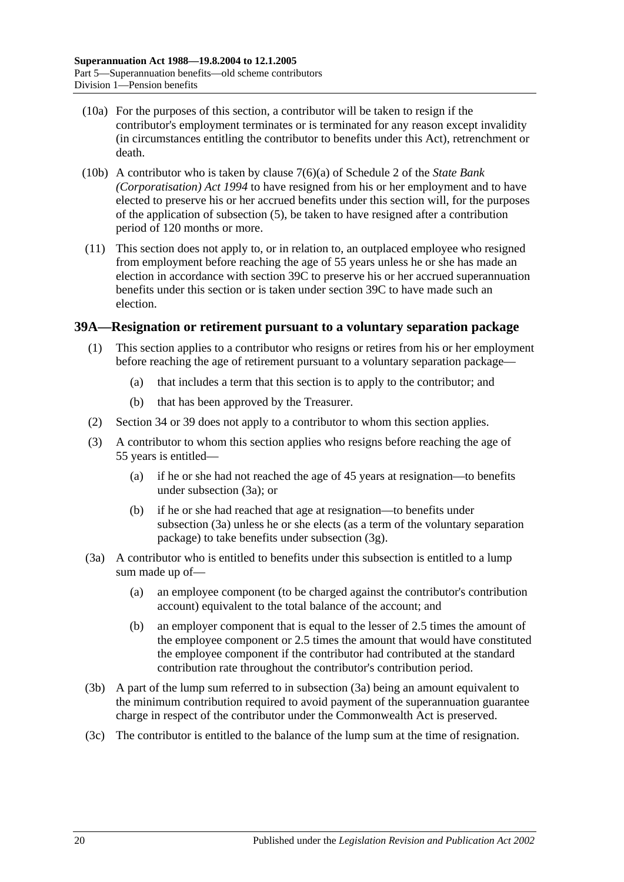- (10a) For the purposes of this section, a contributor will be taken to resign if the contributor's employment terminates or is terminated for any reason except invalidity (in circumstances entitling the contributor to benefits under this Act), retrenchment or death.
- (10b) A contributor who is taken by clause 7(6)(a) of Schedule 2 of the *[State Bank](http://www.legislation.sa.gov.au/index.aspx?action=legref&type=act&legtitle=State%20Bank%20(Corporatisation)%20Act%201994)  [\(Corporatisation\) Act](http://www.legislation.sa.gov.au/index.aspx?action=legref&type=act&legtitle=State%20Bank%20(Corporatisation)%20Act%201994) 1994* to have resigned from his or her employment and to have elected to preserve his or her accrued benefits under this section will, for the purposes of the application of [subsection](#page-63-2) (5), be taken to have resigned after a contribution period of 120 months or more.
- (11) This section does not apply to, or in relation to, an outplaced employee who resigned from employment before reaching the age of 55 years unless he or she has made an election in accordance with [section](#page-70-0) 39C to preserve his or her accrued superannuation benefits under this section or is taken under [section](#page-70-0) 39C to have made such an election.

#### <span id="page-67-3"></span><span id="page-67-2"></span>**39A—Resignation or retirement pursuant to a voluntary separation package**

- (1) This section applies to a contributor who resigns or retires from his or her employment before reaching the age of retirement pursuant to a voluntary separation package—
	- (a) that includes a term that this section is to apply to the contributor; and
	- (b) that has been approved by the Treasurer.
- (2) [Section](#page-48-0) 34 or [39](#page-61-6) does not apply to a contributor to whom this section applies.
- (3) A contributor to whom this section applies who resigns before reaching the age of 55 years is entitled—
	- (a) if he or she had not reached the age of 45 years at resignation—to benefits under [subsection](#page-67-0) (3a); or
	- (b) if he or she had reached that age at resignation—to benefits under [subsection](#page-67-0) (3a) unless he or she elects (as a term of the voluntary separation package) to take benefits under [subsection](#page-68-0) (3g).
- <span id="page-67-0"></span>(3a) A contributor who is entitled to benefits under this subsection is entitled to a lump sum made up of—
	- (a) an employee component (to be charged against the contributor's contribution account) equivalent to the total balance of the account; and
	- (b) an employer component that is equal to the lesser of 2.5 times the amount of the employee component or 2.5 times the amount that would have constituted the employee component if the contributor had contributed at the standard contribution rate throughout the contributor's contribution period.
- <span id="page-67-1"></span>(3b) A part of the lump sum referred to in [subsection](#page-67-0) (3a) being an amount equivalent to the minimum contribution required to avoid payment of the superannuation guarantee charge in respect of the contributor under the Commonwealth Act is preserved.
- (3c) The contributor is entitled to the balance of the lump sum at the time of resignation.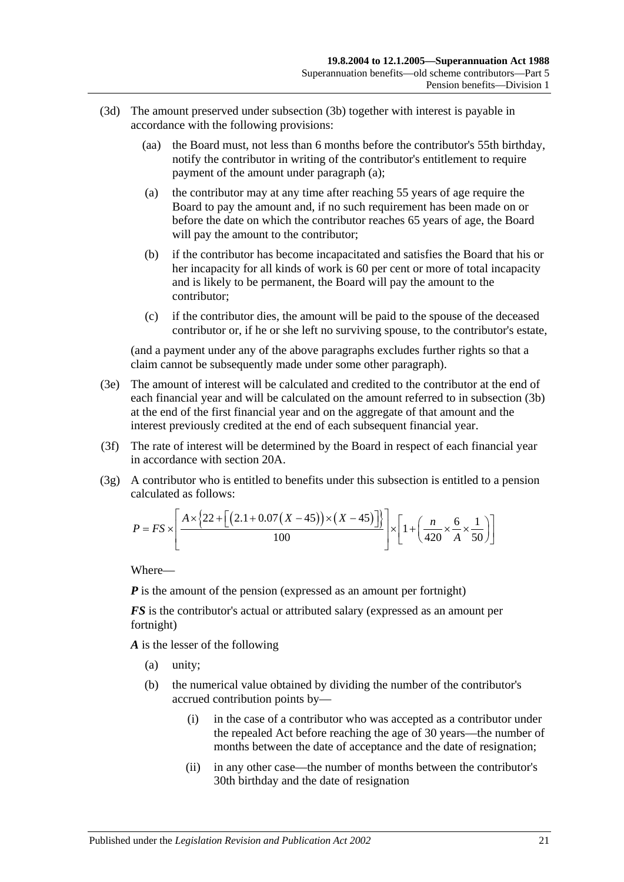- <span id="page-68-1"></span>(3d) The amount preserved under [subsection](#page-67-1) (3b) together with interest is payable in accordance with the following provisions:
	- (aa) the Board must, not less than 6 months before the contributor's 55th birthday, notify the contributor in writing of the contributor's entitlement to require payment of the amount under [paragraph](#page-68-1) (a);
	- (a) the contributor may at any time after reaching 55 years of age require the Board to pay the amount and, if no such requirement has been made on or before the date on which the contributor reaches 65 years of age, the Board will pay the amount to the contributor;
	- (b) if the contributor has become incapacitated and satisfies the Board that his or her incapacity for all kinds of work is 60 per cent or more of total incapacity and is likely to be permanent, the Board will pay the amount to the contributor;
	- (c) if the contributor dies, the amount will be paid to the spouse of the deceased contributor or, if he or she left no surviving spouse, to the contributor's estate,

(and a payment under any of the above paragraphs excludes further rights so that a claim cannot be subsequently made under some other paragraph).

- (3e) The amount of interest will be calculated and credited to the contributor at the end of each financial year and will be calculated on the amount referred to in [subsection](#page-67-1) (3b) at the end of the first financial year and on the aggregate of that amount and the interest previously credited at the end of each subsequent financial year.
- (3f) The rate of interest will be determined by the Board in respect of each financial year in accordance with [section](#page-17-0) 20A.
- <span id="page-68-0"></span>(3g) A contributor who is entitled to benefits under this subsection is entitled to a pension calculated as follows:

$$
P = FS \times \left[ \frac{A \times \{22 + \left[ (2.1 + 0.07(X - 45)) \times (X - 45) \right] \} }{100} \right] \times \left[ 1 + \left( \frac{n}{420} \times \frac{6}{A} \times \frac{1}{50} \right) \right]
$$

Where—

*P* is the amount of the pension (expressed as an amount per fortnight)

*FS* is the contributor's actual or attributed salary (expressed as an amount per fortnight)

*A* is the lesser of the following

- (a) unity;
- (b) the numerical value obtained by dividing the number of the contributor's accrued contribution points by—
	- (i) in the case of a contributor who was accepted as a contributor under the repealed Act before reaching the age of 30 years—the number of months between the date of acceptance and the date of resignation;
	- (ii) in any other case—the number of months between the contributor's 30th birthday and the date of resignation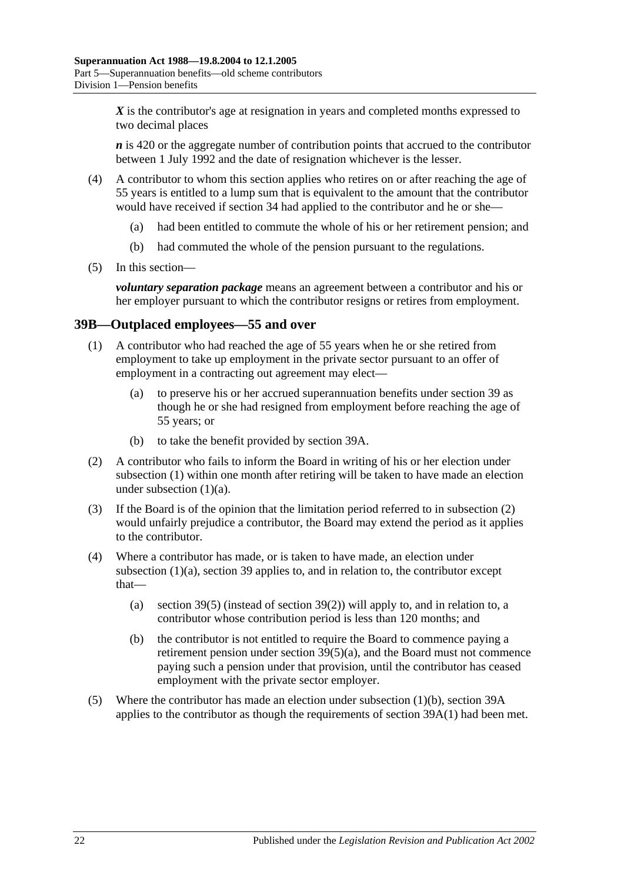X is the contributor's age at resignation in years and completed months expressed to two decimal places

*n* is 420 or the aggregate number of contribution points that accrued to the contributor between 1 July 1992 and the date of resignation whichever is the lesser.

- (4) A contributor to whom this section applies who retires on or after reaching the age of 55 years is entitled to a lump sum that is equivalent to the amount that the contributor would have received if [section](#page-48-0) 34 had applied to the contributor and he or she—
	- (a) had been entitled to commute the whole of his or her retirement pension; and
	- (b) had commuted the whole of the pension pursuant to the regulations.
- (5) In this section—

*voluntary separation package* means an agreement between a contributor and his or her employer pursuant to which the contributor resigns or retires from employment.

#### <span id="page-69-0"></span>**39B—Outplaced employees—55 and over**

- <span id="page-69-1"></span>(1) A contributor who had reached the age of 55 years when he or she retired from employment to take up employment in the private sector pursuant to an offer of employment in a contracting out agreement may elect—
	- (a) to preserve his or her accrued superannuation benefits under [section](#page-61-6) 39 as though he or she had resigned from employment before reaching the age of 55 years; or
	- (b) to take the benefit provided by [section](#page-67-2) 39A.
- <span id="page-69-3"></span><span id="page-69-2"></span>(2) A contributor who fails to inform the Board in writing of his or her election under [subsection](#page-69-0) (1) within one month after retiring will be taken to have made an election under [subsection](#page-69-1)  $(1)(a)$ .
- (3) If the Board is of the opinion that the limitation period referred to in [subsection](#page-69-2) (2) would unfairly prejudice a contributor, the Board may extend the period as it applies to the contributor.
- (4) Where a contributor has made, or is taken to have made, an election under [subsection](#page-69-1) (1)(a), [section](#page-61-6) 39 applies to, and in relation to, the contributor except that
	- (a) [section](#page-63-2) 39(5) (instead of [section](#page-62-2) 39(2)) will apply to, and in relation to, a contributor whose contribution period is less than 120 months; and
	- (b) the contributor is not entitled to require the Board to commence paying a retirement pension under section [39\(5\)\(a\),](#page-64-0) and the Board must not commence paying such a pension under that provision, until the contributor has ceased employment with the private sector employer.
- (5) Where the contributor has made an election under [subsection](#page-69-3) (1)(b), [section](#page-67-2) 39A applies to the contributor as though the requirements of [section](#page-67-3) 39A(1) had been met.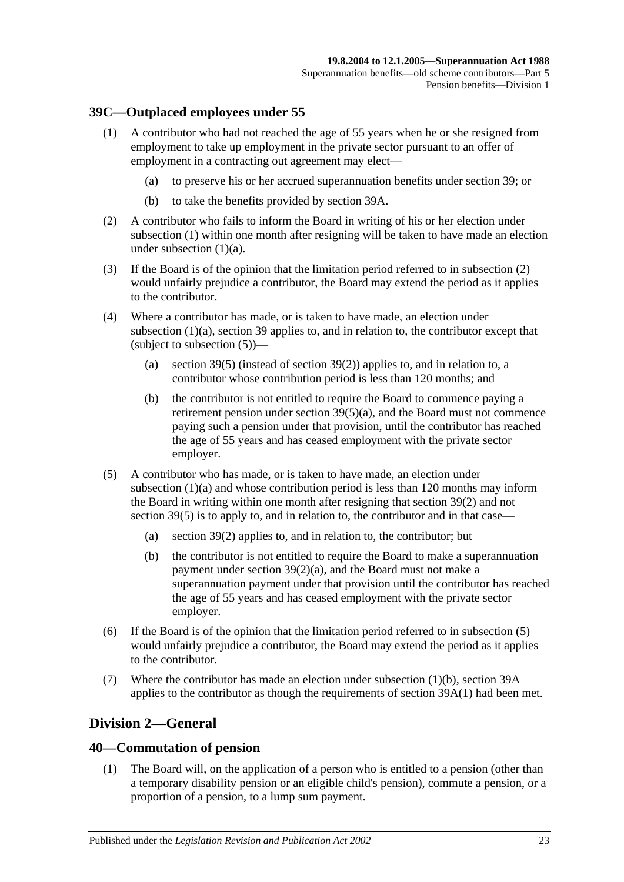#### <span id="page-70-1"></span><span id="page-70-0"></span>**39C—Outplaced employees under 55**

- <span id="page-70-2"></span>(1) A contributor who had not reached the age of 55 years when he or she resigned from employment to take up employment in the private sector pursuant to an offer of employment in a contracting out agreement may elect—
	- (a) to preserve his or her accrued superannuation benefits under [section](#page-61-6) 39; or
	- (b) to take the benefits provided by [section](#page-67-2) 39A.
- <span id="page-70-5"></span><span id="page-70-3"></span>(2) A contributor who fails to inform the Board in writing of his or her election under [subsection](#page-70-1) (1) within one month after resigning will be taken to have made an election under [subsection](#page-70-2) (1)(a).
- (3) If the Board is of the opinion that the limitation period referred to in [subsection](#page-70-3) (2) would unfairly prejudice a contributor, the Board may extend the period as it applies to the contributor.
- (4) Where a contributor has made, or is taken to have made, an election under [subsection](#page-70-2) (1)(a), [section](#page-61-6) 39 applies to, and in relation to, the contributor except that (subject to [subsection](#page-70-4) (5))—
	- (a) [section](#page-63-2) 39(5) (instead of [section](#page-62-2) 39(2)) applies to, and in relation to, a contributor whose contribution period is less than 120 months; and
	- (b) the contributor is not entitled to require the Board to commence paying a retirement pension under section [39\(5\)\(a\),](#page-64-0) and the Board must not commence paying such a pension under that provision, until the contributor has reached the age of 55 years and has ceased employment with the private sector employer.
- <span id="page-70-4"></span>(5) A contributor who has made, or is taken to have made, an election under [subsection](#page-70-2) (1)(a) and whose contribution period is less than 120 months may inform the Board in writing within one month after resigning that [section](#page-62-2) 39(2) and not [section](#page-63-2) 39(5) is to apply to, and in relation to, the contributor and in that case—
	- (a) [section](#page-62-2) 39(2) applies to, and in relation to, the contributor; but
	- (b) the contributor is not entitled to require the Board to make a superannuation payment under section [39\(2\)\(a\),](#page-62-1) and the Board must not make a superannuation payment under that provision until the contributor has reached the age of 55 years and has ceased employment with the private sector employer.
- (6) If the Board is of the opinion that the limitation period referred to in [subsection](#page-70-4) (5) would unfairly prejudice a contributor, the Board may extend the period as it applies to the contributor.
- (7) Where the contributor has made an election under [subsection](#page-70-5) (1)(b), [section](#page-67-2) 39A applies to the contributor as though the requirements of [section](#page-67-3) 39A(1) had been met.

# **Division 2—General**

#### **40—Commutation of pension**

(1) The Board will, on the application of a person who is entitled to a pension (other than a temporary disability pension or an eligible child's pension), commute a pension, or a proportion of a pension, to a lump sum payment.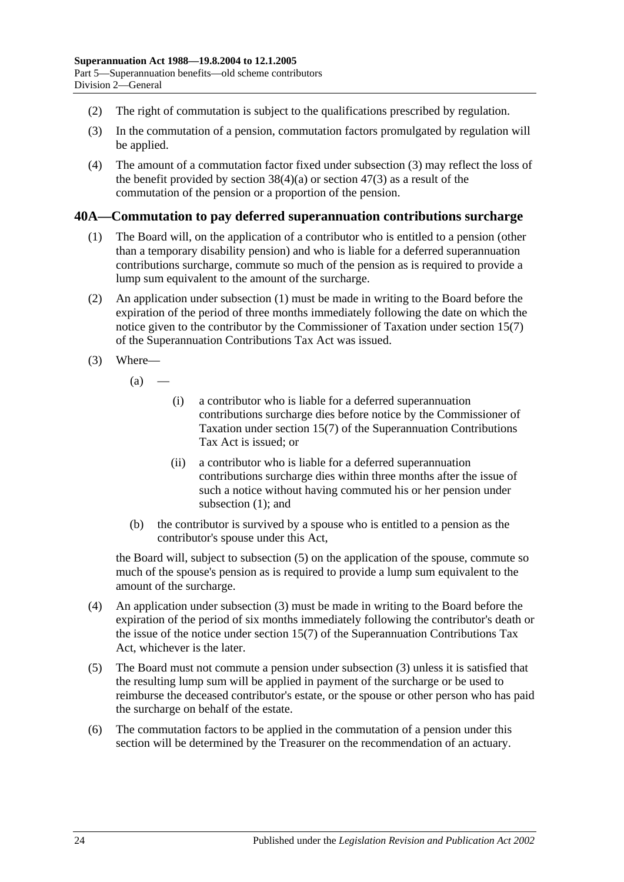- (2) The right of commutation is subject to the qualifications prescribed by regulation.
- <span id="page-71-0"></span>(3) In the commutation of a pension, commutation factors promulgated by regulation will be applied.
- (4) The amount of a commutation factor fixed under [subsection](#page-71-0) (3) may reflect the loss of the benefit provided by [section](#page-87-0)  $38(4)(a)$  or section  $47(3)$  as a result of the commutation of the pension or a proportion of the pension.

#### <span id="page-71-1"></span>**40A—Commutation to pay deferred superannuation contributions surcharge**

- (1) The Board will, on the application of a contributor who is entitled to a pension (other than a temporary disability pension) and who is liable for a deferred superannuation contributions surcharge, commute so much of the pension as is required to provide a lump sum equivalent to the amount of the surcharge.
- (2) An application under [subsection](#page-71-1) (1) must be made in writing to the Board before the expiration of the period of three months immediately following the date on which the notice given to the contributor by the Commissioner of Taxation under section 15(7) of the Superannuation Contributions Tax Act was issued.
- <span id="page-71-3"></span>(3) Where—
	- $(a)$ 
		- (i) a contributor who is liable for a deferred superannuation contributions surcharge dies before notice by the Commissioner of Taxation under section 15(7) of the Superannuation Contributions Tax Act is issued; or
		- (ii) a contributor who is liable for a deferred superannuation contributions surcharge dies within three months after the issue of such a notice without having commuted his or her pension under [subsection](#page-71-1) (1); and
	- (b) the contributor is survived by a spouse who is entitled to a pension as the contributor's spouse under this Act,

the Board will, subject to [subsection](#page-71-2) (5) on the application of the spouse, commute so much of the spouse's pension as is required to provide a lump sum equivalent to the amount of the surcharge.

- (4) An application under [subsection](#page-71-3) (3) must be made in writing to the Board before the expiration of the period of six months immediately following the contributor's death or the issue of the notice under section 15(7) of the Superannuation Contributions Tax Act, whichever is the later.
- <span id="page-71-2"></span>(5) The Board must not commute a pension under [subsection](#page-71-3) (3) unless it is satisfied that the resulting lump sum will be applied in payment of the surcharge or be used to reimburse the deceased contributor's estate, or the spouse or other person who has paid the surcharge on behalf of the estate.
- (6) The commutation factors to be applied in the commutation of a pension under this section will be determined by the Treasurer on the recommendation of an actuary.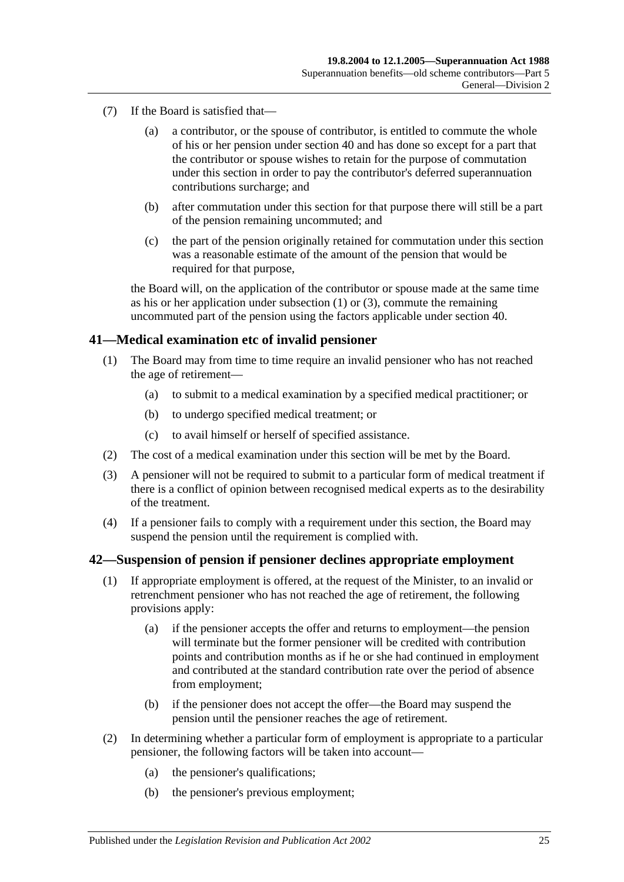- (7) If the Board is satisfied that—
	- (a) a contributor, or the spouse of contributor, is entitled to commute the whole of his or her pension under [section](#page-70-0) 40 and has done so except for a part that the contributor or spouse wishes to retain for the purpose of commutation under this section in order to pay the contributor's deferred superannuation contributions surcharge; and
	- (b) after commutation under this section for that purpose there will still be a part of the pension remaining uncommuted; and
	- (c) the part of the pension originally retained for commutation under this section was a reasonable estimate of the amount of the pension that would be required for that purpose,

the Board will, on the application of the contributor or spouse made at the same time as his or her application under [subsection](#page-71-0) (1) or [\(3\),](#page-71-1) commute the remaining uncommuted part of the pension using the factors applicable under [section](#page-70-0) 40.

## **41—Medical examination etc of invalid pensioner**

- (1) The Board may from time to time require an invalid pensioner who has not reached the age of retirement—
	- (a) to submit to a medical examination by a specified medical practitioner; or
	- (b) to undergo specified medical treatment; or
	- (c) to avail himself or herself of specified assistance.
- (2) The cost of a medical examination under this section will be met by the Board.
- (3) A pensioner will not be required to submit to a particular form of medical treatment if there is a conflict of opinion between recognised medical experts as to the desirability of the treatment.
- (4) If a pensioner fails to comply with a requirement under this section, the Board may suspend the pension until the requirement is complied with.

#### <span id="page-72-0"></span>**42—Suspension of pension if pensioner declines appropriate employment**

- (1) If appropriate employment is offered, at the request of the Minister, to an invalid or retrenchment pensioner who has not reached the age of retirement, the following provisions apply:
	- (a) if the pensioner accepts the offer and returns to employment—the pension will terminate but the former pensioner will be credited with contribution points and contribution months as if he or she had continued in employment and contributed at the standard contribution rate over the period of absence from employment;
	- (b) if the pensioner does not accept the offer—the Board may suspend the pension until the pensioner reaches the age of retirement.
- (2) In determining whether a particular form of employment is appropriate to a particular pensioner, the following factors will be taken into account—
	- (a) the pensioner's qualifications;
	- (b) the pensioner's previous employment;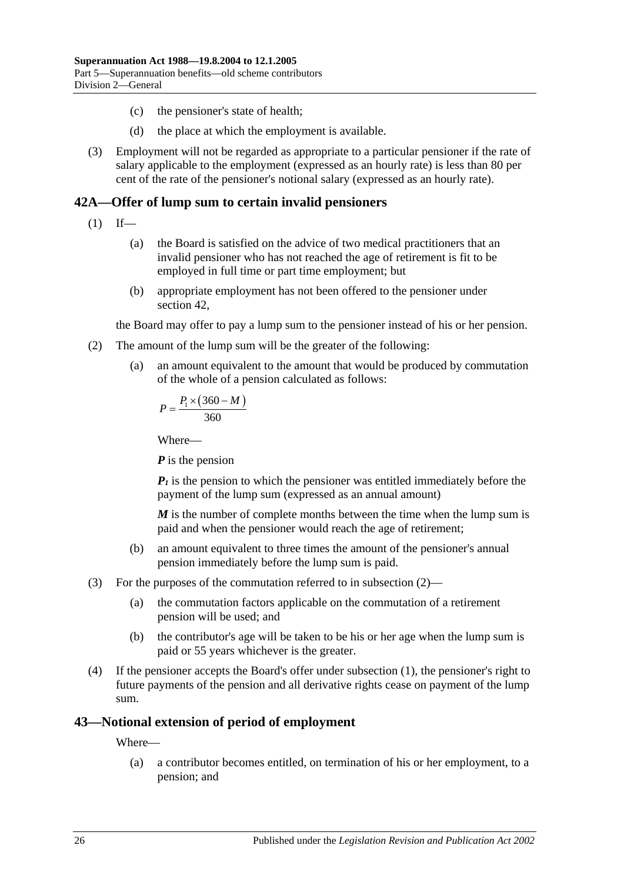- (c) the pensioner's state of health;
- (d) the place at which the employment is available.
- (3) Employment will not be regarded as appropriate to a particular pensioner if the rate of salary applicable to the employment (expressed as an hourly rate) is less than 80 per cent of the rate of the pensioner's notional salary (expressed as an hourly rate).

## <span id="page-73-1"></span>**42A—Offer of lump sum to certain invalid pensioners**

- $(1)$  If—
	- (a) the Board is satisfied on the advice of two medical practitioners that an invalid pensioner who has not reached the age of retirement is fit to be employed in full time or part time employment; but
	- (b) appropriate employment has not been offered to the pensioner under [section](#page-72-0) 42,

the Board may offer to pay a lump sum to the pensioner instead of his or her pension.

- <span id="page-73-0"></span>(2) The amount of the lump sum will be the greater of the following:
	- (a) an amount equivalent to the amount that would be produced by commutation of the whole of a pension calculated as follows:

$$
P = \frac{P_1 \times (360 - M)}{360}
$$

Where—

*P* is the pension

 $P_1$  is the pension to which the pensioner was entitled immediately before the payment of the lump sum (expressed as an annual amount)

*M* is the number of complete months between the time when the lump sum is paid and when the pensioner would reach the age of retirement;

- (b) an amount equivalent to three times the amount of the pensioner's annual pension immediately before the lump sum is paid.
- (3) For the purposes of the commutation referred to in [subsection](#page-73-0) (2)—
	- (a) the commutation factors applicable on the commutation of a retirement pension will be used; and
	- (b) the contributor's age will be taken to be his or her age when the lump sum is paid or 55 years whichever is the greater.
- (4) If the pensioner accepts the Board's offer under [subsection](#page-73-1) (1), the pensioner's right to future payments of the pension and all derivative rights cease on payment of the lump sum.

## **43—Notional extension of period of employment**

Where—

(a) a contributor becomes entitled, on termination of his or her employment, to a pension; and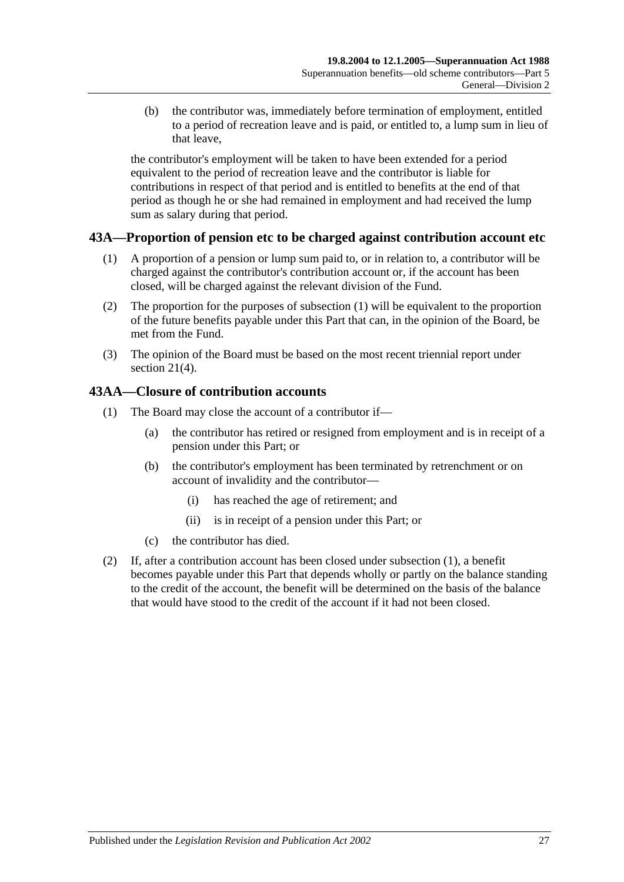(b) the contributor was, immediately before termination of employment, entitled to a period of recreation leave and is paid, or entitled to, a lump sum in lieu of that leave,

the contributor's employment will be taken to have been extended for a period equivalent to the period of recreation leave and the contributor is liable for contributions in respect of that period and is entitled to benefits at the end of that period as though he or she had remained in employment and had received the lump sum as salary during that period.

## <span id="page-74-0"></span>**43A—Proportion of pension etc to be charged against contribution account etc**

- (1) A proportion of a pension or lump sum paid to, or in relation to, a contributor will be charged against the contributor's contribution account or, if the account has been closed, will be charged against the relevant division of the Fund.
- (2) The proportion for the purposes of [subsection](#page-74-0) (1) will be equivalent to the proportion of the future benefits payable under this Part that can, in the opinion of the Board, be met from the Fund.
- (3) The opinion of the Board must be based on the most recent triennial report under [section](#page-18-0) 21(4).

## <span id="page-74-1"></span>**43AA—Closure of contribution accounts**

- (1) The Board may close the account of a contributor if—
	- (a) the contributor has retired or resigned from employment and is in receipt of a pension under this Part; or
	- (b) the contributor's employment has been terminated by retrenchment or on account of invalidity and the contributor—
		- (i) has reached the age of retirement; and
		- (ii) is in receipt of a pension under this Part; or
	- (c) the contributor has died.
- (2) If, after a contribution account has been closed under [subsection](#page-74-1) (1), a benefit becomes payable under this Part that depends wholly or partly on the balance standing to the credit of the account, the benefit will be determined on the basis of the balance that would have stood to the credit of the account if it had not been closed.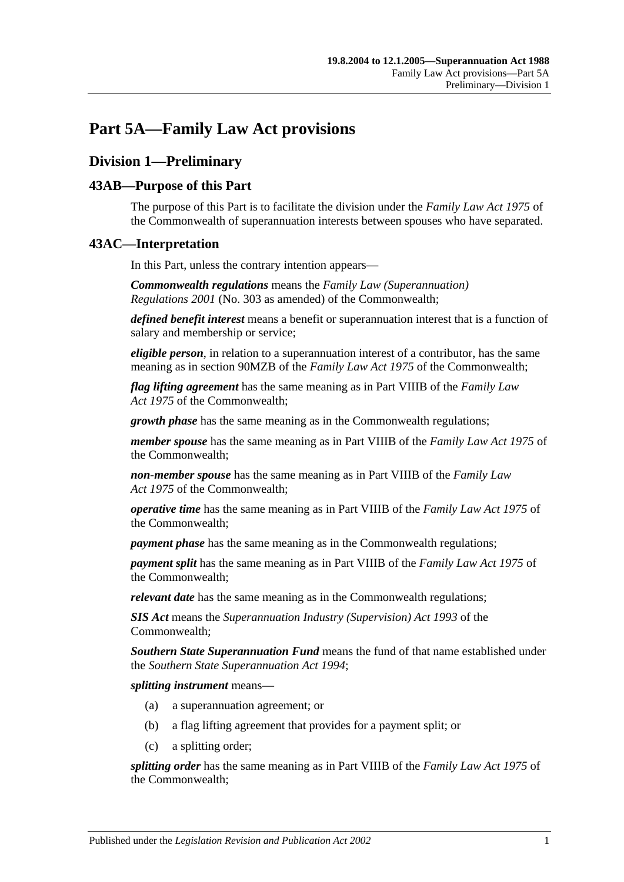## **Part 5A—Family Law Act provisions**

## **Division 1—Preliminary**

## **43AB—Purpose of this Part**

The purpose of this Part is to facilitate the division under the *Family Law Act 1975* of the Commonwealth of superannuation interests between spouses who have separated.

## **43AC—Interpretation**

In this Part, unless the contrary intention appears—

*Commonwealth regulations* means the *Family Law (Superannuation) Regulations 2001* (No. 303 as amended) of the Commonwealth;

*defined benefit interest* means a benefit or superannuation interest that is a function of salary and membership or service;

*eligible person*, in relation to a superannuation interest of a contributor, has the same meaning as in section 90MZB of the *Family Law Act 1975* of the Commonwealth;

*flag lifting agreement* has the same meaning as in Part VIIIB of the *Family Law Act 1975* of the Commonwealth;

*growth phase* has the same meaning as in the Commonwealth regulations;

*member spouse* has the same meaning as in Part VIIIB of the *Family Law Act 1975* of the Commonwealth;

*non-member spouse* has the same meaning as in Part VIIIB of the *Family Law Act 1975* of the Commonwealth;

*operative time* has the same meaning as in Part VIIIB of the *Family Law Act 1975* of the Commonwealth;

*payment phase* has the same meaning as in the Commonwealth regulations;

*payment split* has the same meaning as in Part VIIIB of the *Family Law Act 1975* of the Commonwealth;

*relevant date* has the same meaning as in the Commonwealth regulations;

*SIS Act* means the *Superannuation Industry (Supervision) Act 1993* of the Commonwealth;

*Southern State Superannuation Fund* means the fund of that name established under the *[Southern State Superannuation Act](http://www.legislation.sa.gov.au/index.aspx?action=legref&type=act&legtitle=Southern%20State%20Superannuation%20Act%201994) 1994*;

*splitting instrument* means—

- (a) a superannuation agreement; or
- (b) a flag lifting agreement that provides for a payment split; or
- (c) a splitting order;

*splitting order* has the same meaning as in Part VIIIB of the *Family Law Act 1975* of the Commonwealth;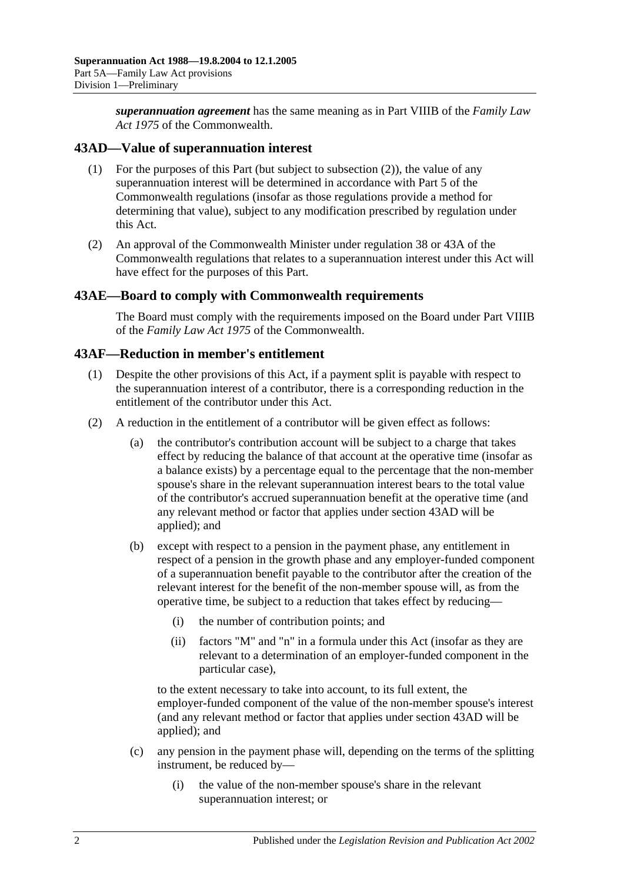*superannuation agreement* has the same meaning as in Part VIIIB of the *Family Law Act 1975* of the Commonwealth.

## <span id="page-77-1"></span>**43AD—Value of superannuation interest**

- (1) For the purposes of this Part (but subject to [subsection](#page-77-0) (2)), the value of any superannuation interest will be determined in accordance with Part 5 of the Commonwealth regulations (insofar as those regulations provide a method for determining that value), subject to any modification prescribed by regulation under this Act.
- <span id="page-77-0"></span>(2) An approval of the Commonwealth Minister under regulation 38 or 43A of the Commonwealth regulations that relates to a superannuation interest under this Act will have effect for the purposes of this Part.

## **43AE—Board to comply with Commonwealth requirements**

The Board must comply with the requirements imposed on the Board under Part VIIIB of the *Family Law Act 1975* of the Commonwealth.

## **43AF—Reduction in member's entitlement**

- (1) Despite the other provisions of this Act, if a payment split is payable with respect to the superannuation interest of a contributor, there is a corresponding reduction in the entitlement of the contributor under this Act.
- <span id="page-77-2"></span>(2) A reduction in the entitlement of a contributor will be given effect as follows:
	- (a) the contributor's contribution account will be subject to a charge that takes effect by reducing the balance of that account at the operative time (insofar as a balance exists) by a percentage equal to the percentage that the non-member spouse's share in the relevant superannuation interest bears to the total value of the contributor's accrued superannuation benefit at the operative time (and any relevant method or factor that applies under [section](#page-77-1) 43AD will be applied); and
	- (b) except with respect to a pension in the payment phase, any entitlement in respect of a pension in the growth phase and any employer-funded component of a superannuation benefit payable to the contributor after the creation of the relevant interest for the benefit of the non-member spouse will, as from the operative time, be subject to a reduction that takes effect by reducing—
		- (i) the number of contribution points; and
		- (ii) factors "M" and "n" in a formula under this Act (insofar as they are relevant to a determination of an employer-funded component in the particular case),

to the extent necessary to take into account, to its full extent, the employer-funded component of the value of the non-member spouse's interest (and any relevant method or factor that applies under [section](#page-77-1) 43AD will be applied); and

- (c) any pension in the payment phase will, depending on the terms of the splitting instrument, be reduced by—
	- (i) the value of the non-member spouse's share in the relevant superannuation interest; or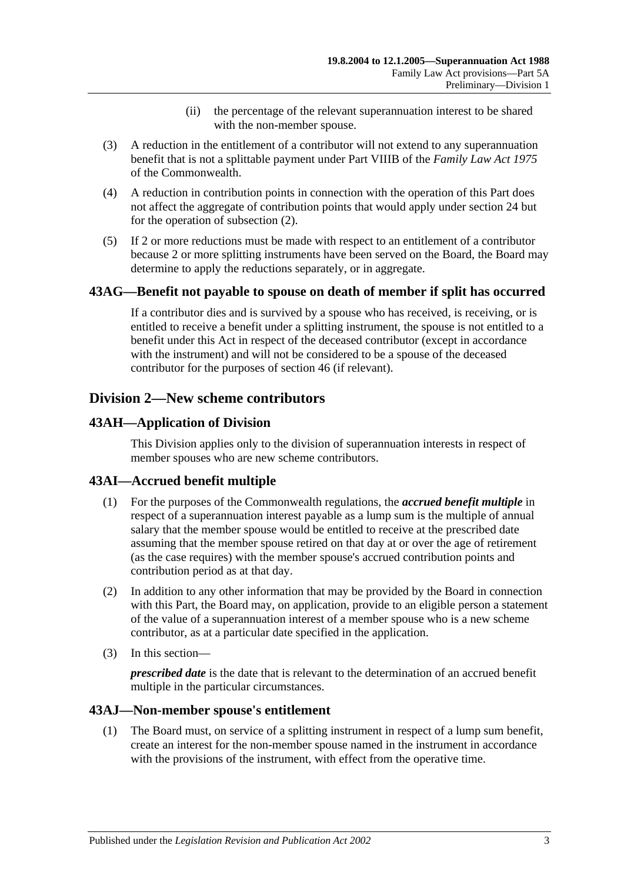- (ii) the percentage of the relevant superannuation interest to be shared with the non-member spouse.
- (3) A reduction in the entitlement of a contributor will not extend to any superannuation benefit that is not a splittable payment under Part VIIIB of the *Family Law Act 1975* of the Commonwealth.
- (4) A reduction in contribution points in connection with the operation of this Part does not affect the aggregate of contribution points that would apply under [section](#page-24-0) 24 but for the operation of [subsection](#page-77-2) (2).
- (5) If 2 or more reductions must be made with respect to an entitlement of a contributor because 2 or more splitting instruments have been served on the Board, the Board may determine to apply the reductions separately, or in aggregate.

## **43AG—Benefit not payable to spouse on death of member if split has occurred**

If a contributor dies and is survived by a spouse who has received, is receiving, or is entitled to receive a benefit under a splitting instrument, the spouse is not entitled to a benefit under this Act in respect of the deceased contributor (except in accordance with the instrument) and will not be considered to be a spouse of the deceased contributor for the purposes of [section](#page-86-0) 46 (if relevant).

## **Division 2—New scheme contributors**

## **43AH—Application of Division**

This Division applies only to the division of superannuation interests in respect of member spouses who are new scheme contributors.

## **43AI—Accrued benefit multiple**

- (1) For the purposes of the Commonwealth regulations, the *accrued benefit multiple* in respect of a superannuation interest payable as a lump sum is the multiple of annual salary that the member spouse would be entitled to receive at the prescribed date assuming that the member spouse retired on that day at or over the age of retirement (as the case requires) with the member spouse's accrued contribution points and contribution period as at that day.
- (2) In addition to any other information that may be provided by the Board in connection with this Part, the Board may, on application, provide to an eligible person a statement of the value of a superannuation interest of a member spouse who is a new scheme contributor, as at a particular date specified in the application.
- (3) In this section—

*prescribed date* is the date that is relevant to the determination of an accrued benefit multiple in the particular circumstances.

## <span id="page-78-0"></span>**43AJ—Non-member spouse's entitlement**

(1) The Board must, on service of a splitting instrument in respect of a lump sum benefit, create an interest for the non-member spouse named in the instrument in accordance with the provisions of the instrument, with effect from the operative time.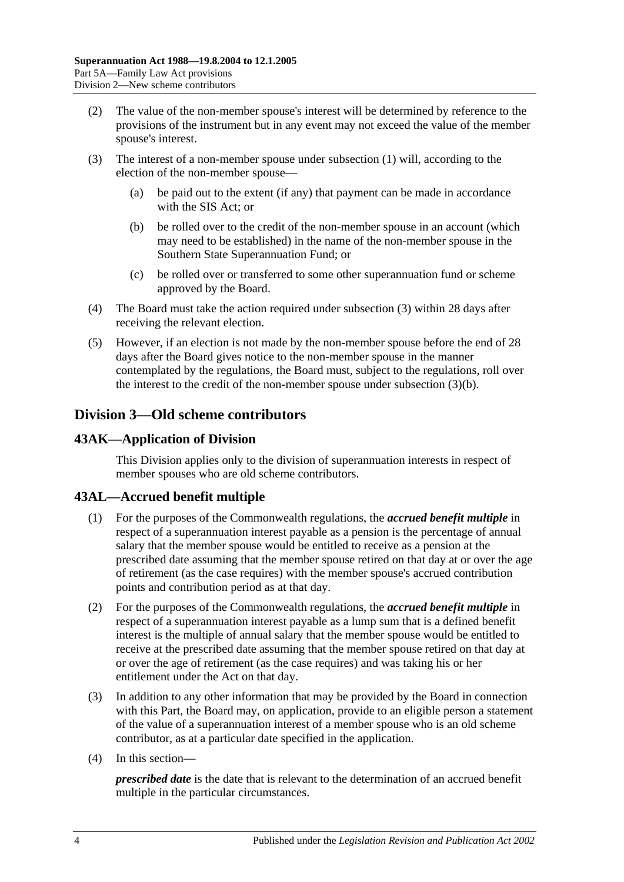- (2) The value of the non-member spouse's interest will be determined by reference to the provisions of the instrument but in any event may not exceed the value of the member spouse's interest.
- <span id="page-79-1"></span><span id="page-79-0"></span>(3) The interest of a non-member spouse under [subsection](#page-78-0) (1) will, according to the election of the non-member spouse—
	- (a) be paid out to the extent (if any) that payment can be made in accordance with the SIS Act; or
	- (b) be rolled over to the credit of the non-member spouse in an account (which may need to be established) in the name of the non-member spouse in the Southern State Superannuation Fund; or
	- (c) be rolled over or transferred to some other superannuation fund or scheme approved by the Board.
- (4) The Board must take the action required under [subsection](#page-79-0) (3) within 28 days after receiving the relevant election.
- (5) However, if an election is not made by the non-member spouse before the end of 28 days after the Board gives notice to the non-member spouse in the manner contemplated by the regulations, the Board must, subject to the regulations, roll over the interest to the credit of the non-member spouse under [subsection](#page-79-1) (3)(b).

## **Division 3—Old scheme contributors**

## **43AK—Application of Division**

This Division applies only to the division of superannuation interests in respect of member spouses who are old scheme contributors.

## **43AL—Accrued benefit multiple**

- (1) For the purposes of the Commonwealth regulations, the *accrued benefit multiple* in respect of a superannuation interest payable as a pension is the percentage of annual salary that the member spouse would be entitled to receive as a pension at the prescribed date assuming that the member spouse retired on that day at or over the age of retirement (as the case requires) with the member spouse's accrued contribution points and contribution period as at that day.
- (2) For the purposes of the Commonwealth regulations, the *accrued benefit multiple* in respect of a superannuation interest payable as a lump sum that is a defined benefit interest is the multiple of annual salary that the member spouse would be entitled to receive at the prescribed date assuming that the member spouse retired on that day at or over the age of retirement (as the case requires) and was taking his or her entitlement under the Act on that day.
- (3) In addition to any other information that may be provided by the Board in connection with this Part, the Board may, on application, provide to an eligible person a statement of the value of a superannuation interest of a member spouse who is an old scheme contributor, as at a particular date specified in the application.
- (4) In this section—

*prescribed date* is the date that is relevant to the determination of an accrued benefit multiple in the particular circumstances.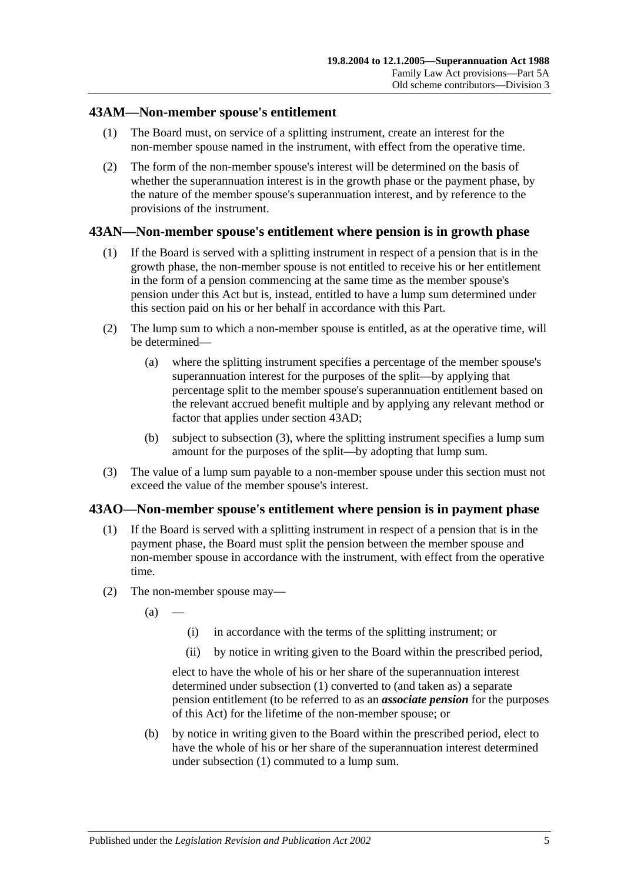## **43AM—Non-member spouse's entitlement**

- (1) The Board must, on service of a splitting instrument, create an interest for the non-member spouse named in the instrument, with effect from the operative time.
- (2) The form of the non-member spouse's interest will be determined on the basis of whether the superannuation interest is in the growth phase or the payment phase, by the nature of the member spouse's superannuation interest, and by reference to the provisions of the instrument.

## **43AN—Non-member spouse's entitlement where pension is in growth phase**

- (1) If the Board is served with a splitting instrument in respect of a pension that is in the growth phase, the non-member spouse is not entitled to receive his or her entitlement in the form of a pension commencing at the same time as the member spouse's pension under this Act but is, instead, entitled to have a lump sum determined under this section paid on his or her behalf in accordance with this Part.
- (2) The lump sum to which a non-member spouse is entitled, as at the operative time, will be determined—
	- (a) where the splitting instrument specifies a percentage of the member spouse's superannuation interest for the purposes of the split—by applying that percentage split to the member spouse's superannuation entitlement based on the relevant accrued benefit multiple and by applying any relevant method or factor that applies under [section](#page-77-1) 43AD;
	- (b) subject to [subsection](#page-80-0) (3), where the splitting instrument specifies a lump sum amount for the purposes of the split—by adopting that lump sum.
- <span id="page-80-0"></span>(3) The value of a lump sum payable to a non-member spouse under this section must not exceed the value of the member spouse's interest.

## <span id="page-80-1"></span>**43AO—Non-member spouse's entitlement where pension is in payment phase**

- (1) If the Board is served with a splitting instrument in respect of a pension that is in the payment phase, the Board must split the pension between the member spouse and non-member spouse in accordance with the instrument, with effect from the operative time.
- (2) The non-member spouse may—
	- $(a)$
- (i) in accordance with the terms of the splitting instrument; or
- (ii) by notice in writing given to the Board within the prescribed period,

elect to have the whole of his or her share of the superannuation interest determined under [subsection](#page-80-1) (1) converted to (and taken as) a separate pension entitlement (to be referred to as an *associate pension* for the purposes of this Act) for the lifetime of the non-member spouse; or

<span id="page-80-2"></span>(b) by notice in writing given to the Board within the prescribed period, elect to have the whole of his or her share of the superannuation interest determined under [subsection](#page-80-1) (1) commuted to a lump sum.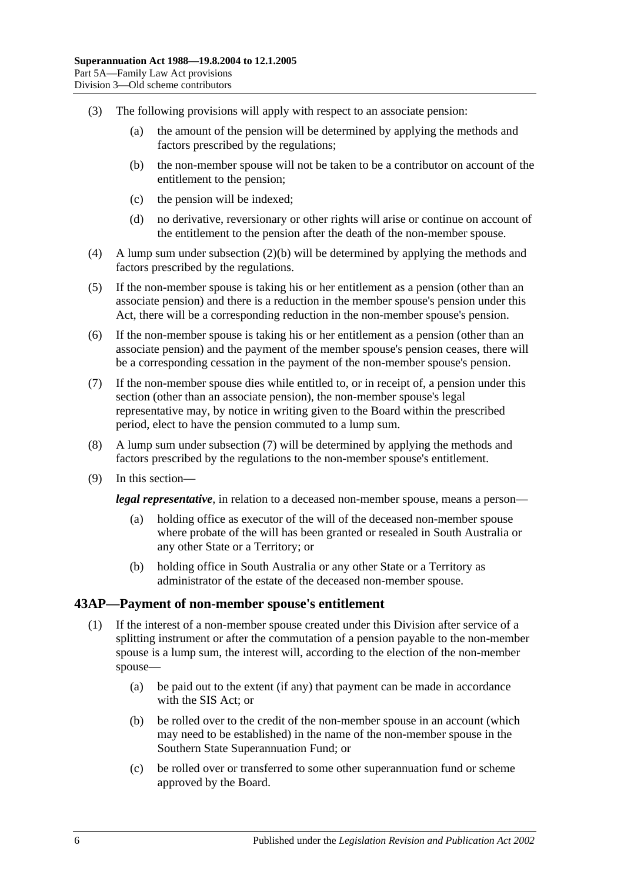- (3) The following provisions will apply with respect to an associate pension:
	- (a) the amount of the pension will be determined by applying the methods and factors prescribed by the regulations;
	- (b) the non-member spouse will not be taken to be a contributor on account of the entitlement to the pension;
	- (c) the pension will be indexed;
	- (d) no derivative, reversionary or other rights will arise or continue on account of the entitlement to the pension after the death of the non-member spouse.
- (4) A lump sum under [subsection](#page-80-2) (2)(b) will be determined by applying the methods and factors prescribed by the regulations.
- (5) If the non-member spouse is taking his or her entitlement as a pension (other than an associate pension) and there is a reduction in the member spouse's pension under this Act, there will be a corresponding reduction in the non-member spouse's pension.
- (6) If the non-member spouse is taking his or her entitlement as a pension (other than an associate pension) and the payment of the member spouse's pension ceases, there will be a corresponding cessation in the payment of the non-member spouse's pension.
- <span id="page-81-0"></span>(7) If the non-member spouse dies while entitled to, or in receipt of, a pension under this section (other than an associate pension), the non-member spouse's legal representative may, by notice in writing given to the Board within the prescribed period, elect to have the pension commuted to a lump sum.
- (8) A lump sum under [subsection](#page-81-0) (7) will be determined by applying the methods and factors prescribed by the regulations to the non-member spouse's entitlement.
- (9) In this section—

*legal representative*, in relation to a deceased non-member spouse, means a person—

- (a) holding office as executor of the will of the deceased non-member spouse where probate of the will has been granted or resealed in South Australia or any other State or a Territory; or
- (b) holding office in South Australia or any other State or a Territory as administrator of the estate of the deceased non-member spouse.

#### <span id="page-81-1"></span>**43AP—Payment of non-member spouse's entitlement**

- <span id="page-81-2"></span>(1) If the interest of a non-member spouse created under this Division after service of a splitting instrument or after the commutation of a pension payable to the non-member spouse is a lump sum, the interest will, according to the election of the non-member spouse—
	- (a) be paid out to the extent (if any) that payment can be made in accordance with the SIS Act; or
	- (b) be rolled over to the credit of the non-member spouse in an account (which may need to be established) in the name of the non-member spouse in the Southern State Superannuation Fund; or
	- (c) be rolled over or transferred to some other superannuation fund or scheme approved by the Board.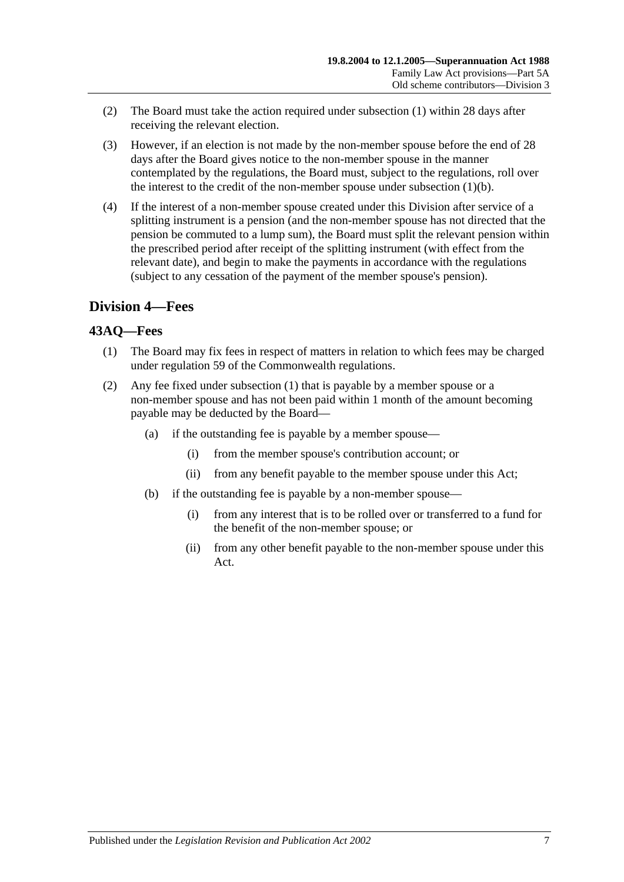- (2) The Board must take the action required under [subsection](#page-81-1) (1) within 28 days after receiving the relevant election.
- (3) However, if an election is not made by the non-member spouse before the end of 28 days after the Board gives notice to the non-member spouse in the manner contemplated by the regulations, the Board must, subject to the regulations, roll over the interest to the credit of the non-member spouse under [subsection](#page-81-2) (1)(b).
- (4) If the interest of a non-member spouse created under this Division after service of a splitting instrument is a pension (and the non-member spouse has not directed that the pension be commuted to a lump sum), the Board must split the relevant pension within the prescribed period after receipt of the splitting instrument (with effect from the relevant date), and begin to make the payments in accordance with the regulations (subject to any cessation of the payment of the member spouse's pension).

## **Division 4—Fees**

## <span id="page-82-0"></span>**43AQ—Fees**

- (1) The Board may fix fees in respect of matters in relation to which fees may be charged under regulation 59 of the Commonwealth regulations.
- (2) Any fee fixed under [subsection](#page-82-0) (1) that is payable by a member spouse or a non-member spouse and has not been paid within 1 month of the amount becoming payable may be deducted by the Board—
	- (a) if the outstanding fee is payable by a member spouse—
		- (i) from the member spouse's contribution account; or
		- (ii) from any benefit payable to the member spouse under this Act;
	- (b) if the outstanding fee is payable by a non-member spouse—
		- (i) from any interest that is to be rolled over or transferred to a fund for the benefit of the non-member spouse; or
		- (ii) from any other benefit payable to the non-member spouse under this Act.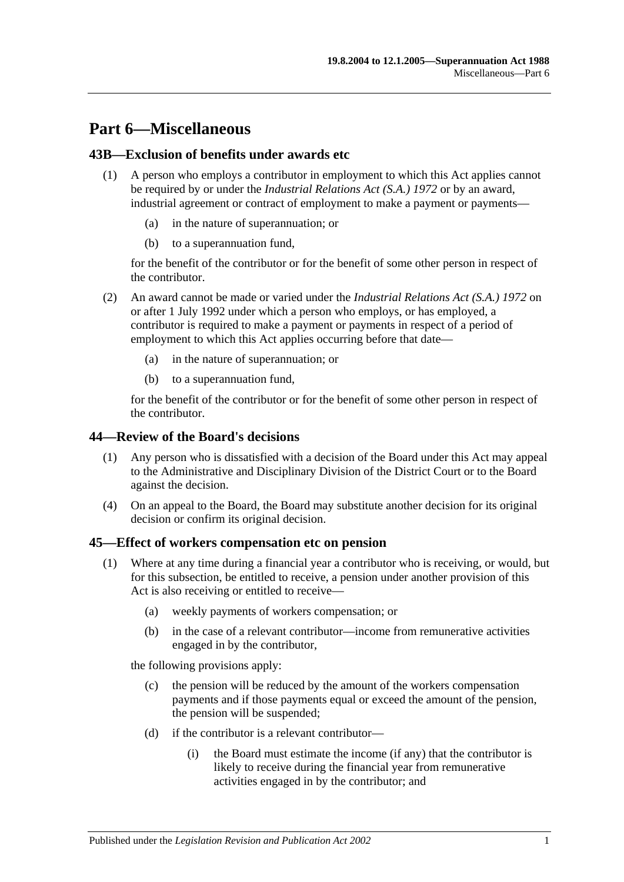## **Part 6—Miscellaneous**

## **43B—Exclusion of benefits under awards etc**

- (1) A person who employs a contributor in employment to which this Act applies cannot be required by or under the *[Industrial Relations Act \(S.A.\)](http://www.legislation.sa.gov.au/index.aspx?action=legref&type=act&legtitle=Industrial%20Relations%20Act%20(S.A.)%201972) 1972* or by an award, industrial agreement or contract of employment to make a payment or payments
	- in the nature of superannuation; or
	- (b) to a superannuation fund,

for the benefit of the contributor or for the benefit of some other person in respect of the contributor.

- (2) An award cannot be made or varied under the *[Industrial Relations Act \(S.A.\)](http://www.legislation.sa.gov.au/index.aspx?action=legref&type=act&legtitle=Industrial%20Relations%20Act%20(S.A.)%201972) 1972* on or after 1 July 1992 under which a person who employs, or has employed, a contributor is required to make a payment or payments in respect of a period of employment to which this Act applies occurring before that date—
	- (a) in the nature of superannuation; or
	- (b) to a superannuation fund,

for the benefit of the contributor or for the benefit of some other person in respect of the contributor.

## **44—Review of the Board's decisions**

- (1) Any person who is dissatisfied with a decision of the Board under this Act may appeal to the Administrative and Disciplinary Division of the District Court or to the Board against the decision.
- (4) On an appeal to the Board, the Board may substitute another decision for its original decision or confirm its original decision.

## <span id="page-84-1"></span>**45—Effect of workers compensation etc on pension**

- <span id="page-84-0"></span>(1) Where at any time during a financial year a contributor who is receiving, or would, but for this subsection, be entitled to receive, a pension under another provision of this Act is also receiving or entitled to receive—
	- (a) weekly payments of workers compensation; or
	- (b) in the case of a relevant contributor—income from remunerative activities engaged in by the contributor,

the following provisions apply:

- (c) the pension will be reduced by the amount of the workers compensation payments and if those payments equal or exceed the amount of the pension, the pension will be suspended;
- (d) if the contributor is a relevant contributor—
	- (i) the Board must estimate the income (if any) that the contributor is likely to receive during the financial year from remunerative activities engaged in by the contributor; and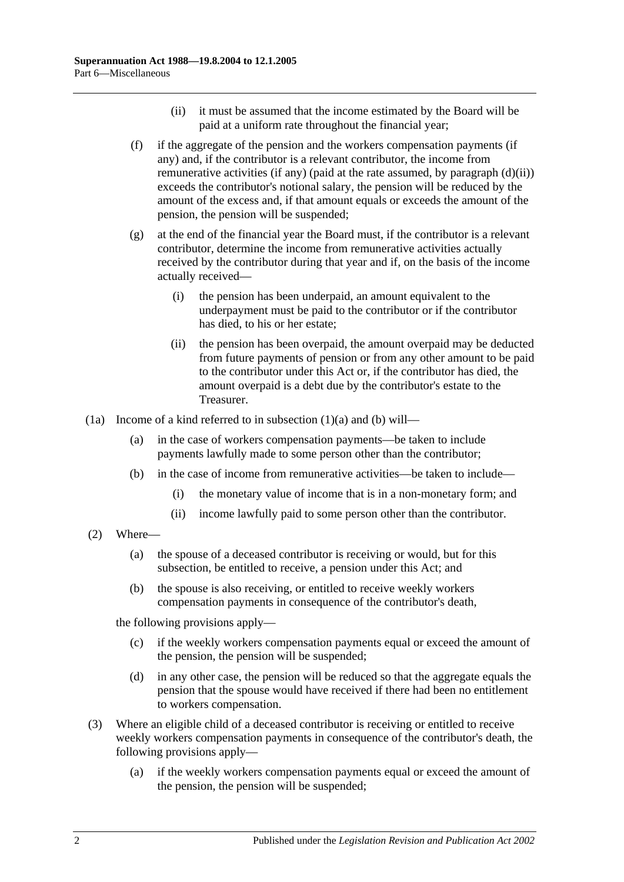- (ii) it must be assumed that the income estimated by the Board will be paid at a uniform rate throughout the financial year;
- <span id="page-85-2"></span><span id="page-85-0"></span>(f) if the aggregate of the pension and the workers compensation payments (if any) and, if the contributor is a relevant contributor, the income from remunerative activities (if any) (paid at the rate assumed, by [paragraph](#page-85-0)  $(d)(ii)$ ) exceeds the contributor's notional salary, the pension will be reduced by the amount of the excess and, if that amount equals or exceeds the amount of the pension, the pension will be suspended;
- (g) at the end of the financial year the Board must, if the contributor is a relevant contributor, determine the income from remunerative activities actually received by the contributor during that year and if, on the basis of the income actually received—
	- (i) the pension has been underpaid, an amount equivalent to the underpayment must be paid to the contributor or if the contributor has died, to his or her estate;
	- (ii) the pension has been overpaid, the amount overpaid may be deducted from future payments of pension or from any other amount to be paid to the contributor under this Act or, if the contributor has died, the amount overpaid is a debt due by the contributor's estate to the Treasurer.
- <span id="page-85-1"></span>(1a) Income of a kind referred to in [subsection](#page-84-0) (1)(a) and [\(b\)](#page-85-1) will—
	- (a) in the case of workers compensation payments—be taken to include payments lawfully made to some person other than the contributor;
	- (b) in the case of income from remunerative activities—be taken to include—
		- (i) the monetary value of income that is in a non-monetary form; and
		- (ii) income lawfully paid to some person other than the contributor.
- (2) Where—
	- (a) the spouse of a deceased contributor is receiving or would, but for this subsection, be entitled to receive, a pension under this Act; and
	- (b) the spouse is also receiving, or entitled to receive weekly workers compensation payments in consequence of the contributor's death,

the following provisions apply—

- (c) if the weekly workers compensation payments equal or exceed the amount of the pension, the pension will be suspended;
- (d) in any other case, the pension will be reduced so that the aggregate equals the pension that the spouse would have received if there had been no entitlement to workers compensation.
- (3) Where an eligible child of a deceased contributor is receiving or entitled to receive weekly workers compensation payments in consequence of the contributor's death, the following provisions apply—
	- (a) if the weekly workers compensation payments equal or exceed the amount of the pension, the pension will be suspended;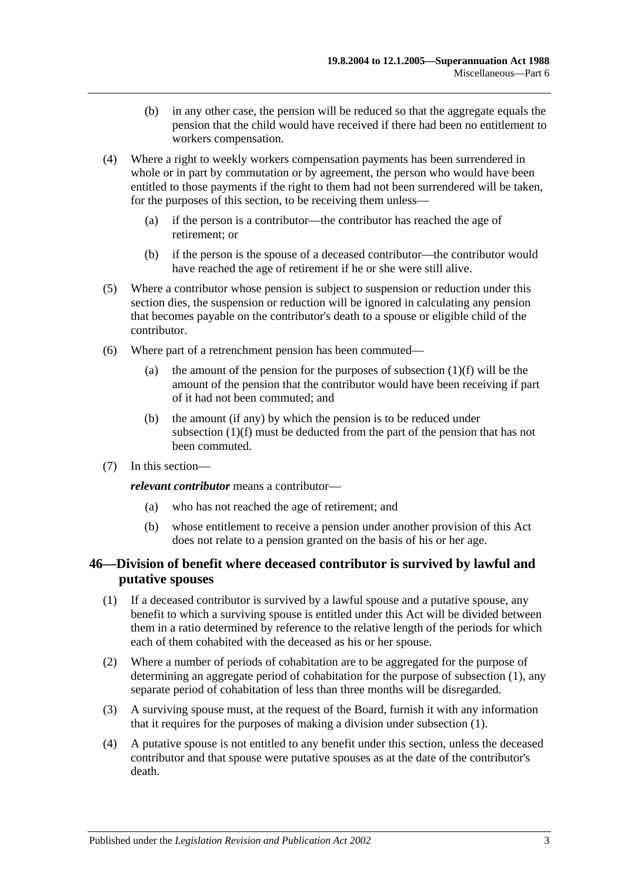- (b) in any other case, the pension will be reduced so that the aggregate equals the pension that the child would have received if there had been no entitlement to workers compensation.
- (4) Where a right to weekly workers compensation payments has been surrendered in whole or in part by commutation or by agreement, the person who would have been entitled to those payments if the right to them had not been surrendered will be taken, for the purposes of this section, to be receiving them unless—
	- (a) if the person is a contributor—the contributor has reached the age of retirement; or
	- (b) if the person is the spouse of a deceased contributor—the contributor would have reached the age of retirement if he or she were still alive.
- (5) Where a contributor whose pension is subject to suspension or reduction under this section dies, the suspension or reduction will be ignored in calculating any pension that becomes payable on the contributor's death to a spouse or eligible child of the contributor.
- (6) Where part of a retrenchment pension has been commuted
	- (a) the amount of the pension for the purposes of [subsection](#page-85-2)  $(1)(f)$  will be the amount of the pension that the contributor would have been receiving if part of it had not been commuted; and
	- (b) the amount (if any) by which the pension is to be reduced under [subsection](#page-85-2) (1)(f) must be deducted from the part of the pension that has not been commuted.
- (7) In this section—

*relevant contributor* means a contributor—

- (a) who has not reached the age of retirement; and
- (b) whose entitlement to receive a pension under another provision of this Act does not relate to a pension granted on the basis of his or her age.

## <span id="page-86-0"></span>**46—Division of benefit where deceased contributor is survived by lawful and putative spouses**

- <span id="page-86-1"></span>(1) If a deceased contributor is survived by a lawful spouse and a putative spouse, any benefit to which a surviving spouse is entitled under this Act will be divided between them in a ratio determined by reference to the relative length of the periods for which each of them cohabited with the deceased as his or her spouse.
- (2) Where a number of periods of cohabitation are to be aggregated for the purpose of determining an aggregate period of cohabitation for the purpose of [subsection](#page-86-1) (1), any separate period of cohabitation of less than three months will be disregarded.
- (3) A surviving spouse must, at the request of the Board, furnish it with any information that it requires for the purposes of making a division under [subsection](#page-86-1) (1).
- (4) A putative spouse is not entitled to any benefit under this section, unless the deceased contributor and that spouse were putative spouses as at the date of the contributor's death.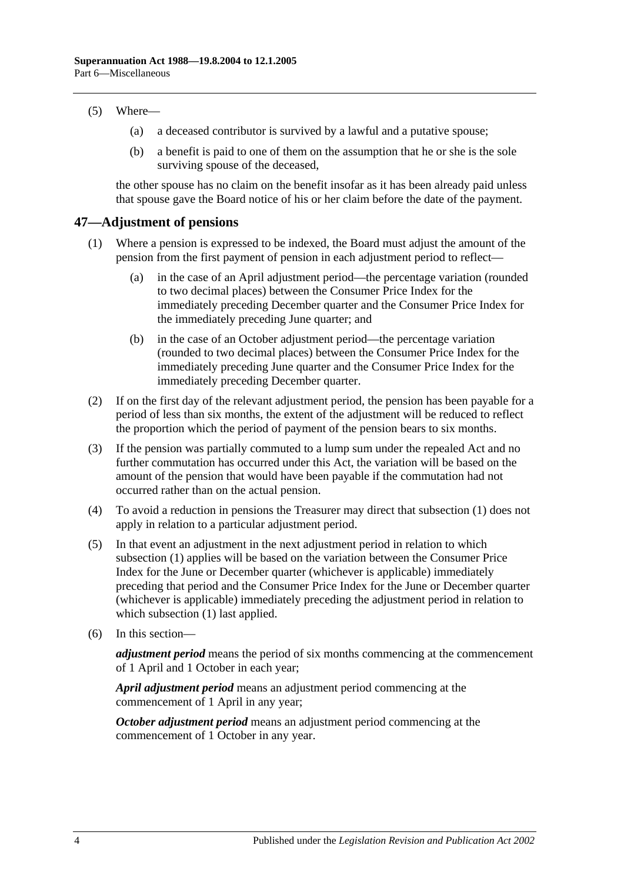#### (5) Where—

- (a) a deceased contributor is survived by a lawful and a putative spouse;
- (b) a benefit is paid to one of them on the assumption that he or she is the sole surviving spouse of the deceased,

the other spouse has no claim on the benefit insofar as it has been already paid unless that spouse gave the Board notice of his or her claim before the date of the payment.

## <span id="page-87-1"></span><span id="page-87-0"></span>**47—Adjustment of pensions**

- (1) Where a pension is expressed to be indexed, the Board must adjust the amount of the pension from the first payment of pension in each adjustment period to reflect—
	- (a) in the case of an April adjustment period—the percentage variation (rounded to two decimal places) between the Consumer Price Index for the immediately preceding December quarter and the Consumer Price Index for the immediately preceding June quarter; and
	- (b) in the case of an October adjustment period—the percentage variation (rounded to two decimal places) between the Consumer Price Index for the immediately preceding June quarter and the Consumer Price Index for the immediately preceding December quarter.
- (2) If on the first day of the relevant adjustment period, the pension has been payable for a period of less than six months, the extent of the adjustment will be reduced to reflect the proportion which the period of payment of the pension bears to six months.
- (3) If the pension was partially commuted to a lump sum under the repealed Act and no further commutation has occurred under this Act, the variation will be based on the amount of the pension that would have been payable if the commutation had not occurred rather than on the actual pension.
- (4) To avoid a reduction in pensions the Treasurer may direct that [subsection](#page-87-0) (1) does not apply in relation to a particular adjustment period.
- (5) In that event an adjustment in the next adjustment period in relation to which [subsection](#page-87-0) (1) applies will be based on the variation between the Consumer Price Index for the June or December quarter (whichever is applicable) immediately preceding that period and the Consumer Price Index for the June or December quarter (whichever is applicable) immediately preceding the adjustment period in relation to which [subsection](#page-87-0) (1) last applied.
- (6) In this section—

*adjustment period* means the period of six months commencing at the commencement of 1 April and 1 October in each year;

*April adjustment period* means an adjustment period commencing at the commencement of 1 April in any year;

*October adjustment period* means an adjustment period commencing at the commencement of 1 October in any year.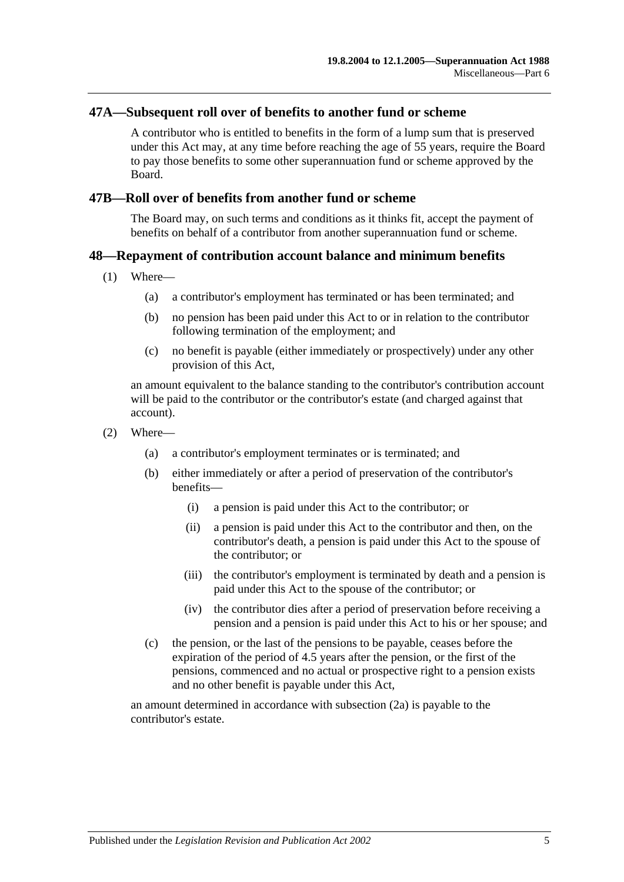#### **47A—Subsequent roll over of benefits to another fund or scheme**

A contributor who is entitled to benefits in the form of a lump sum that is preserved under this Act may, at any time before reaching the age of 55 years, require the Board to pay those benefits to some other superannuation fund or scheme approved by the Board.

#### **47B—Roll over of benefits from another fund or scheme**

The Board may, on such terms and conditions as it thinks fit, accept the payment of benefits on behalf of a contributor from another superannuation fund or scheme.

## **48—Repayment of contribution account balance and minimum benefits**

- (1) Where—
	- (a) a contributor's employment has terminated or has been terminated; and
	- (b) no pension has been paid under this Act to or in relation to the contributor following termination of the employment; and
	- (c) no benefit is payable (either immediately or prospectively) under any other provision of this Act,

an amount equivalent to the balance standing to the contributor's contribution account will be paid to the contributor or the contributor's estate (and charged against that account).

- <span id="page-88-0"></span>(2) Where—
	- (a) a contributor's employment terminates or is terminated; and
	- (b) either immediately or after a period of preservation of the contributor's benefits—
		- (i) a pension is paid under this Act to the contributor; or
		- (ii) a pension is paid under this Act to the contributor and then, on the contributor's death, a pension is paid under this Act to the spouse of the contributor; or
		- (iii) the contributor's employment is terminated by death and a pension is paid under this Act to the spouse of the contributor; or
		- (iv) the contributor dies after a period of preservation before receiving a pension and a pension is paid under this Act to his or her spouse; and
	- (c) the pension, or the last of the pensions to be payable, ceases before the expiration of the period of 4.5 years after the pension, or the first of the pensions, commenced and no actual or prospective right to a pension exists and no other benefit is payable under this Act,

<span id="page-88-1"></span>an amount determined in accordance with [subsection](#page-89-0) (2a) is payable to the contributor's estate.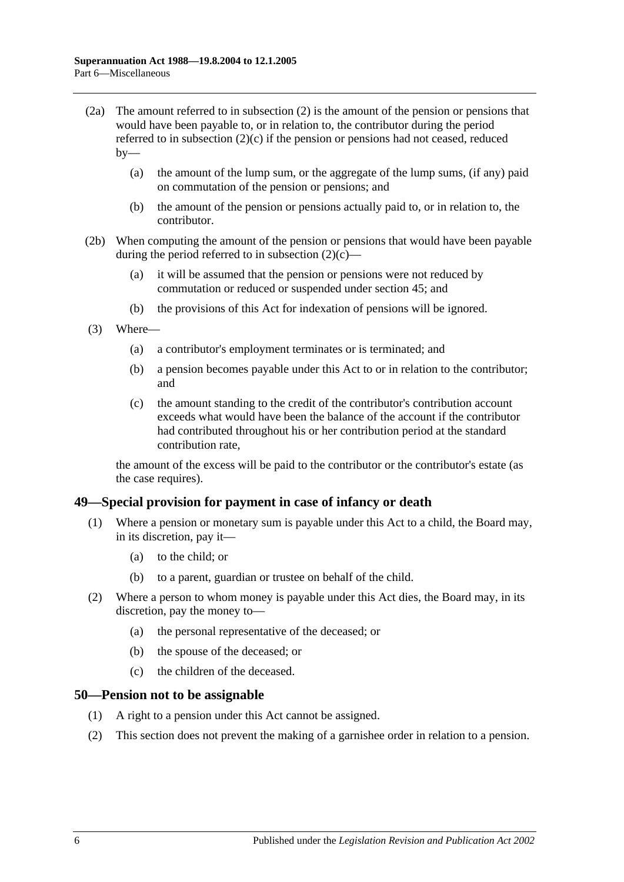- <span id="page-89-0"></span>(2a) The amount referred to in [subsection](#page-88-0) (2) is the amount of the pension or pensions that would have been payable to, or in relation to, the contributor during the period referred to in [subsection](#page-88-1) (2)(c) if the pension or pensions had not ceased, reduced  $bv$ —
	- (a) the amount of the lump sum, or the aggregate of the lump sums, (if any) paid on commutation of the pension or pensions; and
	- (b) the amount of the pension or pensions actually paid to, or in relation to, the contributor.
- (2b) When computing the amount of the pension or pensions that would have been payable during the period referred to in [subsection](#page-88-1)  $(2)(c)$ —
	- (a) it will be assumed that the pension or pensions were not reduced by commutation or reduced or suspended under [section](#page-84-1) 45; and
	- (b) the provisions of this Act for indexation of pensions will be ignored.
- (3) Where—
	- (a) a contributor's employment terminates or is terminated; and
	- (b) a pension becomes payable under this Act to or in relation to the contributor; and
	- (c) the amount standing to the credit of the contributor's contribution account exceeds what would have been the balance of the account if the contributor had contributed throughout his or her contribution period at the standard contribution rate,

the amount of the excess will be paid to the contributor or the contributor's estate (as the case requires).

#### **49—Special provision for payment in case of infancy or death**

- (1) Where a pension or monetary sum is payable under this Act to a child, the Board may, in its discretion, pay it—
	- (a) to the child; or
	- (b) to a parent, guardian or trustee on behalf of the child.
- (2) Where a person to whom money is payable under this Act dies, the Board may, in its discretion, pay the money to—
	- (a) the personal representative of the deceased; or
	- (b) the spouse of the deceased; or
	- (c) the children of the deceased.

#### **50—Pension not to be assignable**

- (1) A right to a pension under this Act cannot be assigned.
- (2) This section does not prevent the making of a garnishee order in relation to a pension.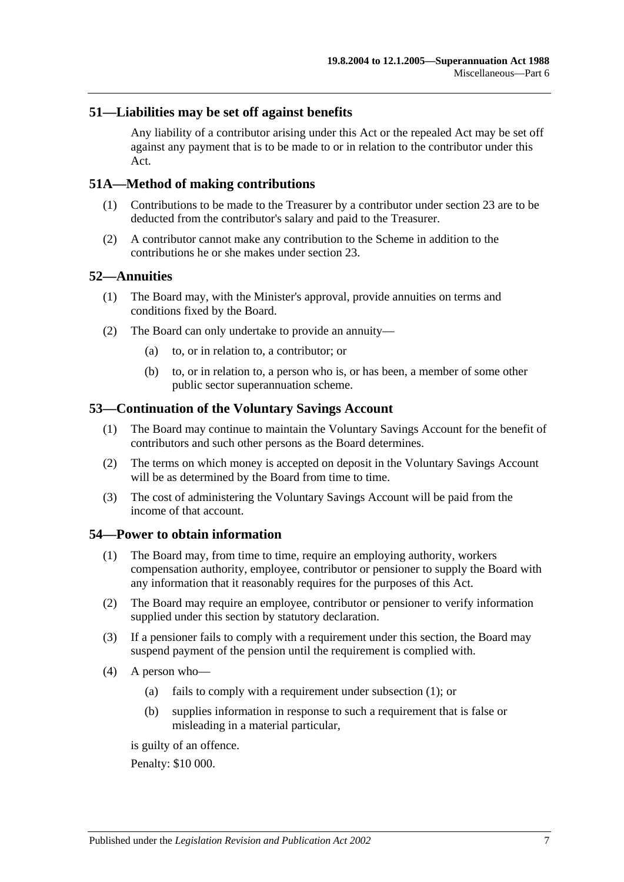## **51—Liabilities may be set off against benefits**

Any liability of a contributor arising under this Act or the repealed Act may be set off against any payment that is to be made to or in relation to the contributor under this Act.

## **51A—Method of making contributions**

- (1) Contributions to be made to the Treasurer by a contributor under [section](#page-22-0) 23 are to be deducted from the contributor's salary and paid to the Treasurer.
- (2) A contributor cannot make any contribution to the Scheme in addition to the contributions he or she makes under [section](#page-22-0) 23.

#### **52—Annuities**

- (1) The Board may, with the Minister's approval, provide annuities on terms and conditions fixed by the Board.
- (2) The Board can only undertake to provide an annuity—
	- (a) to, or in relation to, a contributor; or
	- (b) to, or in relation to, a person who is, or has been, a member of some other public sector superannuation scheme.

## **53—Continuation of the Voluntary Savings Account**

- (1) The Board may continue to maintain the Voluntary Savings Account for the benefit of contributors and such other persons as the Board determines.
- (2) The terms on which money is accepted on deposit in the Voluntary Savings Account will be as determined by the Board from time to time.
- (3) The cost of administering the Voluntary Savings Account will be paid from the income of that account.

#### <span id="page-90-0"></span>**54—Power to obtain information**

- (1) The Board may, from time to time, require an employing authority, workers compensation authority, employee, contributor or pensioner to supply the Board with any information that it reasonably requires for the purposes of this Act.
- (2) The Board may require an employee, contributor or pensioner to verify information supplied under this section by statutory declaration.
- (3) If a pensioner fails to comply with a requirement under this section, the Board may suspend payment of the pension until the requirement is complied with.
- <span id="page-90-1"></span>(4) A person who—
	- (a) fails to comply with a requirement under [subsection](#page-90-0) (1); or
	- (b) supplies information in response to such a requirement that is false or misleading in a material particular,

is guilty of an offence.

Penalty: \$10 000.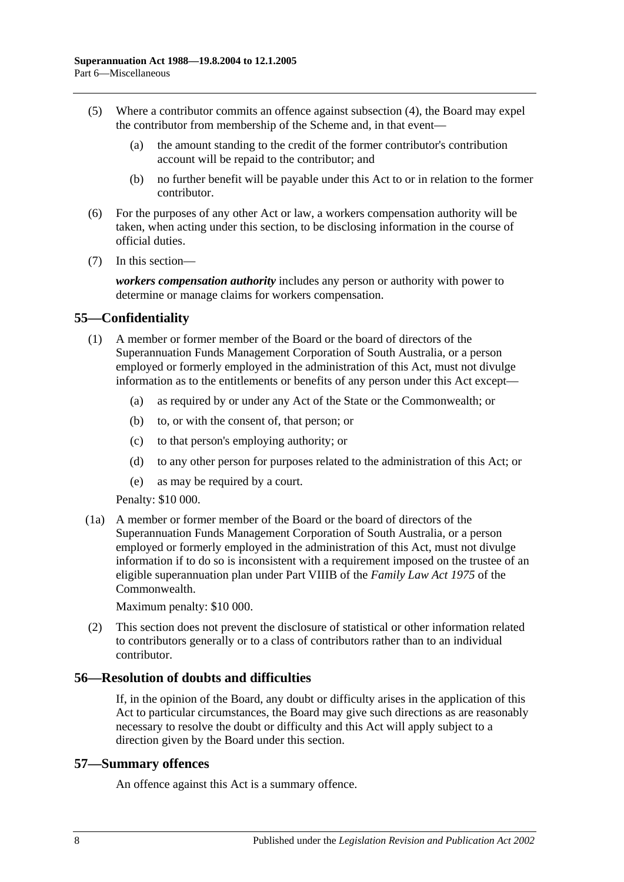- (5) Where a contributor commits an offence against [subsection](#page-90-1) (4), the Board may expel the contributor from membership of the Scheme and, in that event—
	- (a) the amount standing to the credit of the former contributor's contribution account will be repaid to the contributor; and
	- (b) no further benefit will be payable under this Act to or in relation to the former contributor.
- (6) For the purposes of any other Act or law, a workers compensation authority will be taken, when acting under this section, to be disclosing information in the course of official duties.
- (7) In this section—

*workers compensation authority* includes any person or authority with power to determine or manage claims for workers compensation.

## **55—Confidentiality**

- (1) A member or former member of the Board or the board of directors of the Superannuation Funds Management Corporation of South Australia, or a person employed or formerly employed in the administration of this Act, must not divulge information as to the entitlements or benefits of any person under this Act except—
	- (a) as required by or under any Act of the State or the Commonwealth; or
	- (b) to, or with the consent of, that person; or
	- (c) to that person's employing authority; or
	- (d) to any other person for purposes related to the administration of this Act; or
	- (e) as may be required by a court.

Penalty: \$10 000.

(1a) A member or former member of the Board or the board of directors of the Superannuation Funds Management Corporation of South Australia, or a person employed or formerly employed in the administration of this Act, must not divulge information if to do so is inconsistent with a requirement imposed on the trustee of an eligible superannuation plan under Part VIIIB of the *Family Law Act 1975* of the Commonwealth.

Maximum penalty: \$10 000.

(2) This section does not prevent the disclosure of statistical or other information related to contributors generally or to a class of contributors rather than to an individual contributor.

#### **56—Resolution of doubts and difficulties**

If, in the opinion of the Board, any doubt or difficulty arises in the application of this Act to particular circumstances, the Board may give such directions as are reasonably necessary to resolve the doubt or difficulty and this Act will apply subject to a direction given by the Board under this section.

#### **57—Summary offences**

An offence against this Act is a summary offence.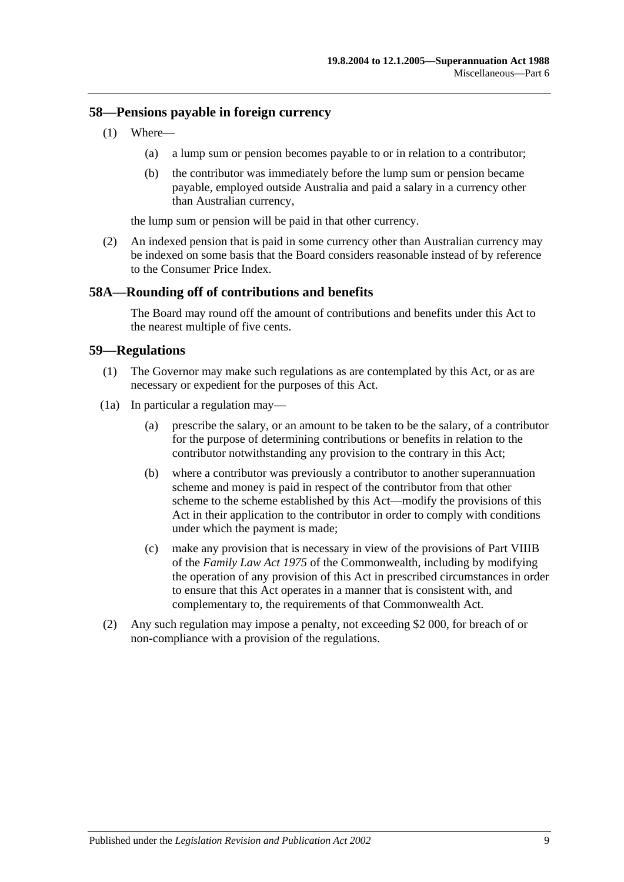## **58—Pensions payable in foreign currency**

- (1) Where—
	- (a) a lump sum or pension becomes payable to or in relation to a contributor;
	- (b) the contributor was immediately before the lump sum or pension became payable, employed outside Australia and paid a salary in a currency other than Australian currency,

the lump sum or pension will be paid in that other currency.

(2) An indexed pension that is paid in some currency other than Australian currency may be indexed on some basis that the Board considers reasonable instead of by reference to the Consumer Price Index.

## **58A—Rounding off of contributions and benefits**

The Board may round off the amount of contributions and benefits under this Act to the nearest multiple of five cents.

## **59—Regulations**

- (1) The Governor may make such regulations as are contemplated by this Act, or as are necessary or expedient for the purposes of this Act.
- (1a) In particular a regulation may—
	- (a) prescribe the salary, or an amount to be taken to be the salary, of a contributor for the purpose of determining contributions or benefits in relation to the contributor notwithstanding any provision to the contrary in this Act;
	- (b) where a contributor was previously a contributor to another superannuation scheme and money is paid in respect of the contributor from that other scheme to the scheme established by this Act—modify the provisions of this Act in their application to the contributor in order to comply with conditions under which the payment is made;
	- (c) make any provision that is necessary in view of the provisions of Part VIIIB of the *Family Law Act 1975* of the Commonwealth, including by modifying the operation of any provision of this Act in prescribed circumstances in order to ensure that this Act operates in a manner that is consistent with, and complementary to, the requirements of that Commonwealth Act.
- (2) Any such regulation may impose a penalty, not exceeding \$2 000, for breach of or non-compliance with a provision of the regulations.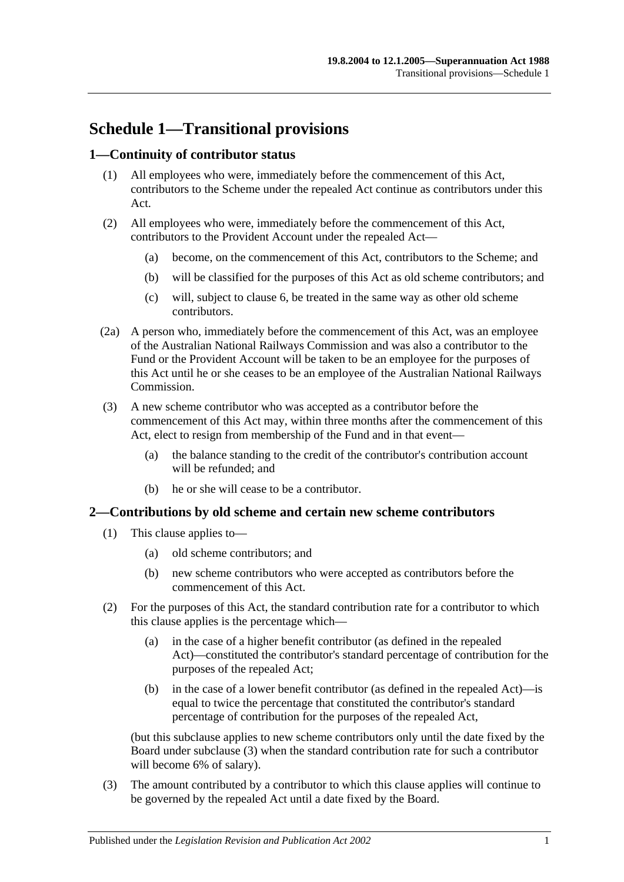# **Schedule 1—Transitional provisions**

## **1—Continuity of contributor status**

- (1) All employees who were, immediately before the commencement of this Act, contributors to the Scheme under the repealed Act continue as contributors under this Act.
- (2) All employees who were, immediately before the commencement of this Act, contributors to the Provident Account under the repealed Act—
	- (a) become, on the commencement of this Act, contributors to the Scheme; and
	- (b) will be classified for the purposes of this Act as old scheme contributors; and
	- (c) will, subject to [clause](#page-97-0) 6, be treated in the same way as other old scheme contributors.
- (2a) A person who, immediately before the commencement of this Act, was an employee of the Australian National Railways Commission and was also a contributor to the Fund or the Provident Account will be taken to be an employee for the purposes of this Act until he or she ceases to be an employee of the Australian National Railways Commission.
- (3) A new scheme contributor who was accepted as a contributor before the commencement of this Act may, within three months after the commencement of this Act, elect to resign from membership of the Fund and in that event—
	- (a) the balance standing to the credit of the contributor's contribution account will be refunded; and
	- (b) he or she will cease to be a contributor.

#### **2—Contributions by old scheme and certain new scheme contributors**

- (1) This clause applies to—
	- (a) old scheme contributors; and
	- (b) new scheme contributors who were accepted as contributors before the commencement of this Act.
- (2) For the purposes of this Act, the standard contribution rate for a contributor to which this clause applies is the percentage which—
	- (a) in the case of a higher benefit contributor (as defined in the repealed Act)—constituted the contributor's standard percentage of contribution for the purposes of the repealed Act;
	- (b) in the case of a lower benefit contributor (as defined in the repealed Act)—is equal to twice the percentage that constituted the contributor's standard percentage of contribution for the purposes of the repealed Act,

(but this subclause applies to new scheme contributors only until the date fixed by the Board under [subclause](#page-94-0) (3) when the standard contribution rate for such a contributor will become 6% of salary).

<span id="page-94-0"></span>(3) The amount contributed by a contributor to which this clause applies will continue to be governed by the repealed Act until a date fixed by the Board.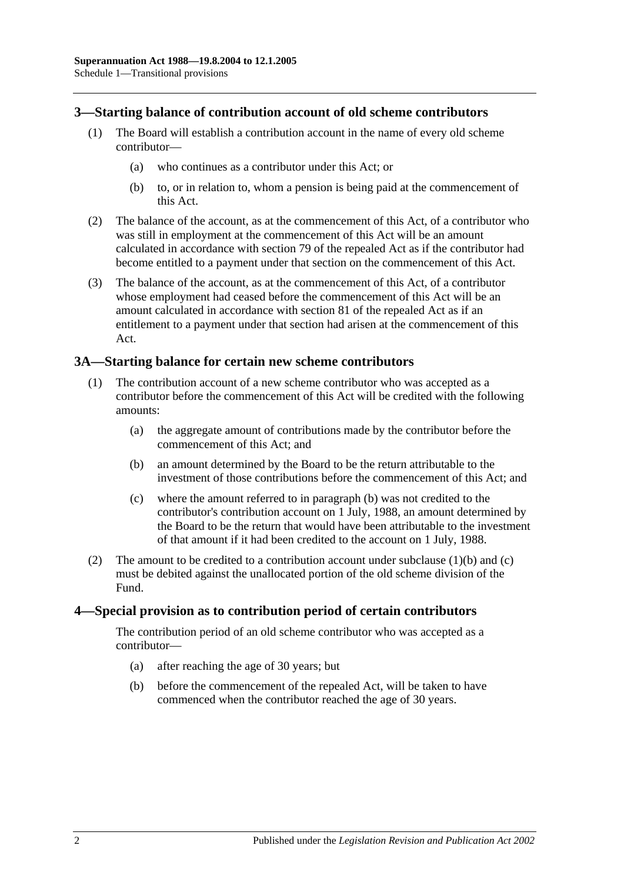## **3—Starting balance of contribution account of old scheme contributors**

- (1) The Board will establish a contribution account in the name of every old scheme contributor—
	- (a) who continues as a contributor under this Act; or
	- (b) to, or in relation to, whom a pension is being paid at the commencement of this Act.
- (2) The balance of the account, as at the commencement of this Act, of a contributor who was still in employment at the commencement of this Act will be an amount calculated in accordance with section 79 of the repealed Act as if the contributor had become entitled to a payment under that section on the commencement of this Act.
- (3) The balance of the account, as at the commencement of this Act, of a contributor whose employment had ceased before the commencement of this Act will be an amount calculated in accordance with section 81 of the repealed Act as if an entitlement to a payment under that section had arisen at the commencement of this Act.

## **3A—Starting balance for certain new scheme contributors**

- <span id="page-95-0"></span>(1) The contribution account of a new scheme contributor who was accepted as a contributor before the commencement of this Act will be credited with the following amounts:
	- (a) the aggregate amount of contributions made by the contributor before the commencement of this Act; and
	- (b) an amount determined by the Board to be the return attributable to the investment of those contributions before the commencement of this Act; and
	- (c) where the amount referred to in [paragraph](#page-95-0) (b) was not credited to the contributor's contribution account on 1 July, 1988, an amount determined by the Board to be the return that would have been attributable to the investment of that amount if it had been credited to the account on 1 July, 1988.
- <span id="page-95-1"></span>(2) The amount to be credited to a contribution account under [subclause](#page-95-0)  $(1)(b)$  and  $(c)$ must be debited against the unallocated portion of the old scheme division of the Fund.

#### **4—Special provision as to contribution period of certain contributors**

The contribution period of an old scheme contributor who was accepted as a contributor—

- (a) after reaching the age of 30 years; but
- (b) before the commencement of the repealed Act, will be taken to have commenced when the contributor reached the age of 30 years.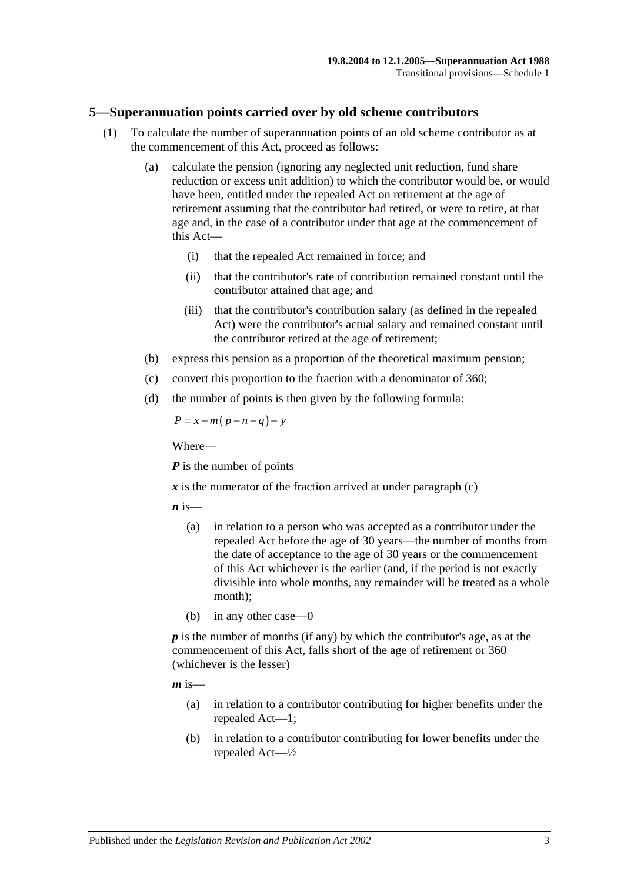#### **5—Superannuation points carried over by old scheme contributors**

- (1) To calculate the number of superannuation points of an old scheme contributor as at the commencement of this Act, proceed as follows:
	- (a) calculate the pension (ignoring any neglected unit reduction, fund share reduction or excess unit addition) to which the contributor would be, or would have been, entitled under the repealed Act on retirement at the age of retirement assuming that the contributor had retired, or were to retire, at that age and, in the case of a contributor under that age at the commencement of this Act—
		- (i) that the repealed Act remained in force; and
		- (ii) that the contributor's rate of contribution remained constant until the contributor attained that age; and
		- (iii) that the contributor's contribution salary (as defined in the repealed Act) were the contributor's actual salary and remained constant until the contributor retired at the age of retirement;
	- (b) express this pension as a proportion of the theoretical maximum pension;
	- (c) convert this proportion to the fraction with a denominator of 360;
	- (d) the number of points is then given by the following formula:

<span id="page-96-0"></span>
$$
P = x - m(p - n - q) - y
$$

Where—

*P* is the number of points

 $\boldsymbol{x}$  is the numerator of the fraction arrived at under [paragraph](#page-96-0) (c)

 $\boldsymbol{n}$  is—

- (a) in relation to a person who was accepted as a contributor under the repealed Act before the age of 30 years—the number of months from the date of acceptance to the age of 30 years or the commencement of this Act whichever is the earlier (and, if the period is not exactly divisible into whole months, any remainder will be treated as a whole month);
- (b) in any other case—0

*p* is the number of months (if any) by which the contributor's age, as at the commencement of this Act, falls short of the age of retirement or 360 (whichever is the lesser)

 $m$  is—

- (a) in relation to a contributor contributing for higher benefits under the repealed Act—1;
- (b) in relation to a contributor contributing for lower benefits under the repealed Act—½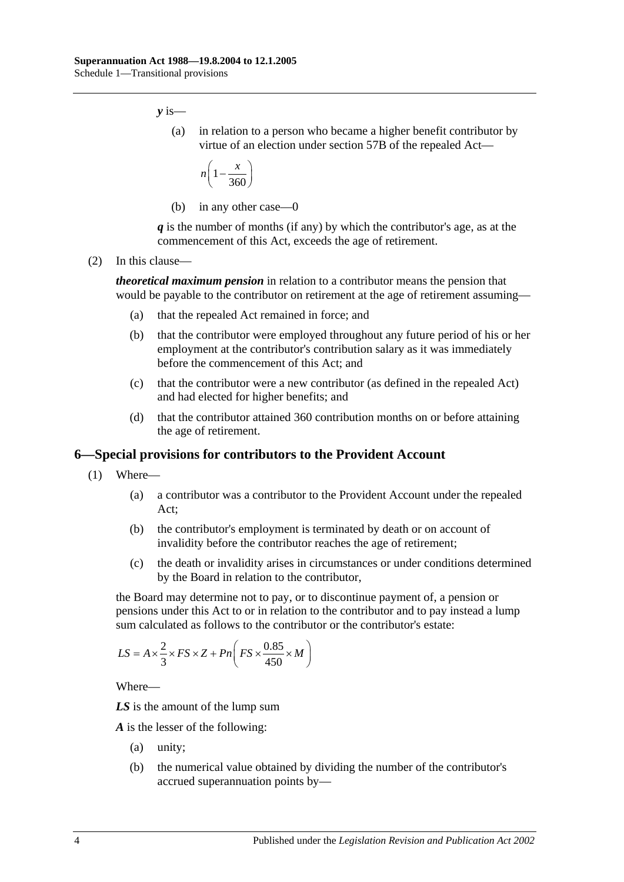*y* is—

(a) in relation to a person who became a higher benefit contributor by virtue of an election under section 57B of the repealed Act—

$$
n\left(1-\frac{x}{360}\right)
$$

(b) in any other case—0

*q* is the number of months (if any) by which the contributor's age, as at the commencement of this Act, exceeds the age of retirement.

(2) In this clause—

*theoretical maximum pension* in relation to a contributor means the pension that would be payable to the contributor on retirement at the age of retirement assuming—

- (a) that the repealed Act remained in force; and
- (b) that the contributor were employed throughout any future period of his or her employment at the contributor's contribution salary as it was immediately before the commencement of this Act; and
- (c) that the contributor were a new contributor (as defined in the repealed Act) and had elected for higher benefits; and
- (d) that the contributor attained 360 contribution months on or before attaining the age of retirement.

#### <span id="page-97-0"></span>**6—Special provisions for contributors to the Provident Account**

- (1) Where—
	- (a) a contributor was a contributor to the Provident Account under the repealed Act;
	- (b) the contributor's employment is terminated by death or on account of invalidity before the contributor reaches the age of retirement;
	- (c) the death or invalidity arises in circumstances or under conditions determined by the Board in relation to the contributor,

<span id="page-97-1"></span>the Board may determine not to pay, or to discontinue payment of, a pension or pensions under this Act to or in relation to the contributor and to pay instead a lump sum calculated as follows to the contributor or the contributor's estate:

$$
LS = A \times \frac{2}{3} \times FS \times Z + Pn \left( FS \times \frac{0.85}{450} \times M \right)
$$

Where—

*LS* is the amount of the lump sum

*A* is the lesser of the following:

- (a) unity;
- (b) the numerical value obtained by dividing the number of the contributor's accrued superannuation points by—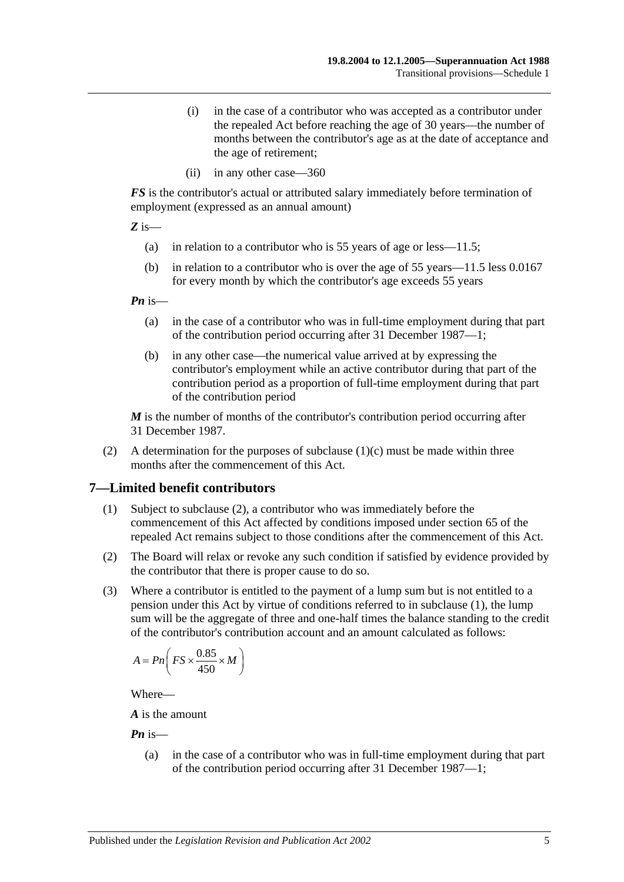- (i) in the case of a contributor who was accepted as a contributor under the repealed Act before reaching the age of 30 years—the number of months between the contributor's age as at the date of acceptance and the age of retirement;
- (ii) in any other case—360

*FS* is the contributor's actual or attributed salary immediately before termination of employment (expressed as an annual amount)

*Z* is—

- (a) in relation to a contributor who is 55 years of age or less—11.5;
- (b) in relation to a contributor who is over the age of 55 years—11.5 less 0.0167 for every month by which the contributor's age exceeds 55 years

*Pn* is—

- (a) in the case of a contributor who was in full-time employment during that part of the contribution period occurring after 31 December 1987—1;
- (b) in any other case—the numerical value arrived at by expressing the contributor's employment while an active contributor during that part of the contribution period as a proportion of full-time employment during that part of the contribution period

*M* is the number of months of the contributor's contribution period occurring after 31 December 1987.

(2) A determination for the purposes of [subclause](#page-97-1) (1)(c) must be made within three months after the commencement of this Act.

## <span id="page-98-1"></span>**7—Limited benefit contributors**

- (1) Subject to [subclause](#page-98-0) (2), a contributor who was immediately before the commencement of this Act affected by conditions imposed under section 65 of the repealed Act remains subject to those conditions after the commencement of this Act.
- <span id="page-98-0"></span>(2) The Board will relax or revoke any such condition if satisfied by evidence provided by the contributor that there is proper cause to do so.
- (3) Where a contributor is entitled to the payment of a lump sum but is not entitled to a pension under this Act by virtue of conditions referred to in [subclause](#page-98-1) (1), the lump sum will be the aggregate of three and one-half times the balance standing to the credit of the contributor's contribution account and an amount calculated as follows:

$$
A = P_n \bigg( FS \times \frac{0.85}{450} \times M \bigg)
$$

Where—

*A* is the amount

*Pn* is—

(a) in the case of a contributor who was in full-time employment during that part of the contribution period occurring after 31 December 1987—1;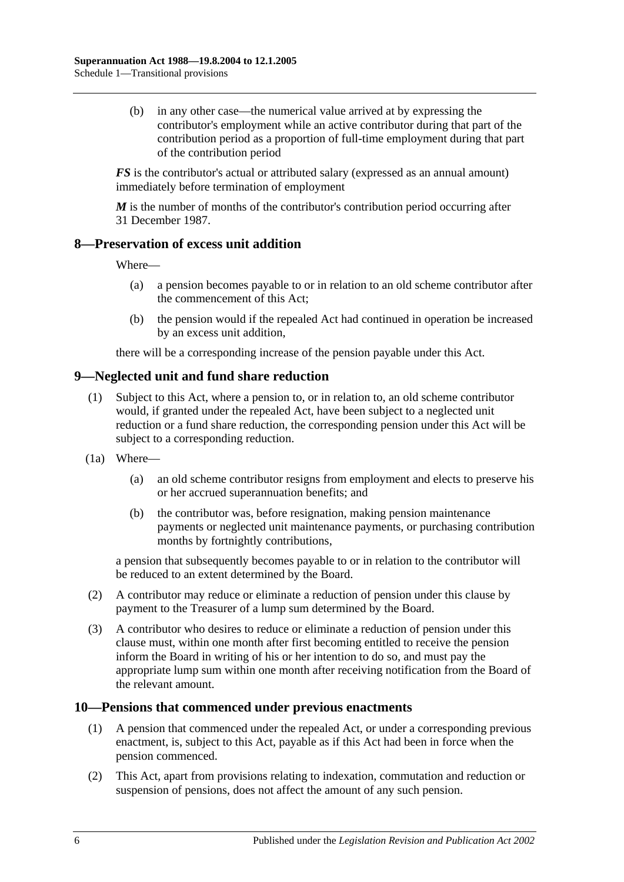(b) in any other case—the numerical value arrived at by expressing the contributor's employment while an active contributor during that part of the contribution period as a proportion of full-time employment during that part of the contribution period

*FS* is the contributor's actual or attributed salary (expressed as an annual amount) immediately before termination of employment

*M* is the number of months of the contributor's contribution period occurring after 31 December 1987.

## **8—Preservation of excess unit addition**

Where—

- (a) a pension becomes payable to or in relation to an old scheme contributor after the commencement of this Act;
- (b) the pension would if the repealed Act had continued in operation be increased by an excess unit addition,

there will be a corresponding increase of the pension payable under this Act.

## **9—Neglected unit and fund share reduction**

- (1) Subject to this Act, where a pension to, or in relation to, an old scheme contributor would, if granted under the repealed Act, have been subject to a neglected unit reduction or a fund share reduction, the corresponding pension under this Act will be subject to a corresponding reduction.
- (1a) Where—
	- (a) an old scheme contributor resigns from employment and elects to preserve his or her accrued superannuation benefits; and
	- (b) the contributor was, before resignation, making pension maintenance payments or neglected unit maintenance payments, or purchasing contribution months by fortnightly contributions,

a pension that subsequently becomes payable to or in relation to the contributor will be reduced to an extent determined by the Board.

- (2) A contributor may reduce or eliminate a reduction of pension under this clause by payment to the Treasurer of a lump sum determined by the Board.
- (3) A contributor who desires to reduce or eliminate a reduction of pension under this clause must, within one month after first becoming entitled to receive the pension inform the Board in writing of his or her intention to do so, and must pay the appropriate lump sum within one month after receiving notification from the Board of the relevant amount.

#### **10—Pensions that commenced under previous enactments**

- (1) A pension that commenced under the repealed Act, or under a corresponding previous enactment, is, subject to this Act, payable as if this Act had been in force when the pension commenced.
- (2) This Act, apart from provisions relating to indexation, commutation and reduction or suspension of pensions, does not affect the amount of any such pension.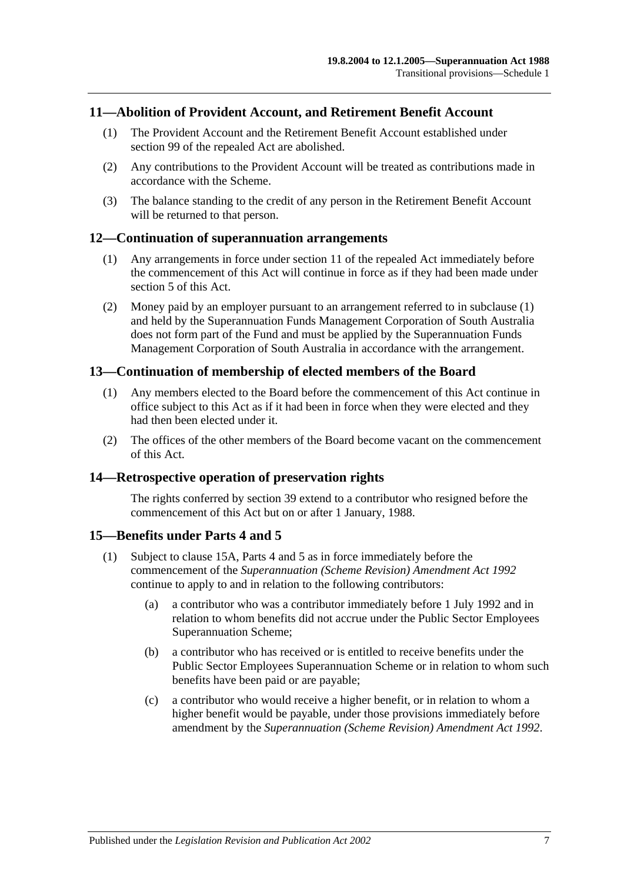## **11—Abolition of Provident Account, and Retirement Benefit Account**

- (1) The Provident Account and the Retirement Benefit Account established under section 99 of the repealed Act are abolished.
- (2) Any contributions to the Provident Account will be treated as contributions made in accordance with the Scheme.
- (3) The balance standing to the credit of any person in the Retirement Benefit Account will be returned to that person.

#### <span id="page-100-0"></span>**12—Continuation of superannuation arrangements**

- (1) Any arrangements in force under section 11 of the repealed Act immediately before the commencement of this Act will continue in force as if they had been made under [section](#page-12-0) 5 of this Act.
- (2) Money paid by an employer pursuant to an arrangement referred to in [subclause](#page-100-0) (1) and held by the Superannuation Funds Management Corporation of South Australia does not form part of the Fund and must be applied by the Superannuation Funds Management Corporation of South Australia in accordance with the arrangement.

#### **13—Continuation of membership of elected members of the Board**

- (1) Any members elected to the Board before the commencement of this Act continue in office subject to this Act as if it had been in force when they were elected and they had then been elected under it.
- (2) The offices of the other members of the Board become vacant on the commencement of this Act.

#### **14—Retrospective operation of preservation rights**

The rights conferred by [section](#page-61-0) 39 extend to a contributor who resigned before the commencement of this Act but on or after 1 January, 1988.

#### <span id="page-100-2"></span>**15—Benefits under [Parts 4](#page-26-0) and [5](#page-48-0)**

- <span id="page-100-1"></span>(1) Subject to [clause](#page-101-0) 15A, [Parts 4](#page-26-0) and [5](#page-48-0) as in force immediately before the commencement of the *[Superannuation \(Scheme Revision\) Amendment Act](http://www.legislation.sa.gov.au/index.aspx?action=legref&type=act&legtitle=Superannuation%20(Scheme%20Revision)%20Amendment%20Act%201992) 1992* continue to apply to and in relation to the following contributors:
	- (a) a contributor who was a contributor immediately before 1 July 1992 and in relation to whom benefits did not accrue under the Public Sector Employees Superannuation Scheme;
	- (b) a contributor who has received or is entitled to receive benefits under the Public Sector Employees Superannuation Scheme or in relation to whom such benefits have been paid or are payable;
	- (c) a contributor who would receive a higher benefit, or in relation to whom a higher benefit would be payable, under those provisions immediately before amendment by the *[Superannuation \(Scheme Revision\) Amendment Act](http://www.legislation.sa.gov.au/index.aspx?action=legref&type=act&legtitle=Superannuation%20(Scheme%20Revision)%20Amendment%20Act%201992) 1992*.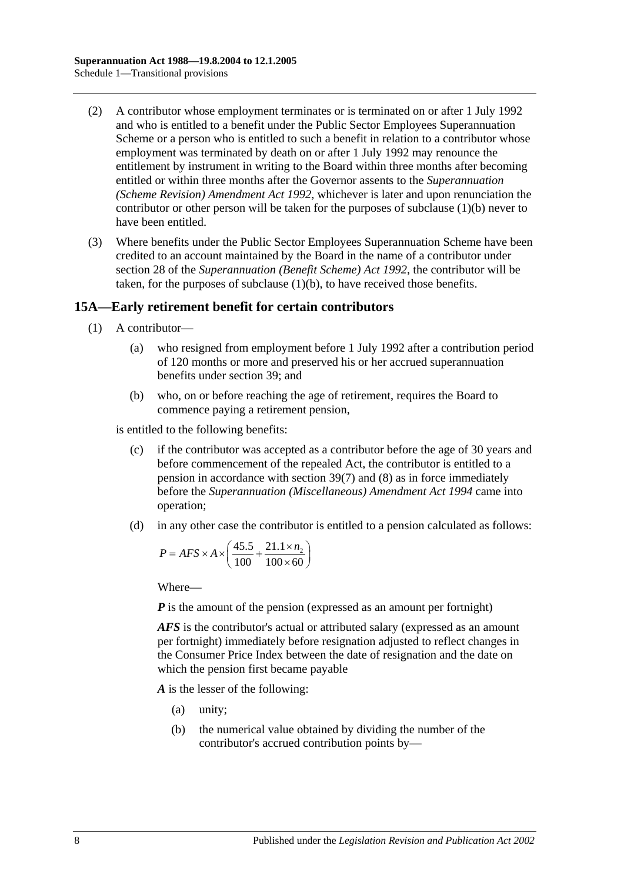- (2) A contributor whose employment terminates or is terminated on or after 1 July 1992 and who is entitled to a benefit under the Public Sector Employees Superannuation Scheme or a person who is entitled to such a benefit in relation to a contributor whose employment was terminated by death on or after 1 July 1992 may renounce the entitlement by instrument in writing to the Board within three months after becoming entitled or within three months after the Governor assents to the *[Superannuation](http://www.legislation.sa.gov.au/index.aspx?action=legref&type=act&legtitle=Superannuation%20(Scheme%20Revision)%20Amendment%20Act%201992)  [\(Scheme Revision\) Amendment Act](http://www.legislation.sa.gov.au/index.aspx?action=legref&type=act&legtitle=Superannuation%20(Scheme%20Revision)%20Amendment%20Act%201992) 1992*, whichever is later and upon renunciation the contributor or other person will be taken for the purposes of [subclause](#page-100-1) (1)(b) never to have been entitled.
- (3) Where benefits under the Public Sector Employees Superannuation Scheme have been credited to an account maintained by the Board in the name of a contributor under section 28 of the *[Superannuation \(Benefit Scheme\) Act](http://www.legislation.sa.gov.au/index.aspx?action=legref&type=act&legtitle=Superannuation%20(Benefit%20Scheme)%20Act%201992) 1992*, the contributor will be taken, for the purposes of [subclause](#page-100-1) (1)(b), to have received those benefits.

## <span id="page-101-0"></span>**15A—Early retirement benefit for certain contributors**

- (1) A contributor—
	- (a) who resigned from employment before 1 July 1992 after a contribution period of 120 months or more and preserved his or her accrued superannuation benefits under [section](#page-61-0) 39; and
	- (b) who, on or before reaching the age of retirement, requires the Board to commence paying a retirement pension,

<span id="page-101-1"></span>is entitled to the following benefits:

- (c) if the contributor was accepted as a contributor before the age of 30 years and before commencement of the repealed Act, the contributor is entitled to a pension in accordance with [section](#page-64-0) 39(7) and [\(8\)](#page-65-0) as in force immediately before the *[Superannuation \(Miscellaneous\) Amendment Act](http://www.legislation.sa.gov.au/index.aspx?action=legref&type=act&legtitle=Superannuation%20(Miscellaneous)%20Amendment%20Act%201994) 1994* came into operation;
- <span id="page-101-2"></span>(d) in any other case the contributor is entitled to a pension calculated as follows:

$$
P = AFS \times A \times \left(\frac{45.5}{100} + \frac{21.1 \times n_2}{100 \times 60}\right)
$$

Where—

*P* is the amount of the pension (expressed as an amount per fortnight)

*AFS* is the contributor's actual or attributed salary (expressed as an amount per fortnight) immediately before resignation adjusted to reflect changes in the Consumer Price Index between the date of resignation and the date on which the pension first became payable

*A* is the lesser of the following:

- (a) unity;
- (b) the numerical value obtained by dividing the number of the contributor's accrued contribution points by—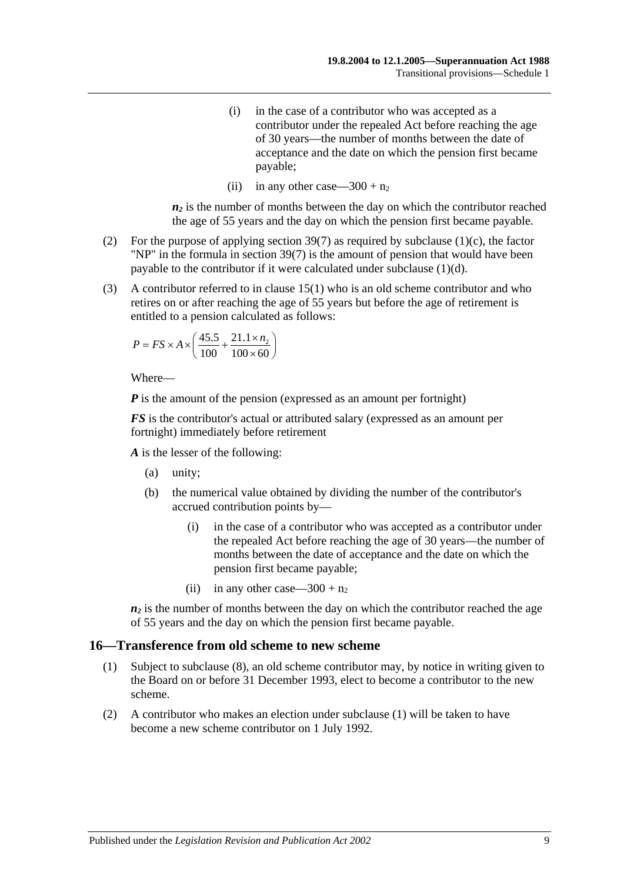- (i) in the case of a contributor who was accepted as a contributor under the repealed Act before reaching the age of 30 years—the number of months between the date of acceptance and the date on which the pension first became payable;
- (ii) in any other case—300 +  $n_2$

 $n_2$  is the number of months between the day on which the contributor reached the age of 55 years and the day on which the pension first became payable.

- (2) For the purpose of applying [section](#page-64-0) 39(7) as required by [subclause](#page-101-1) (1)(c), the factor "NP" in the formula in [section](#page-64-0) 39(7) is the amount of pension that would have been payable to the contributor if it were calculated under [subclause](#page-101-2) (1)(d).
- (3) A contributor referred to in [clause](#page-100-2) 15(1) who is an old scheme contributor and who retires on or after reaching the age of 55 years but before the age of retirement is entitled to a pension calculated as follows:

$$
P = FS \times A \times \left(\frac{45.5}{100} + \frac{21.1 \times n_2}{100 \times 60}\right)
$$

Where—

*P* is the amount of the pension (expressed as an amount per fortnight)

*FS* is the contributor's actual or attributed salary (expressed as an amount per fortnight) immediately before retirement

*A* is the lesser of the following:

- (a) unity;
- (b) the numerical value obtained by dividing the number of the contributor's accrued contribution points by—
	- (i) in the case of a contributor who was accepted as a contributor under the repealed Act before reaching the age of 30 years—the number of months between the date of acceptance and the date on which the pension first became payable;
	- (ii) in any other case—300 +  $n_2$

 $n_2$  is the number of months between the day on which the contributor reached the age of 55 years and the day on which the pension first became payable.

#### <span id="page-102-0"></span>**16—Transference from old scheme to new scheme**

- (1) Subject to [subclause](#page-103-0) (8), an old scheme contributor may, by notice in writing given to the Board on or before 31 December 1993, elect to become a contributor to the new scheme.
- (2) A contributor who makes an election under [subclause](#page-102-0) (1) will be taken to have become a new scheme contributor on 1 July 1992.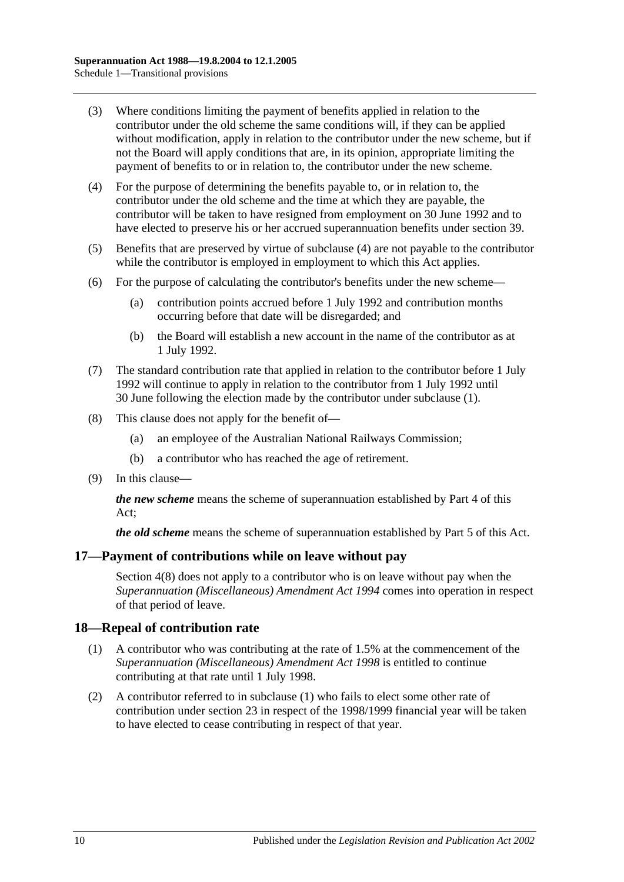- (3) Where conditions limiting the payment of benefits applied in relation to the contributor under the old scheme the same conditions will, if they can be applied without modification, apply in relation to the contributor under the new scheme, but if not the Board will apply conditions that are, in its opinion, appropriate limiting the payment of benefits to or in relation to, the contributor under the new scheme.
- <span id="page-103-1"></span>(4) For the purpose of determining the benefits payable to, or in relation to, the contributor under the old scheme and the time at which they are payable, the contributor will be taken to have resigned from employment on 30 June 1992 and to have elected to preserve his or her accrued superannuation benefits under [section](#page-61-0) 39.
- (5) Benefits that are preserved by virtue of [subclause](#page-103-1) (4) are not payable to the contributor while the contributor is employed in employment to which this Act applies.
- (6) For the purpose of calculating the contributor's benefits under the new scheme—
	- (a) contribution points accrued before 1 July 1992 and contribution months occurring before that date will be disregarded; and
	- (b) the Board will establish a new account in the name of the contributor as at 1 July 1992.
- (7) The standard contribution rate that applied in relation to the contributor before 1 July 1992 will continue to apply in relation to the contributor from 1 July 1992 until 30 June following the election made by the contributor under [subclause](#page-102-0) (1).
- <span id="page-103-0"></span>(8) This clause does not apply for the benefit of—
	- (a) an employee of the Australian National Railways Commission;
	- (b) a contributor who has reached the age of retirement.
- (9) In this clause—

*the new scheme* means the scheme of superannuation established by [Part 4](#page-26-0) of this Act;

*the old scheme* means the scheme of superannuation established by [Part 5](#page-48-0) of this Act.

#### **17—Payment of contributions while on leave without pay**

[Section](#page-10-0) 4(8) does not apply to a contributor who is on leave without pay when the *[Superannuation \(Miscellaneous\) Amendment](http://www.legislation.sa.gov.au/index.aspx?action=legref&type=act&legtitle=Superannuation%20(Miscellaneous)%20Amendment%20Act%201994) Act 1994* comes into operation in respect of that period of leave.

#### <span id="page-103-2"></span>**18—Repeal of contribution rate**

- (1) A contributor who was contributing at the rate of 1.5% at the commencement of the *[Superannuation \(Miscellaneous\) Amendment Act](http://www.legislation.sa.gov.au/index.aspx?action=legref&type=act&legtitle=Superannuation%20(Miscellaneous)%20Amendment%20Act%201998) 1998* is entitled to continue contributing at that rate until 1 July 1998.
- (2) A contributor referred to in [subclause](#page-103-2) (1) who fails to elect some other rate of contribution under [section](#page-22-0) 23 in respect of the 1998/1999 financial year will be taken to have elected to cease contributing in respect of that year.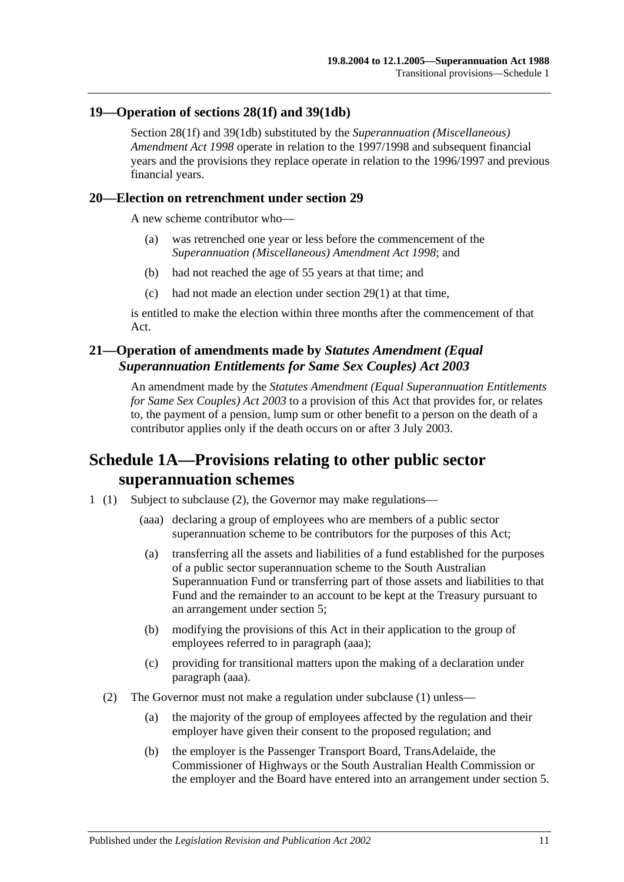## **19—Operation of [sections](#page-28-0) 28(1f) and [39\(1db\)](#page-62-0)**

[Section](#page-28-0) 28(1f) and [39\(1db\)](#page-62-0) substituted by the *[Superannuation \(Miscellaneous\)](http://www.legislation.sa.gov.au/index.aspx?action=legref&type=act&legtitle=Superannuation%20(Miscellaneous)%20Amendment%20Act%201998)  [Amendment Act](http://www.legislation.sa.gov.au/index.aspx?action=legref&type=act&legtitle=Superannuation%20(Miscellaneous)%20Amendment%20Act%201998) 1998* operate in relation to the 1997/1998 and subsequent financial years and the provisions they replace operate in relation to the 1996/1997 and previous financial years.

#### **20—Election on retrenchment under [section](#page-32-0) 29**

A new scheme contributor who—

- (a) was retrenched one year or less before the commencement of the *[Superannuation \(Miscellaneous\) Amendment Act](http://www.legislation.sa.gov.au/index.aspx?action=legref&type=act&legtitle=Superannuation%20(Miscellaneous)%20Amendment%20Act%201998) 1998*; and
- (b) had not reached the age of 55 years at that time; and
- (c) had not made an election under [section](#page-32-1) 29(1) at that time,

is entitled to make the election within three months after the commencement of that Act.

## **21—Operation of amendments made by** *Statutes Amendment (Equal Superannuation Entitlements for Same Sex Couples) Act 2003*

An amendment made by the *[Statutes Amendment \(Equal Superannuation Entitlements](http://www.legislation.sa.gov.au/index.aspx?action=legref&type=act&legtitle=Statutes%20Amendment%20(Equal%20Superannuation%20Entitlements%20for%20Same%20Sex%20Couples)%20Act%202003)  [for Same Sex Couples\) Act 2003](http://www.legislation.sa.gov.au/index.aspx?action=legref&type=act&legtitle=Statutes%20Amendment%20(Equal%20Superannuation%20Entitlements%20for%20Same%20Sex%20Couples)%20Act%202003)* to a provision of this Act that provides for, or relates to, the payment of a pension, lump sum or other benefit to a person on the death of a contributor applies only if the death occurs on or after 3 July 2003.

## **Schedule 1A—Provisions relating to other public sector superannuation schemes**

- <span id="page-104-1"></span><span id="page-104-0"></span>1 (1) Subject to [subclause](#page-104-0) (2), the Governor may make regulations—
	- (aaa) declaring a group of employees who are members of a public sector superannuation scheme to be contributors for the purposes of this Act;
	- (a) transferring all the assets and liabilities of a fund established for the purposes of a public sector superannuation scheme to the South Australian Superannuation Fund or transferring part of those assets and liabilities to that Fund and the remainder to an account to be kept at the Treasury pursuant to an arrangement under [section](#page-12-0) 5;
	- (b) modifying the provisions of this Act in their application to the group of employees referred to in [paragraph](#page-104-1) (aaa);
	- (c) providing for transitional matters upon the making of a declaration under [paragraph](#page-104-1) (aaa).
	- (2) The Governor must not make a regulation under subclause (1) unless—
		- (a) the majority of the group of employees affected by the regulation and their employer have given their consent to the proposed regulation; and
		- (b) the employer is the Passenger Transport Board, TransAdelaide, the Commissioner of Highways or the South Australian Health Commission or the employer and the Board have entered into an arrangement under [section](#page-12-0) 5.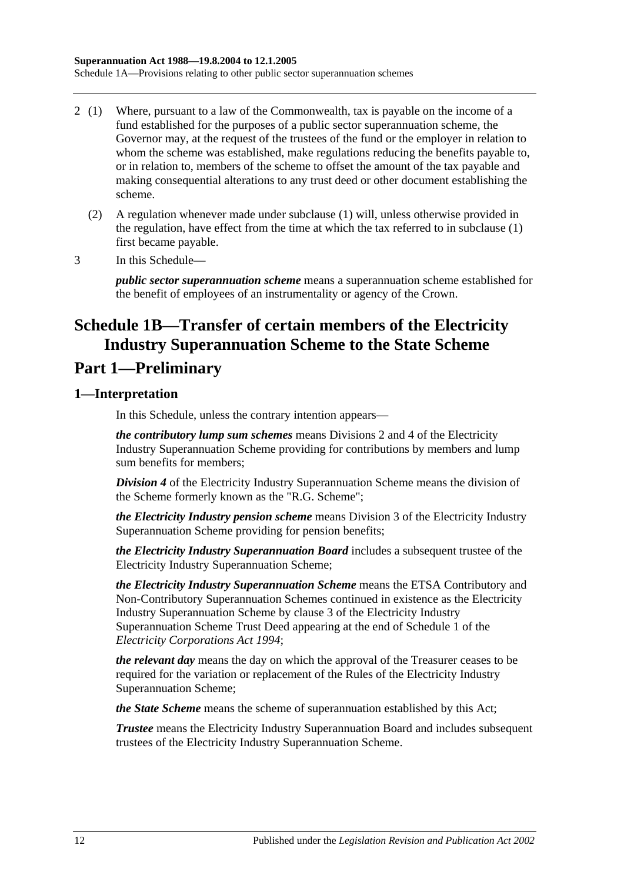- 2 (1) Where, pursuant to a law of the Commonwealth, tax is payable on the income of a fund established for the purposes of a public sector superannuation scheme, the Governor may, at the request of the trustees of the fund or the employer in relation to whom the scheme was established, make regulations reducing the benefits payable to, or in relation to, members of the scheme to offset the amount of the tax payable and making consequential alterations to any trust deed or other document establishing the scheme.
	- (2) A regulation whenever made under subclause (1) will, unless otherwise provided in the regulation, have effect from the time at which the tax referred to in subclause (1) first became payable.
- 3 In this Schedule—

*public sector superannuation scheme* means a superannuation scheme established for the benefit of employees of an instrumentality or agency of the Crown.

# **Schedule 1B—Transfer of certain members of the Electricity Industry Superannuation Scheme to the State Scheme**

## **Part 1—Preliminary**

## **1—Interpretation**

In this Schedule, unless the contrary intention appears—

*the contributory lump sum schemes* means Divisions 2 and 4 of the Electricity Industry Superannuation Scheme providing for contributions by members and lump sum benefits for members;

*Division 4* of the Electricity Industry Superannuation Scheme means the division of the Scheme formerly known as the "R.G. Scheme";

*the Electricity Industry pension scheme* means Division 3 of the Electricity Industry Superannuation Scheme providing for pension benefits;

*the Electricity Industry Superannuation Board* includes a subsequent trustee of the Electricity Industry Superannuation Scheme;

*the Electricity Industry Superannuation Scheme* means the ETSA Contributory and Non-Contributory Superannuation Schemes continued in existence as the Electricity Industry Superannuation Scheme by clause 3 of the Electricity Industry Superannuation Scheme Trust Deed appearing at the end of Schedule 1 of the *[Electricity Corporations Act](http://www.legislation.sa.gov.au/index.aspx?action=legref&type=act&legtitle=Electricity%20Corporations%20Act%201994) 1994*;

*the relevant day* means the day on which the approval of the Treasurer ceases to be required for the variation or replacement of the Rules of the Electricity Industry Superannuation Scheme;

*the State Scheme* means the scheme of superannuation established by this Act;

*Trustee* means the Electricity Industry Superannuation Board and includes subsequent trustees of the Electricity Industry Superannuation Scheme.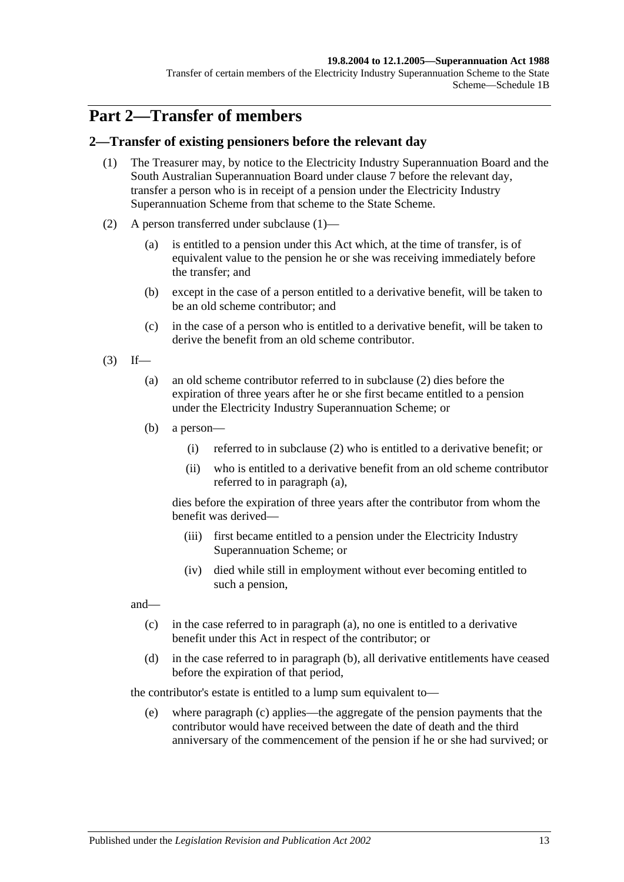#### **19.8.2004 to 12.1.2005—Superannuation Act 1988**

Transfer of certain members of the Electricity Industry Superannuation Scheme to the State Scheme—Schedule 1B

## **Part 2—Transfer of members**

#### <span id="page-106-0"></span>**2—Transfer of existing pensioners before the relevant day**

- (1) The Treasurer may, by notice to the Electricity Industry Superannuation Board and the South Australian Superannuation Board under [clause](#page-113-0) 7 before the relevant day, transfer a person who is in receipt of a pension under the Electricity Industry Superannuation Scheme from that scheme to the State Scheme.
- <span id="page-106-1"></span>(2) A person transferred under [subclause](#page-106-0) (1)—
	- (a) is entitled to a pension under this Act which, at the time of transfer, is of equivalent value to the pension he or she was receiving immediately before the transfer; and
	- (b) except in the case of a person entitled to a derivative benefit, will be taken to be an old scheme contributor; and
	- (c) in the case of a person who is entitled to a derivative benefit, will be taken to derive the benefit from an old scheme contributor.
- <span id="page-106-3"></span><span id="page-106-2"></span> $(3)$  If—
	- (a) an old scheme contributor referred to in [subclause](#page-106-1) (2) dies before the expiration of three years after he or she first became entitled to a pension under the Electricity Industry Superannuation Scheme; or
	- (b) a person—
		- (i) referred to in [subclause](#page-106-1) (2) who is entitled to a derivative benefit; or
		- (ii) who is entitled to a derivative benefit from an old scheme contributor referred to in [paragraph](#page-106-2) (a),

dies before the expiration of three years after the contributor from whom the benefit was derived—

- (iii) first became entitled to a pension under the Electricity Industry Superannuation Scheme; or
- (iv) died while still in employment without ever becoming entitled to such a pension,

<span id="page-106-4"></span>and—

- (c) in the case referred to in [paragraph](#page-106-2) (a), no one is entitled to a derivative benefit under this Act in respect of the contributor; or
- <span id="page-106-5"></span>(d) in the case referred to in [paragraph](#page-106-3) (b), all derivative entitlements have ceased before the expiration of that period,

the contributor's estate is entitled to a lump sum equivalent to—

(e) where [paragraph](#page-106-4) (c) applies—the aggregate of the pension payments that the contributor would have received between the date of death and the third anniversary of the commencement of the pension if he or she had survived; or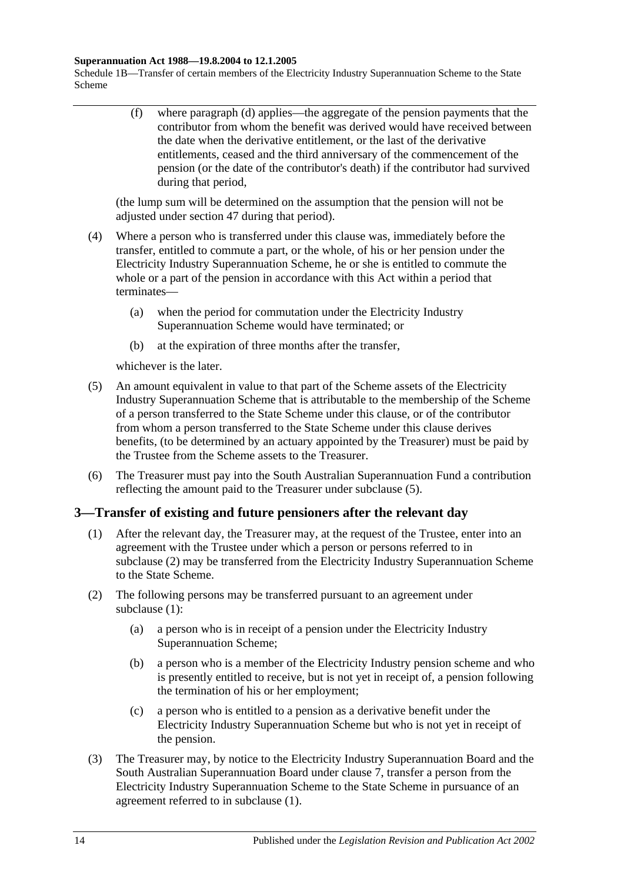#### **Superannuation Act 1988—19.8.2004 to 12.1.2005**

Schedule 1B—Transfer of certain members of the Electricity Industry Superannuation Scheme to the State Scheme

> (f) where [paragraph](#page-106-5) (d) applies—the aggregate of the pension payments that the contributor from whom the benefit was derived would have received between the date when the derivative entitlement, or the last of the derivative entitlements, ceased and the third anniversary of the commencement of the pension (or the date of the contributor's death) if the contributor had survived during that period,

(the lump sum will be determined on the assumption that the pension will not be adjusted under [section](#page-87-1) 47 during that period).

- (4) Where a person who is transferred under this clause was, immediately before the transfer, entitled to commute a part, or the whole, of his or her pension under the Electricity Industry Superannuation Scheme, he or she is entitled to commute the whole or a part of the pension in accordance with this Act within a period that terminates—
	- (a) when the period for commutation under the Electricity Industry Superannuation Scheme would have terminated; or
	- (b) at the expiration of three months after the transfer,

whichever is the later.

- <span id="page-107-0"></span>(5) An amount equivalent in value to that part of the Scheme assets of the Electricity Industry Superannuation Scheme that is attributable to the membership of the Scheme of a person transferred to the State Scheme under this clause, or of the contributor from whom a person transferred to the State Scheme under this clause derives benefits, (to be determined by an actuary appointed by the Treasurer) must be paid by the Trustee from the Scheme assets to the Treasurer.
- (6) The Treasurer must pay into the South Australian Superannuation Fund a contribution reflecting the amount paid to the Treasurer under [subclause](#page-107-0) (5).

## <span id="page-107-2"></span>**3—Transfer of existing and future pensioners after the relevant day**

- (1) After the relevant day, the Treasurer may, at the request of the Trustee, enter into an agreement with the Trustee under which a person or persons referred to in [subclause](#page-107-1) (2) may be transferred from the Electricity Industry Superannuation Scheme to the State Scheme.
- <span id="page-107-1"></span>(2) The following persons may be transferred pursuant to an agreement under [subclause](#page-107-2) (1):
	- (a) a person who is in receipt of a pension under the Electricity Industry Superannuation Scheme;
	- (b) a person who is a member of the Electricity Industry pension scheme and who is presently entitled to receive, but is not yet in receipt of, a pension following the termination of his or her employment;
	- (c) a person who is entitled to a pension as a derivative benefit under the Electricity Industry Superannuation Scheme but who is not yet in receipt of the pension.
- (3) The Treasurer may, by notice to the Electricity Industry Superannuation Board and the South Australian Superannuation Board under [clause](#page-113-0) 7, transfer a person from the Electricity Industry Superannuation Scheme to the State Scheme in pursuance of an agreement referred to in [subclause](#page-107-2) (1).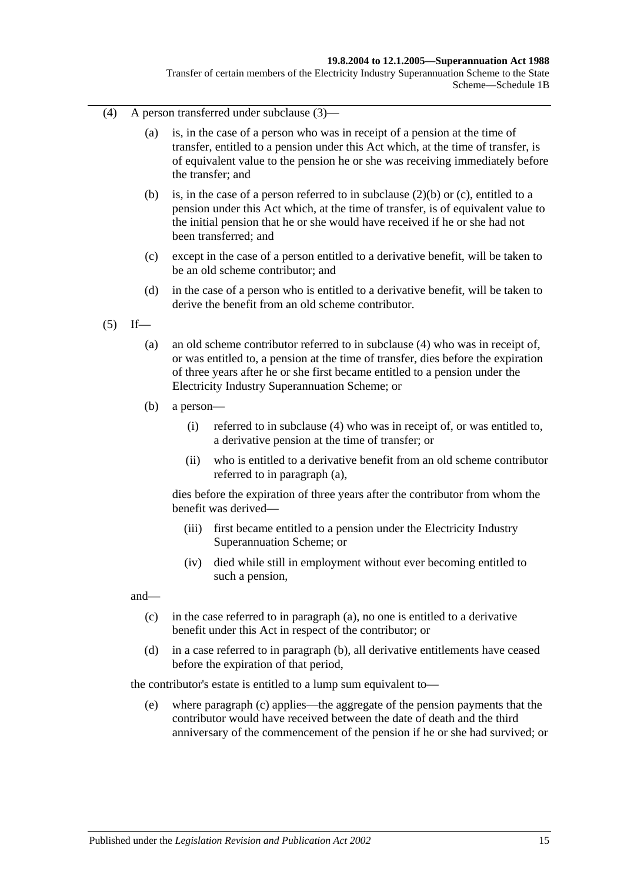#### **19.8.2004 to 12.1.2005—Superannuation Act 1988**

Transfer of certain members of the Electricity Industry Superannuation Scheme to the State Scheme—Schedule 1B

- <span id="page-108-0"></span>(4) A person transferred under [subclause](#page-107-0) (3)—
	- (a) is, in the case of a person who was in receipt of a pension at the time of transfer, entitled to a pension under this Act which, at the time of transfer, is of equivalent value to the pension he or she was receiving immediately before the transfer; and
	- (b) is, in the case of a person referred to in [subclause](#page-107-1) (2)(b) or [\(c\),](#page-107-2) entitled to a pension under this Act which, at the time of transfer, is of equivalent value to the initial pension that he or she would have received if he or she had not been transferred; and
	- (c) except in the case of a person entitled to a derivative benefit, will be taken to be an old scheme contributor; and
	- (d) in the case of a person who is entitled to a derivative benefit, will be taken to derive the benefit from an old scheme contributor.
- <span id="page-108-2"></span><span id="page-108-1"></span> $(5)$  If—
	- (a) an old scheme contributor referred to in [subclause](#page-108-0) (4) who was in receipt of, or was entitled to, a pension at the time of transfer, dies before the expiration of three years after he or she first became entitled to a pension under the Electricity Industry Superannuation Scheme; or
	- (b) a person—
		- (i) referred to in [subclause](#page-108-0) (4) who was in receipt of, or was entitled to, a derivative pension at the time of transfer; or
		- (ii) who is entitled to a derivative benefit from an old scheme contributor referred to in [paragraph](#page-108-1) (a),

dies before the expiration of three years after the contributor from whom the benefit was derived—

- (iii) first became entitled to a pension under the Electricity Industry Superannuation Scheme; or
- (iv) died while still in employment without ever becoming entitled to such a pension,

<span id="page-108-3"></span>and—

- (c) in the case referred to in [paragraph](#page-108-1) (a), no one is entitled to a derivative benefit under this Act in respect of the contributor; or
- <span id="page-108-4"></span>(d) in a case referred to in [paragraph](#page-108-2) (b), all derivative entitlements have ceased before the expiration of that period,

the contributor's estate is entitled to a lump sum equivalent to—

(e) where [paragraph](#page-108-3) (c) applies—the aggregate of the pension payments that the contributor would have received between the date of death and the third anniversary of the commencement of the pension if he or she had survived; or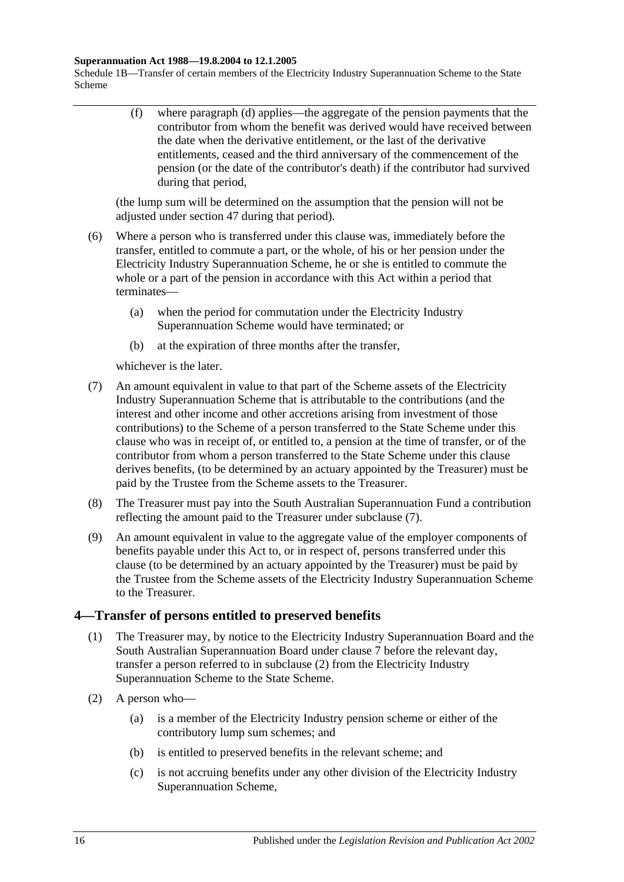#### **Superannuation Act 1988—19.8.2004 to 12.1.2005**

Schedule 1B—Transfer of certain members of the Electricity Industry Superannuation Scheme to the State Scheme

> (f) where [paragraph](#page-108-4) (d) applies—the aggregate of the pension payments that the contributor from whom the benefit was derived would have received between the date when the derivative entitlement, or the last of the derivative entitlements, ceased and the third anniversary of the commencement of the pension (or the date of the contributor's death) if the contributor had survived during that period,

(the lump sum will be determined on the assumption that the pension will not be adjusted under [section](#page-87-0) 47 during that period).

- (6) Where a person who is transferred under this clause was, immediately before the transfer, entitled to commute a part, or the whole, of his or her pension under the Electricity Industry Superannuation Scheme, he or she is entitled to commute the whole or a part of the pension in accordance with this Act within a period that terminates—
	- (a) when the period for commutation under the Electricity Industry Superannuation Scheme would have terminated; or
	- (b) at the expiration of three months after the transfer,

whichever is the later.

- <span id="page-109-0"></span>(7) An amount equivalent in value to that part of the Scheme assets of the Electricity Industry Superannuation Scheme that is attributable to the contributions (and the interest and other income and other accretions arising from investment of those contributions) to the Scheme of a person transferred to the State Scheme under this clause who was in receipt of, or entitled to, a pension at the time of transfer, or of the contributor from whom a person transferred to the State Scheme under this clause derives benefits, (to be determined by an actuary appointed by the Treasurer) must be paid by the Trustee from the Scheme assets to the Treasurer.
- (8) The Treasurer must pay into the South Australian Superannuation Fund a contribution reflecting the amount paid to the Treasurer under [subclause](#page-109-0) (7).
- (9) An amount equivalent in value to the aggregate value of the employer components of benefits payable under this Act to, or in respect of, persons transferred under this clause (to be determined by an actuary appointed by the Treasurer) must be paid by the Trustee from the Scheme assets of the Electricity Industry Superannuation Scheme to the Treasurer.

## <span id="page-109-2"></span>**4—Transfer of persons entitled to preserved benefits**

- (1) The Treasurer may, by notice to the Electricity Industry Superannuation Board and the South Australian Superannuation Board under [clause](#page-113-0) 7 before the relevant day, transfer a person referred to in [subclause](#page-109-1) (2) from the Electricity Industry Superannuation Scheme to the State Scheme.
- <span id="page-109-1"></span>(2) A person who—
	- (a) is a member of the Electricity Industry pension scheme or either of the contributory lump sum schemes; and
	- (b) is entitled to preserved benefits in the relevant scheme; and
	- (c) is not accruing benefits under any other division of the Electricity Industry Superannuation Scheme,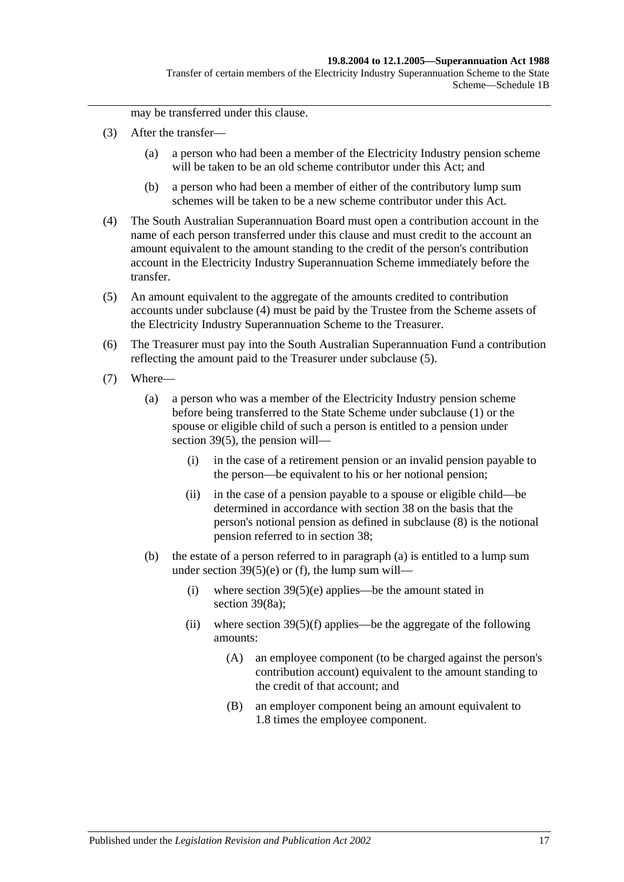may be transferred under this clause.

- (3) After the transfer—
	- (a) a person who had been a member of the Electricity Industry pension scheme will be taken to be an old scheme contributor under this Act; and
	- (b) a person who had been a member of either of the contributory lump sum schemes will be taken to be a new scheme contributor under this Act.
- <span id="page-110-0"></span>(4) The South Australian Superannuation Board must open a contribution account in the name of each person transferred under this clause and must credit to the account an amount equivalent to the amount standing to the credit of the person's contribution account in the Electricity Industry Superannuation Scheme immediately before the transfer.
- <span id="page-110-1"></span>(5) An amount equivalent to the aggregate of the amounts credited to contribution accounts under [subclause](#page-110-0) (4) must be paid by the Trustee from the Scheme assets of the Electricity Industry Superannuation Scheme to the Treasurer.
- (6) The Treasurer must pay into the South Australian Superannuation Fund a contribution reflecting the amount paid to the Treasurer under [subclause](#page-110-1) (5).
- <span id="page-110-3"></span><span id="page-110-2"></span>(7) Where—
	- (a) a person who was a member of the Electricity Industry pension scheme before being transferred to the State Scheme under [subclause](#page-109-2) (1) or the spouse or eligible child of such a person is entitled to a pension under [section](#page-63-0) 39(5), the pension will—
		- (i) in the case of a retirement pension or an invalid pension payable to the person—be equivalent to his or her notional pension;
		- (ii) in the case of a pension payable to a spouse or eligible child—be determined in accordance with [section](#page-57-0) 38 on the basis that the person's notional pension as defined in [subclause](#page-111-0) (8) is the notional pension referred to in [section](#page-57-0) 38;
	- (b) the estate of a person referred to in [paragraph](#page-110-2) (a) is entitled to a lump sum under section  $39(5)(e)$  or [\(f\),](#page-64-1) the lump sum will—
		- (i) where section  $39(5)(e)$  applies—be the amount stated in [section](#page-65-0) 39(8a);
		- (ii) where section  $39(5)(f)$  applies—be the aggregate of the following amounts:
			- (A) an employee component (to be charged against the person's contribution account) equivalent to the amount standing to the credit of that account; and
			- (B) an employer component being an amount equivalent to 1.8 times the employee component.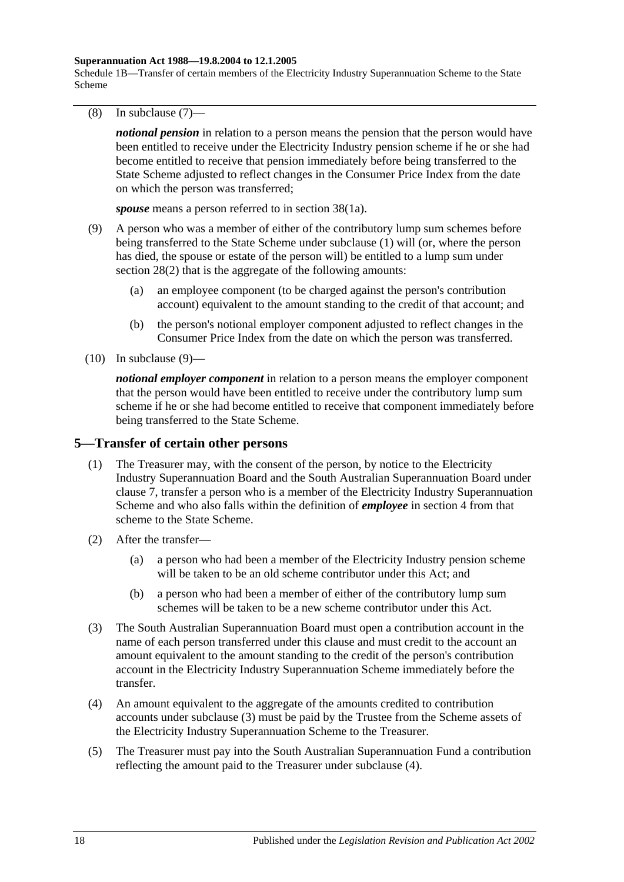#### **Superannuation Act 1988—19.8.2004 to 12.1.2005**

Schedule 1B—Transfer of certain members of the Electricity Industry Superannuation Scheme to the State Scheme

<span id="page-111-0"></span>(8) In [subclause](#page-110-3) (7)—

*notional pension* in relation to a person means the pension that the person would have been entitled to receive under the Electricity Industry pension scheme if he or she had become entitled to receive that pension immediately before being transferred to the State Scheme adjusted to reflect changes in the Consumer Price Index from the date on which the person was transferred;

*spouse* means a person referred to in [section](#page-57-1) 38(1a).

- <span id="page-111-1"></span>(9) A person who was a member of either of the contributory lump sum schemes before being transferred to the State Scheme under [subclause](#page-109-2) (1) will (or, where the person has died, the spouse or estate of the person will) be entitled to a lump sum under [section](#page-28-0) 28(2) that is the aggregate of the following amounts:
	- (a) an employee component (to be charged against the person's contribution account) equivalent to the amount standing to the credit of that account; and
	- (b) the person's notional employer component adjusted to reflect changes in the Consumer Price Index from the date on which the person was transferred.
- $(10)$  In [subclause](#page-111-1)  $(9)$ —

*notional employer component* in relation to a person means the employer component that the person would have been entitled to receive under the contributory lump sum scheme if he or she had become entitled to receive that component immediately before being transferred to the State Scheme.

### <span id="page-111-4"></span>**5—Transfer of certain other persons**

- (1) The Treasurer may, with the consent of the person, by notice to the Electricity Industry Superannuation Board and the South Australian Superannuation Board under [clause](#page-113-0) 7, transfer a person who is a member of the Electricity Industry Superannuation Scheme and who also falls within the definition of *employee* in [section](#page-4-0) 4 from that scheme to the State Scheme.
- (2) After the transfer—
	- (a) a person who had been a member of the Electricity Industry pension scheme will be taken to be an old scheme contributor under this Act; and
	- (b) a person who had been a member of either of the contributory lump sum schemes will be taken to be a new scheme contributor under this Act.
- <span id="page-111-2"></span>(3) The South Australian Superannuation Board must open a contribution account in the name of each person transferred under this clause and must credit to the account an amount equivalent to the amount standing to the credit of the person's contribution account in the Electricity Industry Superannuation Scheme immediately before the transfer.
- <span id="page-111-3"></span>(4) An amount equivalent to the aggregate of the amounts credited to contribution accounts under [subclause](#page-111-2) (3) must be paid by the Trustee from the Scheme assets of the Electricity Industry Superannuation Scheme to the Treasurer.
- (5) The Treasurer must pay into the South Australian Superannuation Fund a contribution reflecting the amount paid to the Treasurer under [subclause](#page-111-3) (4).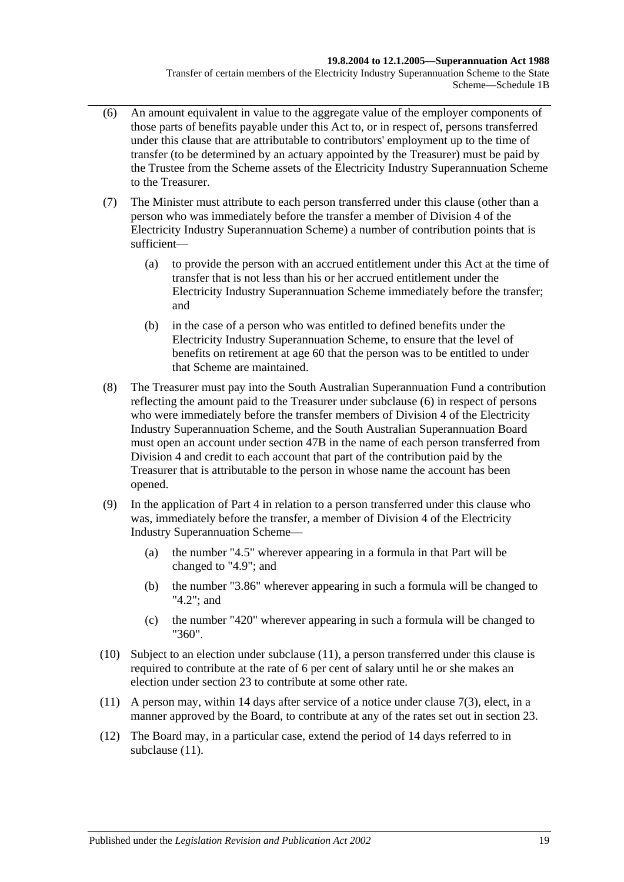- <span id="page-112-0"></span>(6) An amount equivalent in value to the aggregate value of the employer components of those parts of benefits payable under this Act to, or in respect of, persons transferred under this clause that are attributable to contributors' employment up to the time of transfer (to be determined by an actuary appointed by the Treasurer) must be paid by the Trustee from the Scheme assets of the Electricity Industry Superannuation Scheme to the Treasurer.
- (7) The Minister must attribute to each person transferred under this clause (other than a person who was immediately before the transfer a member of Division 4 of the Electricity Industry Superannuation Scheme) a number of contribution points that is sufficient—
	- (a) to provide the person with an accrued entitlement under this Act at the time of transfer that is not less than his or her accrued entitlement under the Electricity Industry Superannuation Scheme immediately before the transfer; and
	- (b) in the case of a person who was entitled to defined benefits under the Electricity Industry Superannuation Scheme, to ensure that the level of benefits on retirement at age 60 that the person was to be entitled to under that Scheme are maintained.
- (8) The Treasurer must pay into the South Australian Superannuation Fund a contribution reflecting the amount paid to the Treasurer under [subclause](#page-112-0) (6) in respect of persons who were immediately before the transfer members of Division 4 of the Electricity Industry Superannuation Scheme, and the South Australian Superannuation Board must open an account under [section](#page-88-0) 47B in the name of each person transferred from Division 4 and credit to each account that part of the contribution paid by the Treasurer that is attributable to the person in whose name the account has been opened.
- (9) In the application of [Part 4](#page-26-0) in relation to a person transferred under this clause who was, immediately before the transfer, a member of Division 4 of the Electricity Industry Superannuation Scheme—
	- (a) the number "4.5" wherever appearing in a formula in that Part will be changed to "4.9"; and
	- (b) the number "3.86" wherever appearing in such a formula will be changed to "4.2"; and
	- (c) the number "420" wherever appearing in such a formula will be changed to "360".
- (10) Subject to an election under [subclause](#page-112-1) (11), a person transferred under this clause is required to contribute at the rate of 6 per cent of salary until he or she makes an election under [section](#page-22-0) 23 to contribute at some other rate.
- <span id="page-112-1"></span>(11) A person may, within 14 days after service of a notice under [clause](#page-113-1) 7(3), elect, in a manner approved by the Board, to contribute at any of the rates set out in [section](#page-22-0) 23.
- (12) The Board may, in a particular case, extend the period of 14 days referred to in [subclause](#page-112-1)  $(11)$ .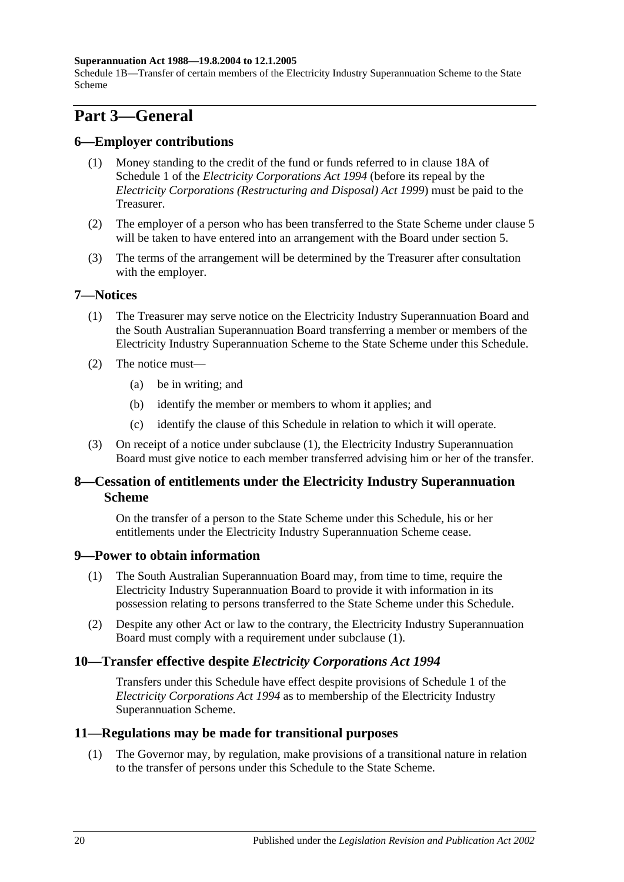#### **Superannuation Act 1988—19.8.2004 to 12.1.2005**

Schedule 1B—Transfer of certain members of the Electricity Industry Superannuation Scheme to the State Scheme

# **Part 3—General**

## **6—Employer contributions**

- (1) Money standing to the credit of the fund or funds referred to in clause 18A of Schedule 1 of the *[Electricity Corporations Act](http://www.legislation.sa.gov.au/index.aspx?action=legref&type=act&legtitle=Electricity%20Corporations%20Act%201994) 1994* (before its repeal by the *[Electricity Corporations \(Restructuring and Disposal\) Act](http://www.legislation.sa.gov.au/index.aspx?action=legref&type=act&legtitle=Electricity%20Corporations%20(Restructuring%20and%20Disposal)%20Act%201999) 1999*) must be paid to the Treasurer.
- (2) The employer of a person who has been transferred to the State Scheme under [clause](#page-111-4) 5 will be taken to have entered into an arrangement with the Board under [section](#page-12-0) 5.
- (3) The terms of the arrangement will be determined by the Treasurer after consultation with the employer.

## <span id="page-113-2"></span><span id="page-113-0"></span>**7—Notices**

- (1) The Treasurer may serve notice on the Electricity Industry Superannuation Board and the South Australian Superannuation Board transferring a member or members of the Electricity Industry Superannuation Scheme to the State Scheme under this Schedule.
- (2) The notice must—
	- (a) be in writing; and
	- (b) identify the member or members to whom it applies; and
	- (c) identify the clause of this Schedule in relation to which it will operate.
- <span id="page-113-1"></span>(3) On receipt of a notice under [subclause](#page-113-2) (1), the Electricity Industry Superannuation Board must give notice to each member transferred advising him or her of the transfer.

## **8—Cessation of entitlements under the Electricity Industry Superannuation Scheme**

On the transfer of a person to the State Scheme under this Schedule, his or her entitlements under the Electricity Industry Superannuation Scheme cease.

### <span id="page-113-3"></span>**9—Power to obtain information**

- (1) The South Australian Superannuation Board may, from time to time, require the Electricity Industry Superannuation Board to provide it with information in its possession relating to persons transferred to the State Scheme under this Schedule.
- (2) Despite any other Act or law to the contrary, the Electricity Industry Superannuation Board must comply with a requirement under [subclause](#page-113-3) (1).

## **10—Transfer effective despite** *Electricity Corporations Act 1994*

Transfers under this Schedule have effect despite provisions of Schedule 1 of the *[Electricity Corporations Act](http://www.legislation.sa.gov.au/index.aspx?action=legref&type=act&legtitle=Electricity%20Corporations%20Act%201994) 1994* as to membership of the Electricity Industry Superannuation Scheme.

### **11—Regulations may be made for transitional purposes**

(1) The Governor may, by regulation, make provisions of a transitional nature in relation to the transfer of persons under this Schedule to the State Scheme.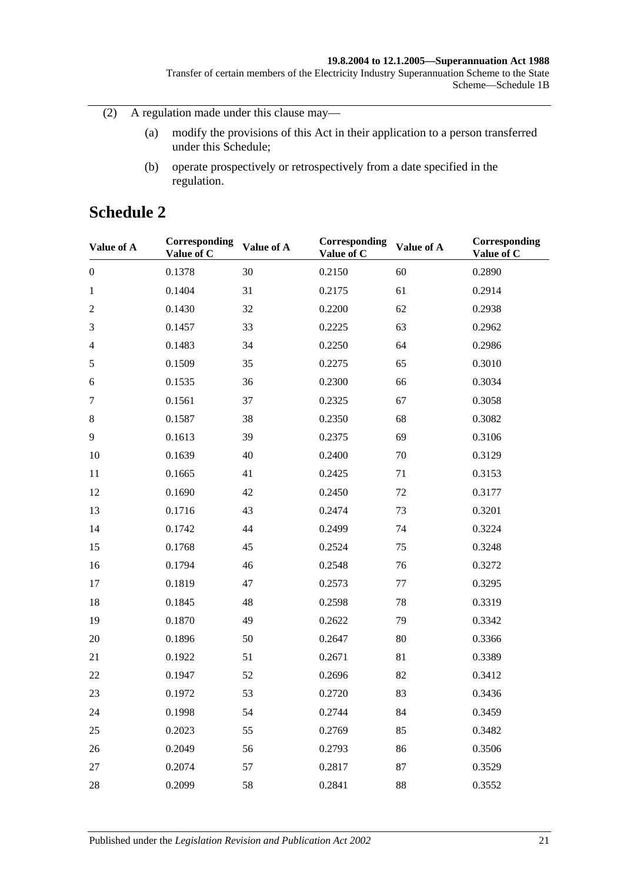#### **19.8.2004 to 12.1.2005—Superannuation Act 1988**

Transfer of certain members of the Electricity Industry Superannuation Scheme to the State Scheme—Schedule 1B

(2) A regulation made under this clause may—

- (a) modify the provisions of this Act in their application to a person transferred under this Schedule;
- (b) operate prospectively or retrospectively from a date specified in the regulation.

# **Schedule 2**

| Value of A       | Corresponding<br>Value of C | Value of A | Corresponding<br>Value of C | Value of A | Corresponding<br>Value of C |
|------------------|-----------------------------|------------|-----------------------------|------------|-----------------------------|
| $\boldsymbol{0}$ | 0.1378                      | 30         | 0.2150                      | 60         | 0.2890                      |
| $\mathbf{1}$     | 0.1404                      | 31         | 0.2175                      | 61         | 0.2914                      |
| $\mathfrak{2}$   | 0.1430                      | 32         | 0.2200                      | 62         | 0.2938                      |
| 3                | 0.1457                      | 33         | 0.2225                      | 63         | 0.2962                      |
| $\overline{4}$   | 0.1483                      | 34         | 0.2250                      | 64         | 0.2986                      |
| $\sqrt{5}$       | 0.1509                      | 35         | 0.2275                      | 65         | 0.3010                      |
| 6                | 0.1535                      | 36         | 0.2300                      | 66         | 0.3034                      |
| $\tau$           | 0.1561                      | 37         | 0.2325                      | 67         | 0.3058                      |
| $8\,$            | 0.1587                      | 38         | 0.2350                      | 68         | 0.3082                      |
| 9                | 0.1613                      | 39         | 0.2375                      | 69         | 0.3106                      |
| 10               | 0.1639                      | 40         | 0.2400                      | 70         | 0.3129                      |
| 11               | 0.1665                      | 41         | 0.2425                      | 71         | 0.3153                      |
| 12               | 0.1690                      | 42         | 0.2450                      | 72         | 0.3177                      |
| 13               | 0.1716                      | 43         | 0.2474                      | 73         | 0.3201                      |
| 14               | 0.1742                      | 44         | 0.2499                      | 74         | 0.3224                      |
| 15               | 0.1768                      | 45         | 0.2524                      | 75         | 0.3248                      |
| 16               | 0.1794                      | 46         | 0.2548                      | 76         | 0.3272                      |
| 17               | 0.1819                      | 47         | 0.2573                      | 77         | 0.3295                      |
| 18               | 0.1845                      | 48         | 0.2598                      | 78         | 0.3319                      |
| 19               | 0.1870                      | 49         | 0.2622                      | 79         | 0.3342                      |
| 20               | 0.1896                      | 50         | 0.2647                      | 80         | 0.3366                      |
| 21               | 0.1922                      | 51         | 0.2671                      | 81         | 0.3389                      |
| 22               | 0.1947                      | 52         | 0.2696                      | 82         | 0.3412                      |
| 23               | 0.1972                      | 53         | 0.2720                      | 83         | 0.3436                      |
| 24               | 0.1998                      | 54         | 0.2744                      | 84         | 0.3459                      |
| 25               | 0.2023                      | 55         | 0.2769                      | 85         | 0.3482                      |
| 26               | 0.2049                      | 56         | 0.2793                      | 86         | 0.3506                      |
| 27               | 0.2074                      | 57         | 0.2817                      | 87         | 0.3529                      |
| 28               | 0.2099                      | 58         | 0.2841                      | 88         | 0.3552                      |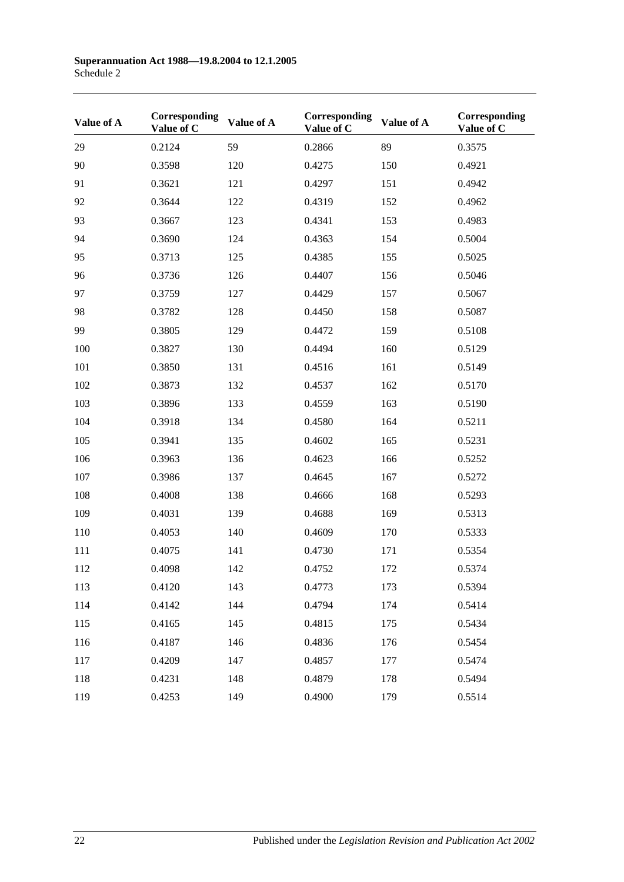| Value of A | Corresponding<br>Value of C | Value of A | Corresponding<br>Value of C | Value of A | Corresponding<br>Value of C |
|------------|-----------------------------|------------|-----------------------------|------------|-----------------------------|
| 29         | 0.2124                      | 59         | 0.2866                      | 89         | 0.3575                      |
| 90         | 0.3598                      | 120        | 0.4275                      | 150        | 0.4921                      |
| 91         | 0.3621                      | 121        | 0.4297                      | 151        | 0.4942                      |
| 92         | 0.3644                      | 122        | 0.4319                      | 152        | 0.4962                      |
| 93         | 0.3667                      | 123        | 0.4341                      | 153        | 0.4983                      |
| 94         | 0.3690                      | 124        | 0.4363                      | 154        | 0.5004                      |
| 95         | 0.3713                      | 125        | 0.4385                      | 155        | 0.5025                      |
| 96         | 0.3736                      | 126        | 0.4407                      | 156        | 0.5046                      |
| 97         | 0.3759                      | 127        | 0.4429                      | 157        | 0.5067                      |
| 98         | 0.3782                      | 128        | 0.4450                      | 158        | 0.5087                      |
| 99         | 0.3805                      | 129        | 0.4472                      | 159        | 0.5108                      |
| 100        | 0.3827                      | 130        | 0.4494                      | 160        | 0.5129                      |
| 101        | 0.3850                      | 131        | 0.4516                      | 161        | 0.5149                      |
| 102        | 0.3873                      | 132        | 0.4537                      | 162        | 0.5170                      |
| 103        | 0.3896                      | 133        | 0.4559                      | 163        | 0.5190                      |
| 104        | 0.3918                      | 134        | 0.4580                      | 164        | 0.5211                      |
| 105        | 0.3941                      | 135        | 0.4602                      | 165        | 0.5231                      |
| 106        | 0.3963                      | 136        | 0.4623                      | 166        | 0.5252                      |
| 107        | 0.3986                      | 137        | 0.4645                      | 167        | 0.5272                      |
| 108        | 0.4008                      | 138        | 0.4666                      | 168        | 0.5293                      |
| 109        | 0.4031                      | 139        | 0.4688                      | 169        | 0.5313                      |
| 110        | 0.4053                      | 140        | 0.4609                      | 170        | 0.5333                      |
| 111        | 0.4075                      | 141        | 0.4730                      | 171        | 0.5354                      |
| 112        | 0.4098                      | 142        | 0.4752                      | 172        | 0.5374                      |
| 113        | 0.4120                      | 143        | 0.4773                      | 173        | 0.5394                      |
| 114        | 0.4142                      | 144        | 0.4794                      | 174        | 0.5414                      |
| 115        | 0.4165                      | 145        | 0.4815                      | 175        | 0.5434                      |
| 116        | 0.4187                      | 146        | 0.4836                      | 176        | 0.5454                      |
| 117        | 0.4209                      | 147        | 0.4857                      | 177        | 0.5474                      |
| 118        | 0.4231                      | 148        | 0.4879                      | 178        | 0.5494                      |
| 119        | 0.4253                      | 149        | 0.4900                      | 179        | 0.5514                      |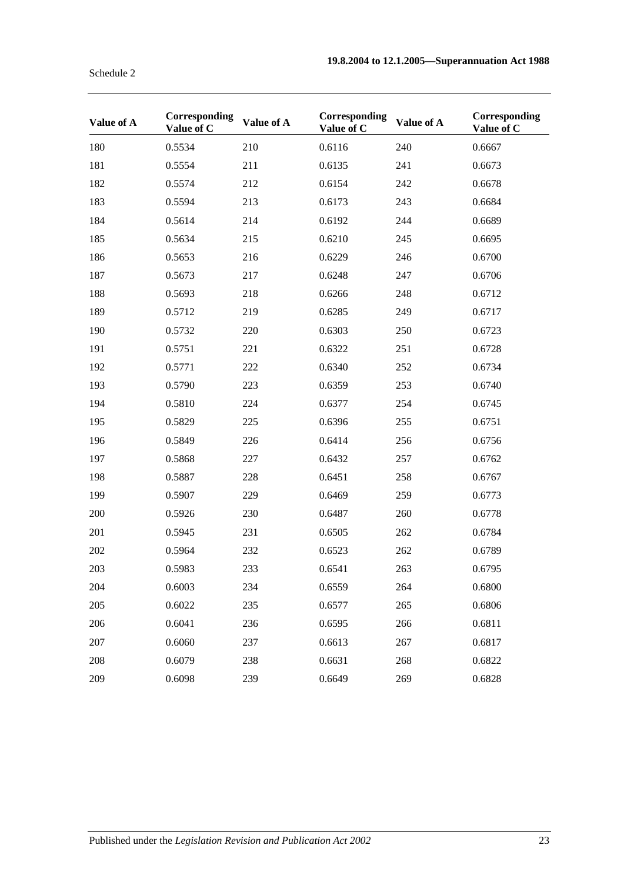| Value of A | Corresponding | Value of A | Corresponding | Value of A | Corresponding |
|------------|---------------|------------|---------------|------------|---------------|
|            | Value of C    |            | Value of C    |            | Value of C    |
| 180        | 0.5534        | 210        | 0.6116        | 240        | 0.6667        |
| 181        | 0.5554        | 211        | 0.6135        | 241        | 0.6673        |
| 182        | 0.5574        | 212        | 0.6154        | 242        | 0.6678        |
| 183        | 0.5594        | 213        | 0.6173        | 243        | 0.6684        |
| 184        | 0.5614        | 214        | 0.6192        | 244        | 0.6689        |
| 185        | 0.5634        | 215        | 0.6210        | 245        | 0.6695        |
| 186        | 0.5653        | 216        | 0.6229        | 246        | 0.6700        |
| 187        | 0.5673        | 217        | 0.6248        | 247        | 0.6706        |
| 188        | 0.5693        | 218        | 0.6266        | 248        | 0.6712        |
| 189        | 0.5712        | 219        | 0.6285        | 249        | 0.6717        |
| 190        | 0.5732        | 220        | 0.6303        | 250        | 0.6723        |
| 191        | 0.5751        | 221        | 0.6322        | 251        | 0.6728        |
| 192        | 0.5771        | 222        | 0.6340        | 252        | 0.6734        |
| 193        | 0.5790        | 223        | 0.6359        | 253        | 0.6740        |
| 194        | 0.5810        | 224        | 0.6377        | 254        | 0.6745        |
| 195        | 0.5829        | 225        | 0.6396        | 255        | 0.6751        |
| 196        | 0.5849        | 226        | 0.6414        | 256        | 0.6756        |
| 197        | 0.5868        | 227        | 0.6432        | 257        | 0.6762        |
| 198        | 0.5887        | 228        | 0.6451        | 258        | 0.6767        |
| 199        | 0.5907        | 229        | 0.6469        | 259        | 0.6773        |
| 200        | 0.5926        | 230        | 0.6487        | 260        | 0.6778        |
| 201        | 0.5945        | 231        | 0.6505        | 262        | 0.6784        |
| 202        | 0.5964        | 232        | 0.6523        | 262        | 0.6789        |
| 203        | 0.5983        | 233        | 0.6541        | 263        | 0.6795        |
| 204        | 0.6003        | 234        | 0.6559        | 264        | 0.6800        |
| 205        | 0.6022        | 235        | 0.6577        | 265        | 0.6806        |
| 206        | 0.6041        | 236        | 0.6595        | 266        | 0.6811        |
| 207        | 0.6060        | 237        | 0.6613        | 267        | 0.6817        |
| 208        | 0.6079        | 238        | 0.6631        | 268        | 0.6822        |
| 209        | 0.6098        | 239        | 0.6649        | 269        | 0.6828        |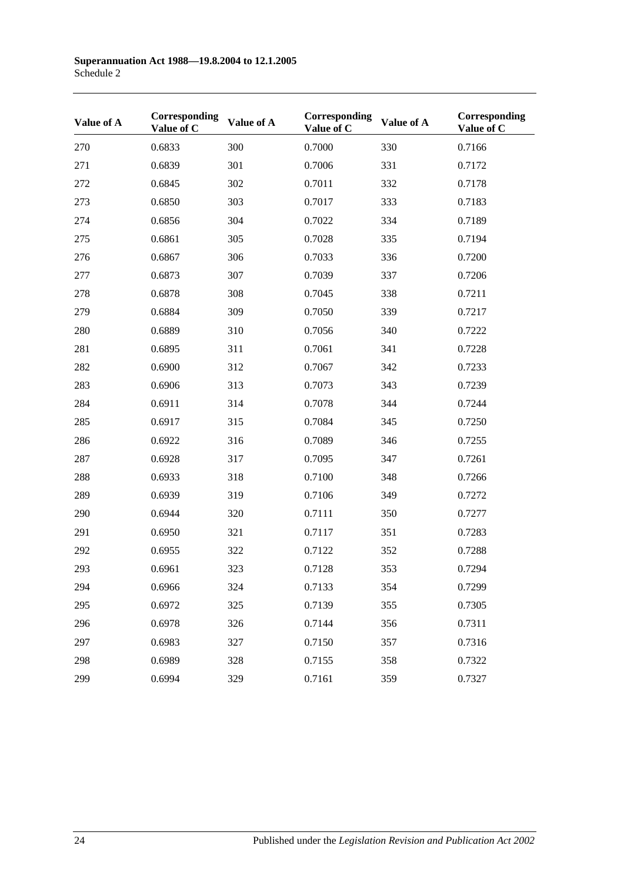| Value of A | Corresponding<br>Value of C | Value of A | Corresponding<br>Value of C | Value of A | Corresponding<br>Value of C |
|------------|-----------------------------|------------|-----------------------------|------------|-----------------------------|
| 270        | 0.6833                      | 300        | 0.7000                      | 330        | 0.7166                      |
| 271        | 0.6839                      | 301        | 0.7006                      | 331        | 0.7172                      |
| 272        | 0.6845                      | 302        | 0.7011                      | 332        | 0.7178                      |
| 273        | 0.6850                      | 303        | 0.7017                      | 333        | 0.7183                      |
| 274        | 0.6856                      | 304        | 0.7022                      | 334        | 0.7189                      |
| 275        | 0.6861                      | 305        | 0.7028                      | 335        | 0.7194                      |
| 276        | 0.6867                      | 306        | 0.7033                      | 336        | 0.7200                      |
| 277        | 0.6873                      | 307        | 0.7039                      | 337        | 0.7206                      |
| 278        | 0.6878                      | 308        | 0.7045                      | 338        | 0.7211                      |
| 279        | 0.6884                      | 309        | 0.7050                      | 339        | 0.7217                      |
| 280        | 0.6889                      | 310        | 0.7056                      | 340        | 0.7222                      |
| 281        | 0.6895                      | 311        | 0.7061                      | 341        | 0.7228                      |
| 282        | 0.6900                      | 312        | 0.7067                      | 342        | 0.7233                      |
| 283        | 0.6906                      | 313        | 0.7073                      | 343        | 0.7239                      |
| 284        | 0.6911                      | 314        | 0.7078                      | 344        | 0.7244                      |
| 285        | 0.6917                      | 315        | 0.7084                      | 345        | 0.7250                      |
| 286        | 0.6922                      | 316        | 0.7089                      | 346        | 0.7255                      |
| 287        | 0.6928                      | 317        | 0.7095                      | 347        | 0.7261                      |
| 288        | 0.6933                      | 318        | 0.7100                      | 348        | 0.7266                      |
| 289        | 0.6939                      | 319        | 0.7106                      | 349        | 0.7272                      |
| 290        | 0.6944                      | 320        | 0.7111                      | 350        | 0.7277                      |
| 291        | 0.6950                      | 321        | 0.7117                      | 351        | 0.7283                      |
| 292        | 0.6955                      | 322        | 0.7122                      | 352        | 0.7288                      |
| 293        | 0.6961                      | 323        | 0.7128                      | 353        | 0.7294                      |
| 294        | 0.6966                      | 324        | 0.7133                      | 354        | 0.7299                      |
| 295        | 0.6972                      | 325        | 0.7139                      | 355        | 0.7305                      |
| 296        | 0.6978                      | 326        | 0.7144                      | 356        | 0.7311                      |
| 297        | 0.6983                      | 327        | 0.7150                      | 357        | 0.7316                      |
| 298        | 0.6989                      | 328        | 0.7155                      | 358        | 0.7322                      |
| 299        | 0.6994                      | 329        | 0.7161                      | 359        | 0.7327                      |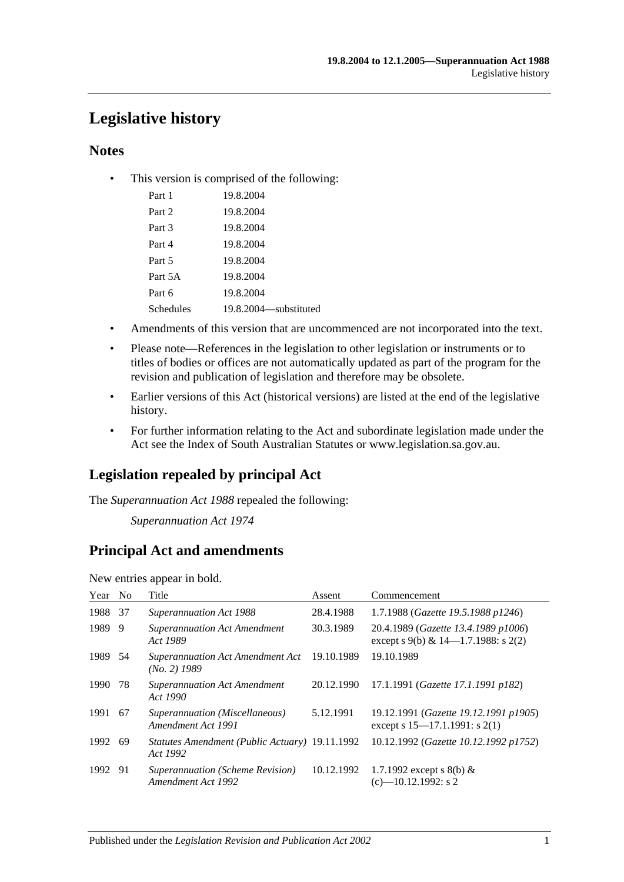# **Legislative history**

# **Notes**

• This version is comprised of the following:

| Part 1    | 19.8.2004             |
|-----------|-----------------------|
| Part 2    | 19.8.2004             |
| Part 3    | 19.8.2004             |
| Part 4    | 19.8.2004             |
| Part 5    | 19.8.2004             |
| Part 5A   | 19.8.2004             |
| Part 6    | 19.8.2004             |
| Schedules | 19.8.2004—substituted |

- Amendments of this version that are uncommenced are not incorporated into the text.
- Please note—References in the legislation to other legislation or instruments or to titles of bodies or offices are not automatically updated as part of the program for the revision and publication of legislation and therefore may be obsolete.
- Earlier versions of this Act (historical versions) are listed at the end of the legislative history.
- For further information relating to the Act and subordinate legislation made under the Act see the Index of South Australian Statutes or www.legislation.sa.gov.au.

# **Legislation repealed by principal Act**

The *Superannuation Act 1988* repealed the following:

*Superannuation Act 1974*

# **Principal Act and amendments**

New entries appear in bold.

| Year No |     | Title                                                      | Assent     | Commencement                                                                  |
|---------|-----|------------------------------------------------------------|------------|-------------------------------------------------------------------------------|
| 1988    | -37 | <b>Superannuation Act 1988</b>                             | 28.4.1988  | 1.7.1988 (Gazette 19.5.1988 p1246)                                            |
| 1989    | -9  | <b>Superannuation Act Amendment</b><br>Act 1989            | 30.3.1989  | 20.4.1989 (Gazette 13.4.1989 p1006)<br>except s 9(b) & $14-1.7.1988$ : s 2(2) |
| 1989 54 |     | Superannuation Act Amendment Act<br>$(No. 2)$ 1989         | 19.10.1989 | 19.10.1989                                                                    |
| 1990    | 78  | <b>Superannuation Act Amendment</b><br>Act 1990            | 20.12.1990 | 17.1.1991 (Gazette 17.1.1991 p182)                                            |
| 1991    | -67 | Superannuation (Miscellaneous)<br>Amendment Act 1991       | 5.12.1991  | 19.12.1991 (Gazette 19.12.1991 p1905)<br>except s 15–17.1.1991: s 2(1)        |
| 1992    | -69 | Statutes Amendment (Public Actuary) 19.11.1992<br>Act 1992 |            | 10.12.1992 (Gazette 10.12.1992 p1752)                                         |
| 1992 91 |     | Superannuation (Scheme Revision)<br>Amendment Act 1992     | 10.12.1992 | 1.7.1992 except s 8(b) $&$<br>$(c)$ -10.12.1992: s 2                          |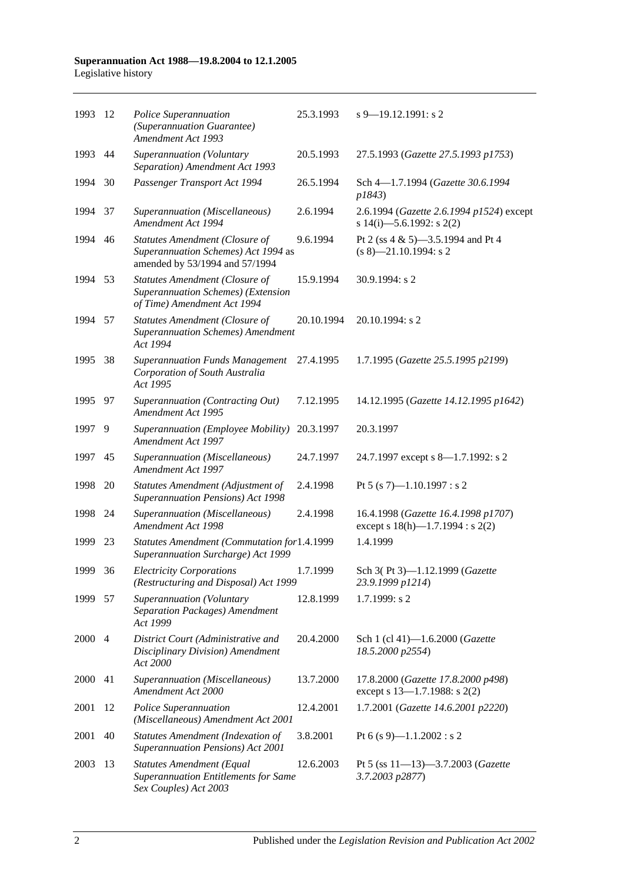#### **Superannuation Act 1988—19.8.2004 to 12.1.2005** Legislative history

| 1993    | 12   | Police Superannuation<br>(Superannuation Guarantee)<br>Amendment Act 1993                                      | 25.3.1993  | $s$ 9–19.12.1991: s 2                                                        |
|---------|------|----------------------------------------------------------------------------------------------------------------|------------|------------------------------------------------------------------------------|
| 1993    | 44   | Superannuation (Voluntary<br>Separation) Amendment Act 1993                                                    | 20.5.1993  | 27.5.1993 (Gazette 27.5.1993 p1753)                                          |
| 1994    | 30   | Passenger Transport Act 1994                                                                                   | 26.5.1994  | Sch 4-1.7.1994 (Gazette 30.6.1994<br>p1843)                                  |
| 1994    | 37   | Superannuation (Miscellaneous)<br>Amendment Act 1994                                                           | 2.6.1994   | 2.6.1994 (Gazette 2.6.1994 p1524) except<br>s 14(i)-5.6.1992: s 2(2)         |
| 1994 46 |      | <b>Statutes Amendment (Closure of</b><br>Superannuation Schemes) Act 1994 as<br>amended by 53/1994 and 57/1994 | 9.6.1994   | Pt 2 (ss 4 & 5)-3.5.1994 and Pt 4<br>$(s 8)$ —21.10.1994: s 2                |
| 1994    | 53   | Statutes Amendment (Closure of<br>Superannuation Schemes) (Extension<br>of Time) Amendment Act 1994            | 15.9.1994  | 30.9.1994: s 2                                                               |
| 1994    | 57   | <b>Statutes Amendment (Closure of</b><br><b>Superannuation Schemes)</b> Amendment<br>Act 1994                  | 20.10.1994 | 20.10.1994: s 2                                                              |
| 1995    | 38   | <b>Superannuation Funds Management</b><br>Corporation of South Australia<br>Act 1995                           | 27.4.1995  | 1.7.1995 (Gazette 25.5.1995 p2199)                                           |
| 1995    | - 97 | Superannuation (Contracting Out)<br>Amendment Act 1995                                                         | 7.12.1995  | 14.12.1995 (Gazette 14.12.1995 p1642)                                        |
| 1997    | 9    | Superannuation (Employee Mobility)<br><b>Amendment Act 1997</b>                                                | 20.3.1997  | 20.3.1997                                                                    |
| 1997    | 45   | Superannuation (Miscellaneous)<br>Amendment Act 1997                                                           | 24.7.1997  | 24.7.1997 except s 8—1.7.1992: s 2                                           |
| 1998    | 20   | Statutes Amendment (Adjustment of<br>Superannuation Pensions) Act 1998                                         | 2.4.1998   | Pt 5 (s 7)-1.10.1997 : s 2                                                   |
| 1998    | 24   | Superannuation (Miscellaneous)<br>Amendment Act 1998                                                           | 2.4.1998   | 16.4.1998 (Gazette 16.4.1998 p1707)<br>except s $18(h)$ —1.7.1994 : s $2(2)$ |
| 1999    | 23   | Statutes Amendment (Commutation for1.4.1999<br>Superannuation Surcharge) Act 1999                              |            | 1.4.1999                                                                     |
| 1999 36 |      | <b>Electricity Corporations</b><br>(Restructuring and Disposal) Act 1999                                       | 1.7.1999   | Sch 3(Pt 3)-1.12.1999 (Gazette<br>23.9.1999 p1214)                           |
| 1999    | -57  | Superannuation (Voluntary<br>Separation Packages) Amendment<br>Act 1999                                        | 12.8.1999  | 1.7.1999: s 2                                                                |
| 2000 4  |      | District Court (Administrative and<br>Disciplinary Division) Amendment<br>Act 2000                             | 20.4.2000  | Sch 1 (cl 41)-1.6.2000 (Gazette<br>18.5.2000 p2554)                          |
| 2000    | 41   | Superannuation (Miscellaneous)<br>Amendment Act 2000                                                           | 13.7.2000  | 17.8.2000 (Gazette 17.8.2000 p498)<br>except s 13-1.7.1988: s 2(2)           |
| 2001    | 12   | Police Superannuation<br>(Miscellaneous) Amendment Act 2001                                                    | 12.4.2001  | 1.7.2001 (Gazette 14.6.2001 p2220)                                           |
| 2001    | 40   | <b>Statutes Amendment (Indexation of</b><br>Superannuation Pensions) Act 2001                                  | 3.8.2001   | Pt 6 (s 9)-1.1.2002 : s 2                                                    |
| 2003    | 13   | <b>Statutes Amendment (Equal</b><br><b>Superannuation Entitlements for Same</b><br>Sex Couples) Act 2003       | 12.6.2003  | Pt 5 (ss 11-13)-3.7.2003 (Gazette<br>3.7.2003 p2877)                         |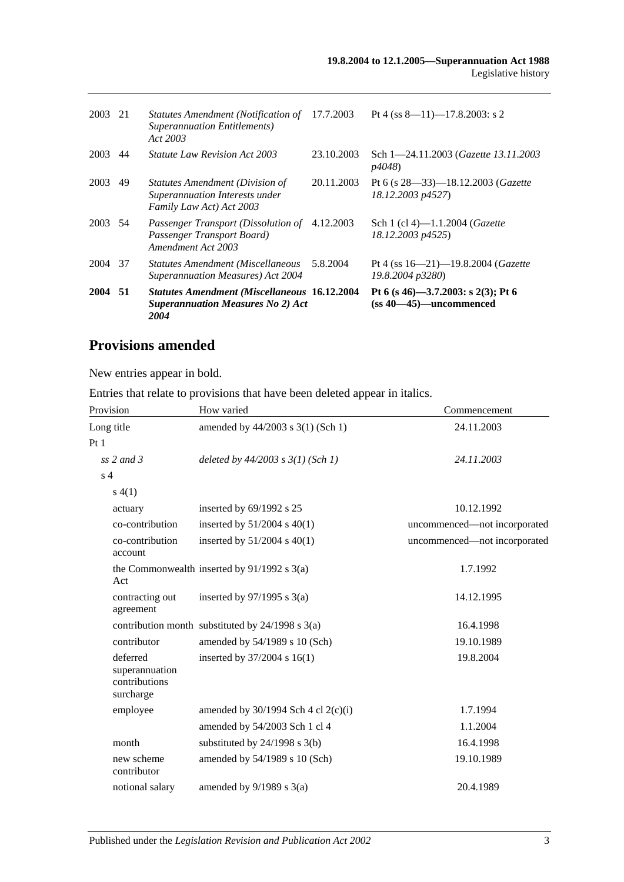| 2003    | 21 | Statutes Amendment (Notification of<br><b>Superannuation Entitlements</b> )<br>Act 2003                 | 17.7.2003  | Pt 4 (ss $8-11$ )-17.8.2003: s 2                                     |
|---------|----|---------------------------------------------------------------------------------------------------------|------------|----------------------------------------------------------------------|
| 2003    | 44 | <i>Statute Law Revision Act 2003</i>                                                                    | 23.10.2003 | Sch 1-24.11.2003 ( <i>Gazette 13.11.2003</i><br><i>p4048</i> )       |
| 2003    | 49 | <i>Statutes Amendment (Division of</i><br>Superannuation Interests under<br>Family Law Act) Act 2003    | 20.11.2003 | Pt 6 (s $28 - 33$ ) - 18.12.2003 (Gazette<br>18.12.2003 p4527)       |
| 2003 54 |    | Passenger Transport (Dissolution of<br>Passenger Transport Board)<br>Amendment Act 2003                 | 4.12.2003  | Sch 1 (cl 4)-1.1.2004 ( <i>Gazette</i><br>18.12.2003 p4525)          |
| 2004 37 |    | <b>Statutes Amendment (Miscellaneous</b><br><b>Superannuation Measures</b> ) Act 2004                   | 5.8.2004   | Pt 4 (ss $16 - 21$ ) -19.8.2004 ( <i>Gazette</i><br>19.8.2004 p3280) |
| 2004 51 |    | <b>Statutes Amendment (Miscellaneous 16.12.2004</b><br><b>Superannuation Measures No 2) Act</b><br>2004 |            | Pt 6 (s 46)-3.7.2003: s 2(3); Pt 6<br>$(ss 40-45)$ -uncommenced      |

# **Provisions amended**

New entries appear in bold.

Entries that relate to provisions that have been deleted appear in italics.

| Provision                                                | How varied                                           | Commencement                 |
|----------------------------------------------------------|------------------------------------------------------|------------------------------|
| Long title                                               | amended by 44/2003 s 3(1) (Sch 1)                    | 24.11.2003                   |
| Pt1                                                      |                                                      |                              |
| ss $2$ and $3$                                           | deleted by $44/2003$ s $3(1)$ (Sch 1)                | 24.11.2003                   |
| s <sub>4</sub>                                           |                                                      |                              |
| s(4(1))                                                  |                                                      |                              |
| actuary                                                  | inserted by 69/1992 s 25                             | 10.12.1992                   |
| co-contribution                                          | inserted by $51/2004$ s $40(1)$                      | uncommenced—not incorporated |
| co-contribution<br>account                               | inserted by $51/2004$ s $40(1)$                      | uncommenced-not incorporated |
| Act                                                      | the Commonwealth inserted by $91/1992$ s $3(a)$      | 1.7.1992                     |
| contracting out<br>agreement                             | inserted by $97/1995$ s 3(a)                         | 14.12.1995                   |
|                                                          | contribution month substituted by $24/1998$ s $3(a)$ | 16.4.1998                    |
| contributor                                              | amended by 54/1989 s 10 (Sch)                        | 19.10.1989                   |
| deferred<br>superannuation<br>contributions<br>surcharge | inserted by 37/2004 s 16(1)                          | 19.8.2004                    |
| employee                                                 | amended by $30/1994$ Sch 4 cl 2(c)(i)                | 1.7.1994                     |
|                                                          | amended by 54/2003 Sch 1 cl 4                        | 1.1.2004                     |
| month                                                    | substituted by $24/1998$ s $3(b)$                    | 16.4.1998                    |
| new scheme<br>contributor                                | amended by 54/1989 s 10 (Sch)                        | 19.10.1989                   |
| notional salary                                          | amended by $9/1989$ s $3(a)$                         | 20.4.1989                    |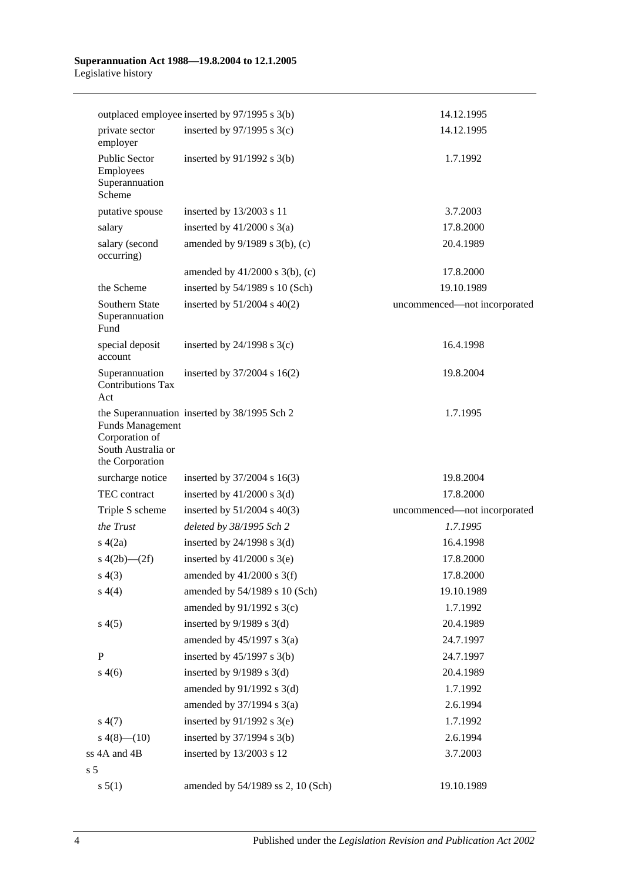#### **Superannuation Act 1988—19.8.2004 to 12.1.2005** Legislative history

|                                                                                    | outplaced employee inserted by 97/1995 s 3(b) | 14.12.1995                   |
|------------------------------------------------------------------------------------|-----------------------------------------------|------------------------------|
| private sector<br>employer                                                         | inserted by $97/1995$ s 3(c)                  | 14.12.1995                   |
| <b>Public Sector</b><br>Employees<br>Superannuation<br>Scheme                      | inserted by $91/1992$ s $3(b)$                | 1.7.1992                     |
| putative spouse                                                                    | inserted by 13/2003 s 11                      | 3.7.2003                     |
| salary                                                                             | inserted by $41/2000$ s $3(a)$                | 17.8.2000                    |
| salary (second<br>occurring)                                                       | amended by 9/1989 s 3(b), (c)                 | 20.4.1989                    |
|                                                                                    | amended by $41/2000$ s $3(b)$ , (c)           | 17.8.2000                    |
| the Scheme                                                                         | inserted by $54/1989$ s 10 (Sch)              | 19.10.1989                   |
| Southern State<br>Superannuation<br>Fund                                           | inserted by $51/2004$ s $40(2)$               | uncommenced-not incorporated |
| special deposit<br>account                                                         | inserted by $24/1998$ s $3(c)$                | 16.4.1998                    |
| Superannuation<br><b>Contributions Tax</b><br>Act                                  | inserted by 37/2004 s 16(2)                   | 19.8.2004                    |
| <b>Funds Management</b><br>Corporation of<br>South Australia or<br>the Corporation | the Superannuation inserted by 38/1995 Sch 2  | 1.7.1995                     |
| surcharge notice                                                                   | inserted by $37/2004$ s 16(3)                 | 19.8.2004                    |
| TEC contract                                                                       | inserted by $41/2000$ s $3(d)$                | 17.8.2000                    |
| Triple S scheme                                                                    | inserted by $51/2004$ s $40(3)$               | uncommenced-not incorporated |
| the Trust                                                                          | deleted by 38/1995 Sch 2                      | 1.7.1995                     |
| s(4(2a))                                                                           | inserted by $24/1998$ s $3(d)$                | 16.4.1998                    |
| s $4(2b)$ - $(2f)$                                                                 | inserted by $41/2000$ s 3(e)                  | 17.8.2000                    |
| s(4(3))                                                                            | amended by $41/2000$ s 3(f)                   | 17.8.2000                    |
| s(4(4)                                                                             | amended by 54/1989 s 10 (Sch)                 | 19.10.1989                   |
|                                                                                    | amended by $91/1992$ s 3(c)                   | 1.7.1992                     |
| s(4(5)                                                                             | inserted by $9/1989$ s $3(d)$                 | 20.4.1989                    |
|                                                                                    | amended by $45/1997$ s $3(a)$                 | 24.7.1997                    |
| $\, {\bf P}$                                                                       | inserted by $45/1997$ s $3(b)$                | 24.7.1997                    |
| s(4(6)                                                                             | inserted by $9/1989$ s $3(d)$                 | 20.4.1989                    |
|                                                                                    | amended by $91/1992$ s 3(d)                   | 1.7.1992                     |
|                                                                                    | amended by $37/1994$ s $3(a)$                 | 2.6.1994                     |
| s(4(7))                                                                            | inserted by $91/1992$ s 3(e)                  | 1.7.1992                     |
| $s\ 4(8)$ (10)                                                                     | inserted by $37/1994$ s $3(b)$                | 2.6.1994                     |
| ss 4A and 4B                                                                       | inserted by 13/2003 s 12                      | 3.7.2003                     |
| s <sub>5</sub>                                                                     |                                               |                              |
| s 5(1)                                                                             | amended by 54/1989 ss 2, 10 (Sch)             | 19.10.1989                   |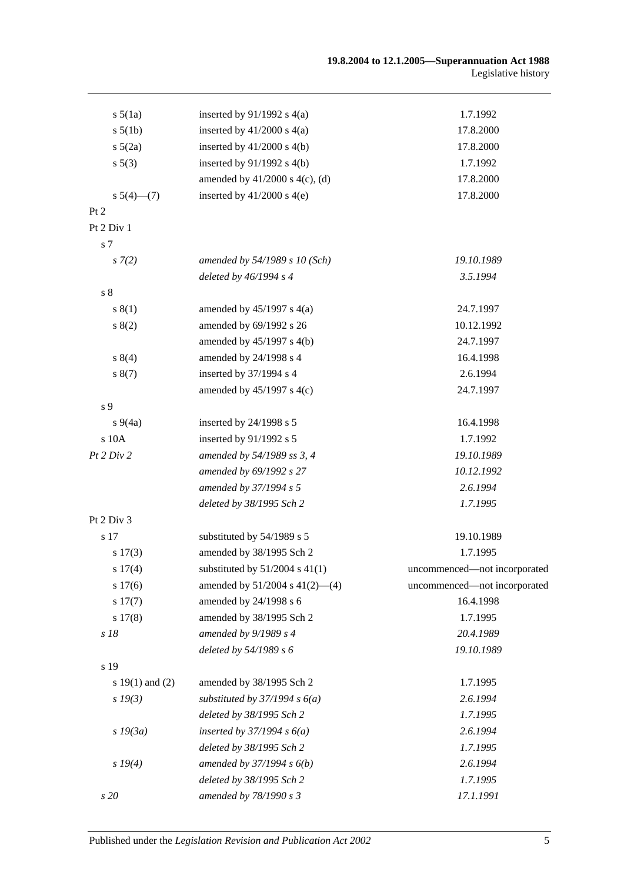| $s\,5(1a)$          | inserted by $91/1992$ s $4(a)$      | 1.7.1992                     |
|---------------------|-------------------------------------|------------------------------|
| s 5(1b)             | inserted by $41/2000$ s $4(a)$      | 17.8.2000                    |
| $s\ 5(2a)$          | inserted by $41/2000$ s $4(b)$      | 17.8.2000                    |
| s 5(3)              | inserted by $91/1992$ s $4(b)$      | 1.7.1992                     |
|                     | amended by $41/2000$ s $4(c)$ , (d) | 17.8.2000                    |
| $s\ 5(4)$ (7)       | inserted by $41/2000$ s $4(e)$      | 17.8.2000                    |
| Pt 2                |                                     |                              |
| Pt 2 Div 1          |                                     |                              |
| s 7                 |                                     |                              |
| s(7(2))             | amended by 54/1989 s 10 (Sch)       | 19.10.1989                   |
|                     | deleted by 46/1994 s 4              | 3.5.1994                     |
| s 8                 |                                     |                              |
| s(1)                | amended by $45/1997$ s $4(a)$       | 24.7.1997                    |
| s(2)                | amended by 69/1992 s 26             | 10.12.1992                   |
|                     | amended by $45/1997$ s $4(b)$       | 24.7.1997                    |
| 8(4)                | amended by 24/1998 s 4              | 16.4.1998                    |
| s(7)                | inserted by 37/1994 s 4             | 2.6.1994                     |
|                     | amended by $45/1997$ s $4(c)$       | 24.7.1997                    |
| s 9                 |                                     |                              |
| $s\,9(4a)$          | inserted by 24/1998 s 5             | 16.4.1998                    |
| s 10A               | inserted by 91/1992 s 5             | 1.7.1992                     |
| Pt 2 Div 2          | amended by 54/1989 ss 3, 4          | 19.10.1989                   |
|                     | amended by 69/1992 s 27             | 10.12.1992                   |
|                     | amended by 37/1994 s 5              | 2.6.1994                     |
|                     | deleted by 38/1995 Sch 2            | 1.7.1995                     |
| Pt 2 Div 3          |                                     |                              |
| s 17                | substituted by 54/1989 s 5          | 19.10.1989                   |
| s 17(3)             | amended by 38/1995 Sch 2            | 1.7.1995                     |
| s 17(4)             | substituted by $51/2004$ s $41(1)$  | uncommenced-not incorporated |
| s 17(6)             | amended by $51/2004$ s $41(2)$ —(4) | uncommenced-not incorporated |
| s 17(7)             | amended by 24/1998 s 6              | 16.4.1998                    |
| s 17(8)             | amended by 38/1995 Sch 2            | 1.7.1995                     |
| s 18                | amended by $9/1989 s 4$             | 20.4.1989                    |
|                     | deleted by 54/1989 s 6              | 19.10.1989                   |
| s 19                |                                     |                              |
| s $19(1)$ and $(2)$ | amended by 38/1995 Sch 2            | 1.7.1995                     |
| $s\,19(3)$          | substituted by $37/1994 s 6(a)$     | 2.6.1994                     |
|                     | deleted by 38/1995 Sch 2            | 1.7.1995                     |
| $s$ 19 $(3a)$       | inserted by $37/1994 s 6(a)$        | 2.6.1994                     |
|                     | deleted by 38/1995 Sch 2            | 1.7.1995                     |
| $s\,19(4)$          | amended by $37/1994 s 6(b)$         | 2.6.1994                     |
|                     | deleted by 38/1995 Sch 2            | 1.7.1995                     |
| s 20                | amended by 78/1990 s 3              | 17.1.1991                    |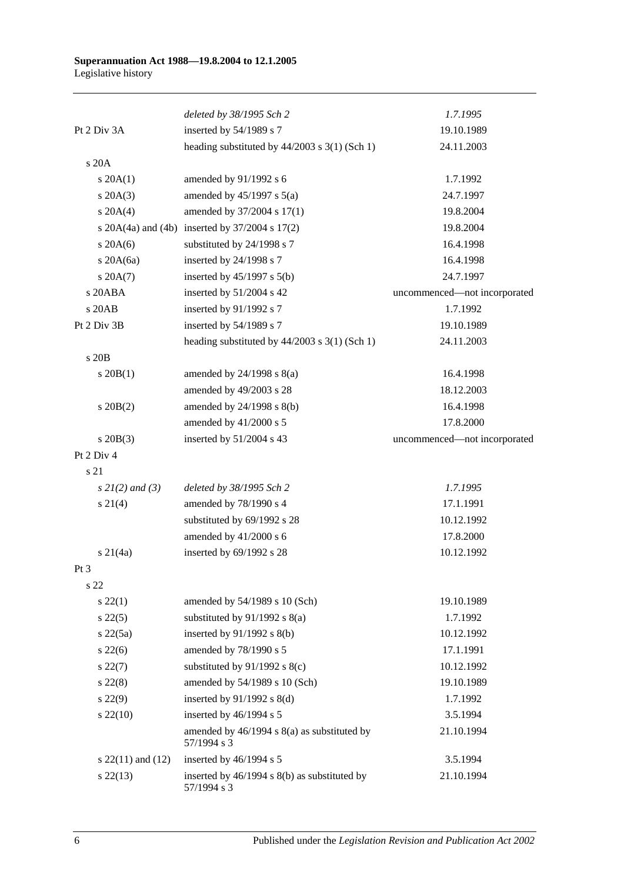|                       | deleted by 38/1995 Sch 2                                    | 1.7.1995                     |
|-----------------------|-------------------------------------------------------------|------------------------------|
| Pt 2 Div 3A           | inserted by 54/1989 s 7                                     | 19.10.1989                   |
|                       | heading substituted by $44/2003$ s $3(1)$ (Sch 1)           | 24.11.2003                   |
| s 20A                 |                                                             |                              |
| $s \, 20A(1)$         | amended by 91/1992 s 6                                      | 1.7.1992                     |
| $s \, 20A(3)$         | amended by $45/1997$ s $5(a)$                               | 24.7.1997                    |
| $s \ 20A(4)$          | amended by 37/2004 s 17(1)                                  | 19.8.2004                    |
|                       | s $20A(4a)$ and $(4b)$ inserted by $37/2004$ s $17(2)$      | 19.8.2004                    |
| $s$ 20A(6)            | substituted by 24/1998 s 7                                  | 16.4.1998                    |
| s $20A(6a)$           | inserted by 24/1998 s 7                                     | 16.4.1998                    |
| $s \, 20A(7)$         | inserted by $45/1997$ s $5(b)$                              | 24.7.1997                    |
| s 20ABA               | inserted by 51/2004 s 42                                    | uncommenced-not incorporated |
| s 20AB                | inserted by 91/1992 s 7                                     | 1.7.1992                     |
| Pt 2 Div 3B           | inserted by 54/1989 s 7                                     | 19.10.1989                   |
|                       | heading substituted by $44/2003$ s $3(1)$ (Sch 1)           | 24.11.2003                   |
| s 20B                 |                                                             |                              |
| $s \ 20B(1)$          | amended by $24/1998$ s $8(a)$                               | 16.4.1998                    |
|                       | amended by 49/2003 s 28                                     | 18.12.2003                   |
| $s \, 20B(2)$         | amended by 24/1998 s 8(b)                                   | 16.4.1998                    |
|                       | amended by 41/2000 s 5                                      | 17.8.2000                    |
| $s \ 20B(3)$          | inserted by 51/2004 s 43                                    | uncommenced-not incorporated |
| Pt 2 Div 4            |                                                             |                              |
| s 21                  |                                                             |                              |
| $s \, 2l(2)$ and (3)  | deleted by 38/1995 Sch 2                                    | 1.7.1995                     |
| $s \ 21(4)$           | amended by 78/1990 s 4                                      | 17.1.1991                    |
|                       | substituted by 69/1992 s 28                                 | 10.12.1992                   |
|                       | amended by 41/2000 s 6                                      | 17.8.2000                    |
| $s \, 21(4a)$         | inserted by 69/1992 s 28                                    | 10.12.1992                   |
| $Pt\,3$               |                                                             |                              |
| s 22                  |                                                             |                              |
| $s\,22(1)$            | amended by 54/1989 s 10 (Sch)                               | 19.10.1989                   |
| $s\,22(5)$            | substituted by $91/1992$ s $8(a)$                           | 1.7.1992                     |
| $s\ 22(5a)$           | inserted by $91/1992$ s $8(b)$                              | 10.12.1992                   |
| $s\,22(6)$            | amended by 78/1990 s 5                                      | 17.1.1991                    |
| $s\,22(7)$            | substituted by $91/1992$ s $8(c)$                           | 10.12.1992                   |
| $s\ 22(8)$            | amended by 54/1989 s 10 (Sch)                               | 19.10.1989                   |
| $s\ 22(9)$            | inserted by $91/1992$ s $8(d)$                              | 1.7.1992                     |
| $s\,22(10)$           | inserted by 46/1994 s 5                                     | 3.5.1994                     |
|                       | amended by 46/1994 s 8(a) as substituted by<br>57/1994 s 3  | 21.10.1994                   |
| s $22(11)$ and $(12)$ | inserted by 46/1994 s 5                                     | 3.5.1994                     |
| $s\,22(13)$           | inserted by 46/1994 s 8(b) as substituted by<br>57/1994 s 3 | 21.10.1994                   |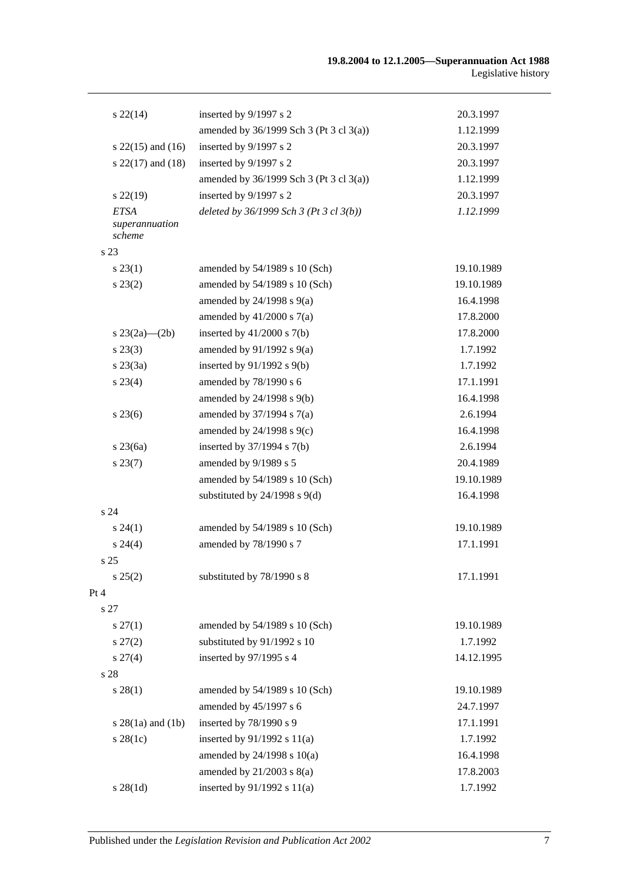| $s\,22(14)$                             | inserted by 9/1997 s 2                    | 20.3.1997  |
|-----------------------------------------|-------------------------------------------|------------|
|                                         | amended by $36/1999$ Sch 3 (Pt 3 cl 3(a)) | 1.12.1999  |
| s $22(15)$ and $(16)$                   | inserted by 9/1997 s 2                    | 20.3.1997  |
| s $22(17)$ and $(18)$                   | inserted by 9/1997 s 2                    | 20.3.1997  |
|                                         | amended by $36/1999$ Sch 3 (Pt 3 cl 3(a)) | 1.12.1999  |
| $s\,22(19)$                             | inserted by 9/1997 s 2                    | 20.3.1997  |
| <b>ETSA</b><br>superannuation<br>scheme | deleted by $36/1999$ Sch 3 (Pt 3 cl 3(b)) | 1.12.1999  |
| s <sub>23</sub>                         |                                           |            |
| $s\,23(1)$                              | amended by 54/1989 s 10 (Sch)             | 19.10.1989 |
| $s\,23(2)$                              | amended by 54/1989 s 10 (Sch)             | 19.10.1989 |
|                                         | amended by $24/1998$ s $9(a)$             | 16.4.1998  |
|                                         | amended by $41/2000$ s $7(a)$             | 17.8.2000  |
| s $23(2a)$ — $(2b)$                     | inserted by $41/2000$ s $7(b)$            | 17.8.2000  |
| $s\,23(3)$                              | amended by $91/1992$ s $9(a)$             | 1.7.1992   |
| $s\,23(3a)$                             | inserted by $91/1992$ s $9(b)$            | 1.7.1992   |
| $s\,23(4)$                              | amended by 78/1990 s 6                    | 17.1.1991  |
|                                         | amended by 24/1998 s 9(b)                 | 16.4.1998  |
| $s\,23(6)$                              | amended by $37/1994$ s $7(a)$             | 2.6.1994   |
|                                         | amended by $24/1998$ s $9(c)$             | 16.4.1998  |
| $s\,23(6a)$                             | inserted by $37/1994$ s $7(b)$            | 2.6.1994   |
| $s\,23(7)$                              | amended by 9/1989 s 5                     | 20.4.1989  |
|                                         | amended by 54/1989 s 10 (Sch)             | 19.10.1989 |
|                                         | substituted by $24/1998$ s $9(d)$         | 16.4.1998  |
| s <sub>24</sub>                         |                                           |            |
| $s\,24(1)$                              | amended by 54/1989 s 10 (Sch)             | 19.10.1989 |
| $s\,24(4)$                              | amended by 78/1990 s 7                    | 17.1.1991  |
| s <sub>25</sub>                         |                                           |            |
| s 25(2)                                 | substituted by 78/1990 s 8                | 17.1.1991  |
| Pt 4                                    |                                           |            |
| s 27                                    |                                           |            |
| $s\,27(1)$                              | amended by 54/1989 s 10 (Sch)             | 19.10.1989 |
| $s\,27(2)$                              | substituted by 91/1992 s 10               | 1.7.1992   |
| $s\,27(4)$                              | inserted by 97/1995 s 4                   | 14.12.1995 |
| s 28                                    |                                           |            |
| $s\,28(1)$                              | amended by 54/1989 s 10 (Sch)             | 19.10.1989 |
|                                         | amended by 45/1997 s 6                    | 24.7.1997  |
| $s \; 28(1a)$ and $(1b)$                | inserted by 78/1990 s 9                   | 17.1.1991  |
| $s$ 28(1c)                              | inserted by $91/1992$ s $11(a)$           | 1.7.1992   |
|                                         | amended by $24/1998$ s $10(a)$            | 16.4.1998  |
|                                         | amended by $21/2003$ s $8(a)$             | 17.8.2003  |
| $s \, 28(1d)$                           | inserted by 91/1992 s 11(a)               | 1.7.1992   |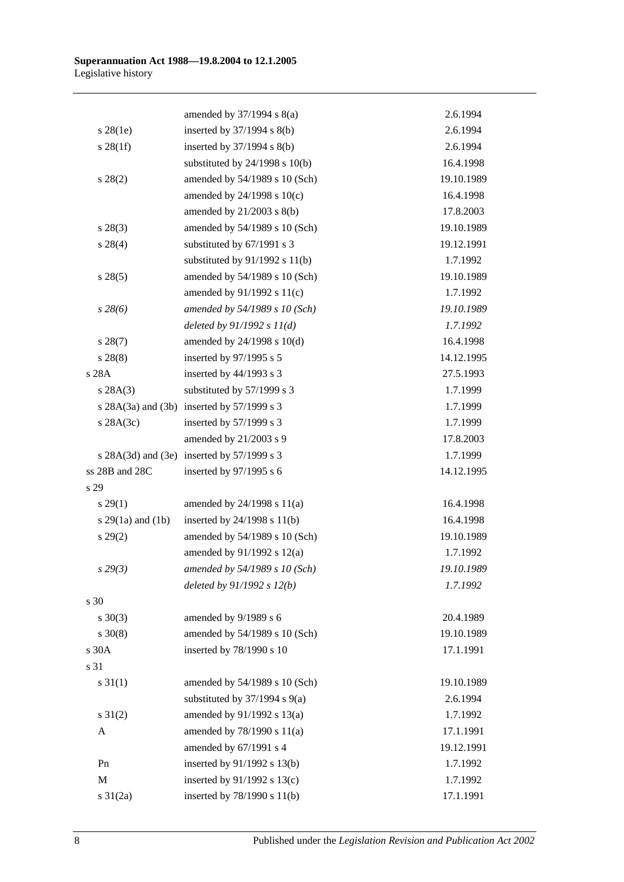|                       | amended by $37/1994$ s $8(a)$              | 2.6.1994   |
|-----------------------|--------------------------------------------|------------|
| $s$ 28(1e)            | inserted by $37/1994$ s $8(b)$             | 2.6.1994   |
| $s \, 28(1f)$         | inserted by $37/1994$ s $8(b)$             | 2.6.1994   |
|                       | substituted by $24/1998$ s $10(b)$         | 16.4.1998  |
| $s\,28(2)$            | amended by 54/1989 s 10 (Sch)              | 19.10.1989 |
|                       | amended by 24/1998 s 10(c)                 | 16.4.1998  |
|                       | amended by $21/2003$ s $8(b)$              | 17.8.2003  |
| $s\,28(3)$            | amended by 54/1989 s 10 (Sch)              | 19.10.1989 |
| $s\,28(4)$            | substituted by 67/1991 s 3                 | 19.12.1991 |
|                       | substituted by $91/1992$ s $11(b)$         | 1.7.1992   |
| s 28(5)               | amended by 54/1989 s 10 (Sch)              | 19.10.1989 |
|                       | amended by $91/1992$ s $11(c)$             | 1.7.1992   |
| $s\,28(6)$            | amended by 54/1989 s 10 (Sch)              | 19.10.1989 |
|                       | deleted by $91/1992 s 11(d)$               | 1.7.1992   |
| $s\,28(7)$            | amended by 24/1998 s 10(d)                 | 16.4.1998  |
| $s\,28(8)$            | inserted by 97/1995 s 5                    | 14.12.1995 |
| s 28A                 | inserted by 44/1993 s 3                    | 27.5.1993  |
| s 28A(3)              | substituted by 57/1999 s 3                 | 1.7.1999   |
|                       | s 28A(3a) and (3b) inserted by 57/1999 s 3 | 1.7.1999   |
| $s$ 28A $(3c)$        | inserted by $57/1999$ s 3                  | 1.7.1999   |
|                       | amended by 21/2003 s 9                     | 17.8.2003  |
|                       | s 28A(3d) and (3e) inserted by 57/1999 s 3 | 1.7.1999   |
| ss 28B and 28C        | inserted by 97/1995 s 6                    | 14.12.1995 |
| s 29                  |                                            |            |
| $s\,29(1)$            | amended by $24/1998$ s $11(a)$             | 16.4.1998  |
| s $29(1a)$ and $(1b)$ | inserted by $24/1998$ s $11(b)$            | 16.4.1998  |
| $s\,29(2)$            | amended by 54/1989 s 10 (Sch)              | 19.10.1989 |
|                       | amended by 91/1992 s 12(a)                 | 1.7.1992   |
| s 29(3)               | amended by 54/1989 s 10 (Sch)              | 19.10.1989 |
|                       | deleted by $91/1992 s 12(b)$               | 1.7.1992   |
| s 30                  |                                            |            |
| $s \ 30(3)$           | amended by 9/1989 s 6                      | 20.4.1989  |
| $s \ 30(8)$           | amended by 54/1989 s 10 (Sch)              | 19.10.1989 |
| s 30A                 | inserted by 78/1990 s 10                   | 17.1.1991  |
| s 31                  |                                            |            |
| $s \, 31(1)$          | amended by 54/1989 s 10 (Sch)              | 19.10.1989 |
|                       | substituted by $37/1994$ s $9(a)$          | 2.6.1994   |
| $s \ 31(2)$           | amended by 91/1992 s 13(a)                 | 1.7.1992   |
| A                     | amended by 78/1990 s 11(a)                 | 17.1.1991  |
|                       | amended by 67/1991 s 4                     | 19.12.1991 |
| Pn                    | inserted by 91/1992 s 13(b)                | 1.7.1992   |
| M                     | inserted by $91/1992$ s $13(c)$            | 1.7.1992   |
| $s \ 31(2a)$          | inserted by 78/1990 s 11(b)                | 17.1.1991  |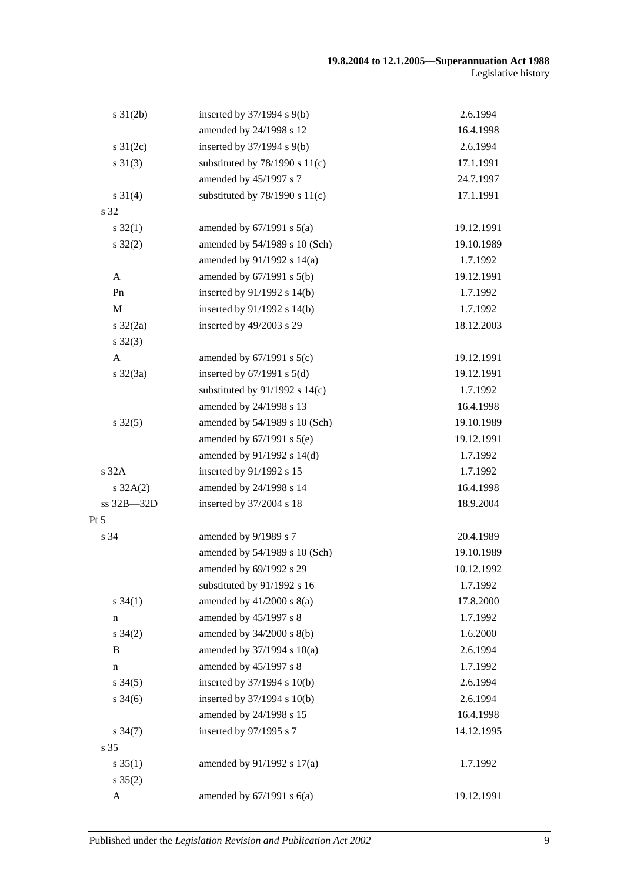| $s \, 31(2b)$       | inserted by $37/1994$ s $9(b)$     | 2.6.1994   |
|---------------------|------------------------------------|------------|
|                     | amended by 24/1998 s 12            | 16.4.1998  |
| $s \, 31(2c)$       | inserted by $37/1994$ s $9(b)$     | 2.6.1994   |
| $s \, 31(3)$        | substituted by $78/1990$ s $11(c)$ | 17.1.1991  |
|                     | amended by 45/1997 s 7             | 24.7.1997  |
| $s \, 31(4)$        | substituted by $78/1990$ s $11(c)$ | 17.1.1991  |
| s 32                |                                    |            |
| $s \, 32(1)$        | amended by $67/1991$ s $5(a)$      | 19.12.1991 |
| $s \, 32(2)$        | amended by 54/1989 s 10 (Sch)      | 19.10.1989 |
|                     | amended by 91/1992 s 14(a)         | 1.7.1992   |
| $\mathbf{A}$        | amended by $67/1991$ s $5(b)$      | 19.12.1991 |
| Pn                  | inserted by 91/1992 s 14(b)        | 1.7.1992   |
| M                   | inserted by 91/1992 s 14(b)        | 1.7.1992   |
| $s \frac{32}{2a}$   | inserted by 49/2003 s 29           | 18.12.2003 |
| $s \, 32(3)$        |                                    |            |
| $\mathbf{A}$        | amended by $67/1991$ s $5(c)$      | 19.12.1991 |
| $s \, 32(3a)$       | inserted by $67/1991$ s $5(d)$     | 19.12.1991 |
|                     | substituted by $91/1992$ s $14(c)$ | 1.7.1992   |
|                     | amended by 24/1998 s 13            | 16.4.1998  |
| $s \, 32(5)$        | amended by 54/1989 s 10 (Sch)      | 19.10.1989 |
|                     | amended by $67/1991$ s $5(e)$      | 19.12.1991 |
|                     | amended by 91/1992 s 14(d)         | 1.7.1992   |
| s 32A               | inserted by 91/1992 s 15           | 1.7.1992   |
| $s \, 32A(2)$       | amended by 24/1998 s 14            | 16.4.1998  |
| ss 32B-32D          | inserted by 37/2004 s 18           | 18.9.2004  |
| Pt 5                |                                    |            |
| s 34                | amended by 9/1989 s 7              | 20.4.1989  |
|                     | amended by 54/1989 s 10 (Sch)      | 19.10.1989 |
|                     | amended by 69/1992 s 29            | 10.12.1992 |
|                     | substituted by 91/1992 s 16        | 1.7.1992   |
| $s \, 34(1)$        | amended by $41/2000$ s $8(a)$      | 17.8.2000  |
| $\mathbf n$         | amended by 45/1997 s 8             | 1.7.1992   |
| $s \, 34(2)$        | amended by 34/2000 s 8(b)          | 1.6.2000   |
| B                   | amended by 37/1994 s 10(a)         | 2.6.1994   |
| $\mathbf n$         | amended by 45/1997 s 8             | 1.7.1992   |
| $s \, 34(5)$        | inserted by 37/1994 s 10(b)        | 2.6.1994   |
| $s \frac{34(6)}{2}$ | inserted by 37/1994 s 10(b)        | 2.6.1994   |
|                     | amended by 24/1998 s 15            | 16.4.1998  |
| $s \frac{34(7)}{2}$ | inserted by 97/1995 s 7            | 14.12.1995 |
| s 35                |                                    |            |
| $s \, 35(1)$        | amended by 91/1992 s 17(a)         | 1.7.1992   |
| $s \, 35(2)$        |                                    |            |
| A                   | amended by $67/1991$ s $6(a)$      | 19.12.1991 |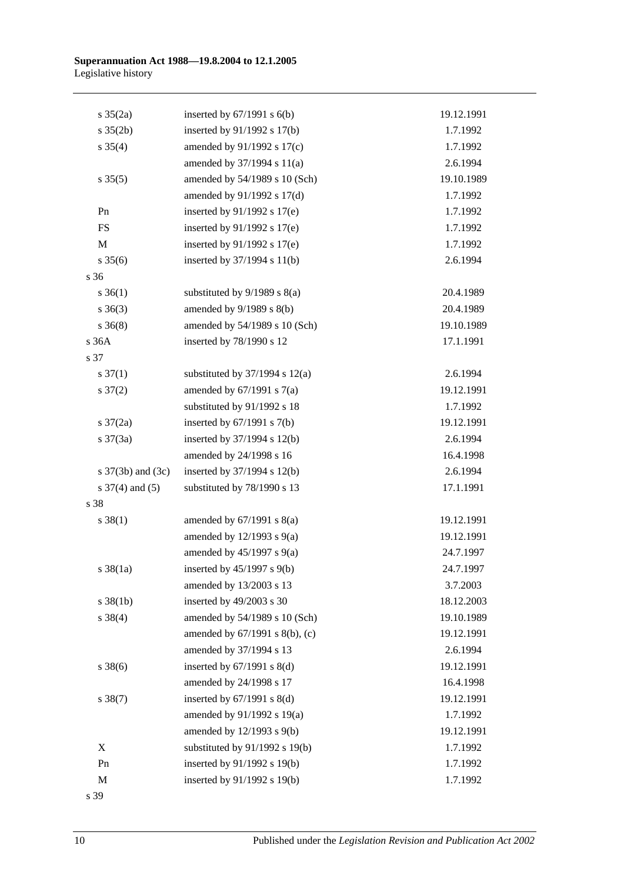| $s \frac{35(2a)}{2}$ | inserted by $67/1991$ s $6(b)$     | 19.12.1991 |
|----------------------|------------------------------------|------------|
| $s \; 35(2b)$        | inserted by 91/1992 s 17(b)        | 1.7.1992   |
| $s \, 35(4)$         | amended by $91/1992$ s $17(c)$     | 1.7.1992   |
|                      | amended by 37/1994 s 11(a)         | 2.6.1994   |
| $s \, 35(5)$         | amended by 54/1989 s 10 (Sch)      | 19.10.1989 |
|                      | amended by 91/1992 s 17(d)         | 1.7.1992   |
| Pn                   | inserted by 91/1992 s 17(e)        | 1.7.1992   |
| ${\rm FS}$           | inserted by $91/1992$ s $17(e)$    | 1.7.1992   |
| $\mathbf M$          | inserted by $91/1992$ s $17(e)$    | 1.7.1992   |
| $s \, 35(6)$         | inserted by 37/1994 s 11(b)        | 2.6.1994   |
| s 36                 |                                    |            |
| $s \, 36(1)$         | substituted by $9/1989$ s $8(a)$   | 20.4.1989  |
| $s \; 36(3)$         | amended by $9/1989$ s $8(b)$       | 20.4.1989  |
| $s \; 36(8)$         | amended by 54/1989 s 10 (Sch)      | 19.10.1989 |
| s 36A                | inserted by 78/1990 s 12           | 17.1.1991  |
| s 37                 |                                    |            |
| $s \frac{37(1)}{2}$  | substituted by $37/1994$ s $12(a)$ | 2.6.1994   |
| $s \frac{37(2)}{2}$  | amended by $67/1991$ s $7(a)$      | 19.12.1991 |
|                      | substituted by 91/1992 s 18        | 1.7.1992   |
| s $37(2a)$           | inserted by $67/1991$ s $7(b)$     | 19.12.1991 |
| $s \frac{37(3a)}{2}$ | inserted by $37/1994$ s $12(b)$    | 2.6.1994   |
|                      | amended by 24/1998 s 16            | 16.4.1998  |
| s 37(3b) and (3c)    | inserted by $37/1994$ s $12(b)$    | 2.6.1994   |
| s $37(4)$ and $(5)$  | substituted by 78/1990 s 13        | 17.1.1991  |
| s 38                 |                                    |            |
| $s \, 38(1)$         | amended by $67/1991$ s $8(a)$      | 19.12.1991 |
|                      | amended by $12/1993$ s $9(a)$      | 19.12.1991 |
|                      | amended by $45/1997$ s $9(a)$      | 24.7.1997  |
| $s \, 38(1a)$        | inserted by $45/1997$ s $9(b)$     | 24.7.1997  |
|                      | amended by 13/2003 s 13            | 3.7.2003   |
| $s \ 38(1b)$         | inserted by 49/2003 s 30           | 18.12.2003 |
| $s \ 38(4)$          | amended by 54/1989 s 10 (Sch)      | 19.10.1989 |
|                      | amended by 67/1991 s 8(b), (c)     | 19.12.1991 |
|                      | amended by 37/1994 s 13            | 2.6.1994   |
| $s \, 38(6)$         | inserted by $67/1991$ s $8(d)$     | 19.12.1991 |
|                      | amended by 24/1998 s 17            | 16.4.1998  |
| $s \ 38(7)$          | inserted by $67/1991$ s $8(d)$     | 19.12.1991 |
|                      | amended by 91/1992 s 19(a)         | 1.7.1992   |
|                      | amended by 12/1993 s 9(b)          | 19.12.1991 |
| X                    | substituted by 91/1992 s 19(b)     | 1.7.1992   |
| Pn                   | inserted by 91/1992 s 19(b)        | 1.7.1992   |
| $\mathbf M$          | inserted by 91/1992 s 19(b)        | 1.7.1992   |
|                      |                                    |            |

s 39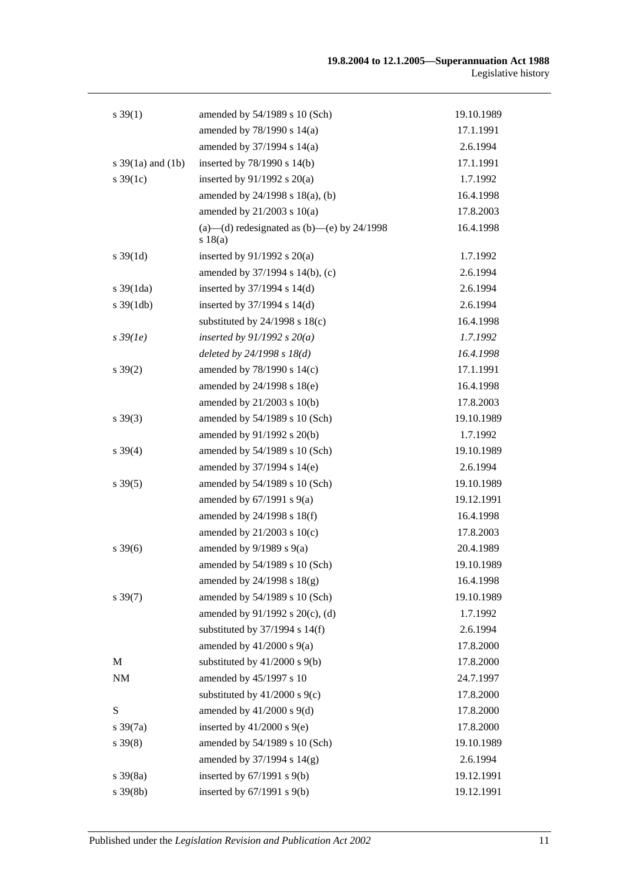| $s \, 39(1)$          | amended by 54/1989 s 10 (Sch)                           | 19.10.1989 |
|-----------------------|---------------------------------------------------------|------------|
|                       | amended by 78/1990 s 14(a)                              | 17.1.1991  |
|                       | amended by 37/1994 s 14(a)                              | 2.6.1994   |
| s $39(1a)$ and $(1b)$ | inserted by 78/1990 s 14(b)                             | 17.1.1991  |
| $s \, 39(1c)$         | inserted by $91/1992$ s $20(a)$                         | 1.7.1992   |
|                       | amended by 24/1998 s 18(a), (b)                         | 16.4.1998  |
|                       | amended by $21/2003$ s $10(a)$                          | 17.8.2003  |
|                       | (a)—(d) redesignated as (b)—(e) by $24/1998$<br>s 18(a) | 16.4.1998  |
| $s \, 39(1d)$         | inserted by $91/1992$ s $20(a)$                         | 1.7.1992   |
|                       | amended by 37/1994 s 14(b), (c)                         | 2.6.1994   |
| $s \frac{39(1da)}{2}$ | inserted by $37/1994$ s $14(d)$                         | 2.6.1994   |
| $s \frac{39(1db)}{2}$ | inserted by 37/1994 s 14(d)                             | 2.6.1994   |
|                       | substituted by $24/1998$ s $18(c)$                      | 16.4.1998  |
| $s\,39(1e)$           | inserted by $91/1992 s 20(a)$                           | 1.7.1992   |
|                       | deleted by $24/1998 s 18(d)$                            | 16.4.1998  |
| $s \, 39(2)$          | amended by 78/1990 s 14(c)                              | 17.1.1991  |
|                       | amended by 24/1998 s 18(e)                              | 16.4.1998  |
|                       | amended by $21/2003$ s $10(b)$                          | 17.8.2003  |
| $s \, 39(3)$          | amended by 54/1989 s 10 (Sch)                           | 19.10.1989 |
|                       | amended by 91/1992 s 20(b)                              | 1.7.1992   |
| $s \, 39(4)$          | amended by 54/1989 s 10 (Sch)                           | 19.10.1989 |
|                       | amended by 37/1994 s 14(e)                              | 2.6.1994   |
| $s \, 39(5)$          | amended by 54/1989 s 10 (Sch)                           | 19.10.1989 |
|                       | amended by $67/1991$ s $9(a)$                           | 19.12.1991 |
|                       | amended by 24/1998 s 18(f)                              | 16.4.1998  |
|                       | amended by 21/2003 s 10(c)                              | 17.8.2003  |
| $s \, 39(6)$          | amended by $9/1989$ s $9(a)$                            | 20.4.1989  |
|                       | amended by 54/1989 s 10 (Sch)                           | 19.10.1989 |
|                       | amended by $24/1998$ s $18(g)$                          | 16.4.1998  |
| $s \, 39(7)$          | amended by 54/1989 s 10 (Sch)                           | 19.10.1989 |
|                       | amended by 91/1992 s 20(c), (d)                         | 1.7.1992   |
|                       | substituted by $37/1994$ s $14(f)$                      | 2.6.1994   |
|                       | amended by $41/2000$ s $9(a)$                           | 17.8.2000  |
| M                     | substituted by $41/2000$ s $9(b)$                       | 17.8.2000  |
| <b>NM</b>             | amended by 45/1997 s 10                                 | 24.7.1997  |
|                       | substituted by $41/2000$ s $9(c)$                       | 17.8.2000  |
| S                     | amended by $41/2000$ s $9(d)$                           | 17.8.2000  |
| $s \frac{39(7a)}{2}$  | inserted by $41/2000$ s $9(e)$                          | 17.8.2000  |
| $s \, 39(8)$          | amended by 54/1989 s 10 (Sch)                           | 19.10.1989 |
|                       | amended by 37/1994 s 14(g)                              | 2.6.1994   |
| $s \, 39(8a)$         | inserted by $67/1991$ s $9(b)$                          | 19.12.1991 |
| $s \, 39(8b)$         | inserted by $67/1991$ s $9(b)$                          | 19.12.1991 |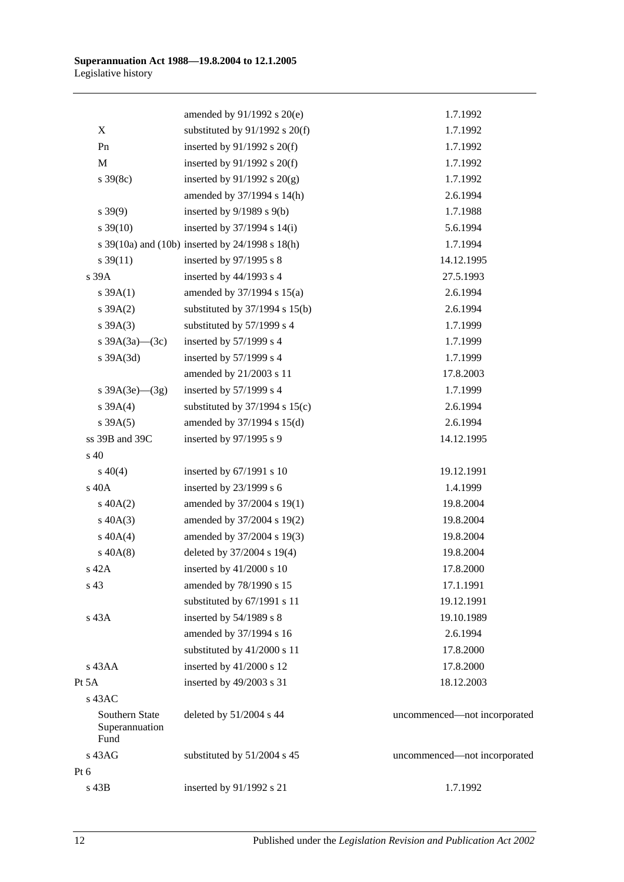|                                          | amended by 91/1992 s 20(e)                      | 1.7.1992                     |
|------------------------------------------|-------------------------------------------------|------------------------------|
| X                                        | substituted by $91/1992$ s $20(f)$              | 1.7.1992                     |
| Pn                                       | inserted by $91/1992$ s $20(f)$                 | 1.7.1992                     |
| M                                        | inserted by $91/1992$ s $20(f)$                 | 1.7.1992                     |
| $s \frac{39(8c)}{2}$                     | inserted by $91/1992$ s $20(g)$                 | 1.7.1992                     |
|                                          | amended by 37/1994 s 14(h)                      | 2.6.1994                     |
| $s\,39(9)$                               | inserted by $9/1989$ s $9(b)$                   | 1.7.1988                     |
| $s \, 39(10)$                            | inserted by $37/1994$ s $14(i)$                 | 5.6.1994                     |
|                                          | s 39(10a) and (10b) inserted by 24/1998 s 18(h) | 1.7.1994                     |
| $s \frac{39(11)}{2}$                     | inserted by 97/1995 s 8                         | 14.12.1995                   |
| s 39A                                    | inserted by 44/1993 s 4                         | 27.5.1993                    |
| s 39A(1)                                 | amended by $37/1994$ s $15(a)$                  | 2.6.1994                     |
| $s \, 39A(2)$                            | substituted by $37/1994$ s $15(b)$              | 2.6.1994                     |
| $s \, 39A(3)$                            | substituted by 57/1999 s 4                      | 1.7.1999                     |
| s $39A(3a)$ (3c)                         | inserted by 57/1999 s 4                         | 1.7.1999                     |
| s 39A(3d)                                | inserted by 57/1999 s 4                         | 1.7.1999                     |
|                                          | amended by 21/2003 s 11                         | 17.8.2003                    |
| s $39A(3e)$ (3g)                         | inserted by $57/1999$ s 4                       | 1.7.1999                     |
| s 39A(4)                                 | substituted by $37/1994$ s $15(c)$              | 2.6.1994                     |
| $s \, 39A(5)$                            | amended by $37/1994$ s $15(d)$                  | 2.6.1994                     |
| ss 39B and 39C                           | inserted by 97/1995 s 9                         | 14.12.1995                   |
| $\sqrt{s}$ 40                            |                                                 |                              |
| $s\ 40(4)$                               | inserted by 67/1991 s 10                        | 19.12.1991                   |
| s 40A                                    | inserted by $23/1999$ s 6                       | 1.4.1999                     |
| $s\ 40A(2)$                              | amended by 37/2004 s 19(1)                      | 19.8.2004                    |
| $s\ 40A(3)$                              | amended by 37/2004 s 19(2)                      | 19.8.2004                    |
| $s\ 40A(4)$                              | amended by 37/2004 s 19(3)                      | 19.8.2004                    |
| $s\ 40A(8)$                              | deleted by 37/2004 s 19(4)                      | 19.8.2004                    |
| $s$ 42 $A$                               | inserted by 41/2000 s 10                        | 17.8.2000                    |
| s 43                                     | amended by 78/1990 s 15                         | 17.1.1991                    |
|                                          | substituted by 67/1991 s 11                     | 19.12.1991                   |
| s 43A                                    | inserted by 54/1989 s 8                         | 19.10.1989                   |
|                                          | amended by 37/1994 s 16                         | 2.6.1994                     |
|                                          | substituted by 41/2000 s 11                     | 17.8.2000                    |
| $s$ 43AA                                 | inserted by 41/2000 s 12                        | 17.8.2000                    |
| Pt 5A                                    | inserted by 49/2003 s 31                        | 18.12.2003                   |
| $s$ 43AC                                 |                                                 |                              |
| Southern State<br>Superannuation<br>Fund | deleted by 51/2004 s 44                         | uncommenced—not incorporated |
| s 43AG                                   | substituted by 51/2004 s 45                     | uncommenced—not incorporated |
| Pt 6                                     |                                                 |                              |
| s 43B                                    | inserted by 91/1992 s 21                        | 1.7.1992                     |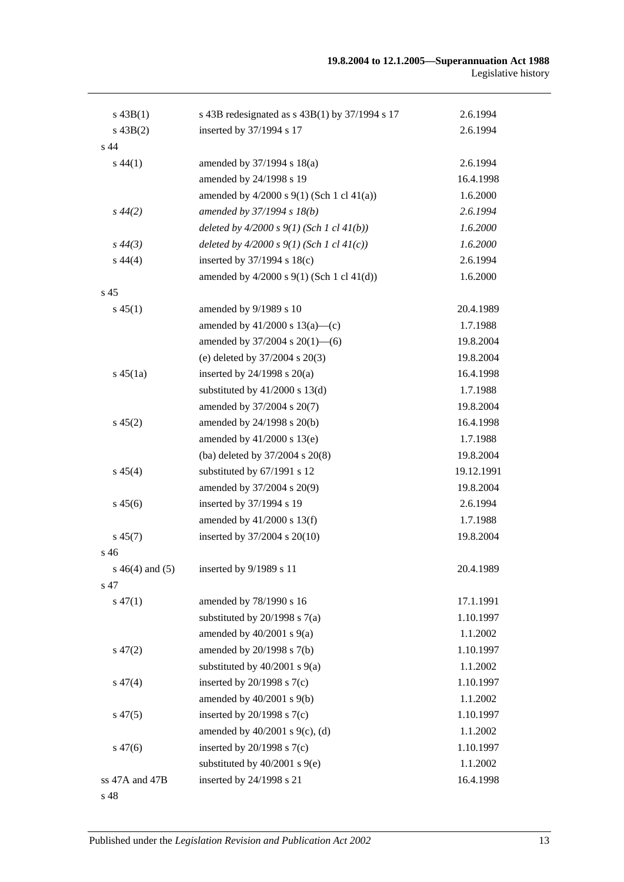| $s\,43B(1)$          | s 43B redesignated as $s$ 43B(1) by 37/1994 s 17 | 2.6.1994   |
|----------------------|--------------------------------------------------|------------|
| $s\,43B(2)$          | inserted by 37/1994 s 17                         | 2.6.1994   |
| s 44                 |                                                  |            |
| $s\,44(1)$           | amended by 37/1994 s 18(a)                       | 2.6.1994   |
|                      | amended by 24/1998 s 19                          | 16.4.1998  |
|                      | amended by $4/2000$ s $9(1)$ (Sch 1 cl $41(a)$ ) | 1.6.2000   |
| $s\,44(2)$           | amended by 37/1994 s 18(b)                       | 2.6.1994   |
|                      | deleted by $4/2000 s 9(1)$ (Sch 1 cl $41(b)$ )   | 1.6.2000   |
| $s\,44(3)$           | deleted by $4/2000 s 9(1)$ (Sch 1 cl $41(c)$ )   | 1.6.2000   |
| $s\,44(4)$           | inserted by $37/1994$ s $18(c)$                  | 2.6.1994   |
|                      | amended by $4/2000$ s $9(1)$ (Sch 1 cl $41(d)$ ) | 1.6.2000   |
| s <sub>45</sub>      |                                                  |            |
| $s\,45(1)$           | amended by 9/1989 s 10                           | 20.4.1989  |
|                      | amended by $41/2000$ s $13(a)$ —(c)              | 1.7.1988   |
|                      | amended by $37/2004$ s $20(1)$ —(6)              | 19.8.2004  |
|                      | (e) deleted by $37/2004$ s $20(3)$               | 19.8.2004  |
| $s\,45(1a)$          | inserted by $24/1998$ s $20(a)$                  | 16.4.1998  |
|                      | substituted by $41/2000$ s $13(d)$               | 1.7.1988   |
|                      | amended by 37/2004 s 20(7)                       | 19.8.2004  |
| $s\,45(2)$           | amended by 24/1998 s 20(b)                       | 16.4.1998  |
|                      | amended by $41/2000$ s $13(e)$                   | 1.7.1988   |
|                      | (ba) deleted by 37/2004 s 20(8)                  | 19.8.2004  |
| $s\,45(4)$           | substituted by 67/1991 s 12                      | 19.12.1991 |
|                      | amended by 37/2004 s 20(9)                       | 19.8.2004  |
| $s\,45(6)$           | inserted by 37/1994 s 19                         | 2.6.1994   |
|                      | amended by $41/2000$ s $13(f)$                   | 1.7.1988   |
| $s\,45(7)$           | inserted by 37/2004 s 20(10)                     | 19.8.2004  |
| s <sub>46</sub>      |                                                  |            |
| $s\,46(4)$ and $(5)$ | inserted by 9/1989 s 11                          | 20.4.1989  |
| s 47                 |                                                  |            |
| $s\,47(1)$           | amended by 78/1990 s 16                          | 17.1.1991  |
|                      | substituted by $20/1998$ s $7(a)$                | 1.10.1997  |
|                      | amended by $40/2001$ s $9(a)$                    | 1.1.2002   |
| $s\,47(2)$           | amended by 20/1998 s 7(b)                        | 1.10.1997  |
|                      | substituted by $40/2001$ s $9(a)$                | 1.1.2002   |
| $s\,47(4)$           | inserted by $20/1998$ s $7(c)$                   | 1.10.1997  |
|                      | amended by $40/2001$ s $9(b)$                    | 1.1.2002   |
| $s\,47(5)$           | inserted by $20/1998$ s $7(c)$                   | 1.10.1997  |
|                      | amended by $40/2001$ s $9(c)$ , (d)              | 1.1.2002   |
| $s\,47(6)$           | inserted by $20/1998$ s $7(c)$                   | 1.10.1997  |
|                      | substituted by $40/2001$ s $9(e)$                | 1.1.2002   |
| ss 47A and 47B       |                                                  |            |
|                      | inserted by 24/1998 s 21                         | 16.4.1998  |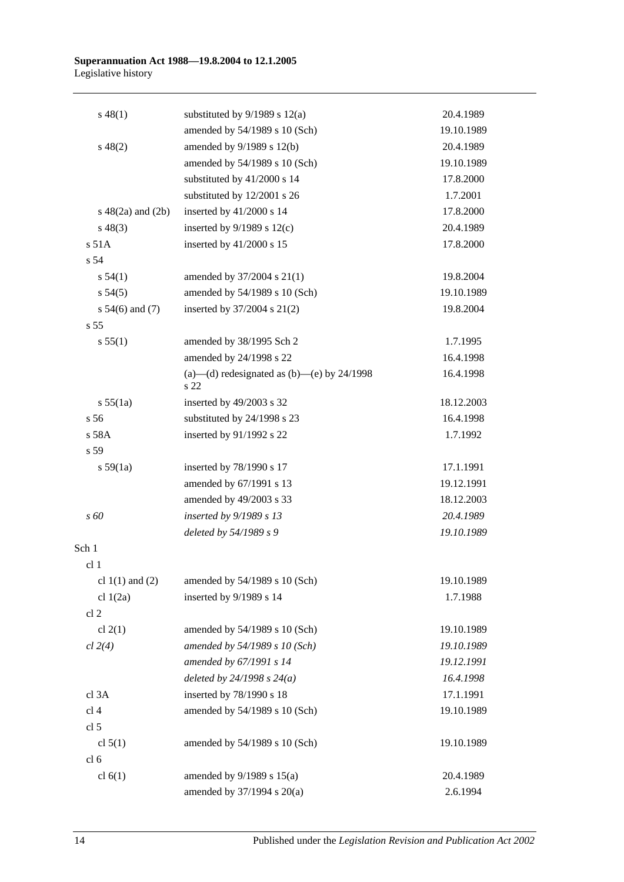#### **Superannuation Act 1988—19.8.2004 to 12.1.2005** Legislative history

| $s\,48(1)$             | substituted by $9/1989$ s $12(a)$                    | 20.4.1989  |
|------------------------|------------------------------------------------------|------------|
|                        | amended by 54/1989 s 10 (Sch)                        | 19.10.1989 |
| $s\,48(2)$             | amended by 9/1989 s 12(b)                            | 20.4.1989  |
|                        | amended by 54/1989 s 10 (Sch)                        | 19.10.1989 |
|                        | substituted by 41/2000 s 14                          | 17.8.2000  |
|                        | substituted by 12/2001 s 26                          | 1.7.2001   |
| $s\ 48(2a)$ and $(2b)$ | inserted by 41/2000 s 14                             | 17.8.2000  |
| $s\,48(3)$             | inserted by $9/1989$ s $12(c)$                       | 20.4.1989  |
| s 51A                  | inserted by 41/2000 s 15                             | 17.8.2000  |
| s 54                   |                                                      |            |
| s 54(1)                | amended by 37/2004 s 21(1)                           | 19.8.2004  |
| s 54(5)                | amended by 54/1989 s 10 (Sch)                        | 19.10.1989 |
| s $54(6)$ and $(7)$    | inserted by 37/2004 s 21(2)                          | 19.8.2004  |
| s <sub>55</sub>        |                                                      |            |
| s 55(1)                | amended by 38/1995 Sch 2                             | 1.7.1995   |
|                        | amended by 24/1998 s 22                              | 16.4.1998  |
|                        | (a)—(d) redesignated as (b)—(e) by $24/1998$<br>s 22 | 16.4.1998  |
| s 55(1a)               | inserted by 49/2003 s 32                             | 18.12.2003 |
| s 56                   | substituted by 24/1998 s 23                          | 16.4.1998  |
| s 58A                  | inserted by 91/1992 s 22                             | 1.7.1992   |
| s 59                   |                                                      |            |
| s 59(1a)               | inserted by 78/1990 s 17                             | 17.1.1991  |
|                        | amended by 67/1991 s 13                              | 19.12.1991 |
|                        | amended by 49/2003 s 33                              | 18.12.2003 |
| s 60                   | inserted by 9/1989 s 13                              | 20.4.1989  |
|                        | deleted by 54/1989 s 9                               | 19.10.1989 |
| Sch 1                  |                                                      |            |
| cl <sub>1</sub>        |                                                      |            |
| cl $1(1)$ and $(2)$    | amended by 54/1989 s 10 (Sch)                        | 19.10.1989 |
| cl $1(2a)$             | inserted by 9/1989 s 14                              | 1.7.1988   |
| cl <sub>2</sub>        |                                                      |            |
| cl $2(1)$              | amended by 54/1989 s 10 (Sch)                        | 19.10.1989 |
| cl 2(4)                | amended by 54/1989 s 10 (Sch)                        | 19.10.1989 |
|                        | amended by 67/1991 s 14                              | 19.12.1991 |
|                        | deleted by $24/1998 s 24(a)$                         | 16.4.1998  |
| cl 3A                  | inserted by 78/1990 s 18                             | 17.1.1991  |
| cl <sub>4</sub>        | amended by 54/1989 s 10 (Sch)                        | 19.10.1989 |
| cl 5                   |                                                      |            |
| cl $5(1)$              | amended by 54/1989 s 10 (Sch)                        | 19.10.1989 |
| cl <sub>6</sub>        |                                                      |            |
| cl $6(1)$              | amended by $9/1989$ s $15(a)$                        | 20.4.1989  |
|                        | amended by 37/1994 s 20(a)                           | 2.6.1994   |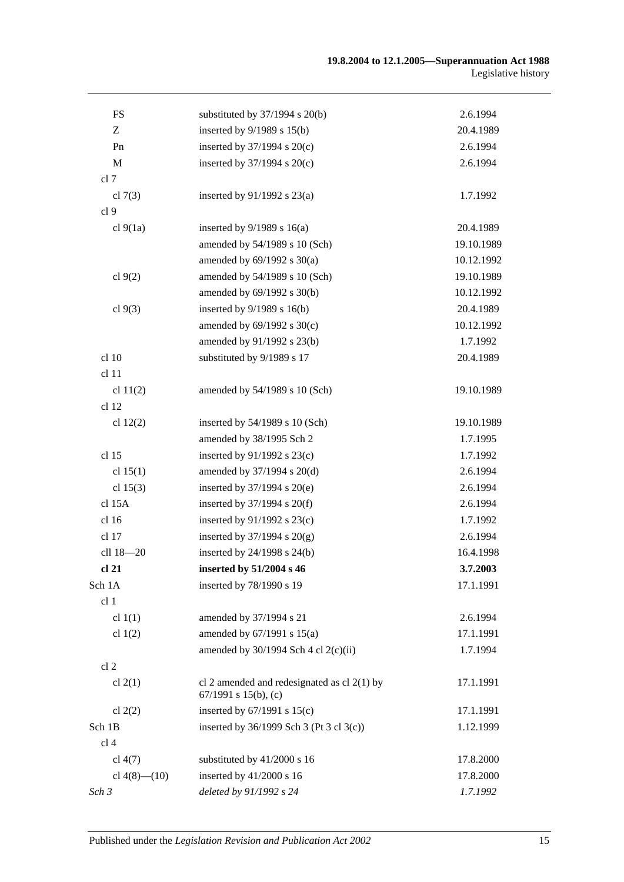| <b>FS</b>          | substituted by $37/1994$ s $20(b)$                                         | 2.6.1994   |
|--------------------|----------------------------------------------------------------------------|------------|
| Z                  | inserted by 9/1989 s 15(b)                                                 | 20.4.1989  |
| Pn                 | inserted by $37/1994$ s $20(c)$                                            | 2.6.1994   |
| $\mathbf M$        | inserted by $37/1994$ s $20(c)$                                            | 2.6.1994   |
| cl 7               |                                                                            |            |
| cl $7(3)$          | inserted by $91/1992$ s $23(a)$                                            | 1.7.1992   |
| cl <sub>9</sub>    |                                                                            |            |
| cl $9(1a)$         | inserted by $9/1989$ s $16(a)$                                             | 20.4.1989  |
|                    | amended by 54/1989 s 10 (Sch)                                              | 19.10.1989 |
|                    | amended by $69/1992$ s $30(a)$                                             | 10.12.1992 |
| cl 9(2)            | amended by 54/1989 s 10 (Sch)                                              | 19.10.1989 |
|                    | amended by 69/1992 s 30(b)                                                 | 10.12.1992 |
| cl $9(3)$          | inserted by $9/1989$ s $16(b)$                                             | 20.4.1989  |
|                    | amended by 69/1992 s 30(c)                                                 | 10.12.1992 |
|                    | amended by 91/1992 s 23(b)                                                 | 1.7.1992   |
| cl 10              | substituted by 9/1989 s 17                                                 | 20.4.1989  |
| cl 11              |                                                                            |            |
| cl $11(2)$         | amended by 54/1989 s 10 (Sch)                                              | 19.10.1989 |
| cl <sub>12</sub>   |                                                                            |            |
| cl $12(2)$         | inserted by $54/1989$ s 10 (Sch)                                           | 19.10.1989 |
|                    | amended by 38/1995 Sch 2                                                   | 1.7.1995   |
| cl 15              | inserted by 91/1992 s 23(c)                                                | 1.7.1992   |
| cl $15(1)$         | amended by 37/1994 s 20(d)                                                 | 2.6.1994   |
| cl $15(3)$         | inserted by 37/1994 s 20(e)                                                | 2.6.1994   |
| cl 15A             | inserted by $37/1994$ s $20(f)$                                            | 2.6.1994   |
| cl 16              | inserted by $91/1992$ s $23(c)$                                            | 1.7.1992   |
| $cl$ 17            | inserted by $37/1994$ s $20(g)$                                            | 2.6.1994   |
| cll 18-20          | inserted by 24/1998 s 24(b)                                                | 16.4.1998  |
| cl 21              | inserted by 51/2004 s 46                                                   | 3.7.2003   |
| Sch 1A             | inserted by 78/1990 s 19                                                   | 17.1.1991  |
| cl 1               |                                                                            |            |
| cl $1(1)$          | amended by 37/1994 s 21                                                    | 2.6.1994   |
| cl $1(2)$          | amended by $67/1991$ s $15(a)$                                             | 17.1.1991  |
|                    | amended by $30/1994$ Sch 4 cl 2(c)(ii)                                     | 1.7.1994   |
| cl <sub>2</sub>    |                                                                            |            |
| cl $2(1)$          | cl 2 amended and redesignated as cl $2(1)$ by<br>$67/1991$ s $15(b)$ , (c) | 17.1.1991  |
| cl $2(2)$          | inserted by $67/1991$ s $15(c)$                                            | 17.1.1991  |
| Sch 1B             | inserted by 36/1999 Sch 3 (Pt 3 cl 3(c))                                   | 1.12.1999  |
| cl <sub>4</sub>    |                                                                            |            |
| cl $4(7)$          | substituted by 41/2000 s 16                                                | 17.8.2000  |
| cl $4(8)$ — $(10)$ | inserted by 41/2000 s 16                                                   | 17.8.2000  |
| Sch 3              | deleted by 91/1992 s 24                                                    | 1.7.1992   |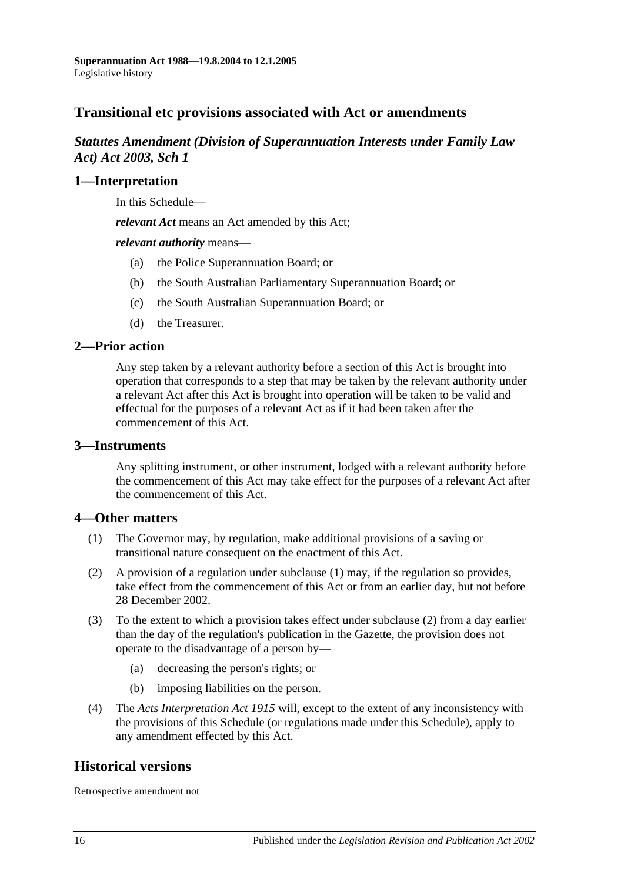# **Transitional etc provisions associated with Act or amendments**

# *Statutes Amendment (Division of Superannuation Interests under Family Law Act) Act 2003, Sch 1*

## **1—Interpretation**

In this Schedule—

*relevant Act* means an Act amended by this Act;

*relevant authority* means—

- (a) the Police Superannuation Board; or
- (b) the South Australian Parliamentary Superannuation Board; or
- (c) the South Australian Superannuation Board; or
- (d) the Treasurer.

## **2—Prior action**

Any step taken by a relevant authority before a section of this Act is brought into operation that corresponds to a step that may be taken by the relevant authority under a relevant Act after this Act is brought into operation will be taken to be valid and effectual for the purposes of a relevant Act as if it had been taken after the commencement of this Act.

### **3—Instruments**

Any splitting instrument, or other instrument, lodged with a relevant authority before the commencement of this Act may take effect for the purposes of a relevant Act after the commencement of this Act.

### **4—Other matters**

- (1) The Governor may, by regulation, make additional provisions of a saving or transitional nature consequent on the enactment of this Act.
- (2) A provision of a regulation under subclause (1) may, if the regulation so provides, take effect from the commencement of this Act or from an earlier day, but not before 28 December 2002.
- (3) To the extent to which a provision takes effect under subclause (2) from a day earlier than the day of the regulation's publication in the Gazette, the provision does not operate to the disadvantage of a person by—
	- (a) decreasing the person's rights; or
	- (b) imposing liabilities on the person.
- (4) The *[Acts Interpretation Act](http://www.legislation.sa.gov.au/index.aspx?action=legref&type=act&legtitle=Acts%20Interpretation%20Act%201915) 1915* will, except to the extent of any inconsistency with the provisions of this Schedule (or regulations made under this Schedule), apply to any amendment effected by this Act.

## **Historical versions**

Retrospective amendment not